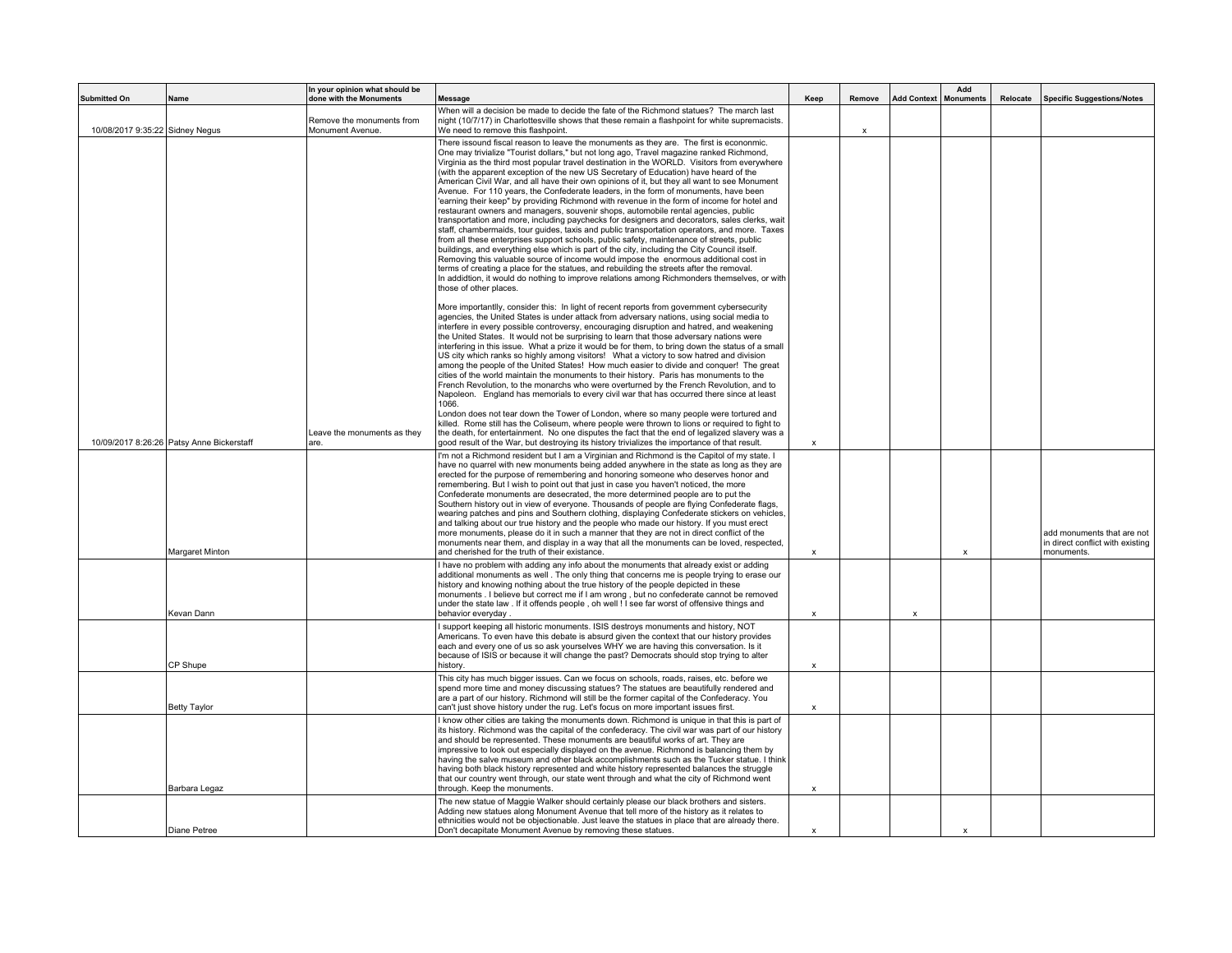| <b>Submitted On</b>             | Name                                      | In your opinion what should be<br>done with the Monuments | <b>Message</b>                                                                                                                                                                                                                                                                                                                                                                                                                                                                                                                                                                                                                                                                                                                                                                                                                                                                                                                                                                                                                                                                                                                                                                                                                                                                                                                                                                                                                                                      | Keep                      | Remove       |   | Add<br>Add Context   Monuments | Relocate | <b>Specific Suggestions/Notes</b>                                            |
|---------------------------------|-------------------------------------------|-----------------------------------------------------------|---------------------------------------------------------------------------------------------------------------------------------------------------------------------------------------------------------------------------------------------------------------------------------------------------------------------------------------------------------------------------------------------------------------------------------------------------------------------------------------------------------------------------------------------------------------------------------------------------------------------------------------------------------------------------------------------------------------------------------------------------------------------------------------------------------------------------------------------------------------------------------------------------------------------------------------------------------------------------------------------------------------------------------------------------------------------------------------------------------------------------------------------------------------------------------------------------------------------------------------------------------------------------------------------------------------------------------------------------------------------------------------------------------------------------------------------------------------------|---------------------------|--------------|---|--------------------------------|----------|------------------------------------------------------------------------------|
| 10/08/2017 9:35:22 Sidney Negus |                                           | Remove the monuments from<br>Monument Avenue.             | When will a decision be made to decide the fate of the Richmond statues? The march last<br>night (10/7/17) in Charlottesville shows that these remain a flashpoint for white supremacists.<br>We need to remove this flashpoint.                                                                                                                                                                                                                                                                                                                                                                                                                                                                                                                                                                                                                                                                                                                                                                                                                                                                                                                                                                                                                                                                                                                                                                                                                                    |                           | $\mathsf{x}$ |   |                                |          |                                                                              |
|                                 |                                           |                                                           | There issound fiscal reason to leave the monuments as they are. The first is econonmic.<br>One may trivialize "Tourist dollars," but not long ago, Travel magazine ranked Richmond,<br>Virginia as the third most popular travel destination in the WORLD. Visitors from everywhere<br>(with the apparent exception of the new US Secretary of Education) have heard of the<br>American Civil War, and all have their own opinions of it, but they all want to see Monument<br>Avenue. For 110 years, the Confederate leaders, in the form of monuments, have been<br>'earning their keep" by providing Richmond with revenue in the form of income for hotel and<br>restaurant owners and managers, souvenir shops, automobile rental agencies, public<br>transportation and more, including paychecks for designers and decorators, sales clerks, wait<br>staff, chambermaids, tour quides, taxis and public transportation operators, and more. Taxes<br>from all these enterprises support schools, public safety, maintenance of streets, public<br>buildings, and everything else which is part of the city, including the City Council itself.<br>Removing this valuable source of income would impose the enormous additional cost in<br>terms of creating a place for the statues, and rebuilding the streets after the removal.<br>In addidtion, it would do nothing to improve relations among Richmonders themselves, or with<br>those of other places. |                           |              |   |                                |          |                                                                              |
|                                 | 10/09/2017 8:26:26 Patsy Anne Bickerstaff | Leave the monuments as they<br>are.                       | More importantlly, consider this: In light of recent reports from government cybersecurity<br>agencies, the United States is under attack from adversary nations, using social media to<br>interfere in every possible controversy, encouraging disruption and hatred, and weakening<br>the United States. It would not be surprising to learn that those adversary nations were<br>interfering in this issue. What a prize it would be for them, to bring down the status of a small<br>US city which ranks so highly among visitors! What a victory to sow hatred and division<br>among the people of the United States! How much easier to divide and conquer! The great<br>cities of the world maintain the monuments to their history. Paris has monuments to the<br>French Revolution, to the monarchs who were overturned by the French Revolution, and to<br>Napoleon. England has memorials to every civil war that has occurred there since at least<br>1066.<br>London does not tear down the Tower of London, where so many people were tortured and<br>killed. Rome still has the Coliseum, where people were thrown to lions or required to fight to<br>the death, for entertainment. No one disputes the fact that the end of legalized slavery was a<br>good result of the War, but destroying its history trivializes the importance of that result.                                                                                               | $\boldsymbol{\mathsf{x}}$ |              |   |                                |          |                                                                              |
|                                 | Margaret Minton                           |                                                           | I'm not a Richmond resident but I am a Virginian and Richmond is the Capitol of my state. I<br>have no quarrel with new monuments being added anywhere in the state as long as they are<br>erected for the purpose of remembering and honoring someone who deserves honor and<br>remembering. But I wish to point out that just in case you haven't noticed, the more<br>Confederate monuments are desecrated, the more determined people are to put the<br>Southern history out in view of everyone. Thousands of people are flying Confederate flags,<br>wearing patches and pins and Southern clothing, displaying Confederate stickers on vehicles,<br>and talking about our true history and the people who made our history. If you must erect<br>more monuments, please do it in such a manner that they are not in direct conflict of the<br>monuments near them, and display in a way that all the monuments can be loved, respected,<br>and cherished for the truth of their existance.                                                                                                                                                                                                                                                                                                                                                                                                                                                                   | $\pmb{\chi}$              |              |   | x                              |          | add monuments that are not<br>in direct conflict with existing<br>monuments. |
|                                 | Kevan Dann                                |                                                           | I have no problem with adding any info about the monuments that already exist or adding<br>additional monuments as well. The only thing that concerns me is people trying to erase our<br>history and knowing nothing about the true history of the people depicted in these<br>monuments . I believe but correct me if I am wrong, but no confederate cannot be removed<br>under the state law . If it offends people, oh well ! I see far worst of offensive things and<br>behavior everyday.                                                                                                                                                                                                                                                                                                                                                                                                                                                                                                                                                                                                                                                                                                                                                                                                                                                                                                                                                                     | x                         |              | X |                                |          |                                                                              |
|                                 | CP Shupe                                  |                                                           | I support keeping all historic monuments. ISIS destroys monuments and history, NOT<br>Americans. To even have this debate is absurd given the context that our history provides<br>each and every one of us so ask yourselves WHY we are having this conversation. Is it<br>because of ISIS or because it will change the past? Democrats should stop trying to alter<br>history.                                                                                                                                                                                                                                                                                                                                                                                                                                                                                                                                                                                                                                                                                                                                                                                                                                                                                                                                                                                                                                                                                   | $\boldsymbol{\mathsf{x}}$ |              |   |                                |          |                                                                              |
|                                 | <b>Betty Taylor</b>                       |                                                           | This city has much bigger issues. Can we focus on schools, roads, raises, etc. before we<br>spend more time and money discussing statues? The statues are beautifully rendered and<br>are a part of our history. Richmond will still be the former capital of the Confederacy. You<br>can't just shove history under the rug. Let's focus on more important issues first.                                                                                                                                                                                                                                                                                                                                                                                                                                                                                                                                                                                                                                                                                                                                                                                                                                                                                                                                                                                                                                                                                           | X                         |              |   |                                |          |                                                                              |
|                                 | Barbara Legaz                             |                                                           | I know other cities are taking the monuments down. Richmond is unique in that this is part of<br>its history. Richmond was the capital of the confederacy. The civil war was part of our history<br>and should be represented. These monuments are beautiful works of art. They are<br>impressive to look out especially displayed on the avenue. Richmond is balancing them by<br>having the salve museum and other black accomplishments such as the Tucker statue. I think<br>having both black history represented and white history represented balances the struggle<br>that our country went through, our state went through and what the city of Richmond went<br>through. Keep the monuments.                                                                                                                                                                                                                                                                                                                                                                                                                                                                                                                                                                                                                                                                                                                                                              | X                         |              |   |                                |          |                                                                              |
|                                 | Diane Petree                              |                                                           | The new statue of Maggie Walker should certainly please our black brothers and sisters.<br>Adding new statues along Monument Avenue that tell more of the history as it relates to<br>ethnicities would not be objectionable. Just leave the statues in place that are already there.<br>Don't decapitate Monument Avenue by removing these statues.                                                                                                                                                                                                                                                                                                                                                                                                                                                                                                                                                                                                                                                                                                                                                                                                                                                                                                                                                                                                                                                                                                                | $\mathsf{x}$              |              |   | $\boldsymbol{\mathsf{x}}$      |          |                                                                              |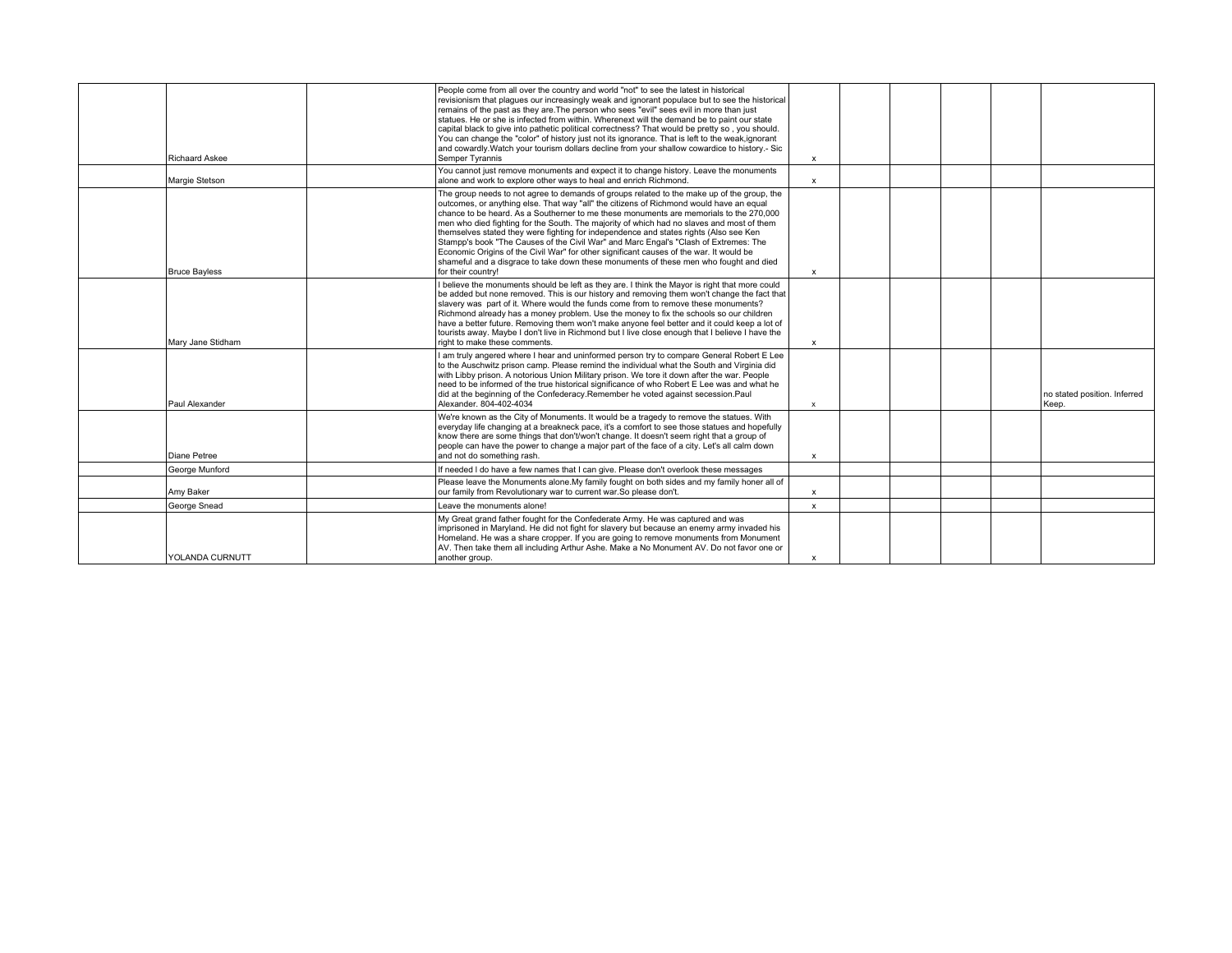| <b>Richaard Askee</b> | People come from all over the country and world "not" to see the latest in historical<br>revisionism that plaques our increasingly weak and ignorant populace but to see the historical<br>remains of the past as they are. The person who sees "evil" sees evil in more than just<br>statues. He or she is infected from within. Wherenext will the demand be to paint our state<br>capital black to give into pathetic political correctness? That would be pretty so, you should.<br>You can change the "color" of history just not its ignorance. That is left to the weak, ignorant<br>and cowardly. Watch your tourism dollars decline from your shallow cowardice to history.- Sic<br>Semper Tyrannis                                                            | $\mathbf x$               |  |  |                                       |
|-----------------------|-------------------------------------------------------------------------------------------------------------------------------------------------------------------------------------------------------------------------------------------------------------------------------------------------------------------------------------------------------------------------------------------------------------------------------------------------------------------------------------------------------------------------------------------------------------------------------------------------------------------------------------------------------------------------------------------------------------------------------------------------------------------------|---------------------------|--|--|---------------------------------------|
| Margie Stetson        | You cannot just remove monuments and expect it to change history. Leave the monuments<br>alone and work to explore other ways to heal and enrich Richmond.                                                                                                                                                                                                                                                                                                                                                                                                                                                                                                                                                                                                              | x                         |  |  |                                       |
| <b>Bruce Bayless</b>  | The group needs to not agree to demands of groups related to the make up of the group, the<br>outcomes, or anything else. That way "all" the citizens of Richmond would have an equal<br>chance to be heard. As a Southerner to me these monuments are memorials to the 270,000<br>men who died fighting for the South. The majority of which had no slaves and most of them<br>themselves stated they were fighting for independence and states rights (Also see Ken<br>Stampp's book "The Causes of the Civil War" and Marc Engal's "Clash of Extremes: The<br>Economic Origins of the Civil War" for other significant causes of the war. It would be<br>shameful and a disgrace to take down these monuments of these men who fought and died<br>for their country! | $\boldsymbol{\mathsf{x}}$ |  |  |                                       |
| Mary Jane Stidham     | I believe the monuments should be left as they are. I think the Mayor is right that more could<br>be added but none removed. This is our history and removing them won't change the fact that<br>slavery was part of it. Where would the funds come from to remove these monuments?<br>Richmond already has a money problem. Use the money to fix the schools so our children<br>have a better future. Removing them won't make anyone feel better and it could keep a lot of<br>tourists away. Maybe I don't live in Richmond but I live close enough that I believe I have the<br>right to make these comments.                                                                                                                                                       | X                         |  |  |                                       |
| Paul Alexander        | I am truly angered where I hear and uninformed person try to compare General Robert E Lee<br>to the Auschwitz prison camp. Please remind the individual what the South and Virginia did<br>with Libby prison, A notorious Union Military prison. We tore it down after the war, People<br>need to be informed of the true historical significance of who Robert E Lee was and what he<br>did at the beginning of the Confederacy.Remember he voted against secession.Paul<br>Alexander, 804-402-4034                                                                                                                                                                                                                                                                    | $\boldsymbol{\mathsf{x}}$ |  |  | no stated position. Inferred<br>Keep. |
| Diane Petree          | We're known as the City of Monuments. It would be a tragedy to remove the statues. With<br>everyday life changing at a breakneck pace, it's a comfort to see those statues and hopefully<br>know there are some things that don't/won't change. It doesn't seem right that a group of<br>people can have the power to change a major part of the face of a city. Let's all calm down<br>and not do something rash.                                                                                                                                                                                                                                                                                                                                                      | $\boldsymbol{\mathsf{x}}$ |  |  |                                       |
| George Munford        | If needed I do have a few names that I can give. Please don't overlook these messages                                                                                                                                                                                                                                                                                                                                                                                                                                                                                                                                                                                                                                                                                   |                           |  |  |                                       |
| Amv Baker             | Please leave the Monuments alone. My family fought on both sides and my family honer all of<br>our family from Revolutionary war to current war. So please don't.                                                                                                                                                                                                                                                                                                                                                                                                                                                                                                                                                                                                       | X                         |  |  |                                       |
| George Snead          | Leave the monuments alone!                                                                                                                                                                                                                                                                                                                                                                                                                                                                                                                                                                                                                                                                                                                                              | $\mathbf x$               |  |  |                                       |
| YOLANDA CURNUTT       | My Great grand father fought for the Confederate Army. He was captured and was<br>imprisoned in Maryland. He did not fight for slavery but because an enemy army invaded his<br>Homeland. He was a share cropper. If you are going to remove monuments from Monument<br>AV. Then take them all including Arthur Ashe. Make a No Monument AV. Do not favor one or<br>another group.                                                                                                                                                                                                                                                                                                                                                                                      | X                         |  |  |                                       |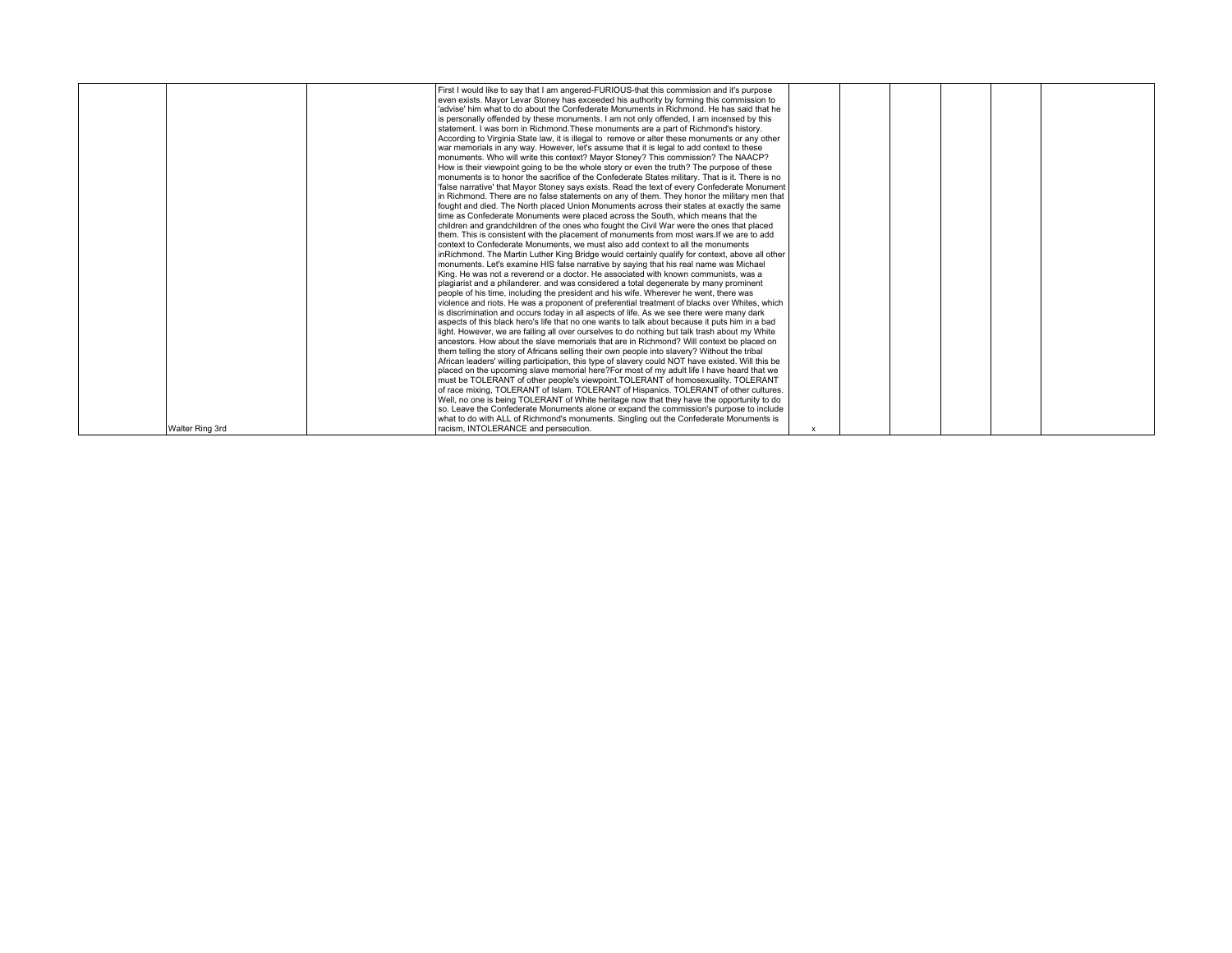|                 | First I would like to say that I am angered-FURIOUS-that this commission and it's purpose<br>even exists. Mayor Levar Stoney has exceeded his authority by forming this commission to<br>advise' him what to do about the Confederate Monuments in Richmond. He has said that he<br>is personally offended by these monuments. I am not only offended, I am incensed by this<br>statement. I was born in Richmond. These monuments are a part of Richmond's history.<br>According to Virginia State law, it is illegal to remove or alter these monuments or any other<br>war memorials in any way. However, let's assume that it is legal to add context to these<br>monuments. Who will write this context? Mayor Stoney? This commission? The NAACP?<br>How is their viewpoint going to be the whole story or even the truth? The purpose of these<br>monuments is to honor the sacrifice of the Confederate States military. That is it. There is no<br>false narrative' that Mayor Stoney says exists. Read the text of every Confederate Monument<br>in Richmond. There are no false statements on any of them. They honor the military men that<br>fought and died. The North placed Union Monuments across their states at exactly the same<br>time as Confederate Monuments were placed across the South, which means that the<br>children and grandchildren of the ones who fought the Civil War were the ones that placed<br>them. This is consistent with the placement of monuments from most wars. If we are to add<br>context to Confederate Monuments, we must also add context to all the monuments<br>inRichmond. The Martin Luther King Bridge would certainly qualify for context, above all other<br>monuments. Let's examine HIS false narrative by saying that his real name was Michael<br>King. He was not a reverend or a doctor. He associated with known communists, was a<br>plagiarist and a philanderer, and was considered a total degenerate by many prominent<br>Deople of his time, including the president and his wife. Wherever he went, there was<br>violence and riots. He was a proponent of preferential treatment of blacks over Whites, which<br>is discrimination and occurs today in all aspects of life. As we see there were many dark |  |  |  |
|-----------------|----------------------------------------------------------------------------------------------------------------------------------------------------------------------------------------------------------------------------------------------------------------------------------------------------------------------------------------------------------------------------------------------------------------------------------------------------------------------------------------------------------------------------------------------------------------------------------------------------------------------------------------------------------------------------------------------------------------------------------------------------------------------------------------------------------------------------------------------------------------------------------------------------------------------------------------------------------------------------------------------------------------------------------------------------------------------------------------------------------------------------------------------------------------------------------------------------------------------------------------------------------------------------------------------------------------------------------------------------------------------------------------------------------------------------------------------------------------------------------------------------------------------------------------------------------------------------------------------------------------------------------------------------------------------------------------------------------------------------------------------------------------------------------------------------------------------------------------------------------------------------------------------------------------------------------------------------------------------------------------------------------------------------------------------------------------------------------------------------------------------------------------------------------------------------------------------------------------------------------------------------------------------------------------|--|--|--|
|                 |                                                                                                                                                                                                                                                                                                                                                                                                                                                                                                                                                                                                                                                                                                                                                                                                                                                                                                                                                                                                                                                                                                                                                                                                                                                                                                                                                                                                                                                                                                                                                                                                                                                                                                                                                                                                                                                                                                                                                                                                                                                                                                                                                                                                                                                                                        |  |  |  |
|                 |                                                                                                                                                                                                                                                                                                                                                                                                                                                                                                                                                                                                                                                                                                                                                                                                                                                                                                                                                                                                                                                                                                                                                                                                                                                                                                                                                                                                                                                                                                                                                                                                                                                                                                                                                                                                                                                                                                                                                                                                                                                                                                                                                                                                                                                                                        |  |  |  |
|                 |                                                                                                                                                                                                                                                                                                                                                                                                                                                                                                                                                                                                                                                                                                                                                                                                                                                                                                                                                                                                                                                                                                                                                                                                                                                                                                                                                                                                                                                                                                                                                                                                                                                                                                                                                                                                                                                                                                                                                                                                                                                                                                                                                                                                                                                                                        |  |  |  |
|                 |                                                                                                                                                                                                                                                                                                                                                                                                                                                                                                                                                                                                                                                                                                                                                                                                                                                                                                                                                                                                                                                                                                                                                                                                                                                                                                                                                                                                                                                                                                                                                                                                                                                                                                                                                                                                                                                                                                                                                                                                                                                                                                                                                                                                                                                                                        |  |  |  |
|                 |                                                                                                                                                                                                                                                                                                                                                                                                                                                                                                                                                                                                                                                                                                                                                                                                                                                                                                                                                                                                                                                                                                                                                                                                                                                                                                                                                                                                                                                                                                                                                                                                                                                                                                                                                                                                                                                                                                                                                                                                                                                                                                                                                                                                                                                                                        |  |  |  |
|                 |                                                                                                                                                                                                                                                                                                                                                                                                                                                                                                                                                                                                                                                                                                                                                                                                                                                                                                                                                                                                                                                                                                                                                                                                                                                                                                                                                                                                                                                                                                                                                                                                                                                                                                                                                                                                                                                                                                                                                                                                                                                                                                                                                                                                                                                                                        |  |  |  |
|                 |                                                                                                                                                                                                                                                                                                                                                                                                                                                                                                                                                                                                                                                                                                                                                                                                                                                                                                                                                                                                                                                                                                                                                                                                                                                                                                                                                                                                                                                                                                                                                                                                                                                                                                                                                                                                                                                                                                                                                                                                                                                                                                                                                                                                                                                                                        |  |  |  |
|                 |                                                                                                                                                                                                                                                                                                                                                                                                                                                                                                                                                                                                                                                                                                                                                                                                                                                                                                                                                                                                                                                                                                                                                                                                                                                                                                                                                                                                                                                                                                                                                                                                                                                                                                                                                                                                                                                                                                                                                                                                                                                                                                                                                                                                                                                                                        |  |  |  |
|                 |                                                                                                                                                                                                                                                                                                                                                                                                                                                                                                                                                                                                                                                                                                                                                                                                                                                                                                                                                                                                                                                                                                                                                                                                                                                                                                                                                                                                                                                                                                                                                                                                                                                                                                                                                                                                                                                                                                                                                                                                                                                                                                                                                                                                                                                                                        |  |  |  |
|                 |                                                                                                                                                                                                                                                                                                                                                                                                                                                                                                                                                                                                                                                                                                                                                                                                                                                                                                                                                                                                                                                                                                                                                                                                                                                                                                                                                                                                                                                                                                                                                                                                                                                                                                                                                                                                                                                                                                                                                                                                                                                                                                                                                                                                                                                                                        |  |  |  |
|                 |                                                                                                                                                                                                                                                                                                                                                                                                                                                                                                                                                                                                                                                                                                                                                                                                                                                                                                                                                                                                                                                                                                                                                                                                                                                                                                                                                                                                                                                                                                                                                                                                                                                                                                                                                                                                                                                                                                                                                                                                                                                                                                                                                                                                                                                                                        |  |  |  |
|                 |                                                                                                                                                                                                                                                                                                                                                                                                                                                                                                                                                                                                                                                                                                                                                                                                                                                                                                                                                                                                                                                                                                                                                                                                                                                                                                                                                                                                                                                                                                                                                                                                                                                                                                                                                                                                                                                                                                                                                                                                                                                                                                                                                                                                                                                                                        |  |  |  |
|                 |                                                                                                                                                                                                                                                                                                                                                                                                                                                                                                                                                                                                                                                                                                                                                                                                                                                                                                                                                                                                                                                                                                                                                                                                                                                                                                                                                                                                                                                                                                                                                                                                                                                                                                                                                                                                                                                                                                                                                                                                                                                                                                                                                                                                                                                                                        |  |  |  |
|                 | aspects of this black hero's life that no one wants to talk about because it puts him in a bad                                                                                                                                                                                                                                                                                                                                                                                                                                                                                                                                                                                                                                                                                                                                                                                                                                                                                                                                                                                                                                                                                                                                                                                                                                                                                                                                                                                                                                                                                                                                                                                                                                                                                                                                                                                                                                                                                                                                                                                                                                                                                                                                                                                         |  |  |  |
|                 | light. However, we are falling all over ourselves to do nothing but talk trash about my White<br>ancestors. How about the slave memorials that are in Richmond? Will context be placed on                                                                                                                                                                                                                                                                                                                                                                                                                                                                                                                                                                                                                                                                                                                                                                                                                                                                                                                                                                                                                                                                                                                                                                                                                                                                                                                                                                                                                                                                                                                                                                                                                                                                                                                                                                                                                                                                                                                                                                                                                                                                                              |  |  |  |
|                 | them telling the story of Africans selling their own people into slavery? Without the tribal                                                                                                                                                                                                                                                                                                                                                                                                                                                                                                                                                                                                                                                                                                                                                                                                                                                                                                                                                                                                                                                                                                                                                                                                                                                                                                                                                                                                                                                                                                                                                                                                                                                                                                                                                                                                                                                                                                                                                                                                                                                                                                                                                                                           |  |  |  |
|                 | African leaders' willing participation, this type of slavery could NOT have existed. Will this be                                                                                                                                                                                                                                                                                                                                                                                                                                                                                                                                                                                                                                                                                                                                                                                                                                                                                                                                                                                                                                                                                                                                                                                                                                                                                                                                                                                                                                                                                                                                                                                                                                                                                                                                                                                                                                                                                                                                                                                                                                                                                                                                                                                      |  |  |  |
|                 | placed on the upcoming slave memorial here?For most of my adult life I have heard that we                                                                                                                                                                                                                                                                                                                                                                                                                                                                                                                                                                                                                                                                                                                                                                                                                                                                                                                                                                                                                                                                                                                                                                                                                                                                                                                                                                                                                                                                                                                                                                                                                                                                                                                                                                                                                                                                                                                                                                                                                                                                                                                                                                                              |  |  |  |
|                 | must be TOLERANT of other people's viewpoint.TOLERANT of homosexuality. TOLERANT                                                                                                                                                                                                                                                                                                                                                                                                                                                                                                                                                                                                                                                                                                                                                                                                                                                                                                                                                                                                                                                                                                                                                                                                                                                                                                                                                                                                                                                                                                                                                                                                                                                                                                                                                                                                                                                                                                                                                                                                                                                                                                                                                                                                       |  |  |  |
|                 | of race mixing. TOLERANT of Islam. TOLERANT of Hispanics. TOLERANT of other cultures.                                                                                                                                                                                                                                                                                                                                                                                                                                                                                                                                                                                                                                                                                                                                                                                                                                                                                                                                                                                                                                                                                                                                                                                                                                                                                                                                                                                                                                                                                                                                                                                                                                                                                                                                                                                                                                                                                                                                                                                                                                                                                                                                                                                                  |  |  |  |
|                 | Well, no one is being TOLERANT of White heritage now that they have the opportunity to do                                                                                                                                                                                                                                                                                                                                                                                                                                                                                                                                                                                                                                                                                                                                                                                                                                                                                                                                                                                                                                                                                                                                                                                                                                                                                                                                                                                                                                                                                                                                                                                                                                                                                                                                                                                                                                                                                                                                                                                                                                                                                                                                                                                              |  |  |  |
|                 | so. Leave the Confederate Monuments alone or expand the commission's purpose to include                                                                                                                                                                                                                                                                                                                                                                                                                                                                                                                                                                                                                                                                                                                                                                                                                                                                                                                                                                                                                                                                                                                                                                                                                                                                                                                                                                                                                                                                                                                                                                                                                                                                                                                                                                                                                                                                                                                                                                                                                                                                                                                                                                                                |  |  |  |
|                 | what to do with ALL of Richmond's monuments. Singling out the Confederate Monuments is                                                                                                                                                                                                                                                                                                                                                                                                                                                                                                                                                                                                                                                                                                                                                                                                                                                                                                                                                                                                                                                                                                                                                                                                                                                                                                                                                                                                                                                                                                                                                                                                                                                                                                                                                                                                                                                                                                                                                                                                                                                                                                                                                                                                 |  |  |  |
| Walter Ring 3rd | racism. INTOLERANCE and persecution.                                                                                                                                                                                                                                                                                                                                                                                                                                                                                                                                                                                                                                                                                                                                                                                                                                                                                                                                                                                                                                                                                                                                                                                                                                                                                                                                                                                                                                                                                                                                                                                                                                                                                                                                                                                                                                                                                                                                                                                                                                                                                                                                                                                                                                                   |  |  |  |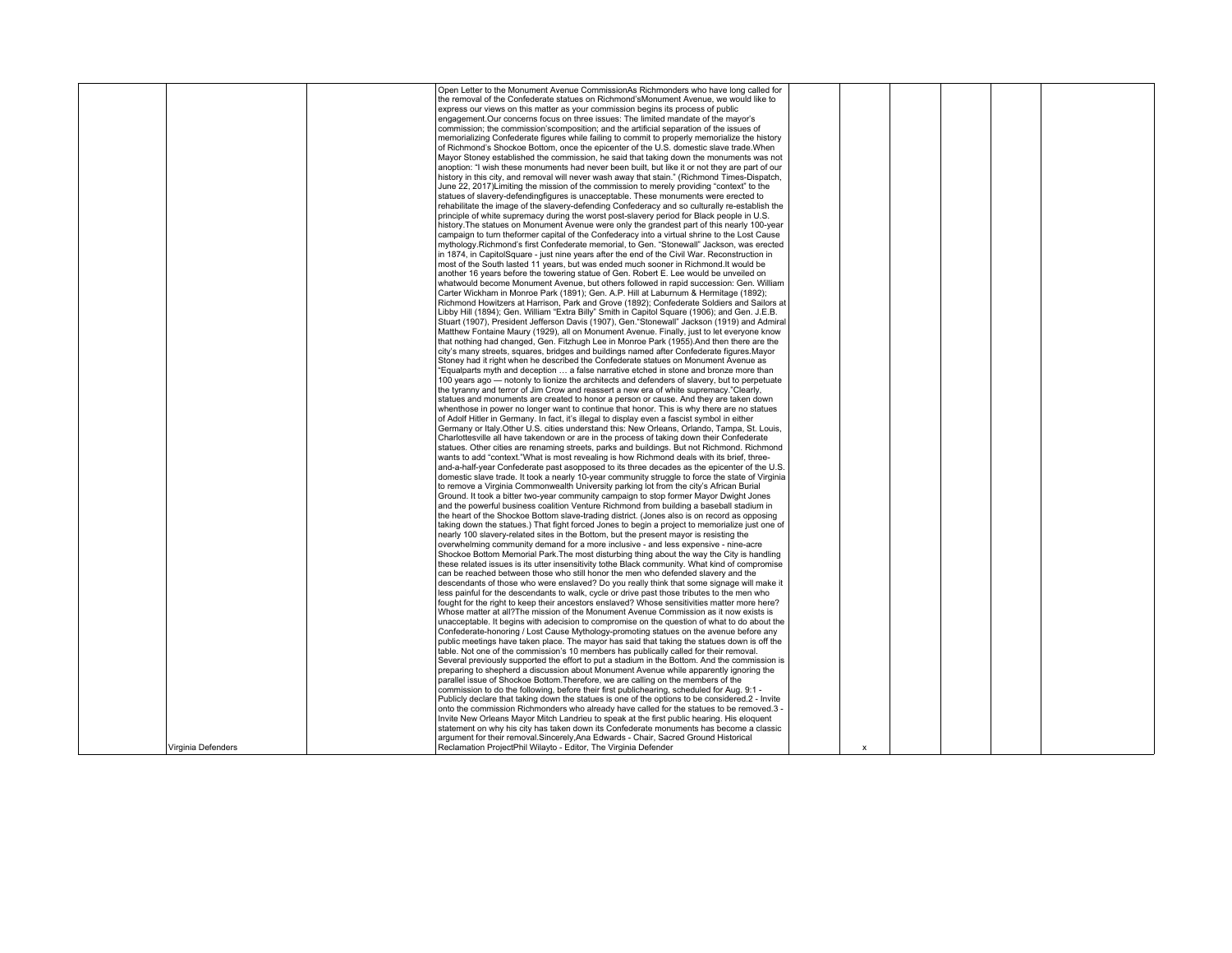|                    | Open Letter to the Monument Avenue CommissionAs Richmonders who have long called for             |   |  |  |
|--------------------|--------------------------------------------------------------------------------------------------|---|--|--|
|                    | the removal of the Confederate statues on Richmond'sMonument Avenue, we would like to            |   |  |  |
|                    | express our views on this matter as your commission begins its process of public                 |   |  |  |
|                    | engagement.Our concerns focus on three issues: The limited mandate of the mayor's                |   |  |  |
|                    | commission; the commission'scomposition; and the artificial separation of the issues of          |   |  |  |
|                    |                                                                                                  |   |  |  |
|                    | memorializing Confederate figures while failing to commit to properly memorialize the history    |   |  |  |
|                    | of Richmond's Shockoe Bottom, once the epicenter of the U.S. domestic slave trade. When          |   |  |  |
|                    | Mayor Stoney established the commission, he said that taking down the monuments was not          |   |  |  |
|                    | anoption: "I wish these monuments had never been built, but like it or not they are part of our  |   |  |  |
|                    | history in this city, and removal will never wash away that stain." (Richmond Times-Dispatch,    |   |  |  |
|                    |                                                                                                  |   |  |  |
|                    | June 22, 2017) Limiting the mission of the commission to merely providing "context" to the       |   |  |  |
|                    | statues of slavery-defendingfigures is unacceptable. These monuments were erected to             |   |  |  |
|                    | rehabilitate the image of the slavery-defending Confederacy and so culturally re-establish the   |   |  |  |
|                    | principle of white supremacy during the worst post-slavery period for Black people in U.S.       |   |  |  |
|                    | history. The statues on Monument Avenue were only the grandest part of this nearly 100-year      |   |  |  |
|                    |                                                                                                  |   |  |  |
|                    | campaign to turn theformer capital of the Confederacy into a virtual shrine to the Lost Cause    |   |  |  |
|                    | mythology. Richmond's first Confederate memorial, to Gen. "Stonewall" Jackson, was erected       |   |  |  |
|                    | in 1874, in CapitolSquare - just nine years after the end of the Civil War. Reconstruction in    |   |  |  |
|                    | most of the South lasted 11 years, but was ended much sooner in Richmond. It would be            |   |  |  |
|                    | another 16 years before the towering statue of Gen. Robert E. Lee would be unveiled on           |   |  |  |
|                    |                                                                                                  |   |  |  |
|                    | whatwould become Monument Avenue, but others followed in rapid succession: Gen. William          |   |  |  |
|                    | Carter Wickham in Monroe Park (1891); Gen. A.P. Hill at Laburnum & Hermitage (1892);             |   |  |  |
|                    | Richmond Howitzers at Harrison. Park and Grove (1892): Confederate Soldiers and Sailors at       |   |  |  |
|                    | Libby Hill (1894); Gen. William "Extra Billy" Smith in Capitol Square (1906); and Gen. J.E.B.    |   |  |  |
|                    | Stuart (1907), President Jefferson Davis (1907), Gen. "Stonewall" Jackson (1919) and Admiral     |   |  |  |
|                    |                                                                                                  |   |  |  |
|                    | Matthew Fontaine Maury (1929), all on Monument Avenue. Finally, just to let everyone know        |   |  |  |
|                    | that nothing had changed, Gen. Fitzhugh Lee in Monroe Park (1955). And then there are the        |   |  |  |
|                    | city's many streets, squares, bridges and buildings named after Confederate figures. Mayor       |   |  |  |
|                    | Stoney had it right when he described the Confederate statues on Monument Avenue as              |   |  |  |
|                    | "Equalparts myth and deception  a false narrative etched in stone and bronze more than           |   |  |  |
|                    | 100 years ago - notonly to lionize the architects and defenders of slavery, but to perpetuate    |   |  |  |
|                    |                                                                                                  |   |  |  |
|                    | the tyranny and terror of Jim Crow and reassert a new era of white supremacy."Clearly,           |   |  |  |
|                    | statues and monuments are created to honor a person or cause. And they are taken down            |   |  |  |
|                    | when those in power no longer want to continue that honor. This is why there are no statues      |   |  |  |
|                    | of Adolf Hitler in Germany. In fact, it's illegal to display even a fascist symbol in either     |   |  |  |
|                    | Germany or Italy Other U.S. cities understand this: New Orleans, Orlando, Tampa, St. Louis,      |   |  |  |
|                    |                                                                                                  |   |  |  |
|                    | Charlottesville all have takendown or are in the process of taking down their Confederate        |   |  |  |
|                    | statues. Other cities are renaming streets, parks and buildings. But not Richmond. Richmond      |   |  |  |
|                    | wants to add "context."What is most revealing is how Richmond deals with its brief, three-       |   |  |  |
|                    | and-a-half-vear Confederate past asopposed to its three decades as the epicenter of the U.S.     |   |  |  |
|                    | domestic slave trade. It took a nearly 10-year community struggle to force the state of Virginia |   |  |  |
|                    |                                                                                                  |   |  |  |
|                    | to remove a Virginia Commonwealth University parking lot from the city's African Burial          |   |  |  |
|                    | Ground. It took a bitter two-vear community campaign to stop former Mayor Dwight Jones           |   |  |  |
|                    | and the powerful business coalition Venture Richmond from building a baseball stadium in         |   |  |  |
|                    | the heart of the Shockoe Bottom slave-trading district. (Jones also is on record as opposing     |   |  |  |
|                    | taking down the statues.) That fight forced Jones to begin a project to memorialize just one of  |   |  |  |
|                    |                                                                                                  |   |  |  |
|                    | nearly 100 slavery-related sites in the Bottom, but the present mayor is resisting the           |   |  |  |
|                    | overwhelming community demand for a more inclusive - and less expensive - nine-acre              |   |  |  |
|                    | Shockoe Bottom Memorial Park. The most disturbing thing about the way the City is handling       |   |  |  |
|                    | these related issues is its utter insensitivity tothe Black community. What kind of compromise   |   |  |  |
|                    | can be reached between those who still honor the men who defended slavery and the                |   |  |  |
|                    | descendants of those who were enslaved? Do you really think that some signage will make it       |   |  |  |
|                    |                                                                                                  |   |  |  |
|                    | less painful for the descendants to walk, cycle or drive past those tributes to the men who      |   |  |  |
|                    | fought for the right to keep their ancestors enslaved? Whose sensitivities matter more here?     |   |  |  |
|                    | Whose matter at all?The mission of the Monument Avenue Commission as it now exists is            |   |  |  |
|                    | unacceptable. It begins with adecision to compromise on the question of what to do about the     |   |  |  |
|                    | Confederate-honoring / Lost Cause Mythology-promoting statues on the avenue before any           |   |  |  |
|                    | public meetings have taken place. The mayor has said that taking the statues down is off the     |   |  |  |
|                    |                                                                                                  |   |  |  |
|                    | table. Not one of the commission's 10 members has publically called for their removal.           |   |  |  |
|                    | Several previously supported the effort to put a stadium in the Bottom. And the commission is    |   |  |  |
|                    | preparing to shepherd a discussion about Monument Avenue while apparently ignoring the           |   |  |  |
|                    | parallel issue of Shockoe Bottom. Therefore, we are calling on the members of the                |   |  |  |
|                    | commission to do the following, before their first publichearing, scheduled for Aug. 9:1 -       |   |  |  |
|                    |                                                                                                  |   |  |  |
|                    | Publicly declare that taking down the statues is one of the options to be considered.2 - Invite  |   |  |  |
|                    | onto the commission Richmonders who already have called for the statues to be removed.3 -        |   |  |  |
|                    | Invite New Orleans Mayor Mitch Landrieu to speak at the first public hearing. His eloquent       |   |  |  |
|                    | statement on why his city has taken down its Confederate monuments has become a classic          |   |  |  |
|                    | argument for their removal.Sincerely,Ana Edwards - Chair, Sacred Ground Historical               |   |  |  |
| Virginia Defenders | Reclamation ProjectPhil Wilayto - Editor, The Virginia Defender                                  |   |  |  |
|                    |                                                                                                  | x |  |  |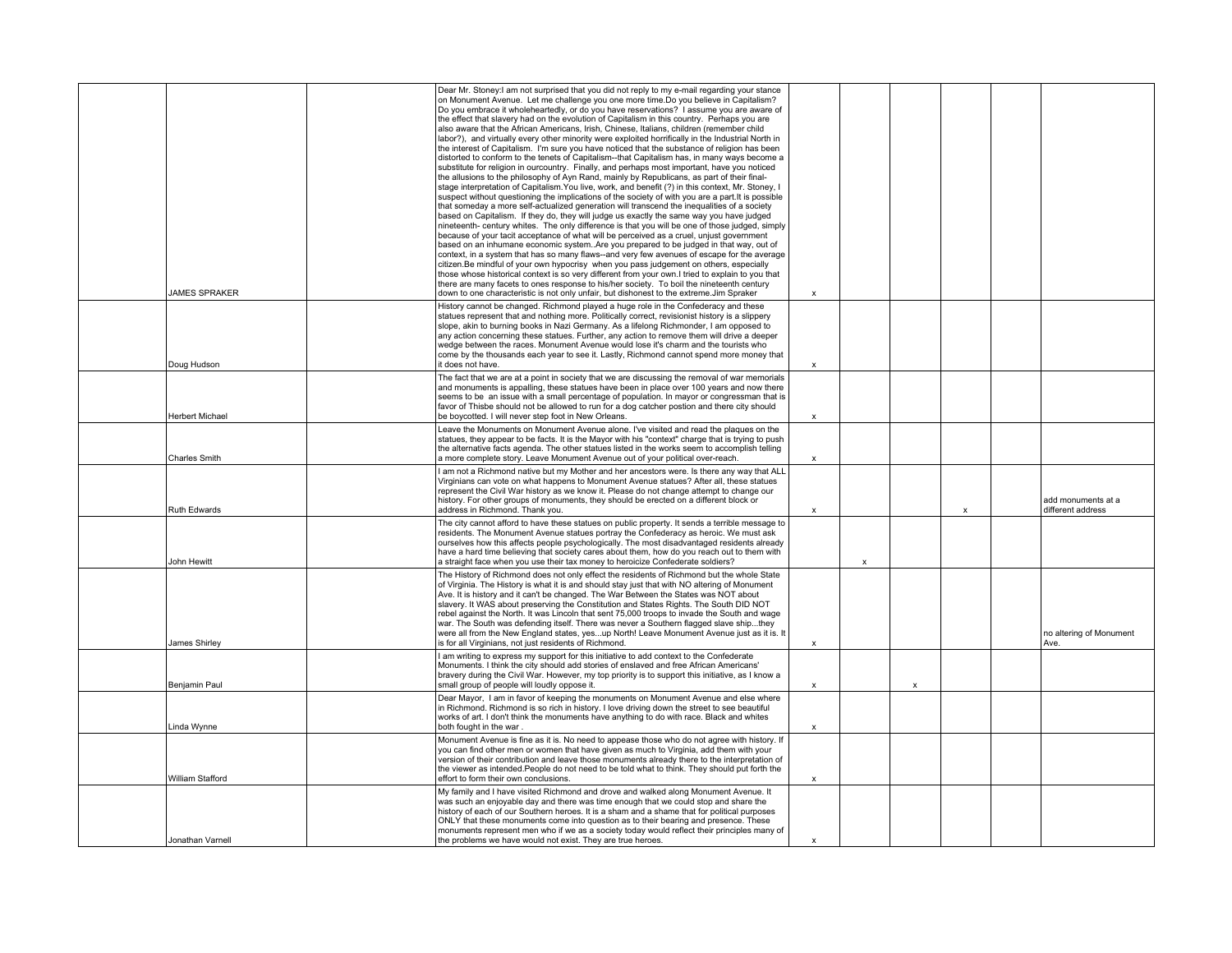| JAMES SPRAKER    | Dear Mr. Stoney: I am not surprised that you did not reply to my e-mail regarding your stance<br>on Monument Avenue. Let me challenge you one more time.Do you believe in Capitalism?<br>Do you embrace it wholeheartedly, or do you have reservations? I assume you are aware of<br>the effect that slavery had on the evolution of Capitalism in this country. Perhaps you are<br>also aware that the African Americans, Irish, Chinese, Italians, children (remember child<br>labor?), and virtually every other minority were exploited horrifically in the Industrial North in<br>the interest of Capitalism. I'm sure you have noticed that the substance of religion has been<br>distorted to conform to the tenets of Capitalism--that Capitalism has, in many ways become a<br>substitute for religion in ourcountry. Finally, and perhaps most important, have you noticed<br>the allusions to the philosophy of Ayn Rand, mainly by Republicans, as part of their final-<br>stage interpretation of Capitalism. You live, work, and benefit (?) in this context, Mr. Stoney, I<br>suspect without questioning the implications of the society of with you are a part. It is possible<br>that someday a more self-actualized generation will transcend the inequalities of a society<br>based on Capitalism. If they do, they will judge us exactly the same way you have judged<br>nineteenth- century whites. The only difference is that you will be one of those judged, simply<br>because of your tacit acceptance of what will be perceived as a cruel, unjust government<br>based on an inhumane economic system. Are you prepared to be judged in that way, out of<br>context, in a system that has so many flaws--and very few avenues of escape for the average<br>citizen.Be mindful of your own hypocrisy when you pass judgement on others, especially<br>those whose historical context is so very different from your own.I tried to explain to you that<br>there are many facets to ones response to his/her society. To boil the nineteenth century<br>down to one characteristic is not only unfair, but dishonest to the extreme.Jim Spraker | x                         |   |                           |  |                                         |
|------------------|---------------------------------------------------------------------------------------------------------------------------------------------------------------------------------------------------------------------------------------------------------------------------------------------------------------------------------------------------------------------------------------------------------------------------------------------------------------------------------------------------------------------------------------------------------------------------------------------------------------------------------------------------------------------------------------------------------------------------------------------------------------------------------------------------------------------------------------------------------------------------------------------------------------------------------------------------------------------------------------------------------------------------------------------------------------------------------------------------------------------------------------------------------------------------------------------------------------------------------------------------------------------------------------------------------------------------------------------------------------------------------------------------------------------------------------------------------------------------------------------------------------------------------------------------------------------------------------------------------------------------------------------------------------------------------------------------------------------------------------------------------------------------------------------------------------------------------------------------------------------------------------------------------------------------------------------------------------------------------------------------------------------------------------------------------------------------------------------------------------------------------------------------------------------------|---------------------------|---|---------------------------|--|-----------------------------------------|
| Doug Hudson      | History cannot be changed. Richmond played a huge role in the Confederacy and these<br>statues represent that and nothing more. Politically correct, revisionist history is a slippery<br>slope, akin to burning books in Nazi Germany. As a lifelong Richmonder, I am opposed to<br>any action concerning these statues. Further, any action to remove them will drive a deeper<br>wedge between the races. Monument Avenue would lose it's charm and the tourists who<br>come by the thousands each year to see it. Lastly, Richmond cannot spend more money that<br>it does not have.                                                                                                                                                                                                                                                                                                                                                                                                                                                                                                                                                                                                                                                                                                                                                                                                                                                                                                                                                                                                                                                                                                                                                                                                                                                                                                                                                                                                                                                                                                                                                                                  | x                         |   |                           |  |                                         |
| Herbert Michael  | The fact that we are at a point in society that we are discussing the removal of war memorials<br>and monuments is appalling, these statues have been in place over 100 years and now there<br>seems to be an issue with a small percentage of population. In mayor or congressman that is<br>favor of Thisbe should not be allowed to run for a dog catcher postion and there city should<br>be boycotted. I will never step foot in New Orleans.                                                                                                                                                                                                                                                                                                                                                                                                                                                                                                                                                                                                                                                                                                                                                                                                                                                                                                                                                                                                                                                                                                                                                                                                                                                                                                                                                                                                                                                                                                                                                                                                                                                                                                                        | X                         |   |                           |  |                                         |
| Charles Smith    | Leave the Monuments on Monument Avenue alone. I've visited and read the plaques on the<br>statues, they appear to be facts. It is the Mayor with his "context" charge that is trying to push<br>the alternative facts agenda. The other statues listed in the works seem to accomplish telling<br>a more complete story. Leave Monument Avenue out of your political over-reach.                                                                                                                                                                                                                                                                                                                                                                                                                                                                                                                                                                                                                                                                                                                                                                                                                                                                                                                                                                                                                                                                                                                                                                                                                                                                                                                                                                                                                                                                                                                                                                                                                                                                                                                                                                                          | $\mathbf x$               |   |                           |  |                                         |
| Ruth Edwards     | I am not a Richmond native but my Mother and her ancestors were. Is there any way that ALL<br>Virginians can vote on what happens to Monument Avenue statues? After all, these statues<br>represent the Civil War history as we know it. Please do not change attempt to change our<br>history. For other groups of monuments, they should be erected on a different block or<br>address in Richmond. Thank you.                                                                                                                                                                                                                                                                                                                                                                                                                                                                                                                                                                                                                                                                                                                                                                                                                                                                                                                                                                                                                                                                                                                                                                                                                                                                                                                                                                                                                                                                                                                                                                                                                                                                                                                                                          | х                         |   |                           |  | add monuments at a<br>different address |
| John Hewitt      | The city cannot afford to have these statues on public property. It sends a terrible message to<br>residents. The Monument Avenue statues portray the Confederacy as heroic. We must ask<br>ourselves how this affects people psychologically. The most disadvantaged residents already<br>have a hard time believing that society cares about them, how do you reach out to them with<br>a straight face when you use their tax money to heroicize Confederate soldiers?                                                                                                                                                                                                                                                                                                                                                                                                                                                                                                                                                                                                                                                                                                                                                                                                                                                                                                                                                                                                                                                                                                                                                                                                                                                                                                                                                                                                                                                                                                                                                                                                                                                                                                 |                           | X |                           |  |                                         |
| James Shirley    | The History of Richmond does not only effect the residents of Richmond but the whole State<br>of Virginia. The History is what it is and should stay just that with NO altering of Monument<br>Ave. It is history and it can't be changed. The War Between the States was NOT about<br>slavery. It WAS about preserving the Constitution and States Rights. The South DID NOT<br>rebel against the North. It was Lincoln that sent 75,000 troops to invade the South and wage<br>war. The South was defending itself. There was never a Southern flagged slave shipthey<br>were all from the New England states, yesup North! Leave Monument Avenue just as it is. It<br>is for all Virginians, not just residents of Richmond.                                                                                                                                                                                                                                                                                                                                                                                                                                                                                                                                                                                                                                                                                                                                                                                                                                                                                                                                                                                                                                                                                                                                                                                                                                                                                                                                                                                                                                           | X                         |   |                           |  | no altering of Monument<br>Ave.         |
| Benjamin Paul    | I am writing to express my support for this initiative to add context to the Confederate<br>Monuments. I think the city should add stories of enslaved and free African Americans'<br>bravery during the Civil War. However, my top priority is to support this initiative, as I know a<br>small group of people will loudly oppose it.                                                                                                                                                                                                                                                                                                                                                                                                                                                                                                                                                                                                                                                                                                                                                                                                                                                                                                                                                                                                                                                                                                                                                                                                                                                                                                                                                                                                                                                                                                                                                                                                                                                                                                                                                                                                                                   | $\boldsymbol{\mathsf{x}}$ |   | $\boldsymbol{\mathsf{x}}$ |  |                                         |
| Linda Wynne      | Dear Mayor, I am in favor of keeping the monuments on Monument Avenue and else where<br>in Richmond. Richmond is so rich in history. I love driving down the street to see beautiful<br>works of art. I don't think the monuments have anything to do with race. Black and whites<br>both fought in the war.                                                                                                                                                                                                                                                                                                                                                                                                                                                                                                                                                                                                                                                                                                                                                                                                                                                                                                                                                                                                                                                                                                                                                                                                                                                                                                                                                                                                                                                                                                                                                                                                                                                                                                                                                                                                                                                              | $\mathbf{x}$              |   |                           |  |                                         |
| William Stafford | Monument Avenue is fine as it is. No need to appease those who do not agree with history. If<br>you can find other men or women that have given as much to Virginia, add them with your<br>version of their contribution and leave those monuments already there to the interpretation of<br>the viewer as intended. People do not need to be told what to think. They should put forth the<br>effort to form their own conclusions.                                                                                                                                                                                                                                                                                                                                                                                                                                                                                                                                                                                                                                                                                                                                                                                                                                                                                                                                                                                                                                                                                                                                                                                                                                                                                                                                                                                                                                                                                                                                                                                                                                                                                                                                      | X                         |   |                           |  |                                         |
| Jonathan Varnell | My family and I have visited Richmond and drove and walked along Monument Avenue. It<br>was such an enjoyable day and there was time enough that we could stop and share the<br>history of each of our Southern heroes. It is a sham and a shame that for political purposes<br>ONLY that these monuments come into question as to their bearing and presence. These<br>monuments represent men who if we as a society today would reflect their principles many of<br>the problems we have would not exist. They are true heroes.                                                                                                                                                                                                                                                                                                                                                                                                                                                                                                                                                                                                                                                                                                                                                                                                                                                                                                                                                                                                                                                                                                                                                                                                                                                                                                                                                                                                                                                                                                                                                                                                                                        | $\mathbf x$               |   |                           |  |                                         |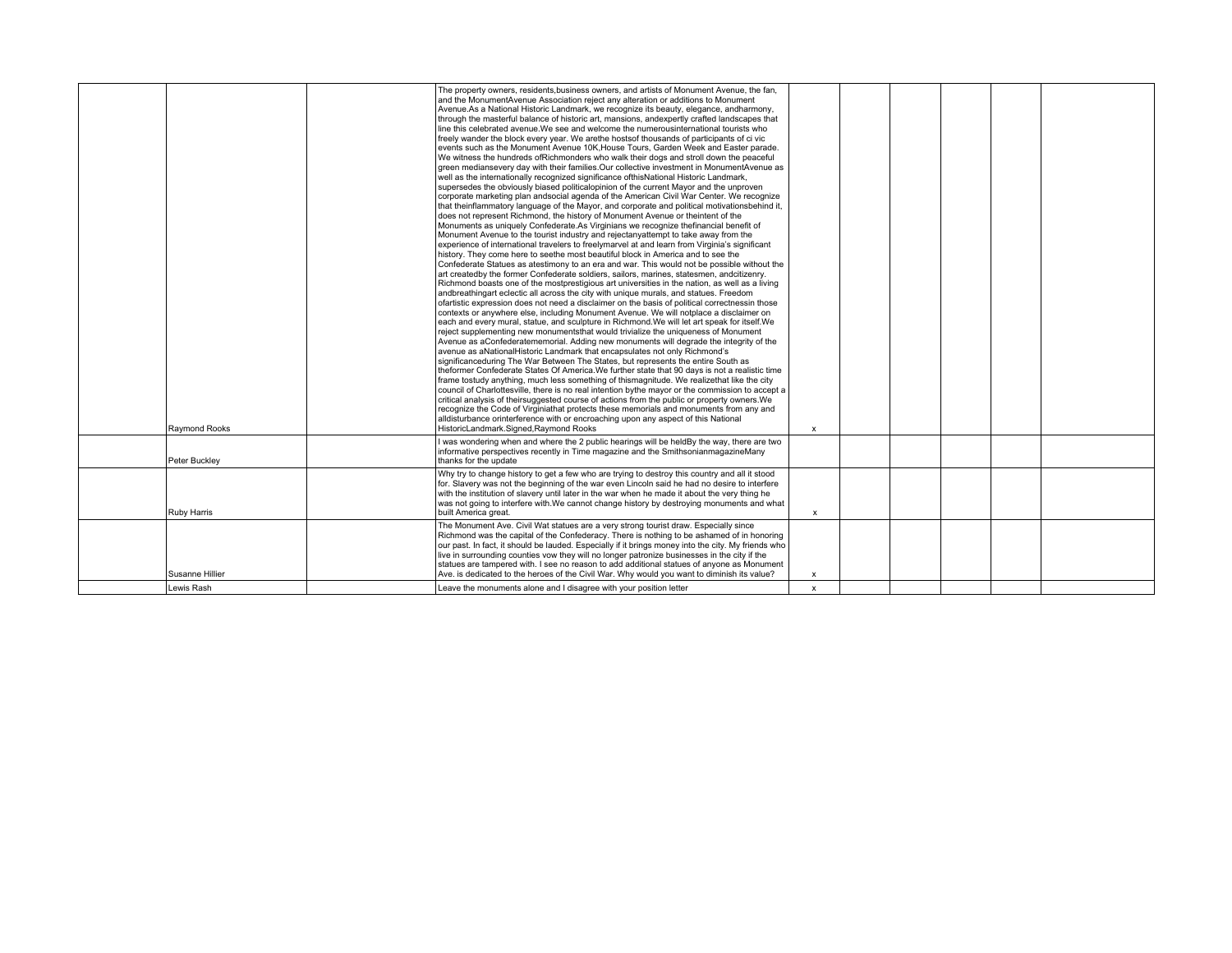| <b>Ravmond Rooks</b> | The property owners, residents, business owners, and artists of Monument Avenue, the fan,<br>and the MonumentAvenue Association reject any alteration or additions to Monument<br>Avenue. As a National Historic Landmark, we recognize its beauty, elegance, andharmony,<br>through the masterful balance of historic art, mansions, andexpertly crafted landscapes that<br>line this celebrated avenue. We see and welcome the numerousinternational tourists who<br>freely wander the block every year. We arethe hosts of thousands of participants of ci vic<br>events such as the Monument Avenue 10K, House Tours, Garden Week and Easter parade.<br>We witness the hundreds ofRichmonders who walk their dogs and stroll down the peaceful<br>green mediansevery day with their families. Our collective investment in MonumentAvenue as<br>well as the internationally recognized significance ofthisNational Historic Landmark,<br>supersedes the obviously biased politicalopinion of the current Mayor and the unproven<br>corporate marketing plan andsocial agenda of the American Civil War Center. We recognize<br>that theinflammatory language of the Mayor, and corporate and political motivationsbehind it,<br>does not represent Richmond, the history of Monument Avenue or theintent of the<br>Monuments as uniquely Confederate.As Virginians we recognize thefinancial benefit of<br>Monument Avenue to the tourist industry and rejectanyattempt to take away from the<br>experience of international travelers to freelymarvel at and learn from Virginia's significant<br>history. They come here to seethe most beautiful block in America and to see the<br>Confederate Statues as atestimony to an era and war. This would not be possible without the<br>art createdby the former Confederate soldiers, sailors, marines, statesmen, andcitizenry.<br>Richmond boasts one of the mostprestigious art universities in the nation, as well as a living<br>andbreathingart eclectic all across the city with unique murals, and statues. Freedom<br>ofartistic expression does not need a disclaimer on the basis of political correctnessin those<br>contexts or anywhere else, including Monument Avenue. We will notplace a disclaimer on<br>each and every mural, statue, and sculpture in Richmond. We will let art speak for itself. We<br>reject supplementing new monumentsthat would trivialize the uniqueness of Monument<br>Avenue as aConfederatememorial. Adding new monuments will degrade the integrity of the<br>avenue as aNationalHistoric Landmark that encapsulates not only Richmond's<br>significanceduring The War Between The States, but represents the entire South as<br>theformer Confederate States Of America. We further state that 90 days is not a realistic time<br>frame tostudy anything, much less something of thismagnitude. We realizethat like the city<br>council of Charlottesville, there is no real intention bythe mayor or the commission to accept a<br>critical analysis of theirsuggested course of actions from the public or property owners. We<br>recognize the Code of Virginiathat protects these memorials and monuments from any and<br>alldisturbance orinterference with or encroaching upon any aspect of this National<br>HistoricLandmark.Signed.Raymond Rooks | $\mathsf{x}$ |  |  |  |
|----------------------|-------------------------------------------------------------------------------------------------------------------------------------------------------------------------------------------------------------------------------------------------------------------------------------------------------------------------------------------------------------------------------------------------------------------------------------------------------------------------------------------------------------------------------------------------------------------------------------------------------------------------------------------------------------------------------------------------------------------------------------------------------------------------------------------------------------------------------------------------------------------------------------------------------------------------------------------------------------------------------------------------------------------------------------------------------------------------------------------------------------------------------------------------------------------------------------------------------------------------------------------------------------------------------------------------------------------------------------------------------------------------------------------------------------------------------------------------------------------------------------------------------------------------------------------------------------------------------------------------------------------------------------------------------------------------------------------------------------------------------------------------------------------------------------------------------------------------------------------------------------------------------------------------------------------------------------------------------------------------------------------------------------------------------------------------------------------------------------------------------------------------------------------------------------------------------------------------------------------------------------------------------------------------------------------------------------------------------------------------------------------------------------------------------------------------------------------------------------------------------------------------------------------------------------------------------------------------------------------------------------------------------------------------------------------------------------------------------------------------------------------------------------------------------------------------------------------------------------------------------------------------------------------------------------------------------------------------------------------------------------------------------------------------------------------------------------------------------------------------------------------------------------------------------------------------------------------------------------------------------------------------------------------------------------------------------------------------------------------------------------|--------------|--|--|--|
| Peter Bucklev        | I was wondering when and where the 2 public hearings will be heldBy the way, there are two<br>informative perspectives recently in Time magazine and the SmithsonianmagazineMany<br>thanks for the update                                                                                                                                                                                                                                                                                                                                                                                                                                                                                                                                                                                                                                                                                                                                                                                                                                                                                                                                                                                                                                                                                                                                                                                                                                                                                                                                                                                                                                                                                                                                                                                                                                                                                                                                                                                                                                                                                                                                                                                                                                                                                                                                                                                                                                                                                                                                                                                                                                                                                                                                                                                                                                                                                                                                                                                                                                                                                                                                                                                                                                                                                                                                                   |              |  |  |  |
| Ruby Harris          | Why try to change history to get a few who are trying to destroy this country and all it stood<br>for. Slavery was not the beginning of the war even Lincoln said he had no desire to interfere<br>with the institution of slavery until later in the war when he made it about the very thing he<br>was not going to interfere with. We cannot change history by destroying monuments and what<br>built America great.                                                                                                                                                                                                                                                                                                                                                                                                                                                                                                                                                                                                                                                                                                                                                                                                                                                                                                                                                                                                                                                                                                                                                                                                                                                                                                                                                                                                                                                                                                                                                                                                                                                                                                                                                                                                                                                                                                                                                                                                                                                                                                                                                                                                                                                                                                                                                                                                                                                                                                                                                                                                                                                                                                                                                                                                                                                                                                                                     | $\mathsf{x}$ |  |  |  |
| Susanne Hillier      | The Monument Ave. Civil Wat statues are a very strong tourist draw. Especially since<br>Richmond was the capital of the Confederacy. There is nothing to be ashamed of in honoring<br>our past. In fact, it should be lauded. Especially if it brings money into the city. My friends who<br>live in surrounding counties vow they will no longer patronize businesses in the city if the<br>statues are tampered with. I see no reason to add additional statues of anyone as Monument<br>Ave. is dedicated to the heroes of the Civil War. Why would you want to diminish its value?                                                                                                                                                                                                                                                                                                                                                                                                                                                                                                                                                                                                                                                                                                                                                                                                                                                                                                                                                                                                                                                                                                                                                                                                                                                                                                                                                                                                                                                                                                                                                                                                                                                                                                                                                                                                                                                                                                                                                                                                                                                                                                                                                                                                                                                                                                                                                                                                                                                                                                                                                                                                                                                                                                                                                                      | $\mathsf{x}$ |  |  |  |
| Lewis Rash           | Leave the monuments alone and I disagree with your position letter                                                                                                                                                                                                                                                                                                                                                                                                                                                                                                                                                                                                                                                                                                                                                                                                                                                                                                                                                                                                                                                                                                                                                                                                                                                                                                                                                                                                                                                                                                                                                                                                                                                                                                                                                                                                                                                                                                                                                                                                                                                                                                                                                                                                                                                                                                                                                                                                                                                                                                                                                                                                                                                                                                                                                                                                                                                                                                                                                                                                                                                                                                                                                                                                                                                                                          | $\mathbf{x}$ |  |  |  |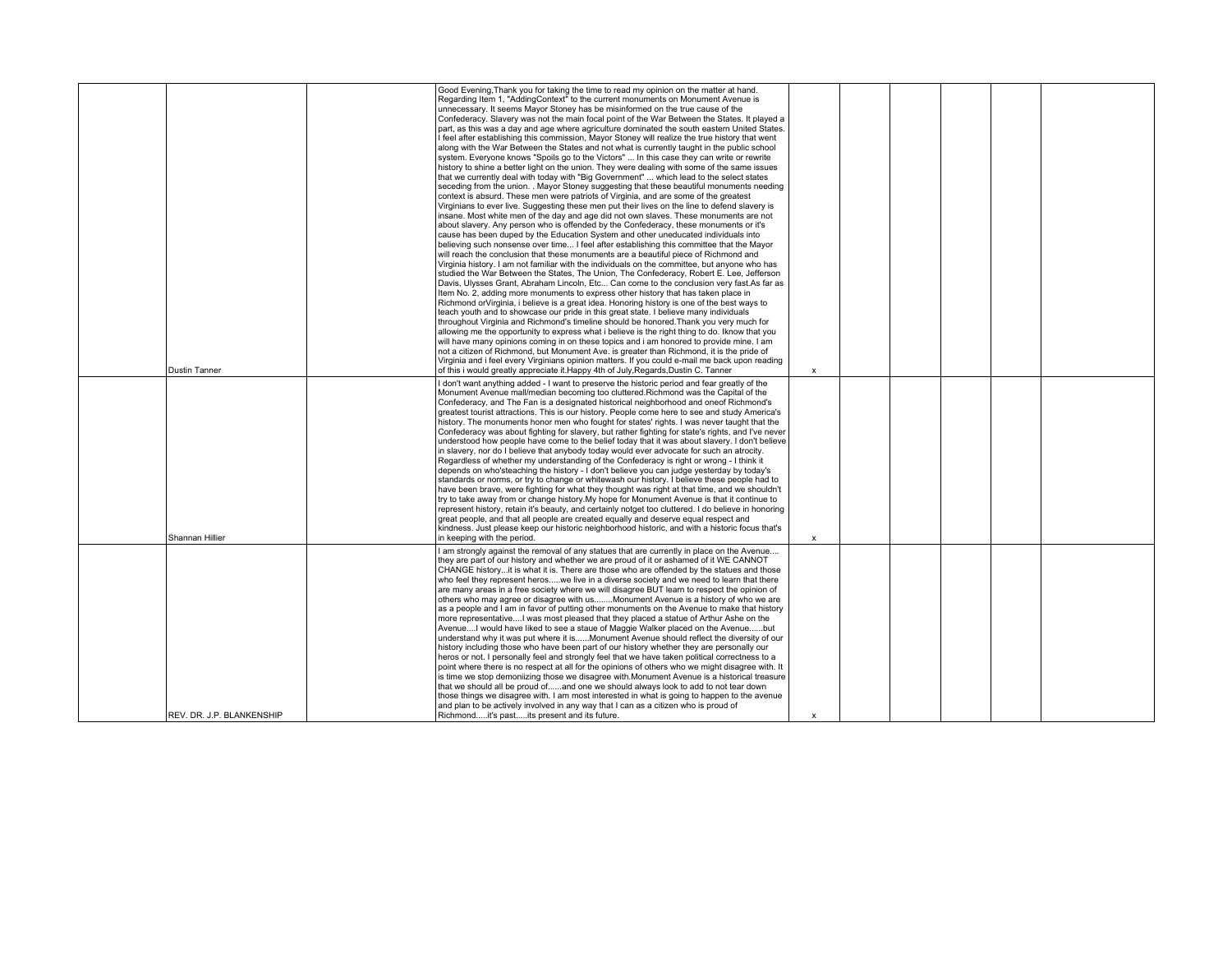|                           | Good Evening, Thank you for taking the time to read my opinion on the matter at hand.<br>Regarding Item 1, "AddingContext" to the current monuments on Monument Avenue is<br>unnecessary. It seems Mayor Stoney has be misinformed on the true cause of the<br>Confederacy. Slavery was not the main focal point of the War Between the States. It played a<br>part, as this was a day and age where agriculture dominated the south eastern United States.<br>I feel after establishing this commission, Mayor Stoney will realize the true history that went<br>along with the War Between the States and not what is currently taught in the public school<br>system. Everyone knows "Spoils go to the Victors"  In this case they can write or rewrite<br>history to shine a better light on the union. They were dealing with some of the same issues<br>that we currently deal with today with "Big Government"  which lead to the select states<br>seceding from the union. . Mayor Stoney suggesting that these beautiful monuments needing<br>context is absurd. These men were patriots of Virginia, and are some of the greatest<br>Virginians to ever live. Suggesting these men put their lives on the line to defend slavery is<br>insane. Most white men of the day and age did not own slaves. These monuments are not<br>about slavery. Any person who is offended by the Confederacy, these monuments or it's<br>cause has been duped by the Education System and other uneducated individuals into<br>believing such nonsense over time I feel after establishing this committee that the Mayor<br>will reach the conclusion that these monuments are a beautiful piece of Richmond and<br>Virginia history. I am not familiar with the individuals on the committee, but anyone who has<br>studied the War Between the States, The Union, The Confederacy, Robert E. Lee, Jefferson<br>Davis, Ulysses Grant, Abraham Lincoln, Etc Can come to the conclusion very fast.As far as<br>Item No. 2, adding more monuments to express other history that has taken place in<br>Richmond or Virginia, i believe is a great idea. Honoring history is one of the best ways to<br>teach youth and to showcase our pride in this great state. I believe many individuals<br>throughout Virginia and Richmond's timeline should be honored. Thank you very much for<br>allowing me the opportunity to express what i believe is the right thing to do. Iknow that you<br>will have many opinions coming in on these topics and i am honored to provide mine. I am<br>not a citizen of Richmond, but Monument Ave, is greater than Richmond, it is the pride of<br>Virginia and i feel every Virginians opinion matters. If you could e-mail me back upon reading |                           |  |  |  |
|---------------------------|----------------------------------------------------------------------------------------------------------------------------------------------------------------------------------------------------------------------------------------------------------------------------------------------------------------------------------------------------------------------------------------------------------------------------------------------------------------------------------------------------------------------------------------------------------------------------------------------------------------------------------------------------------------------------------------------------------------------------------------------------------------------------------------------------------------------------------------------------------------------------------------------------------------------------------------------------------------------------------------------------------------------------------------------------------------------------------------------------------------------------------------------------------------------------------------------------------------------------------------------------------------------------------------------------------------------------------------------------------------------------------------------------------------------------------------------------------------------------------------------------------------------------------------------------------------------------------------------------------------------------------------------------------------------------------------------------------------------------------------------------------------------------------------------------------------------------------------------------------------------------------------------------------------------------------------------------------------------------------------------------------------------------------------------------------------------------------------------------------------------------------------------------------------------------------------------------------------------------------------------------------------------------------------------------------------------------------------------------------------------------------------------------------------------------------------------------------------------------------------------------------------------------------------------------------------------------------------------------------------------------------------------------------------------------------------------------------------------------------------------------------------------------|---------------------------|--|--|--|
| <b>Dustin Tanner</b>      | of this i would greatly appreciate it. Happy 4th of July, Regards, Dustin C. Tanner                                                                                                                                                                                                                                                                                                                                                                                                                                                                                                                                                                                                                                                                                                                                                                                                                                                                                                                                                                                                                                                                                                                                                                                                                                                                                                                                                                                                                                                                                                                                                                                                                                                                                                                                                                                                                                                                                                                                                                                                                                                                                                                                                                                                                                                                                                                                                                                                                                                                                                                                                                                                                                                                                        | $\boldsymbol{\mathsf{x}}$ |  |  |  |
| Shannan Hillier           | I don't want anything added - I want to preserve the historic period and fear greatly of the<br>Monument Avenue mall/median becoming too cluttered. Richmond was the Capital of the<br>Confederacy, and The Fan is a designated historical neighborhood and oneof Richmond's<br>greatest tourist attractions. This is our history. People come here to see and study America's<br>history. The monuments honor men who fought for states' rights. I was never taught that the<br>Confederacy was about fighting for slavery, but rather fighting for state's rights, and I've never<br>understood how people have come to the belief today that it was about slavery. I don't believe<br>in slavery, nor do I believe that anybody today would ever advocate for such an atrocity.<br>Regardless of whether my understanding of the Confederacy is right or wrong - I think it<br>depends on who'steaching the history - I don't believe you can judge yesterday by today's<br>standards or norms, or try to change or whitewash our history. I believe these people had to<br>have been brave, were fighting for what they thought was right at that time, and we shouldn't<br>try to take away from or change history. My hope for Monument Avenue is that it continue to<br>represent history, retain it's beauty, and certainly notget too cluttered. I do believe in honoring<br>great people, and that all people are created equally and deserve equal respect and<br>kindness. Just please keep our historic neighborhood historic, and with a historic focus that's<br>in keeping with the period.                                                                                                                                                                                                                                                                                                                                                                                                                                                                                                                                                                                                                                                                                                                                                                                                                                                                                                                                                                                                                                                                                                                                                                | $\mathsf{x}$              |  |  |  |
| REV. DR. J.P. BLANKENSHIP | I am strongly against the removal of any statues that are currently in place on the Avenue<br>they are part of our history and whether we are proud of it or ashamed of it WE CANNOT<br>CHANGE historyit is what it is. There are those who are offended by the statues and those<br>who feel they represent heroswe live in a diverse society and we need to learn that there<br>are many areas in a free society where we will disagree BUT learn to respect the opinion of<br>others who may agree or disagree with usMonument Avenue is a history of who we are<br>as a people and I am in favor of putting other monuments on the Avenue to make that history<br>more representativeI was most pleased that they placed a statue of Arthur Ashe on the<br>AvenueI would have liked to see a staue of Maggie Walker placed on the Avenuebut<br>understand why it was put where it isMonument Avenue should reflect the diversity of our<br>history including those who have been part of our history whether they are personally our<br>heros or not. I personally feel and strongly feel that we have taken political correctness to a<br>point where there is no respect at all for the opinions of others who we might disagree with. It<br>is time we stop demoniizing those we disagree with.Monument Avenue is a historical treasure<br>that we should all be proud ofand one we should always look to add to not tear down<br>those things we disagree with. I am most interested in what is going to happen to the avenue<br>and plan to be actively involved in any way that I can as a citizen who is proud of<br>Richmondit's pastits present and its future.                                                                                                                                                                                                                                                                                                                                                                                                                                                                                                                                                                                                                                                                                                                                                                                                                                                                                                                                                                                                                                                                                               | $\boldsymbol{\mathsf{x}}$ |  |  |  |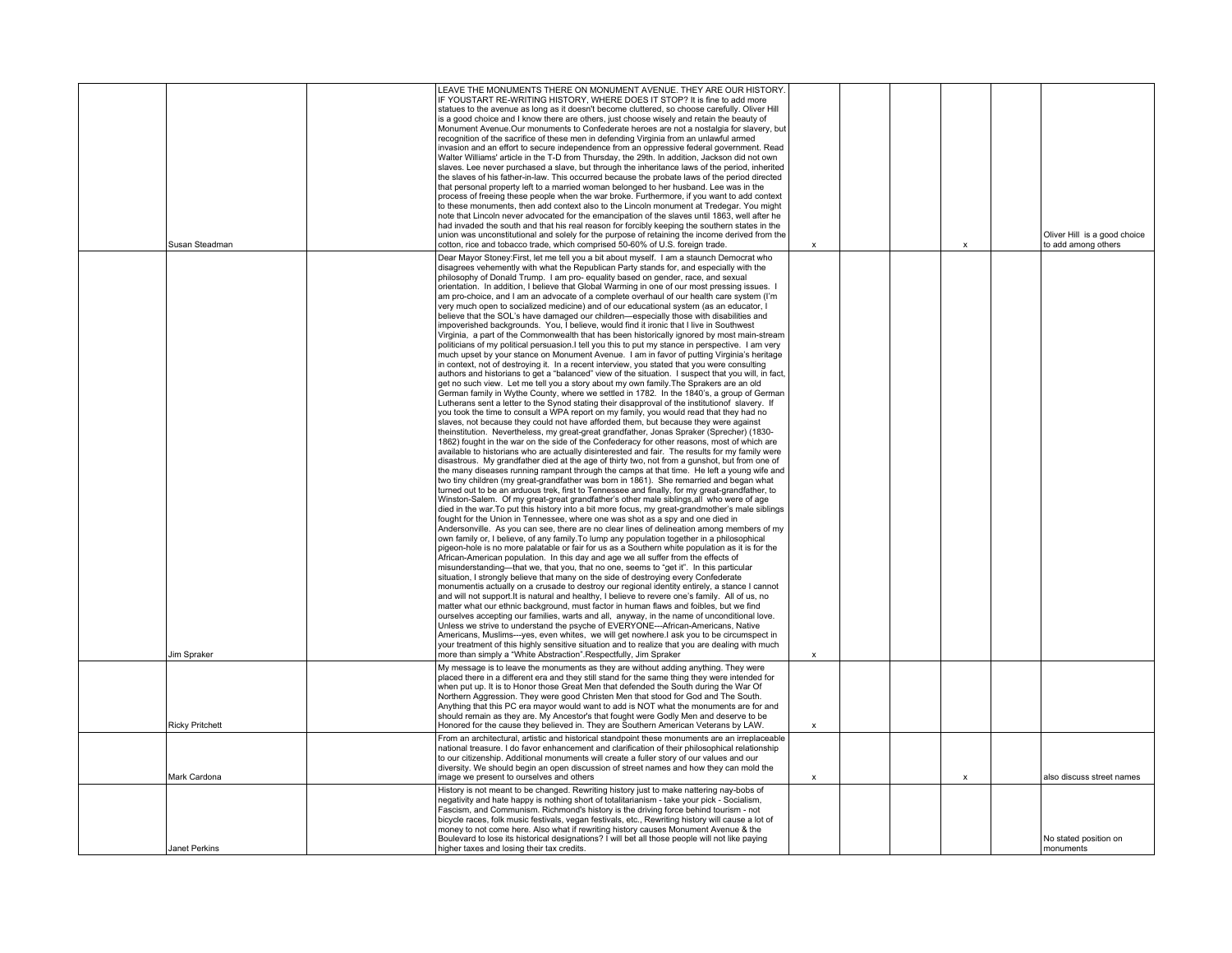| Susan Steadman         | LEAVE THE MONUMENTS THERE ON MONUMENT AVENUE. THEY ARE OUR HISTORY.<br>IF YOUSTART RE-WRITING HISTORY, WHERE DOES IT STOP? It is fine to add more<br>statues to the avenue as long as it doesn't become cluttered, so choose carefully. Oliver Hill<br>is a good choice and I know there are others, just choose wisely and retain the beauty of<br>Monument Avenue. Our monuments to Confederate heroes are not a nostalgia for slavery, but<br>recognition of the sacrifice of these men in defending Virginia from an unlawful armed<br>invasion and an effort to secure independence from an oppressive federal government. Read<br>Walter Williams' article in the T-D from Thursday, the 29th, In addition, Jackson did not own<br>slaves. Lee never purchased a slave, but through the inheritance laws of the period, inherited<br>the slaves of his father-in-law. This occurred because the probate laws of the period directed<br>that personal property left to a married woman belonged to her husband. Lee was in the<br>process of freeing these people when the war broke. Furthermore, if you want to add context<br>to these monuments, then add context also to the Lincoln monument at Tredegar. You might<br>note that Lincoln never advocated for the emancipation of the slaves until 1863, well after he<br>had invaded the south and that his real reason for forcibly keeping the southern states in the<br>union was unconstitutional and solely for the purpose of retaining the income derived from the<br>cotton, rice and tobacco trade, which comprised 50-60% of U.S. foreign trade.                                                                                                                                                                                                                                                                                                                                                                                                                                                                                                                                                                                                                                                                                                                                                                                                                                                                                                                                                                                                                                                                                                                                                                                                                                                                                                                                                                                                                                                                                                                                                                                                                                                                                                                                                                                                                                                                                                                                                                                                                                                                                                                                                                                                                                                                                                                                                                                                                                     | $\boldsymbol{\mathsf{x}}$ |  | X | Oliver Hill is a good choice<br>to add among others |
|------------------------|-----------------------------------------------------------------------------------------------------------------------------------------------------------------------------------------------------------------------------------------------------------------------------------------------------------------------------------------------------------------------------------------------------------------------------------------------------------------------------------------------------------------------------------------------------------------------------------------------------------------------------------------------------------------------------------------------------------------------------------------------------------------------------------------------------------------------------------------------------------------------------------------------------------------------------------------------------------------------------------------------------------------------------------------------------------------------------------------------------------------------------------------------------------------------------------------------------------------------------------------------------------------------------------------------------------------------------------------------------------------------------------------------------------------------------------------------------------------------------------------------------------------------------------------------------------------------------------------------------------------------------------------------------------------------------------------------------------------------------------------------------------------------------------------------------------------------------------------------------------------------------------------------------------------------------------------------------------------------------------------------------------------------------------------------------------------------------------------------------------------------------------------------------------------------------------------------------------------------------------------------------------------------------------------------------------------------------------------------------------------------------------------------------------------------------------------------------------------------------------------------------------------------------------------------------------------------------------------------------------------------------------------------------------------------------------------------------------------------------------------------------------------------------------------------------------------------------------------------------------------------------------------------------------------------------------------------------------------------------------------------------------------------------------------------------------------------------------------------------------------------------------------------------------------------------------------------------------------------------------------------------------------------------------------------------------------------------------------------------------------------------------------------------------------------------------------------------------------------------------------------------------------------------------------------------------------------------------------------------------------------------------------------------------------------------------------------------------------------------------------------------------------------------------------------------------------------------------------------------------------------------------------------------------------------------------------------------------------------------------------------------------------------------------------------------------|---------------------------|--|---|-----------------------------------------------------|
|                        |                                                                                                                                                                                                                                                                                                                                                                                                                                                                                                                                                                                                                                                                                                                                                                                                                                                                                                                                                                                                                                                                                                                                                                                                                                                                                                                                                                                                                                                                                                                                                                                                                                                                                                                                                                                                                                                                                                                                                                                                                                                                                                                                                                                                                                                                                                                                                                                                                                                                                                                                                                                                                                                                                                                                                                                                                                                                                                                                                                                                                                                                                                                                                                                                                                                                                                                                                                                                                                                                                                                                                                                                                                                                                                                                                                                                                                                                                                                                                                                                                                                           |                           |  |   |                                                     |
| Jim Spraker            | Dear Mayor Stoney: First, let me tell you a bit about myself. I am a staunch Democrat who<br>disagrees vehemently with what the Republican Party stands for, and especially with the<br>philosophy of Donald Trump. I am pro- equality based on gender, race, and sexual<br>orientation. In addition, I believe that Global Warming in one of our most pressing issues. I<br>am pro-choice, and I am an advocate of a complete overhaul of our health care system (I'm<br>very much open to socialized medicine) and of our educational system (as an educator, I<br>believe that the SOL's have damaged our children-especially those with disabilities and<br>impoverished backgrounds. You, I believe, would find it ironic that I live in Southwest<br>Virginia, a part of the Commonwealth that has been historically ignored by most main-stream<br>politicians of my political persuasion. I tell you this to put my stance in perspective. I am very<br>much upset by your stance on Monument Avenue. I am in favor of putting Virginia's heritage<br>in context, not of destroying it. In a recent interview, you stated that you were consulting<br>authors and historians to get a "balanced" view of the situation. I suspect that you will, in fact,<br>get no such view. Let me tell you a story about my own family. The Sprakers are an old<br>German family in Wythe County, where we settled in 1782. In the 1840's, a group of German<br>Lutherans sent a letter to the Synod stating their disapproval of the institution of slavery. If<br>you took the time to consult a WPA report on my family, you would read that they had no<br>slaves, not because they could not have afforded them, but because they were against<br>theinstitution. Nevertheless, my great-great grandfather, Jonas Spraker (Sprecher) (1830-<br>1862) fought in the war on the side of the Confederacy for other reasons, most of which are<br>available to historians who are actually disinterested and fair. The results for my family were<br>disastrous. My grandfather died at the age of thirty two, not from a gunshot, but from one of<br>the many diseases running rampant through the camps at that time. He left a young wife and<br>two tiny children (my great-grandfather was born in 1861). She remarried and began what<br>turned out to be an arduous trek, first to Tennessee and finally, for my great-grandfather, to<br>Winston-Salem. Of my great-great grandfather's other male siblings, all who were of age<br>died in the war. To put this history into a bit more focus, my great-grandmother's male siblings<br>fought for the Union in Tennessee, where one was shot as a spy and one died in<br>Andersonville. As you can see, there are no clear lines of delineation among members of my<br>own family or, I believe, of any family. To lump any population together in a philosophical<br>pigeon-hole is no more palatable or fair for us as a Southern white population as it is for the<br>African-American population. In this day and age we all suffer from the effects of<br>misunderstanding-that we, that you, that no one, seems to "get it". In this particular<br>situation, I strongly believe that many on the side of destroying every Confederate<br>monumentis actually on a crusade to destroy our regional identity entirely, a stance I cannot<br>and will not support. It is natural and healthy, I believe to revere one's family. All of us, no<br>matter what our ethnic background, must factor in human flaws and foibles, but we find<br>ourselves accepting our families, warts and all, anyway, in the name of unconditional love.<br>Unless we strive to understand the psyche of EVERYONE---African-Americans, Native<br>Americans, Muslims---yes, even whites, we will get nowhere.I ask you to be circumspect in<br>your treatment of this highly sensitive situation and to realize that you are dealing with much<br>more than simply a "White Abstraction".Respectfully, Jim Spraker | $\mathbf{x}$              |  |   |                                                     |
|                        |                                                                                                                                                                                                                                                                                                                                                                                                                                                                                                                                                                                                                                                                                                                                                                                                                                                                                                                                                                                                                                                                                                                                                                                                                                                                                                                                                                                                                                                                                                                                                                                                                                                                                                                                                                                                                                                                                                                                                                                                                                                                                                                                                                                                                                                                                                                                                                                                                                                                                                                                                                                                                                                                                                                                                                                                                                                                                                                                                                                                                                                                                                                                                                                                                                                                                                                                                                                                                                                                                                                                                                                                                                                                                                                                                                                                                                                                                                                                                                                                                                                           |                           |  |   |                                                     |
| <b>Ricky Pritchett</b> | My message is to leave the monuments as they are without adding anything. They were<br>placed there in a different era and they still stand for the same thing they were intended for<br>when put up. It is to Honor those Great Men that defended the South during the War Of<br>Northern Aggression. They were good Christen Men that stood for God and The South.<br>Anything that this PC era mayor would want to add is NOT what the monuments are for and<br>should remain as they are. My Ancestor's that fought were Godly Men and deserve to be<br>Honored for the cause they believed in. They are Southern American Veterans by LAW.                                                                                                                                                                                                                                                                                                                                                                                                                                                                                                                                                                                                                                                                                                                                                                                                                                                                                                                                                                                                                                                                                                                                                                                                                                                                                                                                                                                                                                                                                                                                                                                                                                                                                                                                                                                                                                                                                                                                                                                                                                                                                                                                                                                                                                                                                                                                                                                                                                                                                                                                                                                                                                                                                                                                                                                                                                                                                                                                                                                                                                                                                                                                                                                                                                                                                                                                                                                                           | $\boldsymbol{\mathsf{x}}$ |  |   |                                                     |
|                        | From an architectural, artistic and historical standpoint these monuments are an irreplaceable                                                                                                                                                                                                                                                                                                                                                                                                                                                                                                                                                                                                                                                                                                                                                                                                                                                                                                                                                                                                                                                                                                                                                                                                                                                                                                                                                                                                                                                                                                                                                                                                                                                                                                                                                                                                                                                                                                                                                                                                                                                                                                                                                                                                                                                                                                                                                                                                                                                                                                                                                                                                                                                                                                                                                                                                                                                                                                                                                                                                                                                                                                                                                                                                                                                                                                                                                                                                                                                                                                                                                                                                                                                                                                                                                                                                                                                                                                                                                            |                           |  |   |                                                     |
| Mark Cardona           | national treasure. I do favor enhancement and clarification of their philosophical relationship<br>to our citizenship. Additional monuments will create a fuller story of our values and our<br>diversity. We should begin an open discussion of street names and how they can mold the<br>image we present to ourselves and others                                                                                                                                                                                                                                                                                                                                                                                                                                                                                                                                                                                                                                                                                                                                                                                                                                                                                                                                                                                                                                                                                                                                                                                                                                                                                                                                                                                                                                                                                                                                                                                                                                                                                                                                                                                                                                                                                                                                                                                                                                                                                                                                                                                                                                                                                                                                                                                                                                                                                                                                                                                                                                                                                                                                                                                                                                                                                                                                                                                                                                                                                                                                                                                                                                                                                                                                                                                                                                                                                                                                                                                                                                                                                                                       | $\boldsymbol{\mathsf{x}}$ |  | X | also discuss street names                           |
|                        | History is not meant to be changed. Rewriting history just to make nattering nay-bobs of                                                                                                                                                                                                                                                                                                                                                                                                                                                                                                                                                                                                                                                                                                                                                                                                                                                                                                                                                                                                                                                                                                                                                                                                                                                                                                                                                                                                                                                                                                                                                                                                                                                                                                                                                                                                                                                                                                                                                                                                                                                                                                                                                                                                                                                                                                                                                                                                                                                                                                                                                                                                                                                                                                                                                                                                                                                                                                                                                                                                                                                                                                                                                                                                                                                                                                                                                                                                                                                                                                                                                                                                                                                                                                                                                                                                                                                                                                                                                                  |                           |  |   |                                                     |
|                        | negativity and hate happy is nothing short of totalitarianism - take your pick - Socialism,<br>Fascism, and Communism. Richmond's history is the driving force behind tourism - not<br>bicycle races, folk music festivals, vegan festivals, etc., Rewriting history will cause a lot of<br>money to not come here. Also what if rewriting history causes Monument Avenue & the<br>Boulevard to lose its historical designations? I will bet all those people will not like paying                                                                                                                                                                                                                                                                                                                                                                                                                                                                                                                                                                                                                                                                                                                                                                                                                                                                                                                                                                                                                                                                                                                                                                                                                                                                                                                                                                                                                                                                                                                                                                                                                                                                                                                                                                                                                                                                                                                                                                                                                                                                                                                                                                                                                                                                                                                                                                                                                                                                                                                                                                                                                                                                                                                                                                                                                                                                                                                                                                                                                                                                                                                                                                                                                                                                                                                                                                                                                                                                                                                                                                        |                           |  |   | No stated position on                               |
| Janet Perkins          | higher taxes and losing their tax credits.                                                                                                                                                                                                                                                                                                                                                                                                                                                                                                                                                                                                                                                                                                                                                                                                                                                                                                                                                                                                                                                                                                                                                                                                                                                                                                                                                                                                                                                                                                                                                                                                                                                                                                                                                                                                                                                                                                                                                                                                                                                                                                                                                                                                                                                                                                                                                                                                                                                                                                                                                                                                                                                                                                                                                                                                                                                                                                                                                                                                                                                                                                                                                                                                                                                                                                                                                                                                                                                                                                                                                                                                                                                                                                                                                                                                                                                                                                                                                                                                                |                           |  |   | monuments                                           |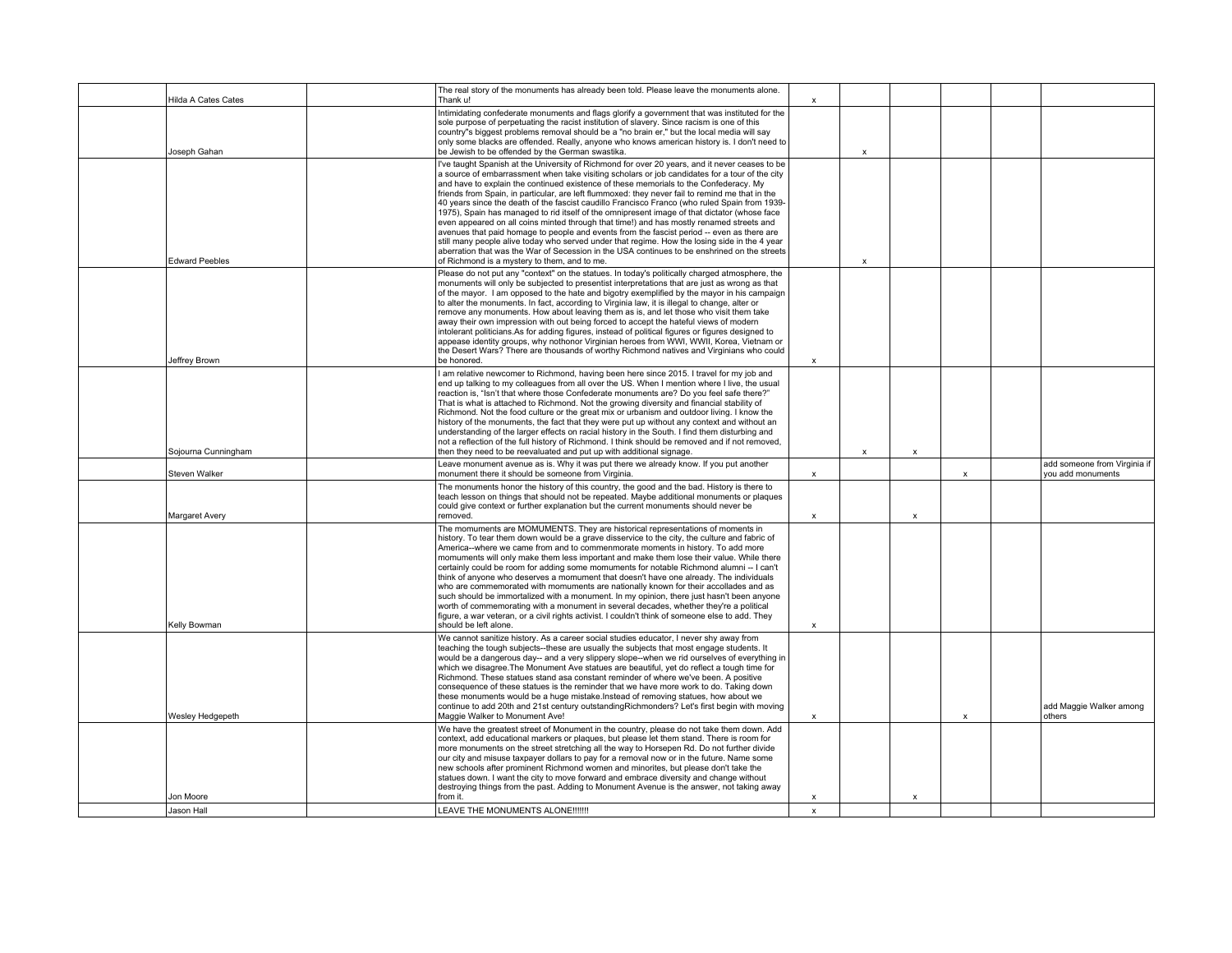| Hilda A Cates Cates   | The real story of the monuments has already been told. Please leave the monuments alone.<br>Thank u!                                                                                                                                                                                                                                                                                                                                                                                                                                                                                                                                                                                                                                                                                                                                                                                                                                                                                                                                     | x                         |                           |                           |                           |                                                   |
|-----------------------|------------------------------------------------------------------------------------------------------------------------------------------------------------------------------------------------------------------------------------------------------------------------------------------------------------------------------------------------------------------------------------------------------------------------------------------------------------------------------------------------------------------------------------------------------------------------------------------------------------------------------------------------------------------------------------------------------------------------------------------------------------------------------------------------------------------------------------------------------------------------------------------------------------------------------------------------------------------------------------------------------------------------------------------|---------------------------|---------------------------|---------------------------|---------------------------|---------------------------------------------------|
| Joseph Gahan          | Intimidating confederate monuments and flags glorify a government that was instituted for the<br>sole purpose of perpetuating the racist institution of slavery. Since racism is one of this<br>country"s biggest problems removal should be a "no brain er," but the local media will say<br>only some blacks are offended. Really, anyone who knows american history is. I don't need to<br>be Jewish to be offended by the German swastika.                                                                                                                                                                                                                                                                                                                                                                                                                                                                                                                                                                                           |                           | $\mathbf{x}$              |                           |                           |                                                   |
| <b>Edward Peebles</b> | I've taught Spanish at the University of Richmond for over 20 years, and it never ceases to be<br>a source of embarrassment when take visiting scholars or job candidates for a tour of the city<br>and have to explain the continued existence of these memorials to the Confederacy. My<br>friends from Spain, in particular, are left flummoxed; they never fail to remind me that in the<br>40 years since the death of the fascist caudillo Francisco Franco (who ruled Spain from 1939-<br>1975). Spain has managed to rid itself of the omnipresent image of that dictator (whose face<br>even appeared on all coins minted through that time!) and has mostly renamed streets and<br>avenues that paid homage to people and events from the fascist period -- even as there are<br>still many people alive today who served under that regime. How the losing side in the 4 year<br>aberration that was the War of Secession in the USA continues to be enshrined on the streets<br>of Richmond is a mystery to them, and to me. |                           | $\boldsymbol{\mathsf{x}}$ |                           |                           |                                                   |
| Jeffrey Brown         | Please do not put any "context" on the statues. In today's politically charged atmosphere, the<br>monuments will only be subjected to presentist interpretations that are just as wrong as that<br>of the mayor. I am opposed to the hate and bigotry exemplified by the mayor in his campaign<br>to alter the monuments. In fact, according to Virginia law, it is illegal to change, alter or<br>remove any monuments. How about leaving them as is, and let those who visit them take<br>away their own impression with out being forced to accept the hateful views of modern<br>intolerant politicians.As for adding figures, instead of political figures or figures designed to<br>appease identity groups, why nothonor Virginian heroes from WWI, WWII, Korea, Vietnam or<br>the Desert Wars? There are thousands of worthy Richmond natives and Virginians who could<br>be honored.                                                                                                                                            | $\boldsymbol{\mathsf{x}}$ |                           |                           |                           |                                                   |
| Sojourna Cunningham   | I am relative newcomer to Richmond, having been here since 2015. I travel for my job and<br>end up talking to my colleagues from all over the US. When I mention where I live, the usual<br>reaction is, "Isn't that where those Confederate monuments are? Do you feel safe there?"<br>That is what is attached to Richmond. Not the growing diversity and financial stability of<br>Richmond. Not the food culture or the great mix or urbanism and outdoor living. I know the<br>history of the monuments, the fact that they were put up without any context and without an<br>understanding of the larger effects on racial history in the South. I find them disturbing and<br>not a reflection of the full history of Richmond. I think should be removed and if not removed,<br>then they need to be reevaluated and put up with additional signage.                                                                                                                                                                             |                           | х                         | $\pmb{\mathsf{x}}$        |                           |                                                   |
| Steven Walker         | Leave monument avenue as is. Why it was put there we already know. If you put another<br>monument there it should be someone from Virginia.                                                                                                                                                                                                                                                                                                                                                                                                                                                                                                                                                                                                                                                                                                                                                                                                                                                                                              | x                         |                           |                           | $\boldsymbol{\mathsf{x}}$ | add someone from Virginia if<br>you add monuments |
| Margaret Avery        | The monuments honor the history of this country, the good and the bad. History is there to<br>teach lesson on things that should not be repeated. Maybe additional monuments or plaques<br>could give context or further explanation but the current monuments should never be<br>removed.                                                                                                                                                                                                                                                                                                                                                                                                                                                                                                                                                                                                                                                                                                                                               | $\pmb{\mathsf{x}}$        |                           | $\boldsymbol{\mathsf{x}}$ |                           |                                                   |
| Kelly Bowman          | The momuments are MOMUMENTS. They are historical representations of moments in<br>history. To tear them down would be a grave disservice to the city, the culture and fabric of<br>America--where we came from and to commenmorate moments in history. To add more<br>momuments will only make them less important and make them lose their value. While there<br>certainly could be room for adding some momuments for notable Richmond alumni -- I can't<br>think of anyone who deserves a momument that doesn't have one already. The individuals<br>who are commemorated with momuments are nationally known for their accollades and as<br>such should be immortalized with a monument. In my opinion, there just hasn't been anyone<br>worth of commemorating with a monument in several decades, whether they're a political<br>figure, a war veteran, or a civil rights activist. I couldn't think of someone else to add. They<br>should be left alone.                                                                         | x                         |                           |                           |                           |                                                   |
| Wesley Hedgepeth      | We cannot sanitize history. As a career social studies educator, I never shy away from<br>teaching the tough subjects--these are usually the subjects that most engage students. It<br>would be a dangerous day-- and a very slippery slope--when we rid ourselves of everything in<br>which we disagree. The Monument Ave statues are beautiful, yet do reflect a tough time for<br>Richmond. These statues stand asa constant reminder of where we've been. A positive<br>consequence of these statues is the reminder that we have more work to do. Taking down<br>these monuments would be a huge mistake. Instead of removing statues, how about we<br>continue to add 20th and 21st century outstanding Richmonders? Let's first begin with moving<br>Maggie Walker to Monument Ave!                                                                                                                                                                                                                                               | $\pmb{\mathsf{x}}$        |                           |                           | $\boldsymbol{\mathsf{x}}$ | add Maggie Walker among<br>others                 |
| Jon Moore             | We have the greatest street of Monument in the country, please do not take them down. Add<br>context, add educational markers or plaques, but please let them stand. There is room for<br>more monuments on the street stretching all the way to Horsepen Rd. Do not further divide<br>our city and misuse taxpayer dollars to pay for a removal now or in the future. Name some<br>new schools after prominent Richmond women and minorites, but please don't take the<br>statues down. I want the city to move forward and embrace diversity and change without<br>destroying things from the past. Adding to Monument Avenue is the answer, not taking away<br>from it.                                                                                                                                                                                                                                                                                                                                                               | $\boldsymbol{\mathsf{x}}$ |                           | x                         |                           |                                                   |
| Jason Hall            | LEAVE THE MONUMENTS ALONE !!!!!!!                                                                                                                                                                                                                                                                                                                                                                                                                                                                                                                                                                                                                                                                                                                                                                                                                                                                                                                                                                                                        | $\mathsf{x}$              |                           |                           |                           |                                                   |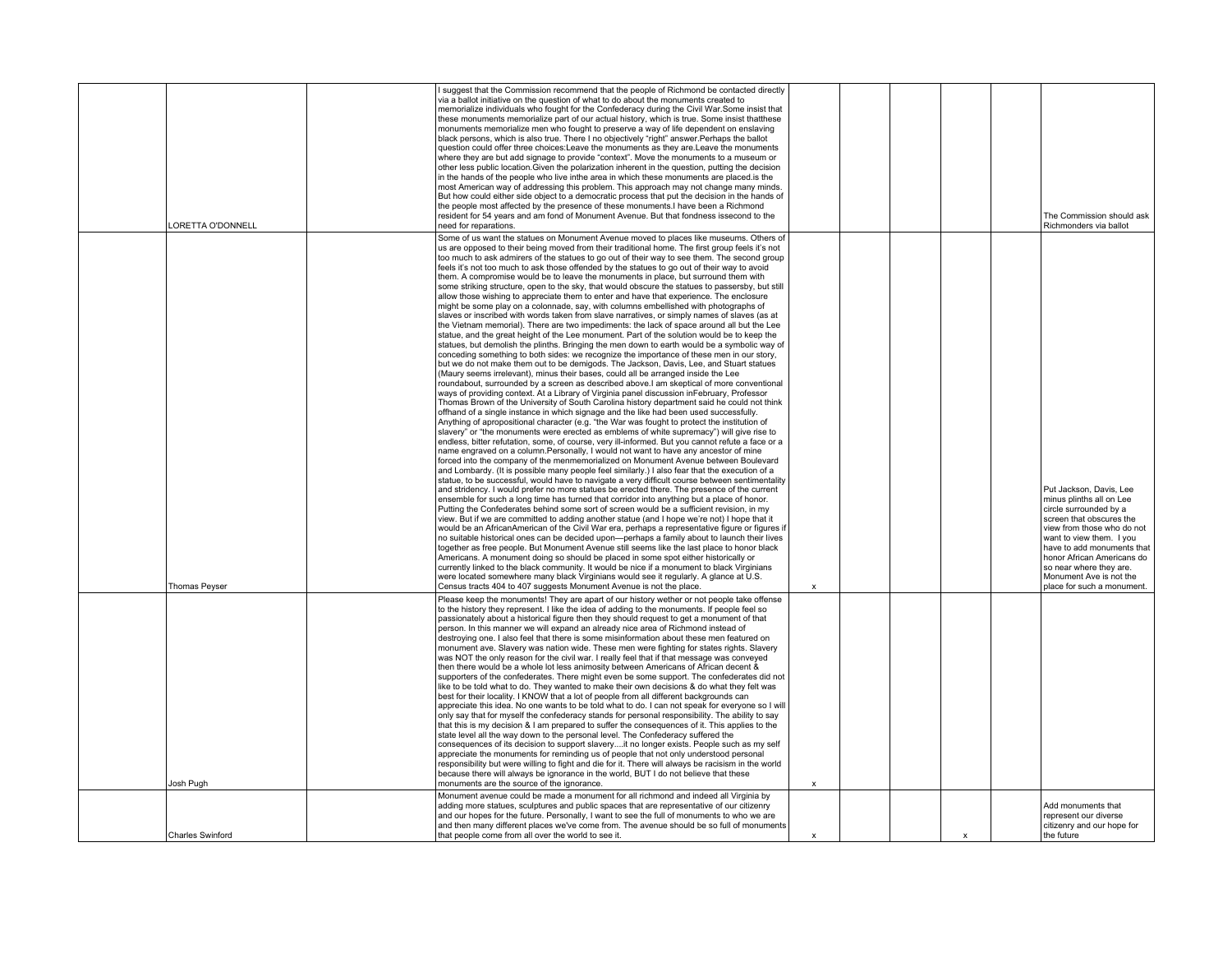| ORETTA O'DONNELL        | I suggest that the Commission recommend that the people of Richmond be contacted directly<br>via a ballot initiative on the question of what to do about the monuments created to<br>memorialize individuals who fought for the Confederacy during the Civil War.Some insist that<br>these monuments memorialize part of our actual history, which is true. Some insist that these<br>monuments memorialize men who fought to preserve a way of life dependent on enslaving<br>black persons, which is also true. There I no objectively "right" answer. Perhaps the ballot<br>question could offer three choices: Leave the monuments as they are Leave the monuments<br>where they are but add signage to provide "context". Move the monuments to a museum or<br>other less public location. Given the polarization inherent in the question, putting the decision<br>in the hands of the people who live inthe area in which these monuments are placed is the<br>most American way of addressing this problem. This approach may not change many minds.<br>But how could either side object to a democratic process that put the decision in the hands of<br>the people most affected by the presence of these monuments. I have been a Richmond<br>resident for 54 years and am fond of Monument Avenue. But that fondness issecond to the<br>need for reparations.                                                                                                                                                                                                                                                                                                                                                                                                                                                                                                                                                                                                                                                                                                                                                                                                                                                                                                                                                                                                                                                                                                                                                                                                                                                                                                                                                                                                                                                                                                                                                                                                                                                                                                                                                                                                                                                                                                                                                                                                                                                                                                                                                                                                       |                           |  |              | The Commission should ask<br>Richmonders via ballot                                                                                                                                                                                                                                                                 |
|-------------------------|---------------------------------------------------------------------------------------------------------------------------------------------------------------------------------------------------------------------------------------------------------------------------------------------------------------------------------------------------------------------------------------------------------------------------------------------------------------------------------------------------------------------------------------------------------------------------------------------------------------------------------------------------------------------------------------------------------------------------------------------------------------------------------------------------------------------------------------------------------------------------------------------------------------------------------------------------------------------------------------------------------------------------------------------------------------------------------------------------------------------------------------------------------------------------------------------------------------------------------------------------------------------------------------------------------------------------------------------------------------------------------------------------------------------------------------------------------------------------------------------------------------------------------------------------------------------------------------------------------------------------------------------------------------------------------------------------------------------------------------------------------------------------------------------------------------------------------------------------------------------------------------------------------------------------------------------------------------------------------------------------------------------------------------------------------------------------------------------------------------------------------------------------------------------------------------------------------------------------------------------------------------------------------------------------------------------------------------------------------------------------------------------------------------------------------------------------------------------------------------------------------------------------------------------------------------------------------------------------------------------------------------------------------------------------------------------------------------------------------------------------------------------------------------------------------------------------------------------------------------------------------------------------------------------------------------------------------------------------------------------------------------------------------------------------------------------------------------------------------------------------------------------------------------------------------------------------------------------------------------------------------------------------------------------------------------------------------------------------------------------------------------------------------------------------------------------------------------------------------------------------------------------------------------------------------------------------------|---------------------------|--|--------------|---------------------------------------------------------------------------------------------------------------------------------------------------------------------------------------------------------------------------------------------------------------------------------------------------------------------|
| <b>Thomas Peyser</b>    | Some of us want the statues on Monument Avenue moved to places like museums. Others of<br>us are opposed to their being moved from their traditional home. The first group feels it's not<br>too much to ask admirers of the statues to go out of their way to see them. The second group<br>feels it's not too much to ask those offended by the statues to go out of their way to avoid<br>them. A compromise would be to leave the monuments in place, but surround them with<br>some striking structure, open to the sky, that would obscure the statues to passersby, but still<br>allow those wishing to appreciate them to enter and have that experience. The enclosure<br>might be some play on a colonnade, say, with columns embellished with photographs of<br>slaves or inscribed with words taken from slave narratives, or simply names of slaves (as at<br>the Vietnam memorial). There are two impediments: the lack of space around all but the Lee<br>statue, and the great height of the Lee monument. Part of the solution would be to keep the<br>statues, but demolish the plinths. Bringing the men down to earth would be a symbolic way of<br>conceding something to both sides: we recognize the importance of these men in our story,<br>but we do not make them out to be demigods. The Jackson, Davis, Lee, and Stuart statues<br>(Maury seems irrelevant), minus their bases, could all be arranged inside the Lee<br>roundabout, surrounded by a screen as described above. I am skeptical of more conventional<br>ways of providing context. At a Library of Virginia panel discussion in February, Professor<br>Thomas Brown of the University of South Carolina history department said he could not think<br>offhand of a single instance in which signage and the like had been used successfully.<br>Anything of apropositional character (e.g. "the War was fought to protect the institution of<br>slavery" or "the monuments were erected as emblems of white supremacy") will give rise to<br>endless, bitter refutation, some, of course, very ill-informed. But you cannot refute a face or a<br>name engraved on a column. Personally, I would not want to have any ancestor of mine<br>forced into the company of the menmemorialized on Monument Avenue between Boulevard<br>and Lombardy. (It is possible many people feel similarly.) I also fear that the execution of a<br>statue, to be successful, would have to navigate a very difficult course between sentimentality<br>and stridency. I would prefer no more statues be erected there. The presence of the current<br>ensemble for such a long time has turned that corridor into anything but a place of honor.<br>Putting the Confederates behind some sort of screen would be a sufficient revision, in my<br>view. But if we are committed to adding another statue (and I hope we're not) I hope that it<br>would be an AfricanAmerican of the Civil War era, perhaps a representative figure or figures if<br>no suitable historical ones can be decided upon—perhaps a family about to launch their lives<br>together as free people. But Monument Avenue still seems like the last place to honor black<br>Americans. A monument doing so should be placed in some spot either historically or<br>currently linked to the black community. It would be nice if a monument to black Virginians<br>were located somewhere many black Virginians would see it regularly. A glance at U.S.<br>Census tracts 404 to 407 suggests Monument Avenue is not the place. | $\pmb{\times}$            |  |              | Put Jackson, Davis, Lee<br>minus plinths all on Lee<br>circle surrounded by a<br>screen that obscures the<br>view from those who do not<br>want to view them. I you<br>have to add monuments that<br>honor African Americans do<br>so near where they are.<br>Monument Ave is not the<br>place for such a monument. |
| Josh Pugh               | Please keep the monuments! They are apart of our history wether or not people take offense<br>to the history they represent. I like the idea of adding to the monuments. If people feel so<br>passionately about a historical figure then they should request to get a monument of that<br>person. In this manner we will expand an already nice area of Richmond instead of<br>destroying one. I also feel that there is some misinformation about these men featured on<br>monument ave. Slavery was nation wide. These men were fighting for states rights. Slavery<br>was NOT the only reason for the civil war. I really feel that if that message was conveyed<br>then there would be a whole lot less animosity between Americans of African decent &<br>supporters of the confederates. There might even be some support. The confederates did not<br>like to be told what to do. They wanted to make their own decisions & do what they felt was<br>best for their locality. I KNOW that a lot of people from all different backgrounds can<br>appreciate this idea. No one wants to be told what to do. I can not speak for everyone so I will<br>only say that for myself the confederacy stands for personal responsibility. The ability to say<br>that this is my decision & I am prepared to suffer the consequences of it. This applies to the<br>state level all the way down to the personal level. The Confederacy suffered the<br>consequences of its decision to support slaveryit no longer exists. People such as my self<br>appreciate the monuments for reminding us of people that not only understood personal<br>responsibility but were willing to fight and die for it. There will always be racisism in the world<br>because there will always be ignorance in the world, BUT I do not believe that these<br>monuments are the source of the ignorance.                                                                                                                                                                                                                                                                                                                                                                                                                                                                                                                                                                                                                                                                                                                                                                                                                                                                                                                                                                                                                                                                                                                                                                                                                                                                                                                                                                                                                                                                                                                                                                                                                                                                                           | $\boldsymbol{\mathsf{x}}$ |  |              |                                                                                                                                                                                                                                                                                                                     |
| <b>Charles Swinford</b> | Monument avenue could be made a monument for all richmond and indeed all Virginia by<br>adding more statues, sculptures and public spaces that are representative of our citizenry<br>and our hopes for the future. Personally, I want to see the full of monuments to who we are<br>and then many different places we've come from. The avenue should be so full of monuments<br>that people come from all over the world to see it.                                                                                                                                                                                                                                                                                                                                                                                                                                                                                                                                                                                                                                                                                                                                                                                                                                                                                                                                                                                                                                                                                                                                                                                                                                                                                                                                                                                                                                                                                                                                                                                                                                                                                                                                                                                                                                                                                                                                                                                                                                                                                                                                                                                                                                                                                                                                                                                                                                                                                                                                                                                                                                                                                                                                                                                                                                                                                                                                                                                                                                                                                                                                           | $\boldsymbol{\mathsf{x}}$ |  | $\mathbf{x}$ | Add monuments that<br>represent our diverse<br>citizenry and our hope for<br>the future                                                                                                                                                                                                                             |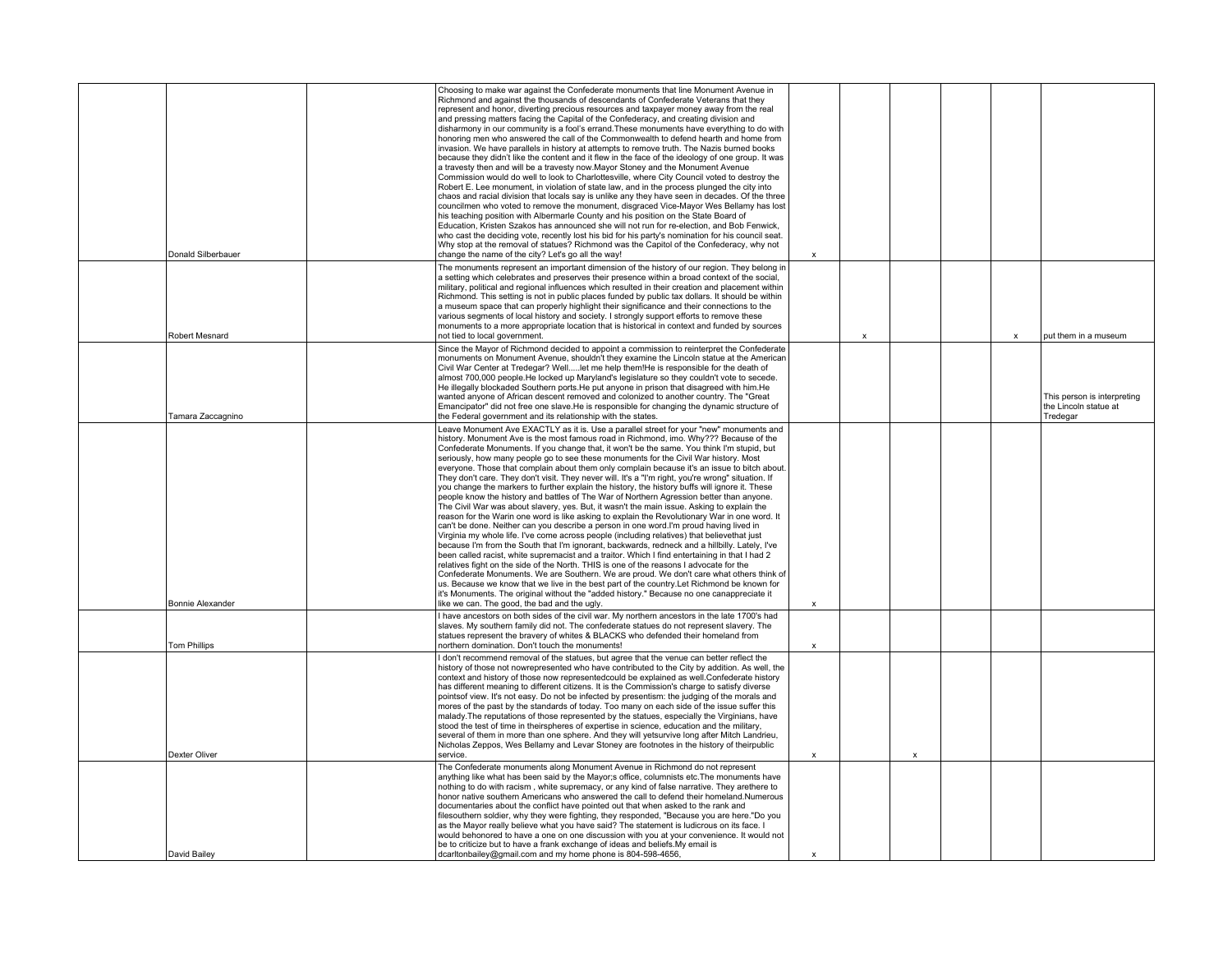| Donald Silberbauer      | Choosing to make war against the Confederate monuments that line Monument Avenue in<br>Richmond and against the thousands of descendants of Confederate Veterans that they<br>represent and honor, diverting precious resources and taxpayer money away from the real<br>and pressing matters facing the Capital of the Confederacy, and creating division and<br>disharmony in our community is a fool's errand. These monuments have everything to do with<br>honoring men who answered the call of the Commonwealth to defend hearth and home from<br>invasion. We have parallels in history at attempts to remove truth. The Nazis burned books<br>because they didn't like the content and it flew in the face of the ideology of one group. It was<br>a travesty then and will be a travesty now. Mayor Stoney and the Monument Avenue<br>Commission would do well to look to Charlottesville, where City Council voted to destroy the<br>Robert E. Lee monument, in violation of state law, and in the process plunged the city into<br>chaos and racial division that locals say is unlike any they have seen in decades. Of the three<br>councilmen who voted to remove the monument, disgraced Vice-Mayor Wes Bellamy has lost<br>his teaching position with Albermarle County and his position on the State Board of<br>Education, Kristen Szakos has announced she will not run for re-election, and Bob Fenwick,<br>who cast the deciding vote, recently lost his bid for his party's nomination for his council seat.<br>Why stop at the removal of statues? Richmond was the Capitol of the Confederacy, why not<br>change the name of the city? Let's go all the way!                                                                                                                       | $\boldsymbol{\mathsf{x}}$ |                           |                           |              |                                                                  |
|-------------------------|-------------------------------------------------------------------------------------------------------------------------------------------------------------------------------------------------------------------------------------------------------------------------------------------------------------------------------------------------------------------------------------------------------------------------------------------------------------------------------------------------------------------------------------------------------------------------------------------------------------------------------------------------------------------------------------------------------------------------------------------------------------------------------------------------------------------------------------------------------------------------------------------------------------------------------------------------------------------------------------------------------------------------------------------------------------------------------------------------------------------------------------------------------------------------------------------------------------------------------------------------------------------------------------------------------------------------------------------------------------------------------------------------------------------------------------------------------------------------------------------------------------------------------------------------------------------------------------------------------------------------------------------------------------------------------------------------------------------------------------------------------------------------------------------------------------|---------------------------|---------------------------|---------------------------|--------------|------------------------------------------------------------------|
| Robert Mesnard          | The monuments represent an important dimension of the history of our region. They belong in<br>a setting which celebrates and preserves their presence within a broad context of the social,<br>military, political and regional influences which resulted in their creation and placement within<br>Richmond. This setting is not in public places funded by public tax dollars. It should be within<br>a museum space that can properly highlight their significance and their connections to the<br>various segments of local history and society. I strongly support efforts to remove these<br>monuments to a more appropriate location that is historical in context and funded by sources<br>not tied to local government.                                                                                                                                                                                                                                                                                                                                                                                                                                                                                                                                                                                                                                                                                                                                                                                                                                                                                                                                                                                                                                                                           |                           | $\boldsymbol{\mathsf{x}}$ |                           | $\mathbf{x}$ | put them in a museum                                             |
| Tamara Zaccagnino       | Since the Mayor of Richmond decided to appoint a commission to reinterpret the Confederate<br>monuments on Monument Avenue, shouldn't they examine the Lincoln statue at the American<br>Civil War Center at Tredegar? Welllet me help them!He is responsible for the death of<br>almost 700,000 people. He locked up Maryland's legislature so they couldn't vote to secede.<br>He illegally blockaded Southern ports. He put anyone in prison that disagreed with him. He<br>wanted anyone of African descent removed and colonized to another country. The "Great<br>Emancipator" did not free one slave. He is responsible for changing the dynamic structure of<br>the Federal government and its relationship with the states.                                                                                                                                                                                                                                                                                                                                                                                                                                                                                                                                                                                                                                                                                                                                                                                                                                                                                                                                                                                                                                                                        |                           |                           |                           |              | This person is interpreting<br>the Lincoln statue at<br>Tredegar |
| <b>Bonnie Alexander</b> | Leave Monument Ave EXACTLY as it is. Use a parallel street for your "new" monuments and<br>history. Monument Ave is the most famous road in Richmond, imo. Why??? Because of the<br>Confederate Monuments. If you change that, it won't be the same. You think I'm stupid, but<br>seriously, how many people go to see these monuments for the Civil War history. Most<br>everyone. Those that complain about them only complain because it's an issue to bitch about.<br>They don't care. They don't visit. They never will. It's a "I'm right, you're wrong" situation. If<br>you change the markers to further explain the history, the history buffs will ignore it. These<br>people know the history and battles of The War of Northern Agression better than anyone.<br>The Civil War was about slavery, yes. But, it wasn't the main issue. Asking to explain the<br>reason for the Warin one word is like asking to explain the Revolutionary War in one word. It<br>can't be done. Neither can you describe a person in one word. I'm proud having lived in<br>Virginia my whole life. I've come across people (including relatives) that believe that just<br>because I'm from the South that I'm ignorant, backwards, redneck and a hillbilly. Lately, I've<br>been called racist, white supremacist and a traitor. Which I find entertaining in that I had 2<br>relatives fight on the side of the North. THIS is one of the reasons I advocate for the<br>Confederate Monuments. We are Southern. We are proud. We don't care what others think of<br>us. Because we know that we live in the best part of the country. Let Richmond be known for<br>it's Monuments. The original without the "added history." Because no one canappreciate it<br>like we can. The good, the bad and the ugly. | $\boldsymbol{\mathsf{x}}$ |                           |                           |              |                                                                  |
| <b>Tom Phillips</b>     | I have ancestors on both sides of the civil war. My northern ancestors in the late 1700's had<br>slaves. My southern family did not. The confederate statues do not represent slavery. The<br>statues represent the bravery of whites & BLACKS who defended their homeland from<br>northern domination. Don't touch the monuments!                                                                                                                                                                                                                                                                                                                                                                                                                                                                                                                                                                                                                                                                                                                                                                                                                                                                                                                                                                                                                                                                                                                                                                                                                                                                                                                                                                                                                                                                          | $\mathsf{x}$              |                           |                           |              |                                                                  |
| Dexter Oliver           | I don't recommend removal of the statues, but agree that the venue can better reflect the<br>history of those not nowrepresented who have contributed to the City by addition. As well, the<br>context and history of those now representedcould be explained as well. Confederate history<br>has different meaning to different citizens. It is the Commission's charge to satisfy diverse<br>points of view. It's not easy. Do not be infected by presentism: the judging of the morals and<br>mores of the past by the standards of today. Too many on each side of the issue suffer this<br>malady. The reputations of those represented by the statues, especially the Virginians, have<br>stood the test of time in theirspheres of expertise in science, education and the military,<br>several of them in more than one sphere. And they will yetsurvive long after Mitch Landrieu,<br>Nicholas Zeppos, Wes Bellamy and Levar Stoney are footnotes in the history of theirpublic<br>service.                                                                                                                                                                                                                                                                                                                                                                                                                                                                                                                                                                                                                                                                                                                                                                                                        | $\pmb{\chi}$              |                           | $\boldsymbol{\mathsf{x}}$ |              |                                                                  |
|                         | The Confederate monuments along Monument Avenue in Richmond do not represent<br>anything like what has been said by the Mayor;s office, columnists etc. The monuments have<br>nothing to do with racism, white supremacy, or any kind of false narrative. They arethere to<br>honor native southern Americans who answered the call to defend their homeland.Numerous<br>documentaries about the conflict have pointed out that when asked to the rank and<br>filesouthern soldier, why they were fighting, they responded, "Because you are here."Do you<br>as the Mayor really believe what you have said? The statement is ludicrous on its face. I<br>would behonored to have a one on one discussion with you at your convenience. It would not<br>be to criticize but to have a frank exchange of ideas and beliefs. My email is                                                                                                                                                                                                                                                                                                                                                                                                                                                                                                                                                                                                                                                                                                                                                                                                                                                                                                                                                                      |                           |                           |                           |              |                                                                  |
| David Bailey            | dcarltonbailey@gmail.com and my home phone is 804-598-4656,                                                                                                                                                                                                                                                                                                                                                                                                                                                                                                                                                                                                                                                                                                                                                                                                                                                                                                                                                                                                                                                                                                                                                                                                                                                                                                                                                                                                                                                                                                                                                                                                                                                                                                                                                 | $\boldsymbol{\mathsf{x}}$ |                           |                           |              |                                                                  |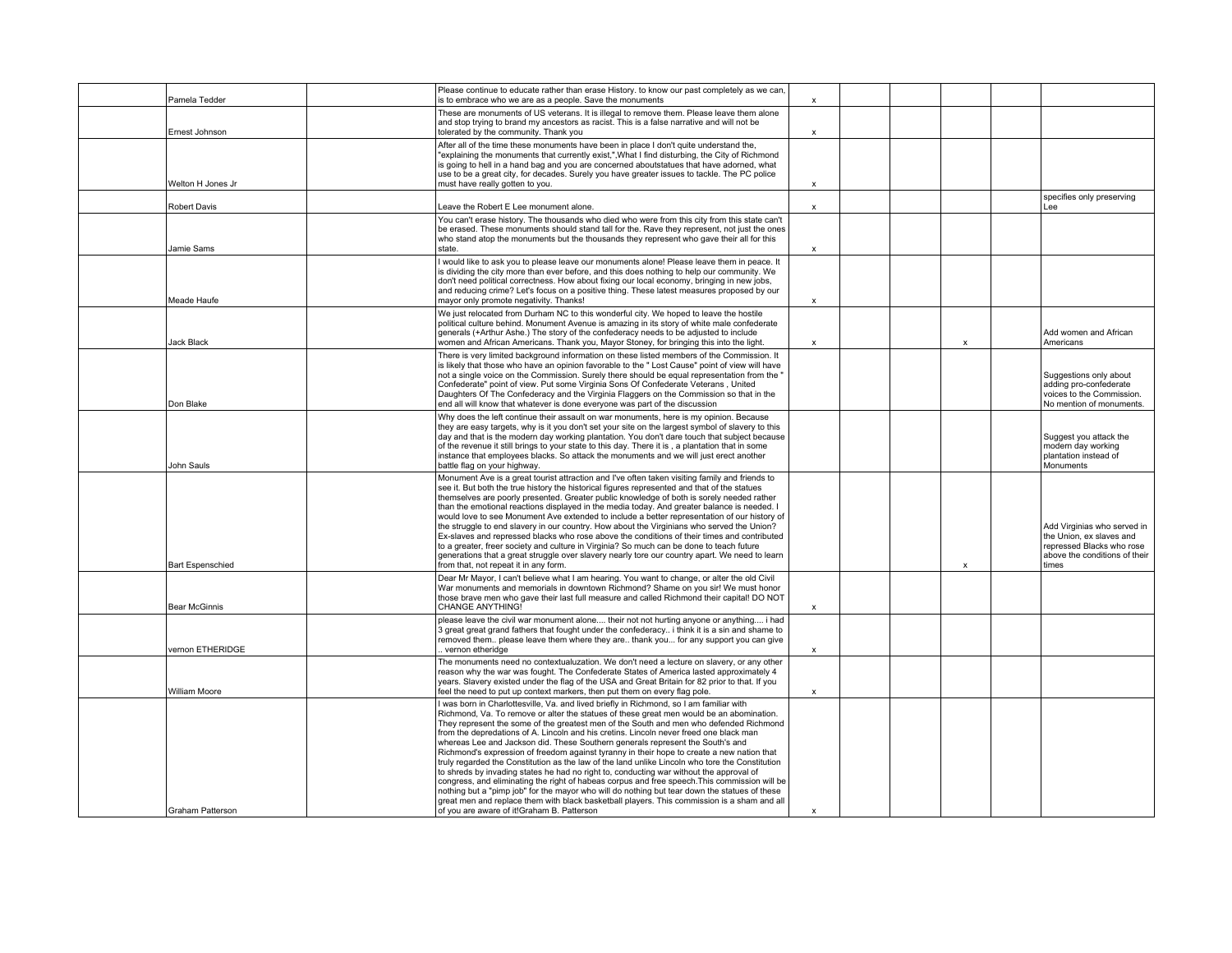| Pamela Tedder           | Please continue to educate rather than erase History. to know our past completely as we can,<br>is to embrace who we are as a people. Save the monuments                                                                                                                                                                                                                                                                                                                                                                                                                                                                                                                                                                                                                                                                                                                                                                                                                                                                                                                                             | $\mathsf{x}$              |  |                           |                                                                                                                                |
|-------------------------|------------------------------------------------------------------------------------------------------------------------------------------------------------------------------------------------------------------------------------------------------------------------------------------------------------------------------------------------------------------------------------------------------------------------------------------------------------------------------------------------------------------------------------------------------------------------------------------------------------------------------------------------------------------------------------------------------------------------------------------------------------------------------------------------------------------------------------------------------------------------------------------------------------------------------------------------------------------------------------------------------------------------------------------------------------------------------------------------------|---------------------------|--|---------------------------|--------------------------------------------------------------------------------------------------------------------------------|
| Ernest Johnson          | These are monuments of US veterans. It is illegal to remove them. Please leave them alone<br>and stop trying to brand my ancestors as racist. This is a false narrative and will not be<br>tolerated by the community. Thank you                                                                                                                                                                                                                                                                                                                                                                                                                                                                                                                                                                                                                                                                                                                                                                                                                                                                     | $\pmb{\chi}$              |  |                           |                                                                                                                                |
| Welton H Jones Jr       | After all of the time these monuments have been in place I don't quite understand the,<br>"explaining the monuments that currently exist,", What I find disturbing, the City of Richmond<br>is going to hell in a hand bag and you are concerned aboutstatues that have adorned, what<br>use to be a great city, for decades. Surely you have greater issues to tackle. The PC police<br>must have really gotten to you.                                                                                                                                                                                                                                                                                                                                                                                                                                                                                                                                                                                                                                                                             | X                         |  |                           |                                                                                                                                |
| Robert Davis            | Leave the Robert E Lee monument alone.                                                                                                                                                                                                                                                                                                                                                                                                                                                                                                                                                                                                                                                                                                                                                                                                                                                                                                                                                                                                                                                               | $\mathsf{x}$              |  |                           | specifies only preserving<br>Lee                                                                                               |
| Jamie Sams              | You can't erase history. The thousands who died who were from this city from this state can't<br>be erased. These monuments should stand tall for the. Rave they represent, not just the ones<br>who stand atop the monuments but the thousands they represent who gave their all for this<br>state.                                                                                                                                                                                                                                                                                                                                                                                                                                                                                                                                                                                                                                                                                                                                                                                                 | $\boldsymbol{\mathsf{x}}$ |  |                           |                                                                                                                                |
| Meade Haufe             | I would like to ask you to please leave our monuments alone! Please leave them in peace. It<br>is dividing the city more than ever before, and this does nothing to help our community. We<br>don't need political correctness. How about fixing our local economy, bringing in new jobs.<br>and reducing crime? Let's focus on a positive thing. These latest measures proposed by our<br>mayor only promote negativity. Thanks!                                                                                                                                                                                                                                                                                                                                                                                                                                                                                                                                                                                                                                                                    | $\boldsymbol{\mathsf{x}}$ |  |                           |                                                                                                                                |
| <b>Jack Black</b>       | We just relocated from Durham NC to this wonderful city. We hoped to leave the hostile<br>political culture behind. Monument Avenue is amazing in its story of white male confederate<br>generals (+Arthur Ashe.) The story of the confederacy needs to be adjusted to include<br>women and African Americans. Thank you, Mayor Stoney, for bringing this into the light.                                                                                                                                                                                                                                                                                                                                                                                                                                                                                                                                                                                                                                                                                                                            | $\boldsymbol{\mathsf{x}}$ |  | $\boldsymbol{\mathsf{x}}$ | Add women and African<br>Americans                                                                                             |
| Don Blake               | There is very limited background information on these listed members of the Commission. It<br>is likely that those who have an opinion favorable to the " Lost Cause" point of view will have<br>not a single voice on the Commission. Surely there should be equal representation from the '<br>Confederate" point of view. Put some Virginia Sons Of Confederate Veterans, United<br>Daughters Of The Confederacy and the Virginia Flaggers on the Commission so that in the<br>end all will know that whatever is done everyone was part of the discussion                                                                                                                                                                                                                                                                                                                                                                                                                                                                                                                                        |                           |  |                           | Suggestions only about<br>adding pro-confederate<br>voices to the Commission.<br>No mention of monuments.                      |
| John Sauls              | Why does the left continue their assault on war monuments, here is my opinion. Because<br>they are easy targets, why is it you don't set your site on the largest symbol of slavery to this<br>day and that is the modern day working plantation. You don't dare touch that subject because<br>of the revenue it still brings to your state to this day. There it is, a plantation that in some<br>instance that employees blacks. So attack the monuments and we will just erect another<br>battle flag on your highway.                                                                                                                                                                                                                                                                                                                                                                                                                                                                                                                                                                            |                           |  |                           | Suggest you attack the<br>modern day working<br>plantation instead of<br>Monuments                                             |
| <b>Bart Espenschied</b> | Monument Ave is a great tourist attraction and I've often taken visiting family and friends to<br>see it. But both the true history the historical figures represented and that of the statues<br>themselves are poorly presented. Greater public knowledge of both is sorely needed rather<br>than the emotional reactions displayed in the media today. And greater balance is needed. I<br>would love to see Monument Ave extended to include a better representation of our history of<br>the struggle to end slavery in our country. How about the Virginians who served the Union?<br>Ex-slaves and repressed blacks who rose above the conditions of their times and contributed<br>to a greater, freer society and culture in Virginia? So much can be done to teach future<br>generations that a great struggle over slavery nearly tore our country apart. We need to learn<br>from that, not repeat it in any form.                                                                                                                                                                       |                           |  | $\boldsymbol{\mathsf{x}}$ | Add Virginias who served in<br>the Union, ex slaves and<br>repressed Blacks who rose<br>above the conditions of their<br>times |
| <b>Bear McGinnis</b>    | Dear Mr Mayor, I can't believe what I am hearing. You want to change, or alter the old Civil<br>War monuments and memorials in downtown Richmond? Shame on you sir! We must honor<br>those brave men who gave their last full measure and called Richmond their capital! DO NOT<br><b>CHANGE ANYTHING!</b>                                                                                                                                                                                                                                                                                                                                                                                                                                                                                                                                                                                                                                                                                                                                                                                           | $\pmb{\chi}$              |  |                           |                                                                                                                                |
| vernon ETHERIDGE        | please leave the civil war monument alone their not not hurting anyone or anything i had<br>3 great great grand fathers that fought under the confederacy i think it is a sin and shame to<br>removed them please leave them where they are thank you for any support you can give<br>. vernon etheridge                                                                                                                                                                                                                                                                                                                                                                                                                                                                                                                                                                                                                                                                                                                                                                                             | $\pmb{\chi}$              |  |                           |                                                                                                                                |
| <b>William Moore</b>    | The monuments need no contextualuzation. We don't need a lecture on slavery, or any other<br>reason why the war was fought. The Confederate States of America lasted approximately 4<br>years. Slavery existed under the flag of the USA and Great Britain for 82 prior to that. If you<br>feel the need to put up context markers, then put them on every flag pole.                                                                                                                                                                                                                                                                                                                                                                                                                                                                                                                                                                                                                                                                                                                                | $\mathsf{x}$              |  |                           |                                                                                                                                |
| Graham Patterson        | I was born in Charlottesville, Va. and lived briefly in Richmond, so I am familiar with<br>Richmond, Va. To remove or alter the statues of these great men would be an abomination.<br>They represent the some of the greatest men of the South and men who defended Richmond<br>from the depredations of A. Lincoln and his cretins. Lincoln never freed one black man<br>whereas Lee and Jackson did. These Southern generals represent the South's and<br>Richmond's expression of freedom against tyranny in their hope to create a new nation that<br>truly regarded the Constitution as the law of the land unlike Lincoln who tore the Constitution<br>to shreds by invading states he had no right to, conducting war without the approval of<br>congress, and eliminating the right of habeas corpus and free speech. This commission will be<br>nothing but a "pimp job" for the mayor who will do nothing but tear down the statues of these<br>great men and replace them with black basketball players. This commission is a sham and all<br>of you are aware of it!Graham B. Patterson | $\boldsymbol{\mathsf{x}}$ |  |                           |                                                                                                                                |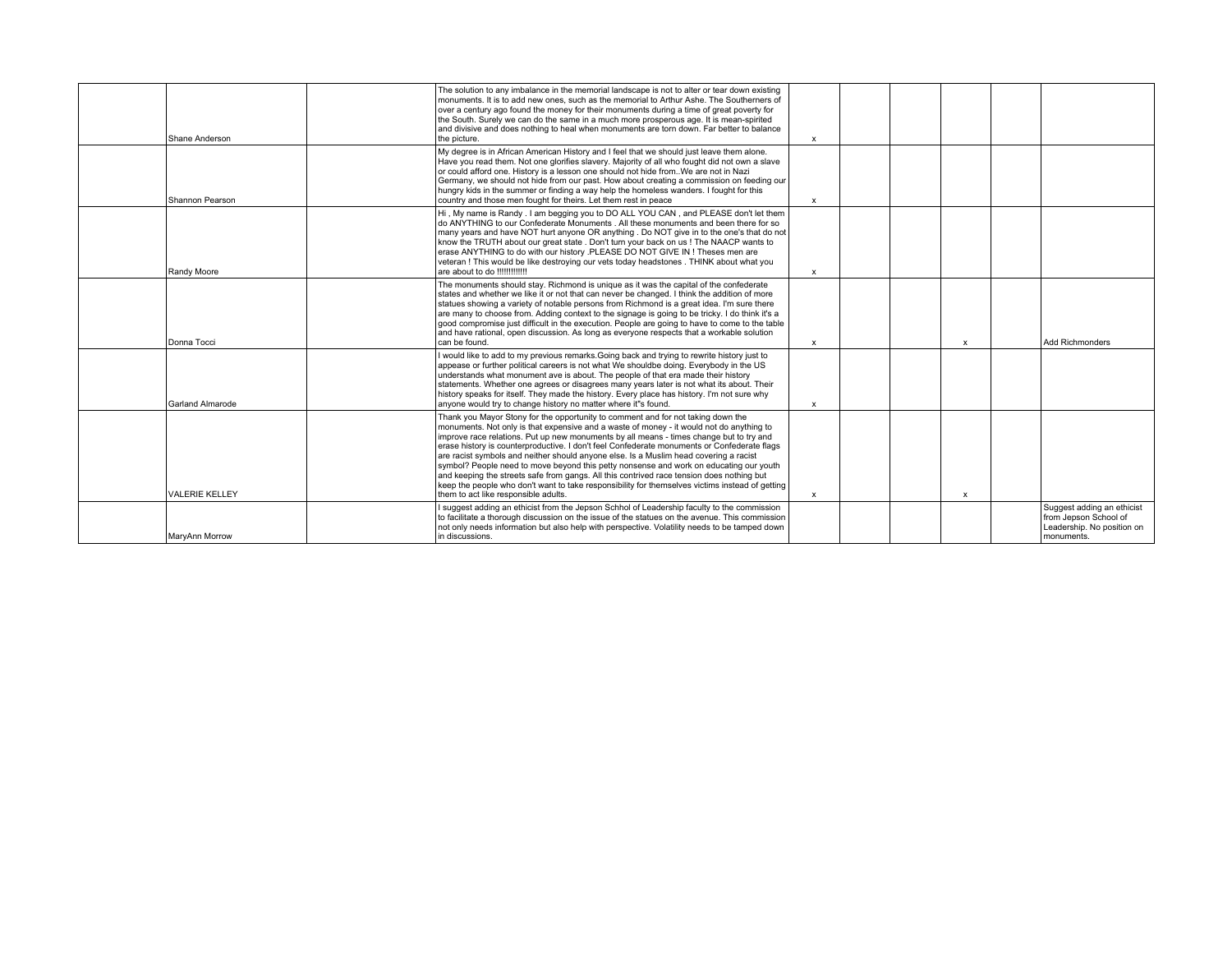| Shane Anderson          | The solution to any imbalance in the memorial landscape is not to alter or tear down existing<br>monuments. It is to add new ones, such as the memorial to Arthur Ashe. The Southerners of<br>over a century ago found the money for their monuments during a time of great poverty for<br>the South. Surely we can do the same in a much more prosperous age. It is mean-spirited<br>and divisive and does nothing to heal when monuments are torn down. Far better to balance<br>the picture.                                                                                                                                                                                                                                                                                                   | $\boldsymbol{\mathsf{x}}$ |  |                           |                                                                                                 |
|-------------------------|---------------------------------------------------------------------------------------------------------------------------------------------------------------------------------------------------------------------------------------------------------------------------------------------------------------------------------------------------------------------------------------------------------------------------------------------------------------------------------------------------------------------------------------------------------------------------------------------------------------------------------------------------------------------------------------------------------------------------------------------------------------------------------------------------|---------------------------|--|---------------------------|-------------------------------------------------------------------------------------------------|
| Shannon Pearson         | My degree is in African American History and I feel that we should just leave them alone.<br>Have you read them. Not one glorifies slavery. Majority of all who fought did not own a slave<br>or could afford one. History is a lesson one should not hide from. We are not in Nazi<br>Germany, we should not hide from our past. How about creating a commission on feeding our<br>hungry kids in the summer or finding a way help the homeless wanders. I fought for this<br>country and those men fought for theirs. Let them rest in peace                                                                                                                                                                                                                                                    | $\mathsf{x}$              |  |                           |                                                                                                 |
| Randy Moore             | Hi, My name is Randy . I am begging you to DO ALL YOU CAN, and PLEASE don't let them<br>do ANYTHING to our Confederate Monuments . All these monuments and been there for so<br>many years and have NOT hurt anyone OR anything . Do NOT give in to the one's that do not<br>know the TRUTH about our great state . Don't turn your back on us ! The NAACP wants to<br>erase ANYTHING to do with our history .PLEASE DO NOT GIVE IN ! Theses men are<br>veteran ! This would be like destroying our vets today headstones . THINK about what you<br>are about to do !!!!!!!!!!!!!                                                                                                                                                                                                                 | $\mathbf x$               |  |                           |                                                                                                 |
| Donna Tocci             | The monuments should stay. Richmond is unique as it was the capital of the confederate<br>states and whether we like it or not that can never be changed. I think the addition of more<br>statues showing a variety of notable persons from Richmond is a great idea. I'm sure there<br>are many to choose from. Adding context to the signage is going to be tricky. I do think it's a<br>good compromise just difficult in the execution. People are going to have to come to the table<br>and have rational, open discussion. As long as everyone respects that a workable solution<br>can be found.                                                                                                                                                                                           | $\boldsymbol{\mathsf{x}}$ |  | $\boldsymbol{\mathsf{x}}$ | <b>Add Richmonders</b>                                                                          |
| <b>Garland Almarode</b> | I would like to add to my previous remarks. Going back and trying to rewrite history just to<br>appease or further political careers is not what We shouldbe doing. Everybody in the US<br>understands what monument ave is about. The people of that era made their history<br>statements. Whether one agrees or disagrees many years later is not what its about. Their<br>history speaks for itself. They made the history. Every place has history. I'm not sure why<br>anvone would try to change history no matter where it"s found.                                                                                                                                                                                                                                                        | $\boldsymbol{\mathsf{x}}$ |  |                           |                                                                                                 |
| <b>VALERIE KELLEY</b>   | Thank you Mayor Stony for the opportunity to comment and for not taking down the<br>monuments. Not only is that expensive and a waste of money - it would not do anything to<br>improve race relations. Put up new monuments by all means - times change but to try and<br>erase history is counterproductive. I don't feel Confederate monuments or Confederate flags<br>are racist symbols and neither should anyone else. Is a Muslim head covering a racist<br>symbol? People need to move beyond this petty nonsense and work on educating our youth<br>and keeping the streets safe from gangs. All this contrived race tension does nothing but<br>keep the people who don't want to take responsibility for themselves victims instead of getting<br>them to act like responsible adults. | $\mathbf x$               |  | x                         |                                                                                                 |
| MarvAnn Morrow          | I suggest adding an ethicist from the Jepson Schhol of Leadership faculty to the commission<br>to facilitate a thorough discussion on the issue of the statues on the avenue. This commission<br>not only needs information but also help with perspective. Volatility needs to be tamped down<br>in discussions.                                                                                                                                                                                                                                                                                                                                                                                                                                                                                 |                           |  |                           | Suggest adding an ethicist<br>from Jepson School of<br>Leadership. No position on<br>monuments. |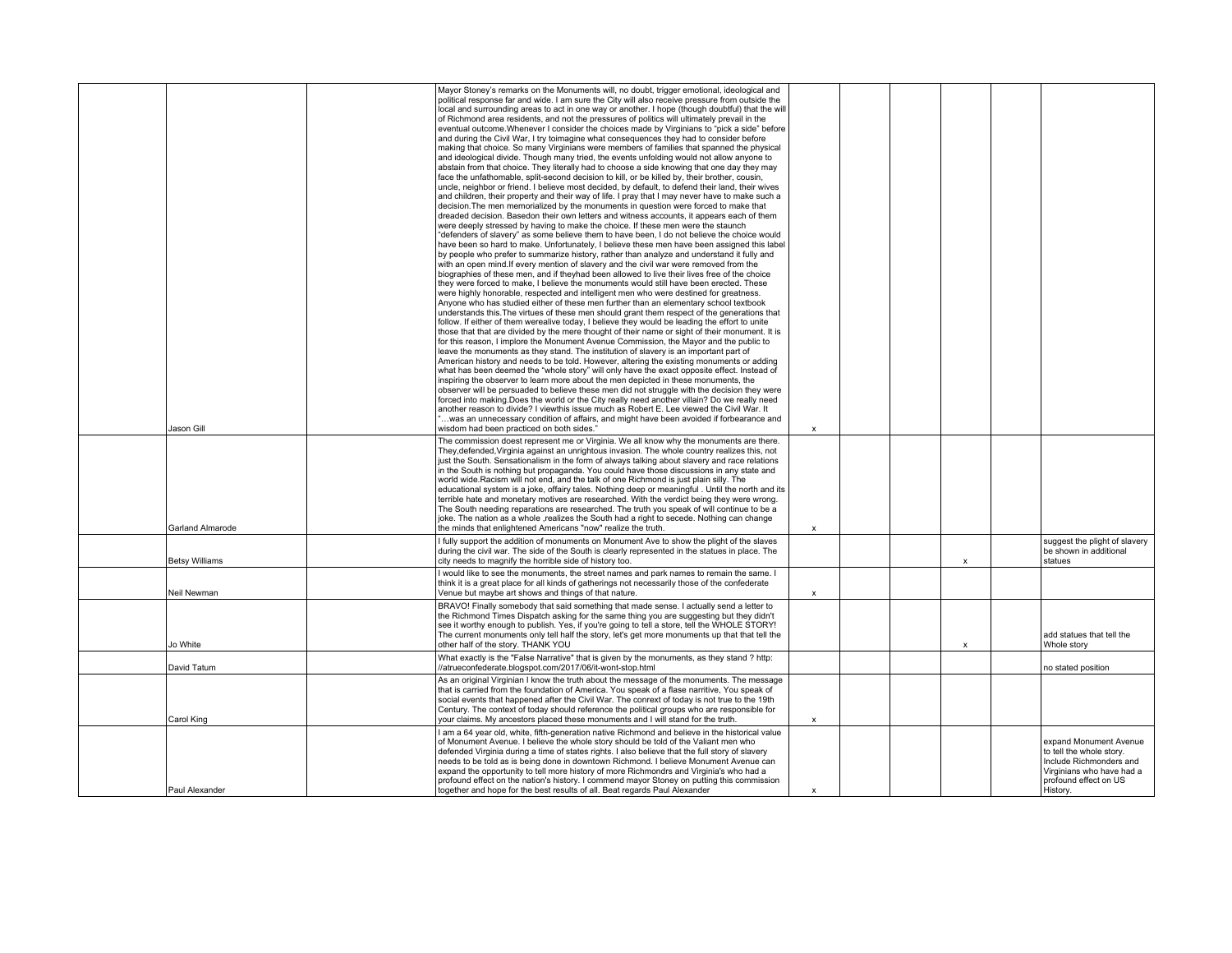|                         | Mayor Stoney's remarks on the Monuments will, no doubt, trigger emotional, ideological and<br>political response far and wide. I am sure the City will also receive pressure from outside the<br>local and surrounding areas to act in one way or another. I hope (though doubtful) that the will<br>of Richmond area residents, and not the pressures of politics will ultimately prevail in the<br>eventual outcome. Whenever I consider the choices made by Virginians to "pick a side" before<br>and during the Civil War, I try toimagine what consequences they had to consider before<br>making that choice. So many Virginians were members of families that spanned the physical<br>and ideological divide. Though many tried, the events unfolding would not allow anyone to<br>abstain from that choice. They literally had to choose a side knowing that one day they may<br>face the unfathomable, split-second decision to kill, or be killed by, their brother, cousin,<br>uncle, neighbor or friend. I believe most decided, by default, to defend their land, their wives<br>and children, their property and their way of life. I pray that I may never have to make such a<br>decision. The men memorialized by the monuments in question were forced to make that<br>dreaded decision. Basedon their own letters and witness accounts, it appears each of them<br>were deeply stressed by having to make the choice. If these men were the staunch<br>"defenders of slavery" as some believe them to have been, I do not believe the choice would<br>have been so hard to make. Unfortunately, I believe these men have been assigned this label<br>by people who prefer to summarize history, rather than analyze and understand it fully and<br>with an open mind. If every mention of slavery and the civil war were removed from the<br>biographies of these men, and if theyhad been allowed to live their lives free of the choice<br>they were forced to make, I believe the monuments would still have been erected. These<br>were highly honorable, respected and intelligent men who were destined for greatness.<br>Anyone who has studied either of these men further than an elementary school textbook<br>understands this. The virtues of these men should grant them respect of the generations that<br>follow. If either of them werealive today, I believe they would be leading the effort to unite<br>those that that are divided by the mere thought of their name or sight of their monument. It is<br>for this reason, I implore the Monument Avenue Commission, the Mayor and the public to<br>leave the monuments as they stand. The institution of slavery is an important part of<br>American history and needs to be told. However, altering the existing monuments or adding<br>what has been deemed the "whole story" will only have the exact opposite effect. Instead of<br>inspiring the observer to learn more about the men depicted in these monuments, the<br>observer will be persuaded to believe these men did not struggle with the decision they were<br>forced into making. Does the world or the City really need another villain? Do we really need<br>another reason to divide? I viewthis issue much as Robert E. Lee viewed the Civil War. It |                           |  |                           |                                                                                                                                                 |
|-------------------------|-------------------------------------------------------------------------------------------------------------------------------------------------------------------------------------------------------------------------------------------------------------------------------------------------------------------------------------------------------------------------------------------------------------------------------------------------------------------------------------------------------------------------------------------------------------------------------------------------------------------------------------------------------------------------------------------------------------------------------------------------------------------------------------------------------------------------------------------------------------------------------------------------------------------------------------------------------------------------------------------------------------------------------------------------------------------------------------------------------------------------------------------------------------------------------------------------------------------------------------------------------------------------------------------------------------------------------------------------------------------------------------------------------------------------------------------------------------------------------------------------------------------------------------------------------------------------------------------------------------------------------------------------------------------------------------------------------------------------------------------------------------------------------------------------------------------------------------------------------------------------------------------------------------------------------------------------------------------------------------------------------------------------------------------------------------------------------------------------------------------------------------------------------------------------------------------------------------------------------------------------------------------------------------------------------------------------------------------------------------------------------------------------------------------------------------------------------------------------------------------------------------------------------------------------------------------------------------------------------------------------------------------------------------------------------------------------------------------------------------------------------------------------------------------------------------------------------------------------------------------------------------------------------------------------------------------------------------------------------------------------------------------------------------------------------------------------------------------------------------------------------------------------------------------------------------------------------------------------------------------------------------------------------------------------------------------|---------------------------|--|---------------------------|-------------------------------------------------------------------------------------------------------------------------------------------------|
| Jason Gill              | was an unnecessary condition of affairs, and might have been avoided if forbearance and<br>wisdom had been practiced on both sides."                                                                                                                                                                                                                                                                                                                                                                                                                                                                                                                                                                                                                                                                                                                                                                                                                                                                                                                                                                                                                                                                                                                                                                                                                                                                                                                                                                                                                                                                                                                                                                                                                                                                                                                                                                                                                                                                                                                                                                                                                                                                                                                                                                                                                                                                                                                                                                                                                                                                                                                                                                                                                                                                                                                                                                                                                                                                                                                                                                                                                                                                                                                                                                              | X                         |  |                           |                                                                                                                                                 |
| <b>Garland Almarode</b> | The commission doest represent me or Virginia. We all know why the monuments are there.<br>They, defended, Virginia against an unrightous invasion. The whole country realizes this, not<br>just the South. Sensationalism in the form of always talking about slavery and race relations<br>in the South is nothing but propaganda. You could have those discussions in any state and<br>world wide. Racism will not end, and the talk of one Richmond is just plain silly. The<br>educational system is a joke, offairy tales. Nothing deep or meaningful. Until the north and its<br>terrible hate and monetary motives are researched. With the verdict being they were wrong.<br>The South needing reparations are researched. The truth you speak of will continue to be a<br>joke. The nation as a whole , realizes the South had a right to secede. Nothing can change<br>the minds that enlightened Americans "now" realize the truth.                                                                                                                                                                                                                                                                                                                                                                                                                                                                                                                                                                                                                                                                                                                                                                                                                                                                                                                                                                                                                                                                                                                                                                                                                                                                                                                                                                                                                                                                                                                                                                                                                                                                                                                                                                                                                                                                                                                                                                                                                                                                                                                                                                                                                                                                                                                                                                   | $\mathbf x$               |  |                           |                                                                                                                                                 |
| <b>Betsy Williams</b>   | I fully support the addition of monuments on Monument Ave to show the plight of the slaves<br>during the civil war. The side of the South is clearly represented in the statues in place. The<br>city needs to magnify the horrible side of history too.                                                                                                                                                                                                                                                                                                                                                                                                                                                                                                                                                                                                                                                                                                                                                                                                                                                                                                                                                                                                                                                                                                                                                                                                                                                                                                                                                                                                                                                                                                                                                                                                                                                                                                                                                                                                                                                                                                                                                                                                                                                                                                                                                                                                                                                                                                                                                                                                                                                                                                                                                                                                                                                                                                                                                                                                                                                                                                                                                                                                                                                          |                           |  | $\boldsymbol{\mathsf{x}}$ | suggest the plight of slavery<br>be shown in additional<br>statues                                                                              |
| Neil Newman             | I would like to see the monuments, the street names and park names to remain the same. I<br>think it is a great place for all kinds of gatherings not necessarily those of the confederate<br>Venue but maybe art shows and things of that nature.                                                                                                                                                                                                                                                                                                                                                                                                                                                                                                                                                                                                                                                                                                                                                                                                                                                                                                                                                                                                                                                                                                                                                                                                                                                                                                                                                                                                                                                                                                                                                                                                                                                                                                                                                                                                                                                                                                                                                                                                                                                                                                                                                                                                                                                                                                                                                                                                                                                                                                                                                                                                                                                                                                                                                                                                                                                                                                                                                                                                                                                                | $\pmb{\mathsf{x}}$        |  |                           |                                                                                                                                                 |
| Jo White                | BRAVO! Finally somebody that said something that made sense. I actually send a letter to<br>the Richmond Times Dispatch asking for the same thing you are suggesting but they didn't<br>see it worthy enough to publish. Yes, if you're going to tell a store, tell the WHOLE STORY!<br>The current monuments only tell half the story, let's get more monuments up that that tell the<br>other half of the story. THANK YOU                                                                                                                                                                                                                                                                                                                                                                                                                                                                                                                                                                                                                                                                                                                                                                                                                                                                                                                                                                                                                                                                                                                                                                                                                                                                                                                                                                                                                                                                                                                                                                                                                                                                                                                                                                                                                                                                                                                                                                                                                                                                                                                                                                                                                                                                                                                                                                                                                                                                                                                                                                                                                                                                                                                                                                                                                                                                                      |                           |  | X                         | add statues that tell the<br>Whole story                                                                                                        |
| David Tatum             | What exactly is the "False Narrative" that is given by the monuments, as they stand ? http:<br>//atrueconfederate.blogspot.com/2017/06/it-wont-stop.html                                                                                                                                                                                                                                                                                                                                                                                                                                                                                                                                                                                                                                                                                                                                                                                                                                                                                                                                                                                                                                                                                                                                                                                                                                                                                                                                                                                                                                                                                                                                                                                                                                                                                                                                                                                                                                                                                                                                                                                                                                                                                                                                                                                                                                                                                                                                                                                                                                                                                                                                                                                                                                                                                                                                                                                                                                                                                                                                                                                                                                                                                                                                                          |                           |  |                           | no stated position                                                                                                                              |
| Carol King              | As an original Virginian I know the truth about the message of the monuments. The message<br>that is carried from the foundation of America. You speak of a flase narritive, You speak of<br>social events that happened after the Civil War. The conrext of today is not true to the 19th<br>Century. The context of today should reference the political groups who are responsible for<br>your claims. My ancestors placed these monuments and I will stand for the truth.                                                                                                                                                                                                                                                                                                                                                                                                                                                                                                                                                                                                                                                                                                                                                                                                                                                                                                                                                                                                                                                                                                                                                                                                                                                                                                                                                                                                                                                                                                                                                                                                                                                                                                                                                                                                                                                                                                                                                                                                                                                                                                                                                                                                                                                                                                                                                                                                                                                                                                                                                                                                                                                                                                                                                                                                                                     | $\mathsf{x}$              |  |                           |                                                                                                                                                 |
| Paul Alexander          | I am a 64 year old, white, fifth-generation native Richmond and believe in the historical value<br>of Monument Avenue. I believe the whole story should be told of the Valiant men who<br>defended Virginia during a time of states rights. I also believe that the full story of slavery<br>needs to be told as is being done in downtown Richmond. I believe Monument Avenue can<br>expand the opportunity to tell more history of more Richmondrs and Virginia's who had a<br>profound effect on the nation's history. I commend mayor Stoney on putting this commission<br>together and hope for the best results of all. Beat regards Paul Alexander                                                                                                                                                                                                                                                                                                                                                                                                                                                                                                                                                                                                                                                                                                                                                                                                                                                                                                                                                                                                                                                                                                                                                                                                                                                                                                                                                                                                                                                                                                                                                                                                                                                                                                                                                                                                                                                                                                                                                                                                                                                                                                                                                                                                                                                                                                                                                                                                                                                                                                                                                                                                                                                         | $\boldsymbol{\mathsf{x}}$ |  |                           | expand Monument Avenue<br>to tell the whole story.<br>Include Richmonders and<br>Virginians who have had a<br>profound effect on US<br>History. |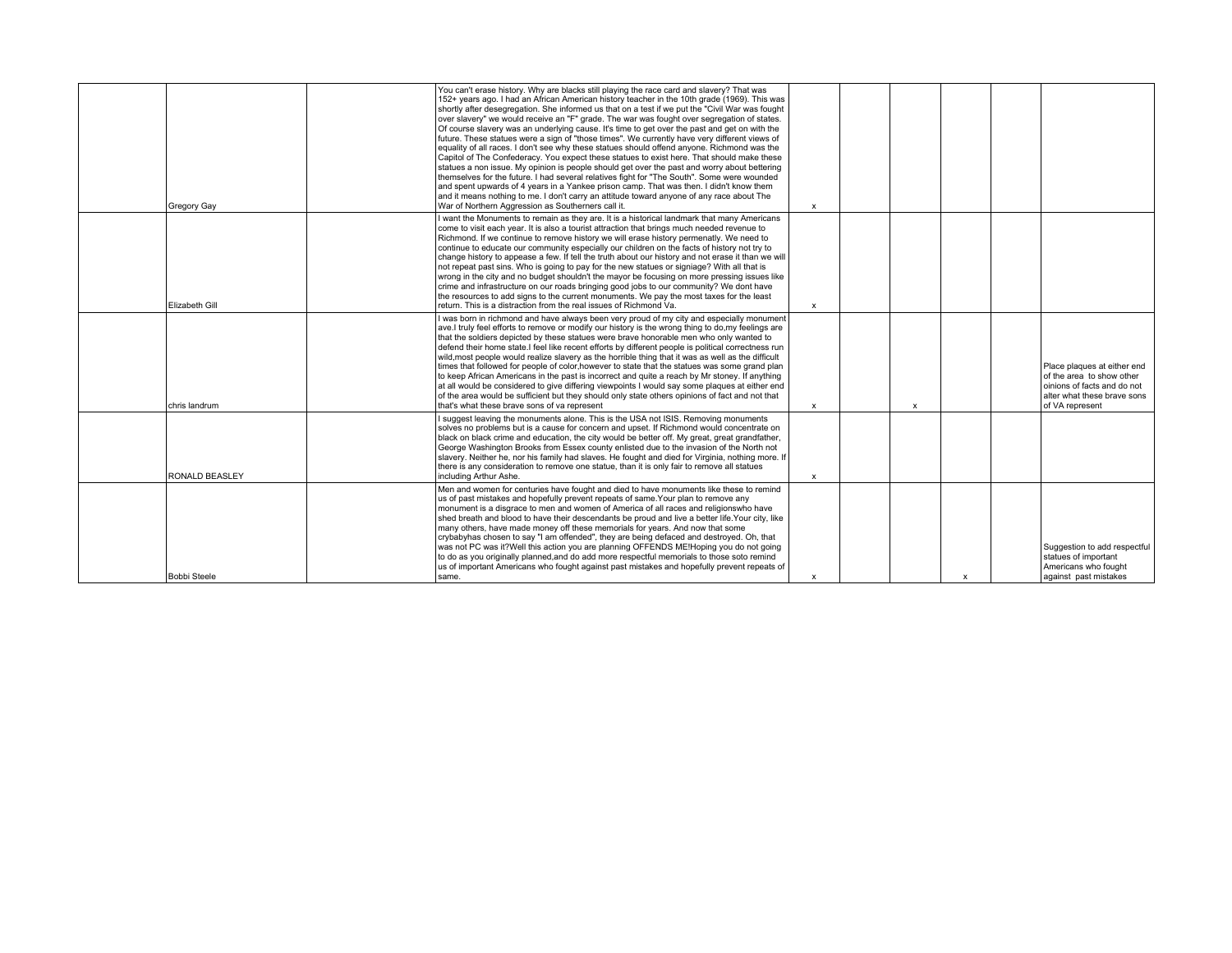| Gregory Gay         | You can't erase history. Why are blacks still playing the race card and slavery? That was<br>152+ years ago. I had an African American history teacher in the 10th grade (1969). This was<br>shortly after desegregation. She informed us that on a test if we put the "Civil War was fought<br>over slavery" we would receive an "F" grade. The war was fought over segregation of states.<br>Of course slavery was an underlying cause. It's time to get over the past and get on with the<br>future. These statues were a sign of "those times". We currently have very different views of<br>equality of all races. I don't see why these statues should offend anyone. Richmond was the<br>Capitol of The Confederacy. You expect these statues to exist here. That should make these<br>statues a non issue. My opinion is people should get over the past and worry about bettering<br>themselves for the future. I had several relatives fight for "The South". Some were wounded<br>and spent upwards of 4 years in a Yankee prison camp. That was then. I didn't know them<br>and it means nothing to me. I don't carry an attitude toward anyone of any race about The<br>War of Northern Aggression as Southerners call it. | $\mathsf{x}$   |                |              |                                                                                                                                           |
|---------------------|-----------------------------------------------------------------------------------------------------------------------------------------------------------------------------------------------------------------------------------------------------------------------------------------------------------------------------------------------------------------------------------------------------------------------------------------------------------------------------------------------------------------------------------------------------------------------------------------------------------------------------------------------------------------------------------------------------------------------------------------------------------------------------------------------------------------------------------------------------------------------------------------------------------------------------------------------------------------------------------------------------------------------------------------------------------------------------------------------------------------------------------------------------------------------------------------------------------------------------------------|----------------|----------------|--------------|-------------------------------------------------------------------------------------------------------------------------------------------|
| Elizabeth Gill      | I want the Monuments to remain as they are. It is a historical landmark that many Americans<br>come to visit each year. It is also a tourist attraction that brings much needed revenue to<br>Richmond. If we continue to remove history we will erase history permenatly. We need to<br>continue to educate our community especially our children on the facts of history not try to<br>change history to appease a few. If tell the truth about our history and not erase it than we will<br>not repeat past sins. Who is going to pay for the new statues or signiage? With all that is<br>wrong in the city and no budget shouldn't the mayor be focusing on more pressing issues like<br>crime and infrastructure on our roads bringing good jobs to our community? We dont have<br>the resources to add signs to the current monuments. We pay the most taxes for the least<br>return. This is a distraction from the real issues of Richmond Va.                                                                                                                                                                                                                                                                                 | $\mathsf{x}$   |                |              |                                                                                                                                           |
| chris landrum       | I was born in richmond and have always been very proud of my city and especially monument<br>ave. I truly feel efforts to remove or modify our history is the wrong thing to do, my feelings are<br>that the soldiers depicted by these statues were brave honorable men who only wanted to<br>defend their home state. I feel like recent efforts by different people is political correctness run<br>wild, most people would realize slavery as the horrible thing that it was as well as the difficult<br>times that followed for people of color, however to state that the statues was some grand plan<br>to keep African Americans in the past is incorrect and quite a reach by Mr stoney. If anything<br>at all would be considered to give differing viewpoints I would say some plaques at either end<br>of the area would be sufficient but they should only state others opinions of fact and not that<br>that's what these brave sons of va represent                                                                                                                                                                                                                                                                      | $\pmb{\times}$ | $\pmb{\times}$ |              | Place plaques at either end<br>of the area to show other<br>oinions of facts and do not<br>alter what these brave sons<br>of VA represent |
| RONALD BEASLEY      | I suggest leaving the monuments alone. This is the USA not ISIS. Removing monuments<br>solves no problems but is a cause for concern and upset. If Richmond would concentrate on<br>black on black crime and education, the city would be better off. My great, great grandfather,<br>George Washington Brooks from Essex county enlisted due to the invasion of the North not<br>slavery. Neither he, nor his family had slaves. He fought and died for Virginia, nothing more. If<br>there is any consideration to remove one statue, than it is only fair to remove all statues<br>including Arthur Ashe.                                                                                                                                                                                                                                                                                                                                                                                                                                                                                                                                                                                                                            | $\mathsf{x}$   |                |              |                                                                                                                                           |
| <b>Bobbi Steele</b> | Men and women for centuries have fought and died to have monuments like these to remind<br>us of past mistakes and hopefully prevent repeats of same. Your plan to remove any<br>monument is a disgrace to men and women of America of all races and religionswho have<br>shed breath and blood to have their descendants be proud and live a better life. Your city, like<br>many others, have made money off these memorials for years. And now that some<br>crybabyhas chosen to say "I am offended", they are being defaced and destroyed. Oh, that<br>was not PC was it?Well this action you are planning OFFENDS ME!Hoping you do not going<br>to do as you originally planned, and do add more respectful memorials to those soto remind<br>us of important Americans who fought against past mistakes and hopefully prevent repeats of<br>same.                                                                                                                                                                                                                                                                                                                                                                                 | $\pmb{\times}$ |                | $\mathbf{x}$ | Suggestion to add respectful<br>statues of important<br>Americans who fought<br>against past mistakes                                     |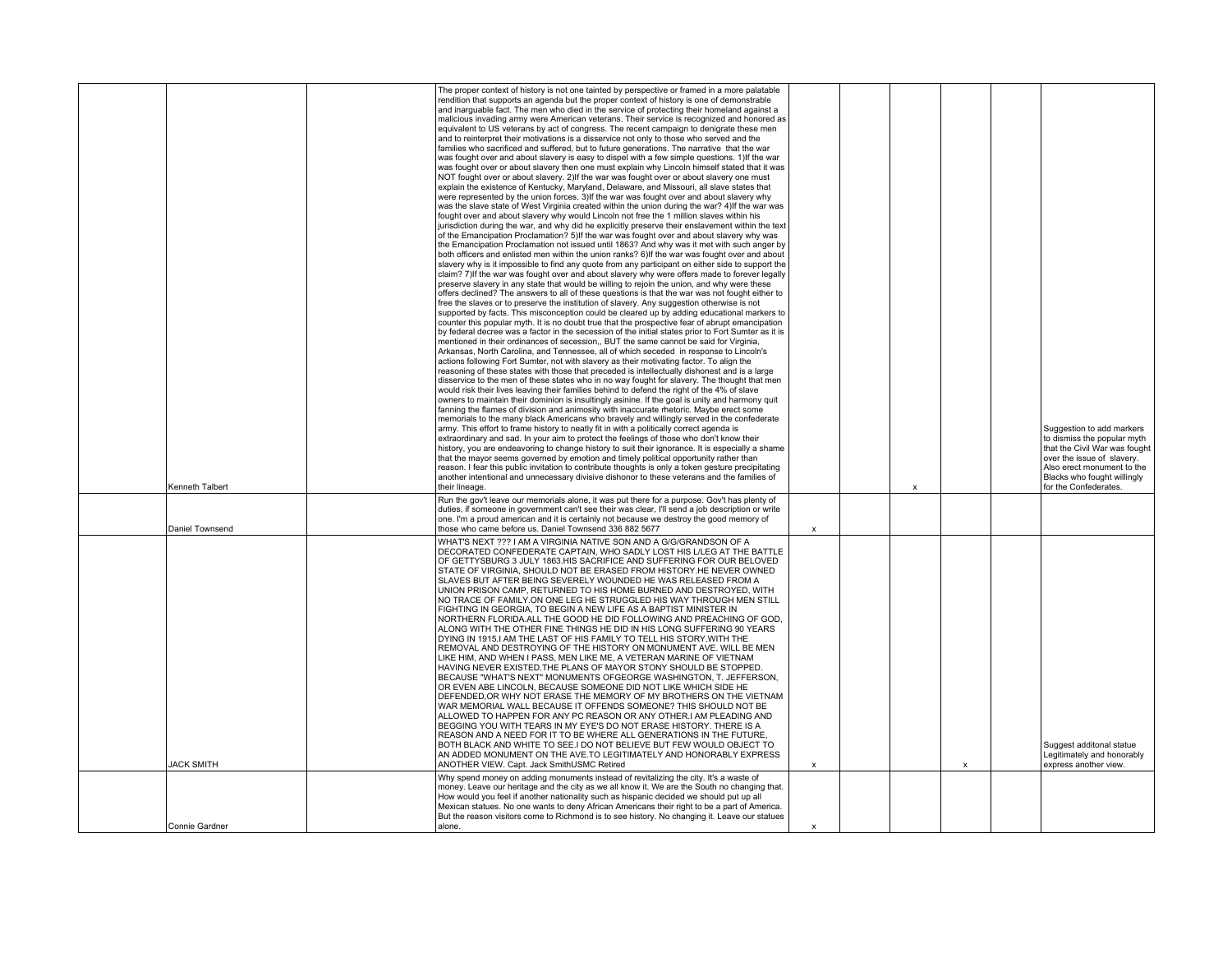| The proper context of history is not one tainted by perspective or framed in a more palatable<br>rendition that supports an agenda but the proper context of history is one of demonstrable<br>and inarguable fact. The men who died in the service of protecting their homeland against a<br>malicious invading army were American veterans. Their service is recognized and honored as<br>equivalent to US veterans by act of congress. The recent campaign to denigrate these men<br>and to reinterpret their motivations is a disservice not only to those who served and the<br>families who sacrificed and suffered, but to future generations. The narrative that the war<br>was fought over and about slavery is easy to dispel with a few simple questions. 1) If the war<br>was fought over or about slavery then one must explain why Lincoln himself stated that it was<br>NOT fought over or about slavery. 2) If the war was fought over or about slavery one must<br>explain the existence of Kentucky, Maryland, Delaware, and Missouri, all slave states that<br>were represented by the union forces. 3) If the war was fought over and about slavery why<br>was the slave state of West Virginia created within the union during the war? 4) If the war was<br>fought over and about slavery why would Lincoln not free the 1 million slaves within his<br>jurisdiction during the war, and why did he explicitly preserve their enslavement within the text<br>of the Emancipation Proclamation? 5) If the war was fought over and about slavery why was<br>the Emancipation Proclamation not issued until 1863? And why was it met with such anger by<br>both officers and enlisted men within the union ranks? 6) If the war was fought over and about<br>slavery why is it impossible to find any quote from any participant on either side to support the<br>claim? 7) If the war was fought over and about slavery why were offers made to forever legally<br>preserve slavery in any state that would be willing to rejoin the union, and why were these<br>offers declined? The answers to all of these questions is that the war was not fought either to<br>free the slaves or to preserve the institution of slavery. Any suggestion otherwise is not<br>supported by facts. This misconception could be cleared up by adding educational markers to<br>counter this popular myth. It is no doubt true that the prospective fear of abrupt emancipation<br>by federal decree was a factor in the secession of the initial states prior to Fort Sumter as it is<br>mentioned in their ordinances of secession,, BUT the same cannot be said for Virginia,<br>Arkansas, North Carolina, and Tennessee, all of which seceded in response to Lincoln's<br>actions following Fort Sumter, not with slavery as their motivating factor. To align the<br>reasoning of these states with those that preceded is intellectually dishonest and is a large<br>disservice to the men of these states who in no way fought for slavery. The thought that men<br>would risk their lives leaving their families behind to defend the right of the 4% of slave<br>owners to maintain their dominion is insultingly asinine. If the goal is unity and harmony quit<br>fanning the flames of division and animosity with inaccurate rhetoric. Maybe erect some<br>memorials to the many black Americans who bravely and willingly served in the confederate<br>army. This effort to frame history to neatly fit in with a politically correct agenda is<br>Suggestion to add markers<br>extraordinary and sad. In your aim to protect the feelings of those who don't know their<br>to dismiss the popular myth<br>history, you are endeavoring to change history to suit their ignorance. It is especially a shame<br>that the Civil War was fought<br>that the mayor seems governed by emotion and timely political opportunity rather than<br>over the issue of slavery.<br>reason. I fear this public invitation to contribute thoughts is only a token gesture precipitating<br>Also erect monument to the<br>another intentional and unnecessary divisive dishonor to these veterans and the families of<br>Blacks who fought willingly<br>for the Confederates.<br>Kenneth Talbert<br>their lineage.<br>X<br>Run the gov't leave our memorials alone, it was put there for a purpose. Gov't has plenty of<br>duties, if someone in government can't see their was clear, I'll send a job description or write<br>one. I'm a proud american and it is certainly not because we destroy the good memory of<br>those who came before us. Daniel Townsend 336 882 5677<br>Daniel Townsend<br>$\boldsymbol{\mathsf{x}}$<br>WHAT'S NEXT ??? I AM A VIRGINIA NATIVE SON AND A G/G/GRANDSON OF A<br>DECORATED CONFEDERATE CAPTAIN, WHO SADLY LOST HIS L/LEG AT THE BATTLE<br>OF GETTYSBURG 3 JULY 1863.HIS SACRIFICE AND SUFFERING FOR OUR BELOVED<br>STATE OF VIRGINIA, SHOULD NOT BE ERASED FROM HISTORY.HE NEVER OWNED<br>SLAVES BUT AFTER BEING SEVERELY WOUNDED HE WAS RELEASED FROM A<br>UNION PRISON CAMP, RETURNED TO HIS HOME BURNED AND DESTROYED, WITH<br>NO TRACE OF FAMILY.ON ONE LEG HE STRUGGLED HIS WAY THROUGH MEN STILL<br>FIGHTING IN GEORGIA, TO BEGIN A NEW LIFE AS A BAPTIST MINISTER IN<br>NORTHERN FLORIDA.ALL THE GOOD HE DID FOLLOWING AND PREACHING OF GOD,<br>ALONG WITH THE OTHER FINE THINGS HE DID IN HIS LONG SUFFERING 90 YEARS<br>DYING IN 1915.I AM THE LAST OF HIS FAMILY TO TELL HIS STORY. WITH THE<br>REMOVAL AND DESTROYING OF THE HISTORY ON MONUMENT AVE. WILL BE MEN<br>LIKE HIM, AND WHEN I PASS, MEN LIKE ME, A VETERAN MARINE OF VIETNAM<br>HAVING NEVER EXISTED. THE PLANS OF MAYOR STONY SHOULD BE STOPPED.<br>BECAUSE "WHAT'S NEXT" MONUMENTS OFGEORGE WASHINGTON, T. JEFFERSON,<br>OR EVEN ABE LINCOLN, BECAUSE SOMEONE DID NOT LIKE WHICH SIDE HE<br>DEFENDED, OR WHY NOT ERASE THE MEMORY OF MY BROTHERS ON THE VIETNAM<br>WAR MEMORIAL WALL BECAUSE IT OFFENDS SOMEONE? THIS SHOULD NOT BE<br>ALLOWED TO HAPPEN FOR ANY PC REASON OR ANY OTHER.I AM PLEADING AND<br>BEGGING YOU WITH TEARS IN MY EYE'S DO NOT ERASE HISTORY. THERE IS A<br>REASON AND A NEED FOR IT TO BE WHERE ALL GENERATIONS IN THE FUTURE,<br>BOTH BLACK AND WHITE TO SEE.I DO NOT BELIEVE BUT FEW WOULD OBJECT TO<br>Suggest additonal statue<br>AN ADDED MONUMENT ON THE AVE. TO LEGITIMATELY AND HONORABLY EXPRESS<br>Legitimately and honorably<br><b>JACK SMITH</b><br>ANOTHER VIEW. Capt. Jack SmithUSMC Retired<br>express another view.<br>$\pmb{\mathsf{x}}$<br>$\boldsymbol{\mathsf{x}}$<br>Why spend money on adding monuments instead of revitalizing the city. It's a waste of<br>money. Leave our heritage and the city as we all know it. We are the South no changing that.<br>How would you feel if another nationality such as hispanic decided we should put up all<br>Mexican statues. No one wants to deny African Americans their right to be a part of America.<br>But the reason visitors come to Richmond is to see history. No changing it. Leave our statues |                |        |                           |  |  |  |
|-----------------------------------------------------------------------------------------------------------------------------------------------------------------------------------------------------------------------------------------------------------------------------------------------------------------------------------------------------------------------------------------------------------------------------------------------------------------------------------------------------------------------------------------------------------------------------------------------------------------------------------------------------------------------------------------------------------------------------------------------------------------------------------------------------------------------------------------------------------------------------------------------------------------------------------------------------------------------------------------------------------------------------------------------------------------------------------------------------------------------------------------------------------------------------------------------------------------------------------------------------------------------------------------------------------------------------------------------------------------------------------------------------------------------------------------------------------------------------------------------------------------------------------------------------------------------------------------------------------------------------------------------------------------------------------------------------------------------------------------------------------------------------------------------------------------------------------------------------------------------------------------------------------------------------------------------------------------------------------------------------------------------------------------------------------------------------------------------------------------------------------------------------------------------------------------------------------------------------------------------------------------------------------------------------------------------------------------------------------------------------------------------------------------------------------------------------------------------------------------------------------------------------------------------------------------------------------------------------------------------------------------------------------------------------------------------------------------------------------------------------------------------------------------------------------------------------------------------------------------------------------------------------------------------------------------------------------------------------------------------------------------------------------------------------------------------------------------------------------------------------------------------------------------------------------------------------------------------------------------------------------------------------------------------------------------------------------------------------------------------------------------------------------------------------------------------------------------------------------------------------------------------------------------------------------------------------------------------------------------------------------------------------------------------------------------------------------------------------------------------------------------------------------------------------------------------------------------------------------------------------------------------------------------------------------------------------------------------------------------------------------------------------------------------------------------------------------------------------------------------------------------------------------------------------------------------------------------------------------------------------------------------------------------------------------------------------------------------------------------------------------------------------------------------------------------------------------------------------------------------------------------------------------------------------------------------------------------------------------------------------------------------------------------------------------------------------------------------------------------------------------------------------------------------------------------------------------------------------------------------------------------------------------------------------------------------------------------------------------------------------------------------------------------------------------------------------------------------------------------------------------------------------------------------------------------------------------------------------------------------------------------------------------------------------------------------------------------------------------------------------------------------------------------------------------------------------------------------------------------------------------------------------------------------------------------------------------------------------------------------------------------------------------------------------------------------------------------------------------------------------------------------------------------------------------------------------------------------------------------------------------------------------------------------------------------------------------------------------------------------------------------------------------------------------------------------------------------------------------------------------------------------------------------------------------------------------------------------------------------------------------------------------------------------------------------------------------------------------------------------------------------------------------------------------------------------------------------------------------------------------------------------------------------------------------------------------------------------------------------------------------------------------------------------------------------------------------------------------------------------------------------------------------------------------------------------------------------------------------------------------------------------------------------------------------------------------------------------------------------------------------------------------------------------------------------------------------------------------------------------------|----------------|--------|---------------------------|--|--|--|
|                                                                                                                                                                                                                                                                                                                                                                                                                                                                                                                                                                                                                                                                                                                                                                                                                                                                                                                                                                                                                                                                                                                                                                                                                                                                                                                                                                                                                                                                                                                                                                                                                                                                                                                                                                                                                                                                                                                                                                                                                                                                                                                                                                                                                                                                                                                                                                                                                                                                                                                                                                                                                                                                                                                                                                                                                                                                                                                                                                                                                                                                                                                                                                                                                                                                                                                                                                                                                                                                                                                                                                                                                                                                                                                                                                                                                                                                                                                                                                                                                                                                                                                                                                                                                                                                                                                                                                                                                                                                                                                                                                                                                                                                                                                                                                                                                                                                                                                                                                                                                                                                                                                                                                                                                                                                                                                                                                                                                                                                                                                                                                                                                                                                                                                                                                                                                                                                                                                                                                                                                                                                                                                                                                                                                                                                                                                                                                                                                                                                                                                                                                                                                                                                                                                                                                                                                                                                                                                                                                                                                                                                                                                             |                |        |                           |  |  |  |
|                                                                                                                                                                                                                                                                                                                                                                                                                                                                                                                                                                                                                                                                                                                                                                                                                                                                                                                                                                                                                                                                                                                                                                                                                                                                                                                                                                                                                                                                                                                                                                                                                                                                                                                                                                                                                                                                                                                                                                                                                                                                                                                                                                                                                                                                                                                                                                                                                                                                                                                                                                                                                                                                                                                                                                                                                                                                                                                                                                                                                                                                                                                                                                                                                                                                                                                                                                                                                                                                                                                                                                                                                                                                                                                                                                                                                                                                                                                                                                                                                                                                                                                                                                                                                                                                                                                                                                                                                                                                                                                                                                                                                                                                                                                                                                                                                                                                                                                                                                                                                                                                                                                                                                                                                                                                                                                                                                                                                                                                                                                                                                                                                                                                                                                                                                                                                                                                                                                                                                                                                                                                                                                                                                                                                                                                                                                                                                                                                                                                                                                                                                                                                                                                                                                                                                                                                                                                                                                                                                                                                                                                                                                             |                |        |                           |  |  |  |
|                                                                                                                                                                                                                                                                                                                                                                                                                                                                                                                                                                                                                                                                                                                                                                                                                                                                                                                                                                                                                                                                                                                                                                                                                                                                                                                                                                                                                                                                                                                                                                                                                                                                                                                                                                                                                                                                                                                                                                                                                                                                                                                                                                                                                                                                                                                                                                                                                                                                                                                                                                                                                                                                                                                                                                                                                                                                                                                                                                                                                                                                                                                                                                                                                                                                                                                                                                                                                                                                                                                                                                                                                                                                                                                                                                                                                                                                                                                                                                                                                                                                                                                                                                                                                                                                                                                                                                                                                                                                                                                                                                                                                                                                                                                                                                                                                                                                                                                                                                                                                                                                                                                                                                                                                                                                                                                                                                                                                                                                                                                                                                                                                                                                                                                                                                                                                                                                                                                                                                                                                                                                                                                                                                                                                                                                                                                                                                                                                                                                                                                                                                                                                                                                                                                                                                                                                                                                                                                                                                                                                                                                                                                             |                |        |                           |  |  |  |
|                                                                                                                                                                                                                                                                                                                                                                                                                                                                                                                                                                                                                                                                                                                                                                                                                                                                                                                                                                                                                                                                                                                                                                                                                                                                                                                                                                                                                                                                                                                                                                                                                                                                                                                                                                                                                                                                                                                                                                                                                                                                                                                                                                                                                                                                                                                                                                                                                                                                                                                                                                                                                                                                                                                                                                                                                                                                                                                                                                                                                                                                                                                                                                                                                                                                                                                                                                                                                                                                                                                                                                                                                                                                                                                                                                                                                                                                                                                                                                                                                                                                                                                                                                                                                                                                                                                                                                                                                                                                                                                                                                                                                                                                                                                                                                                                                                                                                                                                                                                                                                                                                                                                                                                                                                                                                                                                                                                                                                                                                                                                                                                                                                                                                                                                                                                                                                                                                                                                                                                                                                                                                                                                                                                                                                                                                                                                                                                                                                                                                                                                                                                                                                                                                                                                                                                                                                                                                                                                                                                                                                                                                                                             |                |        |                           |  |  |  |
|                                                                                                                                                                                                                                                                                                                                                                                                                                                                                                                                                                                                                                                                                                                                                                                                                                                                                                                                                                                                                                                                                                                                                                                                                                                                                                                                                                                                                                                                                                                                                                                                                                                                                                                                                                                                                                                                                                                                                                                                                                                                                                                                                                                                                                                                                                                                                                                                                                                                                                                                                                                                                                                                                                                                                                                                                                                                                                                                                                                                                                                                                                                                                                                                                                                                                                                                                                                                                                                                                                                                                                                                                                                                                                                                                                                                                                                                                                                                                                                                                                                                                                                                                                                                                                                                                                                                                                                                                                                                                                                                                                                                                                                                                                                                                                                                                                                                                                                                                                                                                                                                                                                                                                                                                                                                                                                                                                                                                                                                                                                                                                                                                                                                                                                                                                                                                                                                                                                                                                                                                                                                                                                                                                                                                                                                                                                                                                                                                                                                                                                                                                                                                                                                                                                                                                                                                                                                                                                                                                                                                                                                                                                             |                |        |                           |  |  |  |
|                                                                                                                                                                                                                                                                                                                                                                                                                                                                                                                                                                                                                                                                                                                                                                                                                                                                                                                                                                                                                                                                                                                                                                                                                                                                                                                                                                                                                                                                                                                                                                                                                                                                                                                                                                                                                                                                                                                                                                                                                                                                                                                                                                                                                                                                                                                                                                                                                                                                                                                                                                                                                                                                                                                                                                                                                                                                                                                                                                                                                                                                                                                                                                                                                                                                                                                                                                                                                                                                                                                                                                                                                                                                                                                                                                                                                                                                                                                                                                                                                                                                                                                                                                                                                                                                                                                                                                                                                                                                                                                                                                                                                                                                                                                                                                                                                                                                                                                                                                                                                                                                                                                                                                                                                                                                                                                                                                                                                                                                                                                                                                                                                                                                                                                                                                                                                                                                                                                                                                                                                                                                                                                                                                                                                                                                                                                                                                                                                                                                                                                                                                                                                                                                                                                                                                                                                                                                                                                                                                                                                                                                                                                             | Connie Gardner | alone. | $\boldsymbol{\mathsf{x}}$ |  |  |  |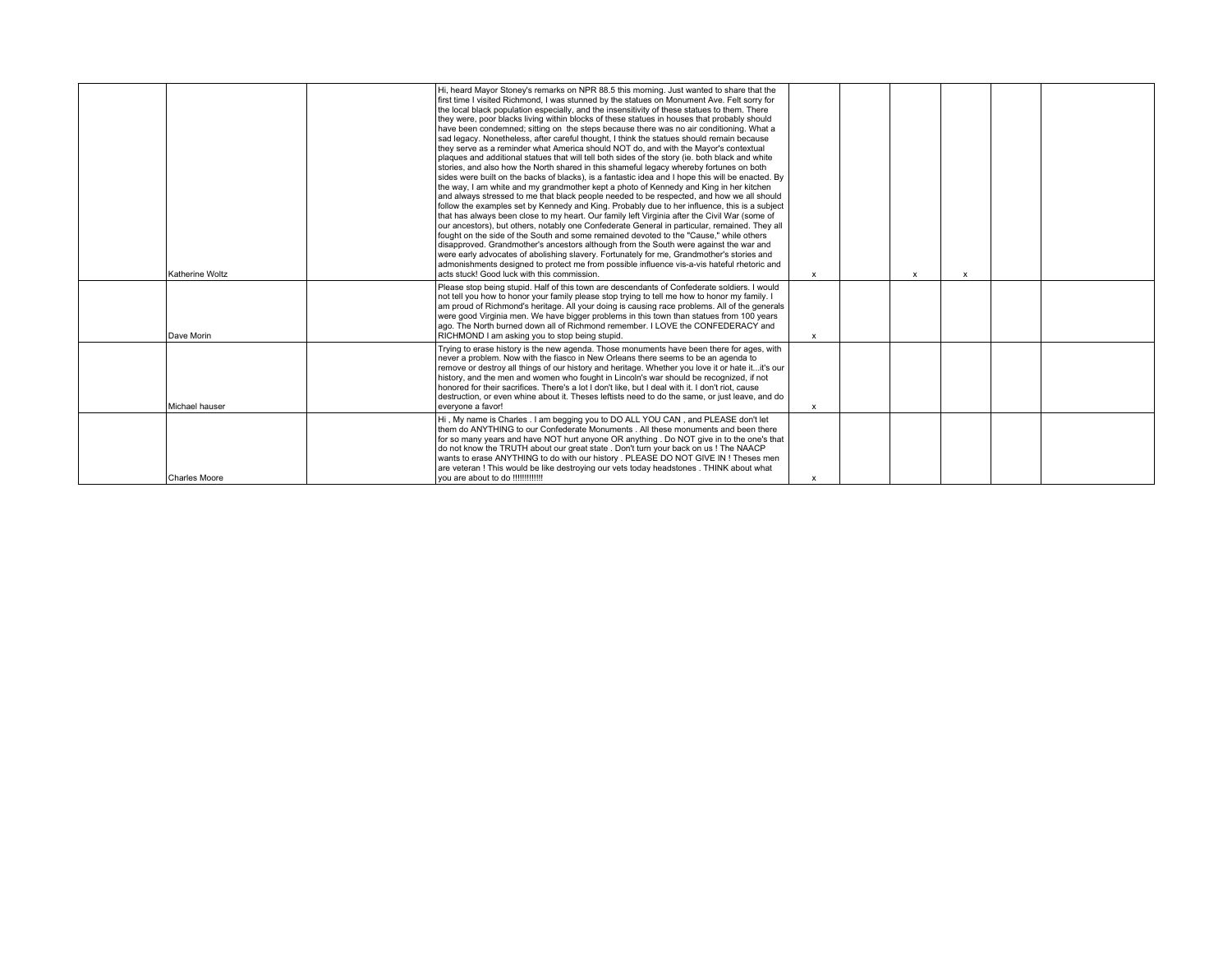|                 |  | Hi, heard Mayor Stoney's remarks on NPR 88.5 this morning. Just wanted to share that the<br>first time I visited Richmond, I was stunned by the statues on Monument Ave. Felt sorry for<br>the local black population especially, and the insensitivity of these statues to them. There<br>they were, poor blacks living within blocks of these statues in houses that probably should<br>have been condemned; sitting on the steps because there was no air conditioning. What a<br>sad legacy. Nonetheless, after careful thought. I think the statues should remain because<br>they serve as a reminder what America should NOT do, and with the Mayor's contextual<br>plaques and additional statues that will tell both sides of the story (ie. both black and white<br>stories, and also how the North shared in this shameful legacy whereby fortunes on both<br>sides were built on the backs of blacks), is a fantastic idea and I hope this will be enacted. By<br>the way. I am white and my grandmother kept a photo of Kennedy and King in her kitchen<br>and always stressed to me that black people needed to be respected, and how we all should<br>follow the examples set by Kennedy and King. Probably due to her influence, this is a subject<br>that has always been close to my heart. Our family left Virginia after the Civil War (some of<br>our ancestors), but others, notably one Confederate General in particular, remained. They all<br>fought on the side of the South and some remained devoted to the "Cause," while others<br>disapproved. Grandmother's ancestors although from the South were against the war and<br>were early advocates of abolishing slavery. Fortunately for me, Grandmother's stories and<br>admonishments designed to protect me from possible influence vis-a-vis hateful rhetoric and |              |                           |              |  |
|-----------------|--|----------------------------------------------------------------------------------------------------------------------------------------------------------------------------------------------------------------------------------------------------------------------------------------------------------------------------------------------------------------------------------------------------------------------------------------------------------------------------------------------------------------------------------------------------------------------------------------------------------------------------------------------------------------------------------------------------------------------------------------------------------------------------------------------------------------------------------------------------------------------------------------------------------------------------------------------------------------------------------------------------------------------------------------------------------------------------------------------------------------------------------------------------------------------------------------------------------------------------------------------------------------------------------------------------------------------------------------------------------------------------------------------------------------------------------------------------------------------------------------------------------------------------------------------------------------------------------------------------------------------------------------------------------------------------------------------------------------------------------------------------------------------------------------------------------------------------------------------------|--------------|---------------------------|--------------|--|
| Katherine Woltz |  | acts stuck! Good luck with this commission.                                                                                                                                                                                                                                                                                                                                                                                                                                                                                                                                                                                                                                                                                                                                                                                                                                                                                                                                                                                                                                                                                                                                                                                                                                                                                                                                                                                                                                                                                                                                                                                                                                                                                                                                                                                                        | $\mathsf{x}$ | $\boldsymbol{\mathsf{x}}$ | $\mathbf{x}$ |  |
| Dave Morin      |  | Please stop being stupid. Half of this town are descendants of Confederate soldiers. I would<br>not tell you how to honor your family please stop trying to tell me how to honor my family. I<br>am proud of Richmond's heritage. All your doing is causing race problems. All of the generals<br>were good Virginia men. We have bigger problems in this town than statues from 100 years<br>ago. The North burned down all of Richmond remember. I LOVE the CONFEDERACY and<br>RICHMOND I am asking you to stop being stupid.                                                                                                                                                                                                                                                                                                                                                                                                                                                                                                                                                                                                                                                                                                                                                                                                                                                                                                                                                                                                                                                                                                                                                                                                                                                                                                                    | $\mathbf{x}$ |                           |              |  |
| Michael hauser  |  | Trying to erase history is the new agenda. Those monuments have been there for ages, with<br>never a problem. Now with the fiasco in New Orleans there seems to be an agenda to<br>remove or destroy all things of our history and heritage. Whether you love it or hate itit's our<br>history, and the men and women who fought in Lincoln's war should be recognized, if not<br>honored for their sacrifices. There's a lot I don't like, but I deal with it. I don't riot, cause<br>destruction, or even whine about it. Theses leftists need to do the same, or just leave, and do<br>evervone a favor!                                                                                                                                                                                                                                                                                                                                                                                                                                                                                                                                                                                                                                                                                                                                                                                                                                                                                                                                                                                                                                                                                                                                                                                                                                        | $\mathsf{x}$ |                           |              |  |
| Charles Moore   |  | Hi, My name is Charles . I am begging you to DO ALL YOU CAN, and PLEASE don't let<br>them do ANYTHING to our Confederate Monuments . All these monuments and been there<br>for so many years and have NOT hurt anyone OR anything. Do NOT give in to the one's that<br>do not know the TRUTH about our great state. Don't turn your back on us! The NAACP<br>wants to erase ANYTHING to do with our history . PLEASE DO NOT GIVE IN ! Theses men<br>are veteran ! This would be like destroying our vets today headstones . THINK about what<br>vou are about to do !!!!!!!!!!!!!                                                                                                                                                                                                                                                                                                                                                                                                                                                                                                                                                                                                                                                                                                                                                                                                                                                                                                                                                                                                                                                                                                                                                                                                                                                                  | $\mathsf{x}$ |                           |              |  |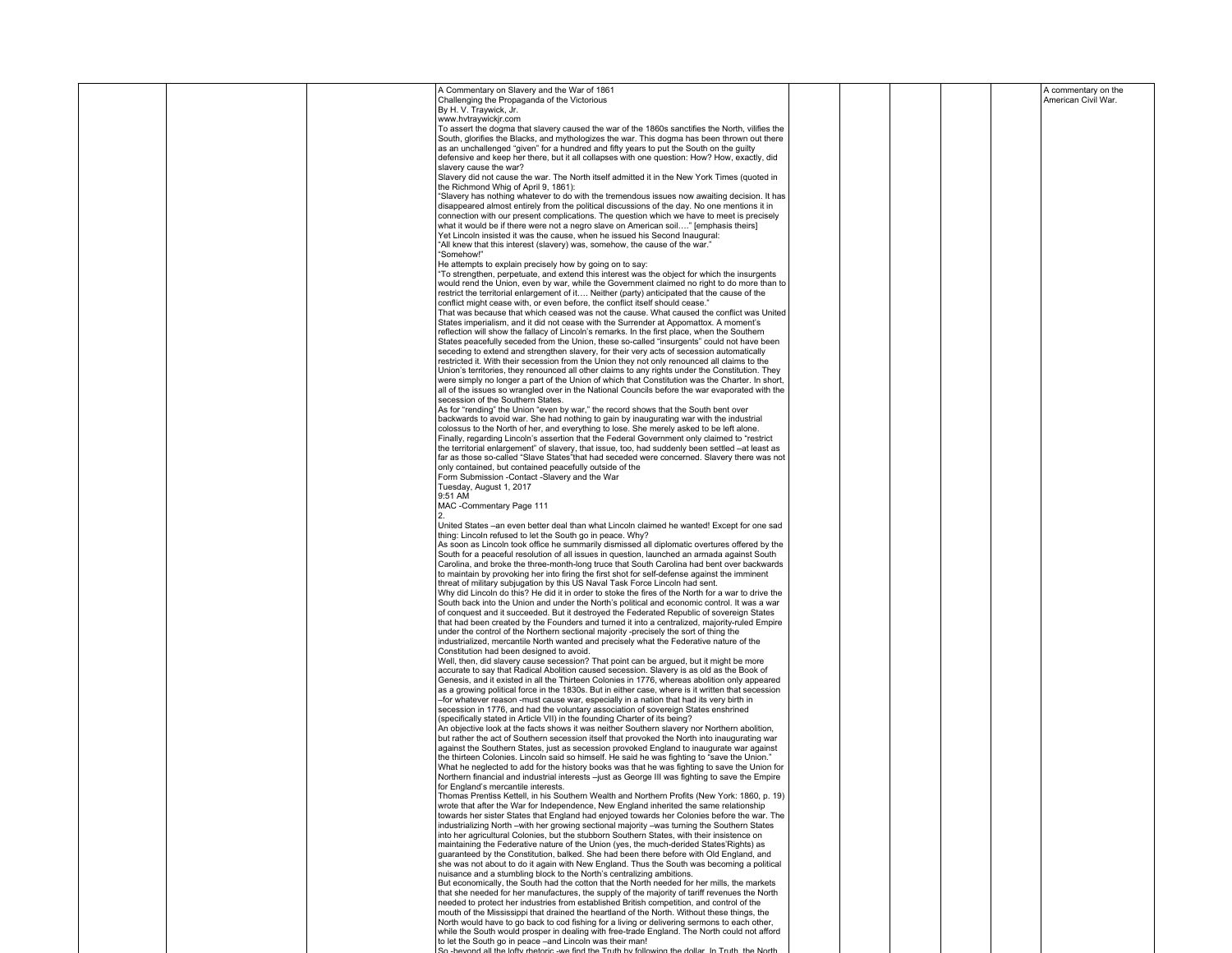|  | A Commentary on Slavery and the War of 1861<br>Challenging the Propaganda of the Victorious                                                                                                        |  |  | A commentary on the<br>American Civil War. |
|--|----------------------------------------------------------------------------------------------------------------------------------------------------------------------------------------------------|--|--|--------------------------------------------|
|  | By H. V. Traywick, Jr.                                                                                                                                                                             |  |  |                                            |
|  | www.hvtraywickjr.com<br>To assert the dogma that slavery caused the war of the 1860s sanctifies the North, vilifies the                                                                            |  |  |                                            |
|  | South, glorifies the Blacks, and mythologizes the war. This dogma has been thrown out there                                                                                                        |  |  |                                            |
|  | as an unchallenged "given" for a hundred and fifty years to put the South on the guilty                                                                                                            |  |  |                                            |
|  | defensive and keep her there, but it all collapses with one question: How? How, exactly, did<br>slavery cause the war?                                                                             |  |  |                                            |
|  | Slavery did not cause the war. The North itself admitted it in the New York Times (quoted in                                                                                                       |  |  |                                            |
|  | the Richmond Whig of April 9, 1861):<br>"Slavery has nothing whatever to do with the tremendous issues now awaiting decision. It has                                                               |  |  |                                            |
|  | disappeared almost entirely from the political discussions of the day. No one mentions it in                                                                                                       |  |  |                                            |
|  | connection with our present complications. The question which we have to meet is precisely                                                                                                         |  |  |                                            |
|  | what it would be if there were not a negro slave on American soil" [emphasis theirs]<br>Yet Lincoln insisted it was the cause, when he issued his Second Inaugural:                                |  |  |                                            |
|  | "All knew that this interest (slavery) was, somehow, the cause of the war."                                                                                                                        |  |  |                                            |
|  | "Somehow!"                                                                                                                                                                                         |  |  |                                            |
|  | He attempts to explain precisely how by going on to say:<br>"To strengthen, perpetuate, and extend this interest was the object for which the insurgents                                           |  |  |                                            |
|  | would rend the Union, even by war, while the Government claimed no right to do more than to                                                                                                        |  |  |                                            |
|  | restrict the territorial enlargement of it Neither (party) anticipated that the cause of the<br>conflict might cease with, or even before, the conflict itself should cease."                      |  |  |                                            |
|  | That was because that which ceased was not the cause. What caused the conflict was United                                                                                                          |  |  |                                            |
|  | States imperialism, and it did not cease with the Surrender at Appomattox. A moment's                                                                                                              |  |  |                                            |
|  | reflection will show the fallacy of Lincoln's remarks. In the first place, when the Southern<br>States peacefully seceded from the Union, these so-called "insurgents" could not have been         |  |  |                                            |
|  | seceding to extend and strengthen slavery, for their very acts of secession automatically                                                                                                          |  |  |                                            |
|  | restricted it. With their secession from the Union they not only renounced all claims to the                                                                                                       |  |  |                                            |
|  | Union's territories, they renounced all other claims to any rights under the Constitution. They<br>were simply no longer a part of the Union of which that Constitution was the Charter. In short, |  |  |                                            |
|  | all of the issues so wrangled over in the National Councils before the war evaporated with the                                                                                                     |  |  |                                            |
|  | secession of the Southern States.                                                                                                                                                                  |  |  |                                            |
|  | As for "rending" the Union "even by war," the record shows that the South bent over<br>backwards to avoid war. She had nothing to gain by inaugurating war with the industrial                     |  |  |                                            |
|  | colossus to the North of her, and everything to lose. She merely asked to be left alone.                                                                                                           |  |  |                                            |
|  | Finally, regarding Lincoln's assertion that the Federal Government only claimed to "restrict"<br>the territorial enlargement" of slavery, that issue, too, had suddenly been settled -at least as  |  |  |                                            |
|  | far as those so-called "Slave States" that had seceded were concerned. Slavery there was not                                                                                                       |  |  |                                            |
|  | only contained, but contained peacefully outside of the                                                                                                                                            |  |  |                                            |
|  | Form Submission -Contact -Slavery and the War<br>Tuesday, August 1, 2017                                                                                                                           |  |  |                                            |
|  | 9:51 AM                                                                                                                                                                                            |  |  |                                            |
|  | MAC -Commentary Page 111                                                                                                                                                                           |  |  |                                            |
|  | United States -an even better deal than what Lincoln claimed he wanted! Except for one sad                                                                                                         |  |  |                                            |
|  | thing: Lincoln refused to let the South go in peace. Why?                                                                                                                                          |  |  |                                            |
|  | As soon as Lincoln took office he summarily dismissed all diplomatic overtures offered by the<br>South for a peaceful resolution of all issues in question, launched an armada against South       |  |  |                                            |
|  | Carolina, and broke the three-month-long truce that South Carolina had bent over backwards                                                                                                         |  |  |                                            |
|  | to maintain by provoking her into firing the first shot for self-defense against the imminent                                                                                                      |  |  |                                            |
|  | threat of military subjugation by this US Naval Task Force Lincoln had sent.<br>Why did Lincoln do this? He did it in order to stoke the fires of the North for a war to drive the                 |  |  |                                            |
|  | South back into the Union and under the North's political and economic control. It was a war                                                                                                       |  |  |                                            |
|  | of conquest and it succeeded. But it destroyed the Federated Republic of sovereign States                                                                                                          |  |  |                                            |
|  | that had been created by the Founders and turned it into a centralized, majority-ruled Empire<br>under the control of the Northern sectional majority -precisely the sort of thing the             |  |  |                                            |
|  | industrialized, mercantile North wanted and precisely what the Federative nature of the                                                                                                            |  |  |                                            |
|  | Constitution had been designed to avoid.<br>Well, then, did slavery cause secession? That point can be argued, but it might be more                                                                |  |  |                                            |
|  | accurate to say that Radical Abolition caused secession. Slavery is as old as the Book of                                                                                                          |  |  |                                            |
|  | Genesis, and it existed in all the Thirteen Colonies in 1776, whereas abolition only appeared                                                                                                      |  |  |                                            |
|  | as a growing political force in the 1830s. But in either case, where is it written that secession<br>-for whatever reason -must cause war, especially in a nation that had its very birth in       |  |  |                                            |
|  | secession in 1776, and had the voluntary association of sovereign States enshrined                                                                                                                 |  |  |                                            |
|  | (specifically stated in Article VII) in the founding Charter of its being?<br>An objective look at the facts shows it was neither Southern slavery nor Northern abolition,                         |  |  |                                            |
|  | but rather the act of Southern secession itself that provoked the North into inaugurating war                                                                                                      |  |  |                                            |
|  | against the Southern States, just as secession provoked England to inaugurate war against                                                                                                          |  |  |                                            |
|  | the thirteen Colonies. Lincoln said so himself. He said he was fighting to "save the Union."<br>What he neglected to add for the history books was that he was fighting to save the Union for      |  |  |                                            |
|  | Northern financial and industrial interests -just as George III was fighting to save the Empire                                                                                                    |  |  |                                            |
|  | for England's mercantile interests.                                                                                                                                                                |  |  |                                            |
|  | Thomas Prentiss Kettell, in his Southern Wealth and Northern Profits (New York: 1860, p. 19)<br>wrote that after the War for Independence, New England inherited the same relationship             |  |  |                                            |
|  | towards her sister States that England had enjoyed towards her Colonies before the war. The                                                                                                        |  |  |                                            |
|  | industrializing North -with her growing sectional majority -was turning the Southern States<br>into her agricultural Colonies, but the stubborn Southern States, with their insistence on          |  |  |                                            |
|  | maintaining the Federative nature of the Union (yes, the much-derided States'Rights) as                                                                                                            |  |  |                                            |
|  | guaranteed by the Constitution, balked. She had been there before with Old England, and                                                                                                            |  |  |                                            |
|  | she was not about to do it again with New England. Thus the South was becoming a political<br>nuisance and a stumbling block to the North's centralizing ambitions.                                |  |  |                                            |
|  | But economically, the South had the cotton that the North needed for her mills, the markets                                                                                                        |  |  |                                            |
|  | that she needed for her manufactures, the supply of the majority of tariff revenues the North<br>needed to protect her industries from established British competition, and control of the         |  |  |                                            |
|  | mouth of the Mississippi that drained the heartland of the North. Without these things, the                                                                                                        |  |  |                                            |
|  | North would have to go back to cod fishing for a living or delivering sermons to each other,                                                                                                       |  |  |                                            |
|  | while the South would prosper in dealing with free-trade England. The North could not afford<br>to let the South go in peace -and Lincoln was their man!                                           |  |  |                                            |
|  | p -beyond all the lofty rhetoric -we find the Truth by following the dollar. In Truth, the North                                                                                                   |  |  |                                            |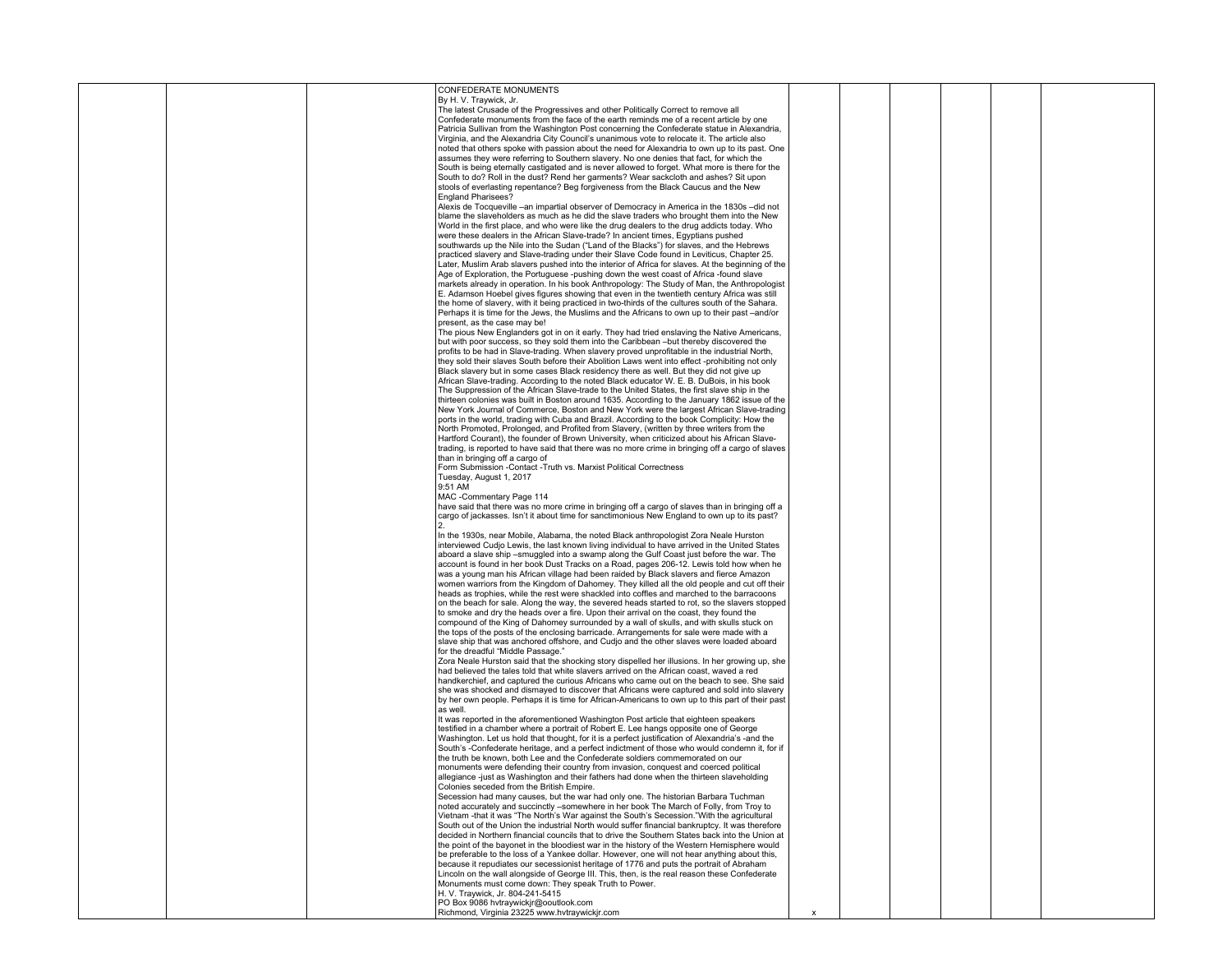|  | CONFEDERATE MONUMENTS                                                                             |  |  |  |
|--|---------------------------------------------------------------------------------------------------|--|--|--|
|  | By H. V. Traywick, Jr.                                                                            |  |  |  |
|  | The latest Crusade of the Progressives and other Politically Correct to remove all                |  |  |  |
|  | Confederate monuments from the face of the earth reminds me of a recent article by one            |  |  |  |
|  |                                                                                                   |  |  |  |
|  | Patricia Sullivan from the Washington Post concerning the Confederate statue in Alexandria,       |  |  |  |
|  | Virginia, and the Alexandria City Council's unanimous vote to relocate it. The article also       |  |  |  |
|  | noted that others spoke with passion about the need for Alexandria to own up to its past. One     |  |  |  |
|  | assumes they were referring to Southern slavery. No one denies that fact, for which the           |  |  |  |
|  | South is being eternally castigated and is never allowed to forget. What more is there for the    |  |  |  |
|  | South to do? Roll in the dust? Rend her garments? Wear sackcloth and ashes? Sit upon              |  |  |  |
|  | stools of everlasting repentance? Beg forgiveness from the Black Caucus and the New               |  |  |  |
|  |                                                                                                   |  |  |  |
|  | <b>England Pharisees?</b>                                                                         |  |  |  |
|  | Alexis de Tocqueville -an impartial observer of Democracy in America in the 1830s -did not        |  |  |  |
|  | blame the slaveholders as much as he did the slave traders who brought them into the New          |  |  |  |
|  | World in the first place, and who were like the drug dealers to the drug addicts today. Who       |  |  |  |
|  | were these dealers in the African Slave-trade? In ancient times, Eqyptians pushed                 |  |  |  |
|  | southwards up the Nile into the Sudan ("Land of the Blacks") for slaves, and the Hebrews          |  |  |  |
|  | practiced slavery and Slave-trading under their Slave Code found in Leviticus, Chapter 25.        |  |  |  |
|  |                                                                                                   |  |  |  |
|  | Later, Muslim Arab slavers pushed into the interior of Africa for slaves. At the beginning of the |  |  |  |
|  | Age of Exploration, the Portuguese -pushing down the west coast of Africa -found slave            |  |  |  |
|  | markets already in operation. In his book Anthropology: The Study of Man, the Anthropologist      |  |  |  |
|  | E. Adamson Hoebel gives figures showing that even in the twentieth century Africa was still       |  |  |  |
|  | the home of slavery, with it being practiced in two-thirds of the cultures south of the Sahara.   |  |  |  |
|  | Perhaps it is time for the Jews, the Muslims and the Africans to own up to their past -and/or     |  |  |  |
|  | present, as the case may be!                                                                      |  |  |  |
|  | The pious New Englanders got in on it early. They had tried enslaving the Native Americans,       |  |  |  |
|  |                                                                                                   |  |  |  |
|  | but with poor success, so they sold them into the Caribbean -but thereby discovered the           |  |  |  |
|  | profits to be had in Slave-trading. When slavery proved unprofitable in the industrial North,     |  |  |  |
|  | they sold their slaves South before their Abolition Laws went into effect -prohibiting not only   |  |  |  |
|  | Black slavery but in some cases Black residency there as well. But they did not give up           |  |  |  |
|  | African Slave-trading. According to the noted Black educator W. E. B. DuBois, in his book         |  |  |  |
|  | The Suppression of the African Slave-trade to the United States, the first slave ship in the      |  |  |  |
|  | thirteen colonies was built in Boston around 1635. According to the January 1862 issue of the     |  |  |  |
|  |                                                                                                   |  |  |  |
|  | New York Journal of Commerce, Boston and New York were the largest African Slave-trading          |  |  |  |
|  | ports in the world, trading with Cuba and Brazil. According to the book Complicity: How the       |  |  |  |
|  | North Promoted, Prolonged, and Profited from Slavery, (written by three writers from the          |  |  |  |
|  | Hartford Courant), the founder of Brown University, when criticized about his African Slave-      |  |  |  |
|  | trading, is reported to have said that there was no more crime in bringing off a cargo of slaves  |  |  |  |
|  | than in bringing off a cargo of                                                                   |  |  |  |
|  | Form Submission -Contact -Truth vs. Marxist Political Correctness                                 |  |  |  |
|  |                                                                                                   |  |  |  |
|  | Tuesday, August 1, 2017                                                                           |  |  |  |
|  | 9:51 AM                                                                                           |  |  |  |
|  | MAC -Commentary Page 114                                                                          |  |  |  |
|  | have said that there was no more crime in bringing off a cargo of slaves than in bringing off a   |  |  |  |
|  | cargo of jackasses. Isn't it about time for sanctimonious New England to own up to its past?      |  |  |  |
|  |                                                                                                   |  |  |  |
|  | In the 1930s, near Mobile, Alabama, the noted Black anthropologist Zora Neale Hurston             |  |  |  |
|  |                                                                                                   |  |  |  |
|  | interviewed Cudjo Lewis, the last known living individual to have arrived in the United States    |  |  |  |
|  | aboard a slave ship -smuggled into a swamp along the Gulf Coast just before the war. The          |  |  |  |
|  | account is found in her book Dust Tracks on a Road, pages 206-12. Lewis told how when he          |  |  |  |
|  | was a young man his African village had been raided by Black slavers and fierce Amazon            |  |  |  |
|  | women warriors from the Kingdom of Dahomey. They killed all the old people and cut off their      |  |  |  |
|  | heads as trophies, while the rest were shackled into coffles and marched to the barracoons        |  |  |  |
|  | on the beach for sale. Along the way, the severed heads started to rot, so the slavers stopped    |  |  |  |
|  | to smoke and dry the heads over a fire. Upon their arrival on the coast, they found the           |  |  |  |
|  |                                                                                                   |  |  |  |
|  | compound of the King of Dahomey surrounded by a wall of skulls, and with skulls stuck on          |  |  |  |
|  | the tops of the posts of the enclosing barricade. Arrangements for sale were made with a          |  |  |  |
|  | slave ship that was anchored offshore, and Cudjo and the other slaves were loaded aboard          |  |  |  |
|  | for the dreadful "Middle Passage."                                                                |  |  |  |
|  | Zora Neale Hurston said that the shocking story dispelled her illusions. In her growing up, she   |  |  |  |
|  | had believed the tales told that white slavers arrived on the African coast, waved a red          |  |  |  |
|  | handkerchief, and captured the curious Africans who came out on the beach to see. She said        |  |  |  |
|  | she was shocked and dismayed to discover that Africans were captured and sold into slavery        |  |  |  |
|  | by her own people. Perhaps it is time for African-Americans to own up to this part of their past  |  |  |  |
|  |                                                                                                   |  |  |  |
|  | as well.                                                                                          |  |  |  |
|  | It was reported in the aforementioned Washington Post article that eighteen speakers              |  |  |  |
|  | testified in a chamber where a portrait of Robert E. Lee hangs opposite one of George             |  |  |  |
|  | Washington. Let us hold that thought, for it is a perfect justification of Alexandria's -and the  |  |  |  |
|  | South's -Confederate heritage, and a perfect indictment of those who would condemn it, for if     |  |  |  |
|  | the truth be known, both Lee and the Confederate soldiers commemorated on our                     |  |  |  |
|  | monuments were defending their country from invasion, conquest and coerced political              |  |  |  |
|  | allegiance -just as Washington and their fathers had done when the thirteen slaveholding          |  |  |  |
|  |                                                                                                   |  |  |  |
|  | Colonies seceded from the British Empire.                                                         |  |  |  |
|  | Secession had many causes, but the war had only one. The historian Barbara Tuchman                |  |  |  |
|  | noted accurately and succinctly -somewhere in her book The March of Folly, from Troy to           |  |  |  |
|  | Vietnam -that it was "The North's War against the South's Secession."With the agricultural        |  |  |  |
|  | South out of the Union the industrial North would suffer financial bankruptcy. It was therefore   |  |  |  |
|  | decided in Northern financial councils that to drive the Southern States back into the Union at   |  |  |  |
|  | the point of the bayonet in the bloodiest war in the history of the Western Hemisphere would      |  |  |  |
|  | be preferable to the loss of a Yankee dollar. However, one will not hear anything about this,     |  |  |  |
|  | because it repudiates our secessionist heritage of 1776 and puts the portrait of Abraham          |  |  |  |
|  |                                                                                                   |  |  |  |
|  | Lincoln on the wall alongside of George III. This, then, is the real reason these Confederate     |  |  |  |
|  | Monuments must come down: They speak Truth to Power.                                              |  |  |  |
|  | H. V. Travwick, Jr. 804-241-5415                                                                  |  |  |  |
|  | PO Box 9086 hytraywickir@ooutlook.com                                                             |  |  |  |
|  | Richmond, Virginia 23225 www.hvtraywickjr.com                                                     |  |  |  |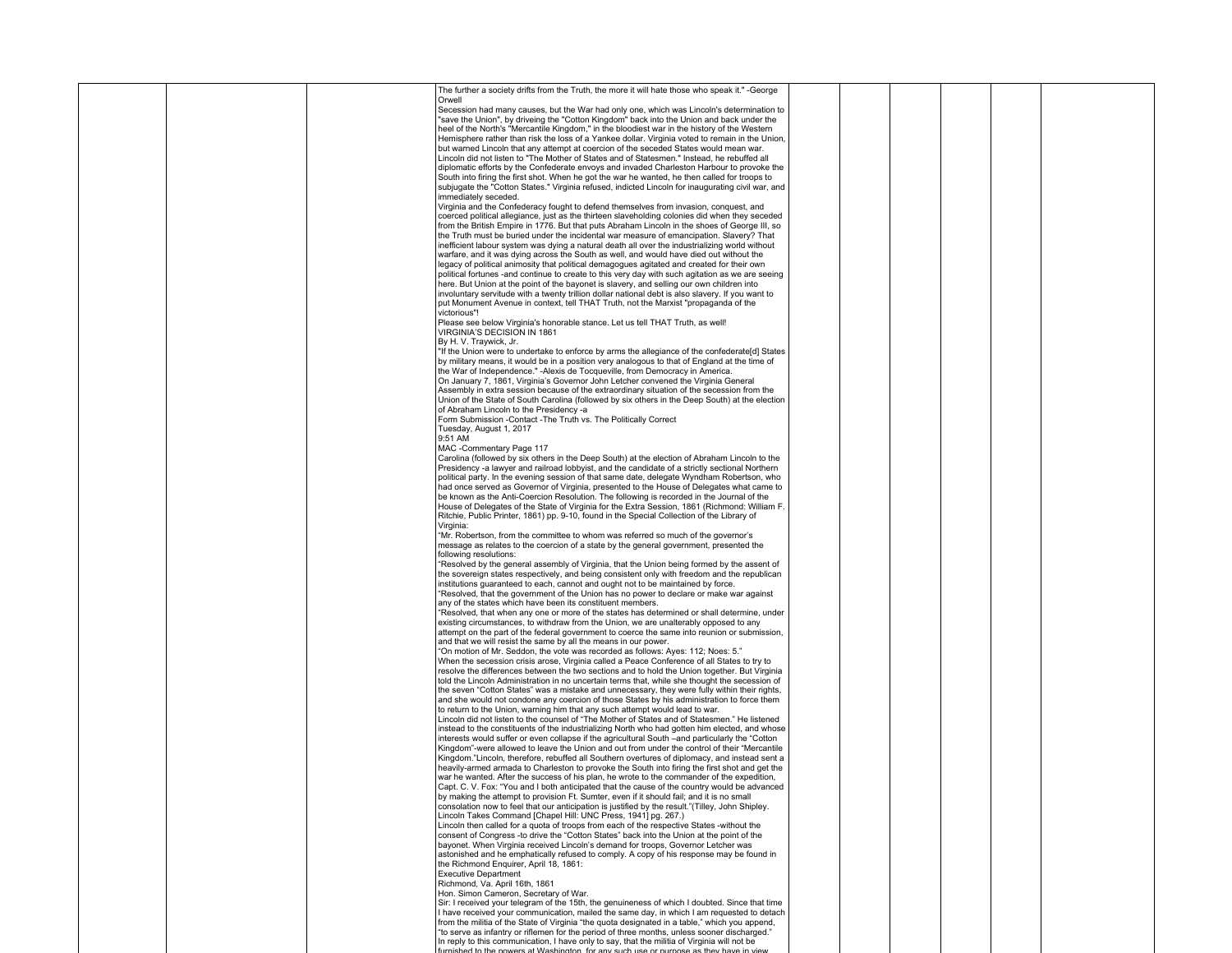|  |  | The further a society drifts from the Truth, the more it will hate those who speak it." -George                                                                                                 |  |  |  |
|--|--|-------------------------------------------------------------------------------------------------------------------------------------------------------------------------------------------------|--|--|--|
|  |  | Orwell                                                                                                                                                                                          |  |  |  |
|  |  | Secession had many causes, but the War had only one, which was Lincoln's determination to<br>"save the Union", by driveing the "Cotton Kingdom" back into the Union and back under the          |  |  |  |
|  |  | heel of the North's "Mercantile Kingdom," in the bloodiest war in the history of the Western                                                                                                    |  |  |  |
|  |  | Hemisphere rather than risk the loss of a Yankee dollar. Virginia voted to remain in the Union,                                                                                                 |  |  |  |
|  |  | but warned Lincoln that any attempt at coercion of the seceded States would mean war.                                                                                                           |  |  |  |
|  |  | Lincoln did not listen to "The Mother of States and of Statesmen." Instead, he rebuffed all<br>diplomatic efforts by the Confederate envoys and invaded Charleston Harbour to provoke the       |  |  |  |
|  |  | South into firing the first shot. When he got the war he wanted, he then called for troops to                                                                                                   |  |  |  |
|  |  | subiugate the "Cotton States." Virginia refused, indicted Lincoln for inaugurating civil war, and                                                                                               |  |  |  |
|  |  | immediately seceded.                                                                                                                                                                            |  |  |  |
|  |  | Virginia and the Confederacy fought to defend themselves from invasion, conquest, and                                                                                                           |  |  |  |
|  |  | coerced political allegiance, just as the thirteen slaveholding colonies did when they seceded<br>from the British Empire in 1776. But that puts Abraham Lincoln in the shoes of George III, so |  |  |  |
|  |  | the Truth must be buried under the incidental war measure of emancipation. Slavery? That                                                                                                        |  |  |  |
|  |  | inefficient labour system was dying a natural death all over the industrializing world without                                                                                                  |  |  |  |
|  |  | warfare, and it was dying across the South as well, and would have died out without the                                                                                                         |  |  |  |
|  |  | legacy of political animosity that political demagogues agitated and created for their own<br>political fortunes -and continue to create to this very day with such agitation as we are seeing  |  |  |  |
|  |  | here. But Union at the point of the bayonet is slavery, and selling our own children into                                                                                                       |  |  |  |
|  |  | involuntary servitude with a twenty trillion dollar national debt is also slavery. If you want to                                                                                               |  |  |  |
|  |  | put Monument Avenue in context, tell THAT Truth, not the Marxist "propaganda of the                                                                                                             |  |  |  |
|  |  | victorious"!<br>Please see below Virginia's honorable stance. Let us tell THAT Truth, as well!                                                                                                  |  |  |  |
|  |  | VIRGINIA'S DECISION IN 1861                                                                                                                                                                     |  |  |  |
|  |  | By H. V. Traywick, Jr.                                                                                                                                                                          |  |  |  |
|  |  | "If the Union were to undertake to enforce by arms the allegiance of the confederate[d] States                                                                                                  |  |  |  |
|  |  | by military means, it would be in a position very analogous to that of England at the time of<br>the War of Independence." -Alexis de Tocqueville, from Democracy in America.                   |  |  |  |
|  |  | On January 7, 1861, Virginia's Governor John Letcher convened the Virginia General                                                                                                              |  |  |  |
|  |  | Assembly in extra session because of the extraordinary situation of the secession from the                                                                                                      |  |  |  |
|  |  | Union of the State of South Carolina (followed by six others in the Deep South) at the election                                                                                                 |  |  |  |
|  |  | of Abraham Lincoln to the Presidency -a<br>Form Submission -Contact -The Truth vs. The Politically Correct                                                                                      |  |  |  |
|  |  | Tuesday, August 1, 2017                                                                                                                                                                         |  |  |  |
|  |  | 9:51 AM                                                                                                                                                                                         |  |  |  |
|  |  | MAC -Commentary Page 117                                                                                                                                                                        |  |  |  |
|  |  | Carolina (followed by six others in the Deep South) at the election of Abraham Lincoln to the<br>Presidency -a lawyer and railroad lobbyist, and the candidate of a strictly sectional Northern |  |  |  |
|  |  | political party. In the evening session of that same date, delegate Wyndham Robertson, who                                                                                                      |  |  |  |
|  |  | had once served as Governor of Virginia, presented to the House of Delegates what came to                                                                                                       |  |  |  |
|  |  | be known as the Anti-Coercion Resolution. The following is recorded in the Journal of the                                                                                                       |  |  |  |
|  |  | House of Delegates of the State of Virginia for the Extra Session, 1861 (Richmond: William F.<br>Ritchie, Public Printer, 1861) pp. 9-10, found in the Special Collection of the Library of     |  |  |  |
|  |  | Virginia:                                                                                                                                                                                       |  |  |  |
|  |  | "Mr. Robertson, from the committee to whom was referred so much of the governor's                                                                                                               |  |  |  |
|  |  | message as relates to the coercion of a state by the general government, presented the                                                                                                          |  |  |  |
|  |  | following resolutions:<br>"Resolved by the general assembly of Virginia, that the Union being formed by the assent of                                                                           |  |  |  |
|  |  | the sovereign states respectively, and being consistent only with freedom and the republican                                                                                                    |  |  |  |
|  |  | institutions quaranteed to each, cannot and ought not to be maintained by force.                                                                                                                |  |  |  |
|  |  | "Resolved, that the government of the Union has no power to declare or make war against                                                                                                         |  |  |  |
|  |  | any of the states which have been its constituent members.<br>"Resolved, that when any one or more of the states has determined or shall determine, under                                       |  |  |  |
|  |  | existing circumstances, to withdraw from the Union, we are unalterably opposed to any                                                                                                           |  |  |  |
|  |  | attempt on the part of the federal government to coerce the same into reunion or submission,                                                                                                    |  |  |  |
|  |  | and that we will resist the same by all the means in our power.                                                                                                                                 |  |  |  |
|  |  | "On motion of Mr. Seddon, the vote was recorded as follows: Ayes: 112; Noes: 5."<br>When the secession crisis arose, Virginia called a Peace Conference of all States to try to                 |  |  |  |
|  |  | resolve the differences between the two sections and to hold the Union together. But Virginia                                                                                                   |  |  |  |
|  |  | told the Lincoln Administration in no uncertain terms that, while she thought the secession of                                                                                                  |  |  |  |
|  |  | the seven "Cotton States" was a mistake and unnecessary, they were fully within their rights,                                                                                                   |  |  |  |
|  |  | and she would not condone any coercion of those States by his administration to force them<br>to return to the Union, warning him that any such attempt would lead to war.                      |  |  |  |
|  |  | Lincoln did not listen to the counsel of "The Mother of States and of Statesmen." He listened                                                                                                   |  |  |  |
|  |  | instead to the constituents of the industrializing North who had gotten him elected, and whose                                                                                                  |  |  |  |
|  |  | interests would suffer or even collapse if the agricultural South -and particularly the "Cotton<br>Kingdom"-were allowed to leave the Union and out from under the control of their "Mercantile |  |  |  |
|  |  | Kingdom."Lincoln, therefore, rebuffed all Southern overtures of diplomacy, and instead sent a                                                                                                   |  |  |  |
|  |  | heavily-armed armada to Charleston to provoke the South into firing the first shot and get the                                                                                                  |  |  |  |
|  |  | war he wanted. After the success of his plan, he wrote to the commander of the expedition,                                                                                                      |  |  |  |
|  |  | Capt. C. V. Fox: "You and I both anticipated that the cause of the country would be advanced                                                                                                    |  |  |  |
|  |  | by making the attempt to provision Ft. Sumter, even if it should fail; and it is no small<br>consolation now to feel that our anticipation is justified by the result."(Tilley, John Shipley.   |  |  |  |
|  |  | Lincoln Takes Command [Chapel Hill: UNC Press, 1941] pg. 267.)                                                                                                                                  |  |  |  |
|  |  | Lincoln then called for a quota of troops from each of the respective States -without the                                                                                                       |  |  |  |
|  |  | consent of Congress -to drive the "Cotton States" back into the Union at the point of the<br>bayonet. When Virginia received Lincoln's demand for troops, Governor Letcher was                  |  |  |  |
|  |  | astonished and he emphatically refused to comply. A copy of his response may be found in                                                                                                        |  |  |  |
|  |  | the Richmond Enquirer, April 18, 1861:                                                                                                                                                          |  |  |  |
|  |  | <b>Executive Department</b>                                                                                                                                                                     |  |  |  |
|  |  | Richmond, Va. April 16th, 1861<br>Hon. Simon Cameron, Secretary of War.                                                                                                                         |  |  |  |
|  |  | Sir: I received your telegram of the 15th, the genuineness of which I doubted. Since that time                                                                                                  |  |  |  |
|  |  | I have received your communication, mailed the same day, in which I am requested to detach                                                                                                      |  |  |  |
|  |  | from the militia of the State of Virginia "the quota designated in a table," which you append,                                                                                                  |  |  |  |
|  |  | "to serve as infantry or riflemen for the period of three months, unless sooner discharged."<br>In reply to this communication, I have only to say, that the militia of Virginia will not be    |  |  |  |
|  |  |                                                                                                                                                                                                 |  |  |  |
|  |  |                                                                                                                                                                                                 |  |  |  |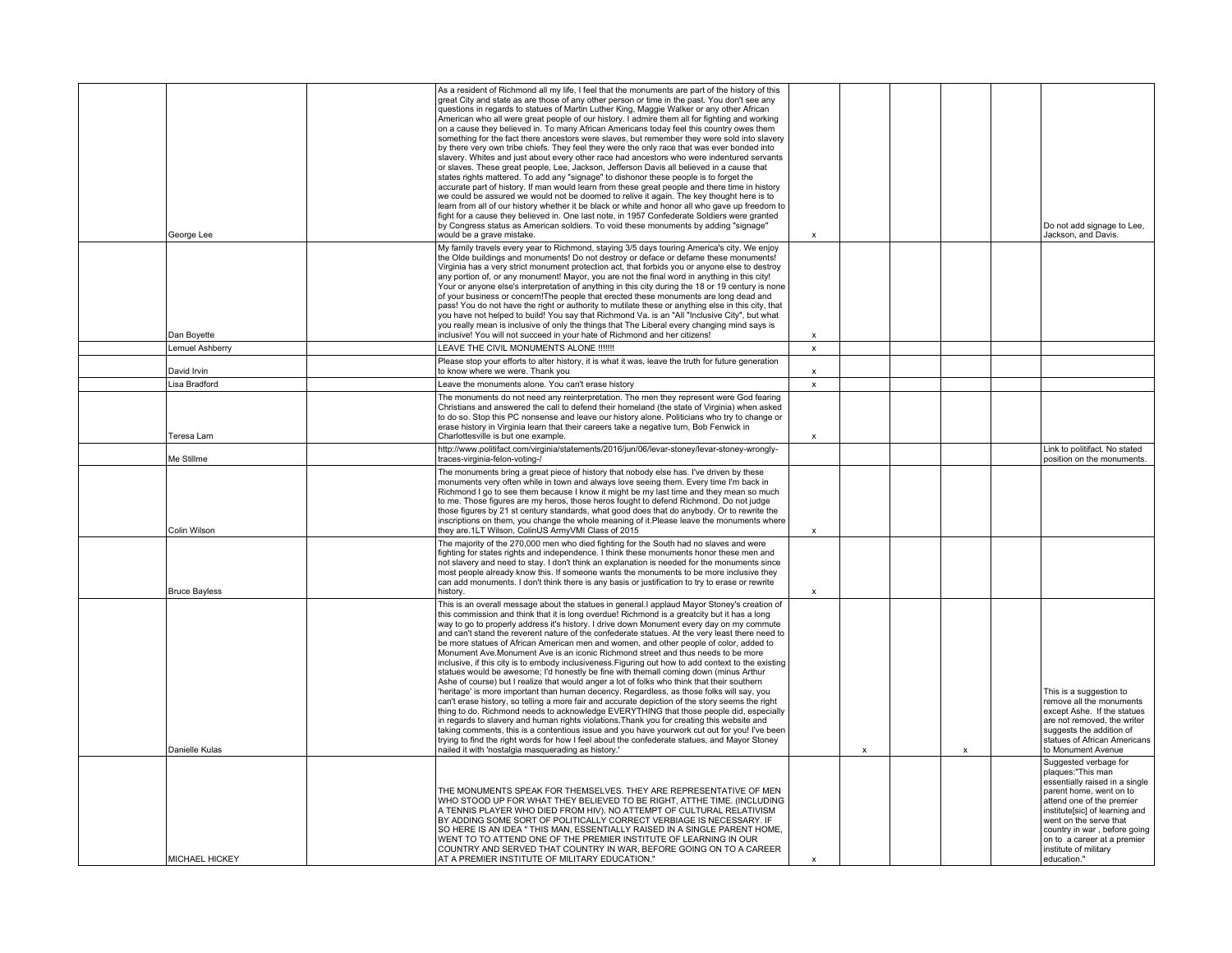|                      |          | As a resident of Richmond all my life, I feel that the monuments are part of the history of this<br>great City and state as are those of any other person or time in the past. You don't see any<br>questions in regards to statues of Martin Luther King, Maggie Walker or any other African<br>American who all were great people of our history. I admire them all for fighting and working<br>on a cause they believed in. To many African Americans today feel this country owes them<br>something for the fact there ancestors were slaves, but remember they were sold into slavery<br>by there very own tribe chiefs. They feel they were the only race that was ever bonded into<br>slavery. Whites and just about every other race had ancestors who were indentured servants<br>or slaves. These great people, Lee, Jackson, Jefferson Davis all believed in a cause that<br>states rights mattered. To add any "signage" to dishonor these people is to forget the<br>accurate part of history. If man would learn from these great people and there time in history<br>we could be assured we would not be doomed to relive it again. The key thought here is to<br>learn from all of our history whether it be black or white and honor all who gave up freedom to<br>fight for a cause they believed in. One last note, in 1957 Confederate Soldiers were granted                                                                                                                                             |                           |              |                           |                                                                                                                                                                                                                                                                                                         |
|----------------------|----------|------------------------------------------------------------------------------------------------------------------------------------------------------------------------------------------------------------------------------------------------------------------------------------------------------------------------------------------------------------------------------------------------------------------------------------------------------------------------------------------------------------------------------------------------------------------------------------------------------------------------------------------------------------------------------------------------------------------------------------------------------------------------------------------------------------------------------------------------------------------------------------------------------------------------------------------------------------------------------------------------------------------------------------------------------------------------------------------------------------------------------------------------------------------------------------------------------------------------------------------------------------------------------------------------------------------------------------------------------------------------------------------------------------------------------------------------------------------------------------------------------------------------------|---------------------------|--------------|---------------------------|---------------------------------------------------------------------------------------------------------------------------------------------------------------------------------------------------------------------------------------------------------------------------------------------------------|
| George Lee           |          | by Congress status as American soldiers. To void these monuments by adding "signage"<br>would be a grave mistake.                                                                                                                                                                                                                                                                                                                                                                                                                                                                                                                                                                                                                                                                                                                                                                                                                                                                                                                                                                                                                                                                                                                                                                                                                                                                                                                                                                                                            | $\mathbf{x}$              |              |                           | Do not add signage to Lee,<br>Jackson, and Davis.                                                                                                                                                                                                                                                       |
| Dan Boyette          |          | My family travels every year to Richmond, staying 3/5 days touring America's city. We enjoy<br>the Olde buildings and monuments! Do not destroy or deface or defame these monuments!<br>Virginia has a very strict monument protection act, that forbids you or anyone else to destroy<br>any portion of, or any monument! Mayor, you are not the final word in anything in this city!<br>Your or anyone else's interpretation of anything in this city during the 18 or 19 century is none<br>of your business or concern! The people that erected these monuments are long dead and<br>pass! You do not have the right or authority to mutilate these or anything else in this city, that<br>you have not helped to build! You say that Richmond Va. is an "All "Inclusive City", but what<br>you really mean is inclusive of only the things that The Liberal every changing mind says is<br>inclusive! You will not succeed in your hate of Richmond and her citizens!                                                                                                                                                                                                                                                                                                                                                                                                                                                                                                                                                   | $\mathbf{x}$              |              |                           |                                                                                                                                                                                                                                                                                                         |
| Lemuel Ashberry      |          | LEAVE THE CIVIL MONUMENTS ALONE !!!!!!!                                                                                                                                                                                                                                                                                                                                                                                                                                                                                                                                                                                                                                                                                                                                                                                                                                                                                                                                                                                                                                                                                                                                                                                                                                                                                                                                                                                                                                                                                      | x                         |              |                           |                                                                                                                                                                                                                                                                                                         |
| David Irvin          |          | Please stop your efforts to alter history, it is what it was, leave the truth for future generation<br>to know where we were. Thank you                                                                                                                                                                                                                                                                                                                                                                                                                                                                                                                                                                                                                                                                                                                                                                                                                                                                                                                                                                                                                                                                                                                                                                                                                                                                                                                                                                                      | $\pmb{\mathsf{x}}$        |              |                           |                                                                                                                                                                                                                                                                                                         |
| Lisa Bradford        |          | Leave the monuments alone. You can't erase history                                                                                                                                                                                                                                                                                                                                                                                                                                                                                                                                                                                                                                                                                                                                                                                                                                                                                                                                                                                                                                                                                                                                                                                                                                                                                                                                                                                                                                                                           | $\pmb{\mathsf{x}}$        |              |                           |                                                                                                                                                                                                                                                                                                         |
| Teresa Lam           |          | The monuments do not need any reinterpretation. The men they represent were God fearing<br>Christians and answered the call to defend their homeland (the state of Virginia) when asked<br>to do so. Stop this PC nonsense and leave our history alone. Politicians who try to change or<br>erase history in Virginia learn that their careers take a negative turn, Bob Fenwick in<br>Charlottesville is but one example.                                                                                                                                                                                                                                                                                                                                                                                                                                                                                                                                                                                                                                                                                                                                                                                                                                                                                                                                                                                                                                                                                                   | $\pmb{\mathsf{x}}$        |              |                           |                                                                                                                                                                                                                                                                                                         |
| Me Stillme           |          | http://www.politifact.com/virginia/statements/2016/jun/06/levar-stoney/levar-stoney-wrongly-<br>traces-virginia-felon-voting-/                                                                                                                                                                                                                                                                                                                                                                                                                                                                                                                                                                                                                                                                                                                                                                                                                                                                                                                                                                                                                                                                                                                                                                                                                                                                                                                                                                                               |                           |              |                           | Link to politifact. No stated<br>position on the monuments.                                                                                                                                                                                                                                             |
| Colin Wilson         |          | The monuments bring a great piece of history that nobody else has. I've driven by these<br>monuments very often while in town and always love seeing them. Every time I'm back in<br>Richmond I go to see them because I know it might be my last time and they mean so much<br>to me. Those figures are my heros, those heros fought to defend Richmond. Do not judge<br>those figures by 21 st century standards, what good does that do anybody. Or to rewrite the<br>inscriptions on them, you change the whole meaning of it. Please leave the monuments where<br>they are.1LT Wilson, ColinUS ArmyVMI Class of 2015                                                                                                                                                                                                                                                                                                                                                                                                                                                                                                                                                                                                                                                                                                                                                                                                                                                                                                    | $\boldsymbol{\mathsf{x}}$ |              |                           |                                                                                                                                                                                                                                                                                                         |
| <b>Bruce Bayless</b> | history. | The majority of the 270,000 men who died fighting for the South had no slaves and were<br>fighting for states rights and independence. I think these monuments honor these men and<br>not slavery and need to stay. I don't think an explanation is needed for the monuments since<br>most people already know this. If someone wants the monuments to be more inclusive they<br>can add monuments. I don't think there is any basis or justification to try to erase or rewrite                                                                                                                                                                                                                                                                                                                                                                                                                                                                                                                                                                                                                                                                                                                                                                                                                                                                                                                                                                                                                                             | $\boldsymbol{\mathsf{x}}$ |              |                           |                                                                                                                                                                                                                                                                                                         |
| Danielle Kulas       |          | This is an overall message about the statues in general. I applaud Mayor Stoney's creation of<br>this commission and think that it is long overdue! Richmond is a greatcity but it has a long<br>way to go to properly address it's history. I drive down Monument every day on my commute<br>and can't stand the reverent nature of the confederate statues. At the very least there need to<br>be more statues of African American men and women, and other people of color, added to<br>Monument Ave.Monument Ave is an iconic Richmond street and thus needs to be more<br>inclusive, if this city is to embody inclusiveness. Figuring out how to add context to the existing<br>statues would be awesome; I'd honestly be fine with themall coming down (minus Arthur<br>Ashe of course) but I realize that would anger a lot of folks who think that their southern<br>'heritage' is more important than human decency. Regardless, as those folks will say, you<br>can't erase history, so telling a more fair and accurate depiction of the story seems the right<br>thing to do. Richmond needs to acknowledge EVERYTHING that those people did, especially<br>in regards to slavery and human rights violations. Thank you for creating this website and<br>taking comments, this is a contentious issue and you have yourwork cut out for you! I've been<br>trying to find the right words for how I feel about the confederate statues, and Mayor Stoney<br>nailed it with 'nostalgia masquerading as history.' |                           | $\mathsf{x}$ | $\boldsymbol{\mathsf{x}}$ | This is a suggestion to<br>remove all the monuments<br>except Ashe. If the statues<br>are not removed, the writer<br>suggests the addition of<br>statues of African Americans<br>to Monument Avenue                                                                                                     |
| MICHAEL HICKEY       |          | THE MONUMENTS SPEAK FOR THEMSELVES. THEY ARE REPRESENTATIVE OF MEN<br>WHO STOOD UP FOR WHAT THEY BELIEVED TO BE RIGHT, ATTHE TIME. (INCLUDING<br>A TENNIS PLAYER WHO DIED FROM HIV). NO ATTEMPT OF CULTURAL RELATIVISM<br>BY ADDING SOME SORT OF POLITICALLY CORRECT VERBIAGE IS NECESSARY. IF<br>SO HERE IS AN IDEA " THIS MAN, ESSENTIALLY RAISED IN A SINGLE PARENT HOME,<br>WENT TO TO ATTEND ONE OF THE PREMIER INSTITUTE OF LEARNING IN OUR<br>COUNTRY AND SERVED THAT COUNTRY IN WAR, BEFORE GOING ON TO A CAREER<br>AT A PREMIER INSTITUTE OF MILITARY EDUCATION."                                                                                                                                                                                                                                                                                                                                                                                                                                                                                                                                                                                                                                                                                                                                                                                                                                                                                                                                                   | $\boldsymbol{\mathsf{x}}$ |              |                           | Suggested verbage for<br>plaques:"This man<br>essentially raised in a single<br>parent home, went on to<br>attend one of the premier<br>institute[sic] of learning and<br>went on the serve that<br>country in war, before going<br>on to a career at a premier<br>institute of military<br>education." |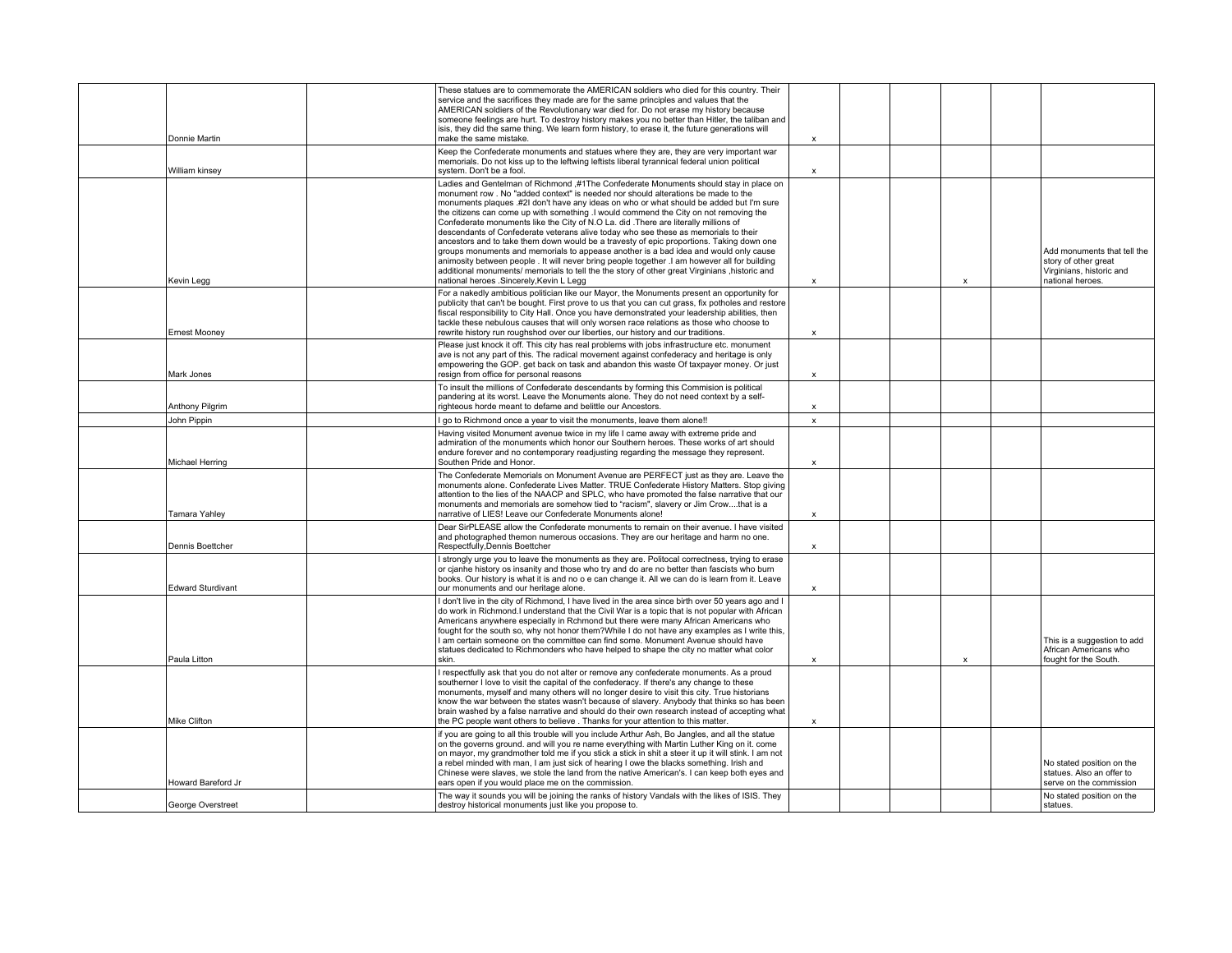| Donnie Martin             | These statues are to commemorate the AMERICAN soldiers who died for this country. Their<br>service and the sacrifices they made are for the same principles and values that the<br>AMERICAN soldiers of the Revolutionary war died for. Do not erase my history because<br>someone feelings are hurt. To destroy history makes you no better than Hitler, the taliban and<br>isis, they did the same thing. We learn form history, to erase it, the future generations will<br>make the same mistake.                                                                                                                                                                                                                                                                                                                                                                                                                                                                            | $\boldsymbol{\mathsf{x}}$ |  |              |                                                                                                     |
|---------------------------|----------------------------------------------------------------------------------------------------------------------------------------------------------------------------------------------------------------------------------------------------------------------------------------------------------------------------------------------------------------------------------------------------------------------------------------------------------------------------------------------------------------------------------------------------------------------------------------------------------------------------------------------------------------------------------------------------------------------------------------------------------------------------------------------------------------------------------------------------------------------------------------------------------------------------------------------------------------------------------|---------------------------|--|--------------|-----------------------------------------------------------------------------------------------------|
| William kinsey            | Keep the Confederate monuments and statues where they are, they are very important war<br>memorials. Do not kiss up to the leftwing leftists liberal tyrannical federal union political<br>system. Don't be a fool.                                                                                                                                                                                                                                                                                                                                                                                                                                                                                                                                                                                                                                                                                                                                                              | x                         |  |              |                                                                                                     |
| Kevin Legg                | Ladies and Gentelman of Richmond ,#1The Confederate Monuments should stay in place on<br>monument row . No "added context" is needed nor should alterations be made to the<br>monuments plaques .#2I don't have any ideas on who or what should be added but I'm sure<br>the citizens can come up with something .I would commend the City on not removing the<br>Confederate monuments like the City of N.O La. did . There are literally millions of<br>descendants of Confederate veterans alive today who see these as memorials to their<br>ancestors and to take them down would be a travesty of epic proportions. Taking down one<br>groups monuments and memorials to appease another is a bad idea and would only cause<br>animosity between people . It will never bring people together .I am however all for building<br>additional monuments/ memorials to tell the the story of other great Virginians , historic and<br>national heroes .Sincerely, Kevin L Legg | $\boldsymbol{\mathsf{x}}$ |  | X            | Add monuments that tell the<br>story of other great<br>Virginians, historic and<br>national heroes. |
| <b>Ernest Mooney</b>      | For a nakedly ambitious politician like our Mayor, the Monuments present an opportunity for<br>publicity that can't be bought. First prove to us that you can cut grass, fix potholes and restore<br>fiscal responsibility to City Hall. Once you have demonstrated your leadership abilities, then<br>tackle these nebulous causes that will only worsen race relations as those who choose to<br>rewrite history run roughshod over our liberties, our history and our traditions.                                                                                                                                                                                                                                                                                                                                                                                                                                                                                             | $\mathbf{x}$              |  |              |                                                                                                     |
| Mark Jones                | Please just knock it off. This city has real problems with jobs infrastructure etc. monument<br>ave is not any part of this. The radical movement against confederacy and heritage is only<br>empowering the GOP. get back on task and abandon this waste Of taxpayer money. Or just<br>resign from office for personal reasons                                                                                                                                                                                                                                                                                                                                                                                                                                                                                                                                                                                                                                                  | $\boldsymbol{\mathsf{x}}$ |  |              |                                                                                                     |
| <b>Anthony Pilgrim</b>    | To insult the millions of Confederate descendants by forming this Commision is political<br>pandering at its worst. Leave the Monuments alone. They do not need context by a self-<br>righteous horde meant to defame and belittle our Ancestors.                                                                                                                                                                                                                                                                                                                                                                                                                                                                                                                                                                                                                                                                                                                                | $\boldsymbol{\mathsf{x}}$ |  |              |                                                                                                     |
| John Pippin               | I go to Richmond once a year to visit the monuments, leave them alone !!                                                                                                                                                                                                                                                                                                                                                                                                                                                                                                                                                                                                                                                                                                                                                                                                                                                                                                         | $\pmb{\mathsf{x}}$        |  |              |                                                                                                     |
| Michael Herring           | Having visited Monument avenue twice in my life I came away with extreme pride and<br>admiration of the monuments which honor our Southern heroes. These works of art should<br>endure forever and no contemporary readjusting regarding the message they represent.<br>Southen Pride and Honor.                                                                                                                                                                                                                                                                                                                                                                                                                                                                                                                                                                                                                                                                                 | $\pmb{\times}$            |  |              |                                                                                                     |
| Tamara Yahley             | The Confederate Memorials on Monument Avenue are PERFECT just as they are. Leave the<br>monuments alone. Confederate Lives Matter. TRUE Confederate History Matters. Stop giving<br>attention to the lies of the NAACP and SPLC, who have promoted the false narrative that our<br>monuments and memorials are somehow tied to "racism", slavery or Jim Crowthat is a<br>narrative of LIES! Leave our Confederate Monuments alone!                                                                                                                                                                                                                                                                                                                                                                                                                                                                                                                                               | $\boldsymbol{\mathsf{x}}$ |  |              |                                                                                                     |
| Dennis Boettcher          | Dear SirPLEASE allow the Confederate monuments to remain on their avenue. I have visited<br>and photographed themon numerous occasions. They are our heritage and harm no one.<br>Respectfully, Dennis Boettcher                                                                                                                                                                                                                                                                                                                                                                                                                                                                                                                                                                                                                                                                                                                                                                 | x                         |  |              |                                                                                                     |
| <b>Edward Sturdivant</b>  | strongly urge you to leave the monuments as they are. Politocal correctness, trying to erase<br>or cjanhe history os insanity and those who try and do are no better than fascists who burn<br>books. Our history is what it is and no o e can change it. All we can do is learn from it. Leave<br>our monuments and our heritage alone.                                                                                                                                                                                                                                                                                                                                                                                                                                                                                                                                                                                                                                         | $\boldsymbol{\mathsf{x}}$ |  |              |                                                                                                     |
| Paula Litton              | I don't live in the city of Richmond. I have lived in the area since birth over 50 years ago and I<br>do work in Richmond. I understand that the Civil War is a topic that is not popular with African<br>Americans anywhere especially in Rchmond but there were many African Americans who<br>fought for the south so, why not honor them?While I do not have any examples as I write this.<br>I am certain someone on the committee can find some. Monument Avenue should have<br>statues dedicated to Richmonders who have helped to shape the city no matter what color<br>skin.                                                                                                                                                                                                                                                                                                                                                                                            | $\boldsymbol{\mathsf{x}}$ |  | $\mathsf{x}$ | This is a suggestion to add<br>African Americans who<br>fought for the South.                       |
| Mike Clifton              | I respectfully ask that you do not alter or remove any confederate monuments. As a proud<br>southerner I love to visit the capital of the confederacy. If there's any change to these<br>monuments, myself and many others will no longer desire to visit this city. True historians<br>know the war between the states wasn't because of slavery. Anybody that thinks so has been<br>brain washed by a false narrative and should do their own research instead of accepting what<br>the PC people want others to believe. Thanks for your attention to this matter.                                                                                                                                                                                                                                                                                                                                                                                                            | $\pmb{\chi}$              |  |              |                                                                                                     |
| <b>Howard Bareford Jr</b> | if you are going to all this trouble will you include Arthur Ash, Bo Jangles, and all the statue<br>on the governs ground. and will you re name everything with Martin Luther King on it. come<br>on mayor, my grandmother told me if you stick a stick in shit a steer it up it will stink. I am not<br>a rebel minded with man, I am just sick of hearing I owe the blacks something. Irish and<br>Chinese were slaves, we stole the land from the native American's. I can keep both eyes and<br>ears open if you would place me on the commission.                                                                                                                                                                                                                                                                                                                                                                                                                           |                           |  |              | No stated position on the<br>statues. Also an offer to<br>serve on the commission                   |
| George Overstreet         | The way it sounds you will be joining the ranks of history Vandals with the likes of ISIS. They<br>destroy historical monuments just like you propose to.                                                                                                                                                                                                                                                                                                                                                                                                                                                                                                                                                                                                                                                                                                                                                                                                                        |                           |  |              | No stated position on the<br>statues.                                                               |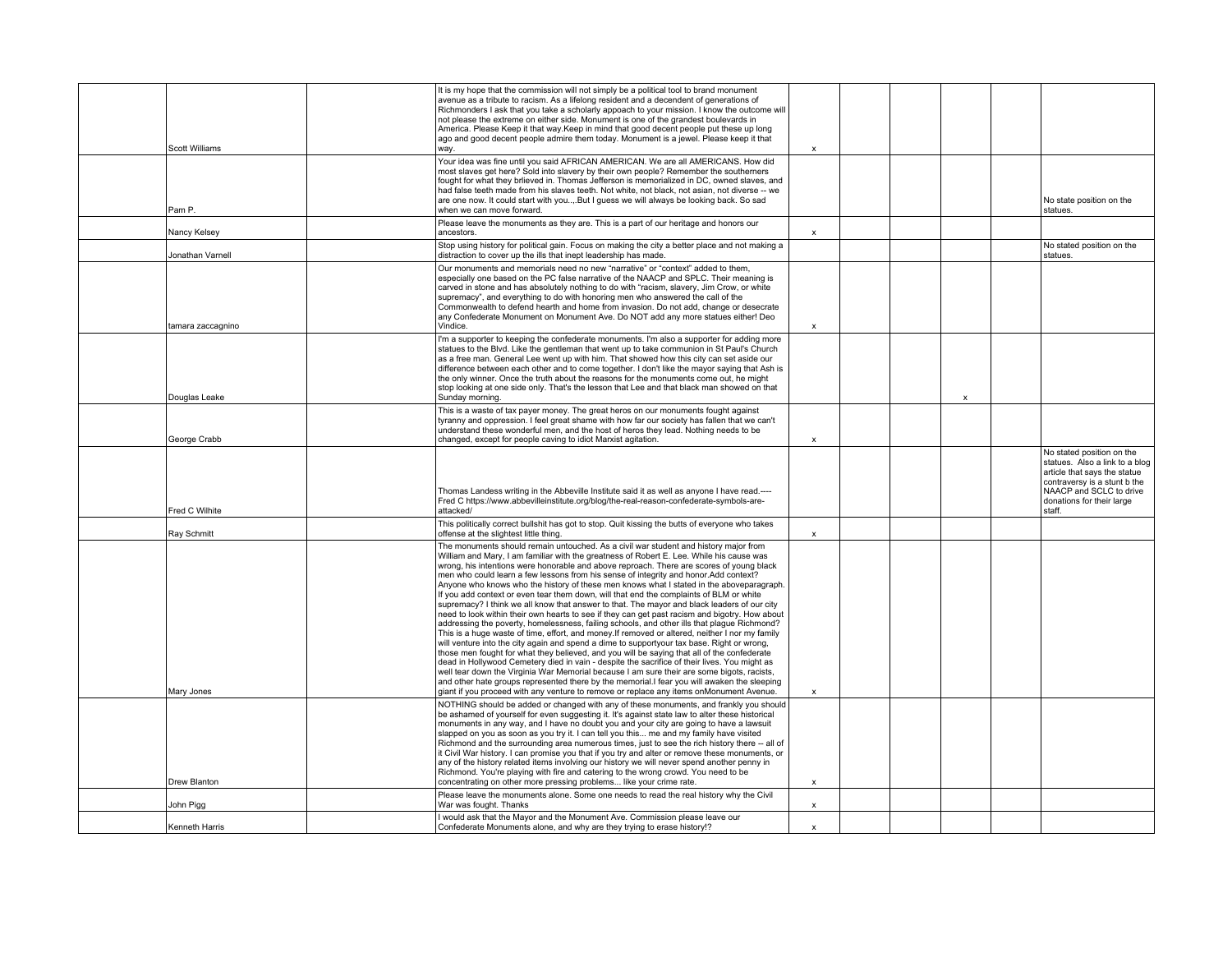|                     | It is my hope that the commission will not simply be a political tool to brand monument<br>avenue as a tribute to racism. As a lifelong resident and a decendent of generations of<br>Richmonders I ask that you take a scholarly appoach to your mission. I know the outcome will<br>not please the extreme on either side. Monument is one of the grandest boulevards in<br>America. Please Keep it that way Keep in mind that good decent people put these up long<br>ago and good decent people admire them today. Monument is a jewel. Please keep it that                                                                                                                                                                                                                                                                                                                                                                                                                                                                                                                                                                                                                                                                                                                                                                                                                                                                                                                                                                                        |                           |  |                           |                                                                                                                                                                                               |
|---------------------|--------------------------------------------------------------------------------------------------------------------------------------------------------------------------------------------------------------------------------------------------------------------------------------------------------------------------------------------------------------------------------------------------------------------------------------------------------------------------------------------------------------------------------------------------------------------------------------------------------------------------------------------------------------------------------------------------------------------------------------------------------------------------------------------------------------------------------------------------------------------------------------------------------------------------------------------------------------------------------------------------------------------------------------------------------------------------------------------------------------------------------------------------------------------------------------------------------------------------------------------------------------------------------------------------------------------------------------------------------------------------------------------------------------------------------------------------------------------------------------------------------------------------------------------------------|---------------------------|--|---------------------------|-----------------------------------------------------------------------------------------------------------------------------------------------------------------------------------------------|
| Scott Williams      | way.                                                                                                                                                                                                                                                                                                                                                                                                                                                                                                                                                                                                                                                                                                                                                                                                                                                                                                                                                                                                                                                                                                                                                                                                                                                                                                                                                                                                                                                                                                                                                   | $\boldsymbol{\mathsf{x}}$ |  |                           |                                                                                                                                                                                               |
| Pam P.              | Your idea was fine until you said AFRICAN AMERICAN. We are all AMERICANS. How did<br>most slaves get here? Sold into slavery by their own people? Remember the southerners<br>fought for what they brlieved in. Thomas Jefferson is memorialized in DC, owned slaves, and<br>had false teeth made from his slaves teeth. Not white, not black, not asian, not diverse -- we<br>are one now. It could start with youBut I guess we will always be looking back. So sad<br>when we can move forward.                                                                                                                                                                                                                                                                                                                                                                                                                                                                                                                                                                                                                                                                                                                                                                                                                                                                                                                                                                                                                                                     |                           |  |                           | No state position on the<br>statues.                                                                                                                                                          |
| Nancy Kelsey        | Please leave the monuments as they are. This is a part of our heritage and honors our<br>ancestors.                                                                                                                                                                                                                                                                                                                                                                                                                                                                                                                                                                                                                                                                                                                                                                                                                                                                                                                                                                                                                                                                                                                                                                                                                                                                                                                                                                                                                                                    | $\mathsf{x}$              |  |                           |                                                                                                                                                                                               |
| Jonathan Varnell    | Stop using history for political gain. Focus on making the city a better place and not making a<br>distraction to cover up the ills that inept leadership has made.                                                                                                                                                                                                                                                                                                                                                                                                                                                                                                                                                                                                                                                                                                                                                                                                                                                                                                                                                                                                                                                                                                                                                                                                                                                                                                                                                                                    |                           |  |                           | No stated position on the<br>statues.                                                                                                                                                         |
| tamara zaccagnino   | Our monuments and memorials need no new "narrative" or "context" added to them,<br>especially one based on the PC false narrative of the NAACP and SPLC. Their meaning is<br>carved in stone and has absolutely nothing to do with "racism, slavery, Jim Crow, or white<br>supremacy", and everything to do with honoring men who answered the call of the<br>Commonwealth to defend hearth and home from invasion. Do not add, change or desecrate<br>any Confederate Monument on Monument Ave. Do NOT add any more statues either! Deo<br>Vindice.                                                                                                                                                                                                                                                                                                                                                                                                                                                                                                                                                                                                                                                                                                                                                                                                                                                                                                                                                                                                   | $\boldsymbol{\mathsf{x}}$ |  |                           |                                                                                                                                                                                               |
|                     |                                                                                                                                                                                                                                                                                                                                                                                                                                                                                                                                                                                                                                                                                                                                                                                                                                                                                                                                                                                                                                                                                                                                                                                                                                                                                                                                                                                                                                                                                                                                                        |                           |  |                           |                                                                                                                                                                                               |
| Douglas Leake       | I'm a supporter to keeping the confederate monuments. I'm also a supporter for adding more<br>statues to the Blvd. Like the gentleman that went up to take communion in St Paul's Church<br>as a free man. General Lee went up with him. That showed how this city can set aside our<br>difference between each other and to come together. I don't like the mayor saying that Ash is<br>the only winner. Once the truth about the reasons for the monuments come out, he might<br>stop looking at one side only. That's the lesson that Lee and that black man showed on that<br>Sunday morning.                                                                                                                                                                                                                                                                                                                                                                                                                                                                                                                                                                                                                                                                                                                                                                                                                                                                                                                                                      |                           |  | $\boldsymbol{\mathsf{x}}$ |                                                                                                                                                                                               |
| George Crabb        | This is a waste of tax payer money. The great heros on our monuments fought against<br>tyranny and oppression. I feel great shame with how far our society has fallen that we can't<br>understand these wonderful men, and the host of heros they lead. Nothing needs to be<br>changed, except for people caving to idiot Marxist agitation.                                                                                                                                                                                                                                                                                                                                                                                                                                                                                                                                                                                                                                                                                                                                                                                                                                                                                                                                                                                                                                                                                                                                                                                                           | $\mathbf{x}$              |  |                           |                                                                                                                                                                                               |
| Fred C Wilhite      | Thomas Landess writing in the Abbeville Institute said it as well as anyone I have read.----<br>Fred C https://www.abbevilleinstitute.org/blog/the-real-reason-confederate-symbols-are-<br>attacked/                                                                                                                                                                                                                                                                                                                                                                                                                                                                                                                                                                                                                                                                                                                                                                                                                                                                                                                                                                                                                                                                                                                                                                                                                                                                                                                                                   |                           |  |                           | No stated position on the<br>statues. Also a link to a blog<br>article that says the statue<br>contraversy is a stunt b the<br>NAACP and SCLC to drive<br>donations for their large<br>staff. |
| Ray Schmitt         | This politically correct bullshit has got to stop. Quit kissing the butts of everyone who takes<br>offense at the slightest little thing.                                                                                                                                                                                                                                                                                                                                                                                                                                                                                                                                                                                                                                                                                                                                                                                                                                                                                                                                                                                                                                                                                                                                                                                                                                                                                                                                                                                                              | $\mathsf{x}$              |  |                           |                                                                                                                                                                                               |
| Mary Jones          | The monuments should remain untouched. As a civil war student and history major from<br>William and Mary, I am familiar with the greatness of Robert E. Lee. While his cause was<br>wrong, his intentions were honorable and above reproach. There are scores of young black<br>men who could learn a few lessons from his sense of integrity and honor. Add context?<br>Anyone who knows who the history of these men knows what I stated in the aboveparagraph.<br>If you add context or even tear them down, will that end the complaints of BLM or white<br>supremacy? I think we all know that answer to that. The mayor and black leaders of our city<br>need to look within their own hearts to see if they can get past racism and bigotry. How about<br>addressing the poverty, homelessness, failing schools, and other ills that plague Richmond?<br>This is a huge waste of time, effort, and money. If removed or altered, neither I nor my family<br>will venture into the city again and spend a dime to supportyour tax base. Right or wrong,<br>those men fought for what they believed, and you will be saying that all of the confederate<br>dead in Hollywood Cemetery died in vain - despite the sacrifice of their lives. You might as<br>well tear down the Virginia War Memorial because I am sure their are some bigots, racists,<br>and other hate groups represented there by the memorial. I fear you will awaken the sleeping<br>giant if you proceed with any venture to remove or replace any items on Monument Avenue. | $\mathbf{x}$              |  |                           |                                                                                                                                                                                               |
| <b>Drew Blanton</b> | NOTHING should be added or changed with any of these monuments, and frankly you should<br>be ashamed of yourself for even suggesting it. It's against state law to alter these historical<br>monuments in any way, and I have no doubt you and your city are going to have a lawsuit<br>slapped on you as soon as you try it. I can tell you this me and my family have visited<br>Richmond and the surrounding area numerous times, just to see the rich history there -- all of<br>it Civil War history. I can promise you that if you try and alter or remove these monuments, or<br>any of the history related items involving our history we will never spend another penny in<br>Richmond. You're playing with fire and catering to the wrong crowd. You need to be<br>concentrating on other more pressing problems like your crime rate.                                                                                                                                                                                                                                                                                                                                                                                                                                                                                                                                                                                                                                                                                                       | $\mathbf{x}$              |  |                           |                                                                                                                                                                                               |
| John Pigg           | Please leave the monuments alone. Some one needs to read the real history why the Civil<br>War was fought. Thanks                                                                                                                                                                                                                                                                                                                                                                                                                                                                                                                                                                                                                                                                                                                                                                                                                                                                                                                                                                                                                                                                                                                                                                                                                                                                                                                                                                                                                                      | $\mathbf{x}$              |  |                           |                                                                                                                                                                                               |
| Kenneth Harris      | I would ask that the Mayor and the Monument Ave. Commission please leave our<br>Confederate Monuments alone, and why are they trying to erase history!?                                                                                                                                                                                                                                                                                                                                                                                                                                                                                                                                                                                                                                                                                                                                                                                                                                                                                                                                                                                                                                                                                                                                                                                                                                                                                                                                                                                                | $\boldsymbol{\mathsf{x}}$ |  |                           |                                                                                                                                                                                               |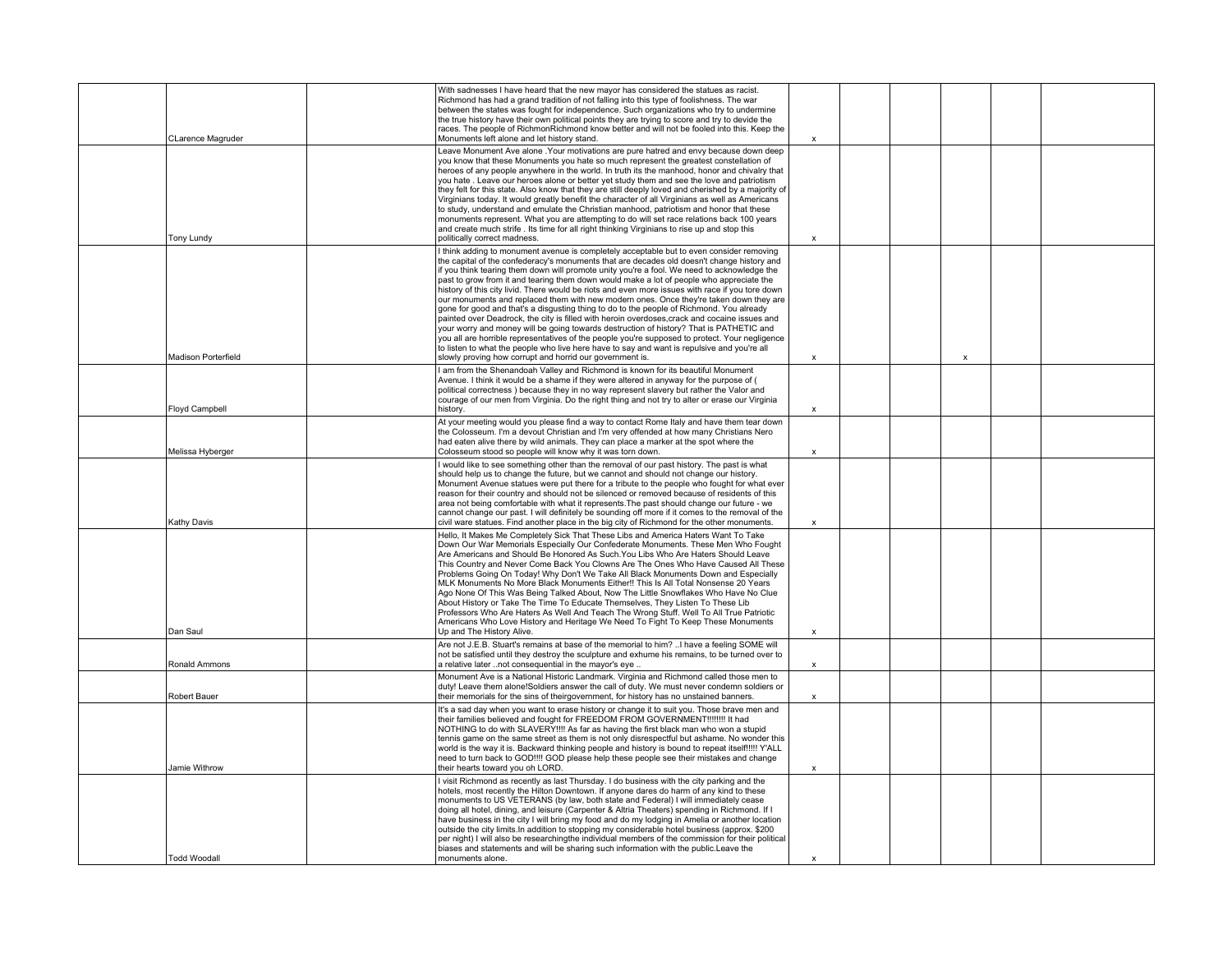|                          | With sadnesses I have heard that the new mayor has considered the statues as racist.<br>Richmond has had a grand tradition of not falling into this type of foolishness. The war<br>between the states was fought for independence. Such organizations who try to undermine<br>the true history have their own political points they are trying to score and try to devide the<br>races. The people of RichmonRichmond know better and will not be fooled into this. Keep the                                                                                                                                                                                                                                                                                                                                                                                                                                                                                                                                                                                                                                                        |                           |  |   |  |
|--------------------------|--------------------------------------------------------------------------------------------------------------------------------------------------------------------------------------------------------------------------------------------------------------------------------------------------------------------------------------------------------------------------------------------------------------------------------------------------------------------------------------------------------------------------------------------------------------------------------------------------------------------------------------------------------------------------------------------------------------------------------------------------------------------------------------------------------------------------------------------------------------------------------------------------------------------------------------------------------------------------------------------------------------------------------------------------------------------------------------------------------------------------------------|---------------------------|--|---|--|
| <b>CLarence Magruder</b> | Monuments left alone and let history stand.                                                                                                                                                                                                                                                                                                                                                                                                                                                                                                                                                                                                                                                                                                                                                                                                                                                                                                                                                                                                                                                                                          | $\boldsymbol{\mathsf{x}}$ |  |   |  |
|                          | Leave Monument Ave alone .Your motivations are pure hatred and envy because down deep<br>you know that these Monuments you hate so much represent the greatest constellation of<br>heroes of any people anywhere in the world. In truth its the manhood, honor and chivalry that<br>you hate . Leave our heroes alone or better yet study them and see the love and patriotism<br>they felt for this state. Also know that they are still deeply loved and cherished by a majority of<br>Virginians today. It would greatly benefit the character of all Virginians as well as Americans<br>to study, understand and emulate the Christian manhood, patriotism and honor that these<br>monuments represent. What you are attempting to do will set race relations back 100 years<br>and create much strife. Its time for all right thinking Virginians to rise up and stop this                                                                                                                                                                                                                                                      |                           |  |   |  |
| Tony Lundy               | politically correct madness.                                                                                                                                                                                                                                                                                                                                                                                                                                                                                                                                                                                                                                                                                                                                                                                                                                                                                                                                                                                                                                                                                                         | X                         |  |   |  |
| Madison Porterfield      | I think adding to monument avenue is completely acceptable but to even consider removing<br>the capital of the confederacy's monuments that are decades old doesn't change history and<br>if you think tearing them down will promote unity you're a fool. We need to acknowledge the<br>past to grow from it and tearing them down would make a lot of people who appreciate the<br>history of this city livid. There would be riots and even more issues with race if you tore down<br>our monuments and replaced them with new modern ones. Once they're taken down they are<br>gone for good and that's a disgusting thing to do to the people of Richmond. You already<br>painted over Deadrock, the city is filled with heroin overdoses, crack and cocaine issues and<br>your worry and money will be going towards destruction of history? That is PATHETIC and<br>you all are horrible representatives of the people you're supposed to protect. Your negligence<br>to listen to what the people who live here have to say and want is repulsive and you're all<br>slowly proving how corrupt and horrid our government is. | $\boldsymbol{\mathsf{x}}$ |  | × |  |
|                          | I am from the Shenandoah Valley and Richmond is known for its beautiful Monument                                                                                                                                                                                                                                                                                                                                                                                                                                                                                                                                                                                                                                                                                                                                                                                                                                                                                                                                                                                                                                                     |                           |  |   |  |
| <b>Floyd Campbell</b>    | Avenue. I think it would be a shame if they were altered in anyway for the purpose of (<br>political correctness) because they in no way represent slavery but rather the Valor and<br>courage of our men from Virginia. Do the right thing and not try to alter or erase our Virginia<br>history.                                                                                                                                                                                                                                                                                                                                                                                                                                                                                                                                                                                                                                                                                                                                                                                                                                   | X                         |  |   |  |
|                          | At your meeting would you please find a way to contact Rome Italy and have them tear down                                                                                                                                                                                                                                                                                                                                                                                                                                                                                                                                                                                                                                                                                                                                                                                                                                                                                                                                                                                                                                            |                           |  |   |  |
| Melissa Hyberger         | the Colosseum. I'm a devout Christian and I'm very offended at how many Christians Nero<br>had eaten alive there by wild animals. They can place a marker at the spot where the<br>Colosseum stood so people will know why it was torn down.                                                                                                                                                                                                                                                                                                                                                                                                                                                                                                                                                                                                                                                                                                                                                                                                                                                                                         | $\boldsymbol{\mathsf{x}}$ |  |   |  |
|                          | I would like to see something other than the removal of our past history. The past is what                                                                                                                                                                                                                                                                                                                                                                                                                                                                                                                                                                                                                                                                                                                                                                                                                                                                                                                                                                                                                                           |                           |  |   |  |
| Kathy Davis              | should help us to change the future, but we cannot and should not change our history.<br>Monument Avenue statues were put there for a tribute to the people who fought for what ever<br>reason for their country and should not be silenced or removed because of residents of this<br>area not being comfortable with what it represents. The past should change our future - we<br>cannot change our past. I will definitely be sounding off more if it comes to the removal of the<br>civil ware statues. Find another place in the big city of Richmond for the other monuments.                                                                                                                                                                                                                                                                                                                                                                                                                                                                                                                                                 | $\boldsymbol{\mathsf{x}}$ |  |   |  |
| Dan Saul                 | Hello, It Makes Me Completely Sick That These Libs and America Haters Want To Take<br>Down Our War Memorials Especially Our Confederate Monuments. These Men Who Fought<br>Are Americans and Should Be Honored As Such You Libs Who Are Haters Should Leave<br>This Country and Never Come Back You Clowns Are The Ones Who Have Caused All These<br>Problems Going On Today! Why Don't We Take All Black Monuments Down and Especially<br>MLK Monuments No More Black Monuments Either!! This Is All Total Nonsense 20 Years<br>Ago None Of This Was Being Talked About, Now The Little Snowflakes Who Have No Clue<br>About History or Take The Time To Educate Themselves, They Listen To These Lib<br>Professors Who Are Haters As Well And Teach The Wrong Stuff. Well To All True Patriotic<br>Americans Who Love History and Heritage We Need To Fight To Keep These Monuments<br>Up and The History Alive.                                                                                                                                                                                                                   | $\boldsymbol{\mathsf{x}}$ |  |   |  |
|                          | Are not J.E.B. Stuart's remains at base of the memorial to him? I have a feeling SOME will                                                                                                                                                                                                                                                                                                                                                                                                                                                                                                                                                                                                                                                                                                                                                                                                                                                                                                                                                                                                                                           |                           |  |   |  |
| Ronald Ammons            | not be satisfied until they destroy the sculpture and exhume his remains, to be turned over to<br>a relative later not consequential in the mayor's eye                                                                                                                                                                                                                                                                                                                                                                                                                                                                                                                                                                                                                                                                                                                                                                                                                                                                                                                                                                              | $\mathbf{x}$              |  |   |  |
| Robert Bauer             | Monument Ave is a National Historic Landmark. Virginia and Richmond called those men to<br>duty! Leave them alone!Soldiers answer the call of duty. We must never condemn soldiers or<br>their memorials for the sins of theirgovernment, for history has no unstained banners.                                                                                                                                                                                                                                                                                                                                                                                                                                                                                                                                                                                                                                                                                                                                                                                                                                                      | x                         |  |   |  |
| Jamie Withrow            | It's a sad day when you want to erase history or change it to suit you. Those brave men and<br>their families believed and fought for FREEDOM FROM GOVERNMENT !!!!!!!!! It had<br>NOTHING to do with SLAVERY !!!! As far as having the first black man who won a stupid<br>tennis game on the same street as them is not only disrespectful but ashame. No wonder this<br>world is the way it is. Backward thinking people and history is bound to repeat itself!!!!! Y'ALL<br>need to turn back to GOD!!!! GOD please help these people see their mistakes and change<br>their hearts toward you oh LORD.                                                                                                                                                                                                                                                                                                                                                                                                                                                                                                                           | x                         |  |   |  |
|                          | I visit Richmond as recently as last Thursday. I do business with the city parking and the<br>hotels, most recently the Hilton Downtown. If anyone dares do harm of any kind to these<br>monuments to US VETERANS (by law, both state and Federal) I will immediately cease<br>doing all hotel, dining, and leisure (Carpenter & Altria Theaters) spending in Richmond. If I<br>have business in the city I will bring my food and do my lodging in Amelia or another location<br>outside the city limits. In addition to stopping my considerable hotel business (approx. \$200<br>per night) I will also be researching the individual members of the commission for their political<br>biases and statements and will be sharing such information with the public.Leave the                                                                                                                                                                                                                                                                                                                                                       |                           |  |   |  |
| <b>Todd Woodall</b>      | monuments alone.                                                                                                                                                                                                                                                                                                                                                                                                                                                                                                                                                                                                                                                                                                                                                                                                                                                                                                                                                                                                                                                                                                                     | $\boldsymbol{\mathsf{x}}$ |  |   |  |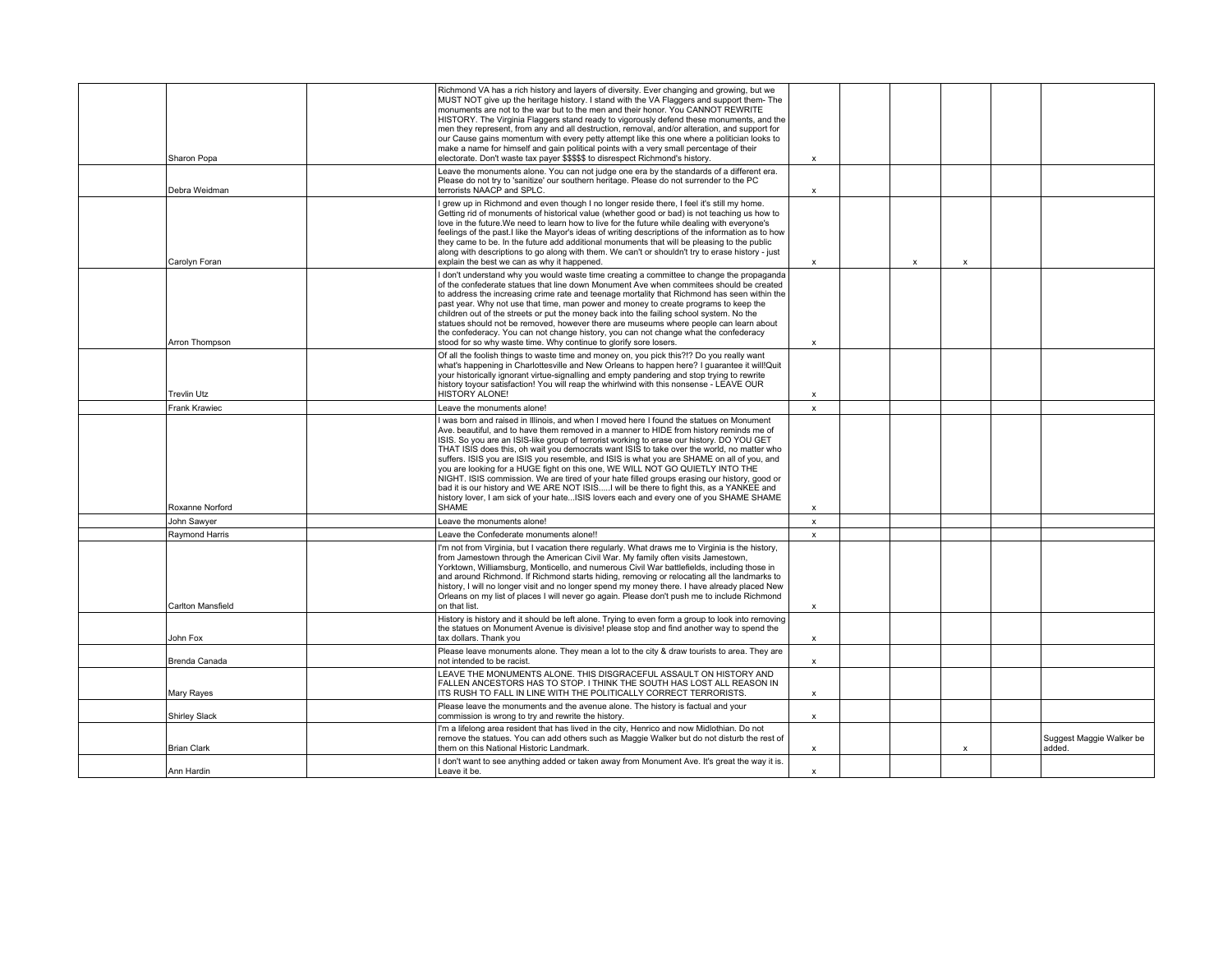| Sharon Popa          | Richmond VA has a rich history and layers of diversity. Ever changing and growing, but we<br>MUST NOT give up the heritage history. I stand with the VA Flaggers and support them-The<br>monuments are not to the war but to the men and their honor. You CANNOT REWRITE<br>HISTORY. The Virginia Flaggers stand ready to vigorously defend these monuments, and the<br>men they represent, from any and all destruction, removal, and/or alteration, and support for<br>our Cause gains momentum with every petty attempt like this one where a politician looks to<br>make a name for himself and gain political points with a very small percentage of their<br>electorate. Don't waste tax payer \$\$\$\$\$ to disrespect Richmond's history.                                                                                                           | $\boldsymbol{\mathsf{x}}$ |                           |                           |                                    |
|----------------------|-------------------------------------------------------------------------------------------------------------------------------------------------------------------------------------------------------------------------------------------------------------------------------------------------------------------------------------------------------------------------------------------------------------------------------------------------------------------------------------------------------------------------------------------------------------------------------------------------------------------------------------------------------------------------------------------------------------------------------------------------------------------------------------------------------------------------------------------------------------|---------------------------|---------------------------|---------------------------|------------------------------------|
| Debra Weidman        | Leave the monuments alone. You can not judge one era by the standards of a different era.<br>Please do not try to 'sanitize' our southern heritage. Please do not surrender to the PC<br>terrorists NAACP and SPLC.                                                                                                                                                                                                                                                                                                                                                                                                                                                                                                                                                                                                                                         | x                         |                           |                           |                                    |
| Carolyn Foran        | I grew up in Richmond and even though I no longer reside there, I feel it's still my home.<br>Getting rid of monuments of historical value (whether good or bad) is not teaching us how to<br>love in the future. We need to learn how to live for the future while dealing with everyone's<br>feelings of the past.I like the Mayor's ideas of writing descriptions of the information as to how<br>they came to be. In the future add additional monuments that will be pleasing to the public<br>along with descriptions to go along with them. We can't or shouldn't try to erase history - just<br>explain the best we can as why it happened.                                                                                                                                                                                                         | x                         | $\boldsymbol{\mathsf{x}}$ | $\boldsymbol{\mathsf{x}}$ |                                    |
| Arron Thompson       | I don't understand why you would waste time creating a committee to change the propaganda<br>of the confederate statues that line down Monument Ave when commitees should be created<br>to address the increasing crime rate and teenage mortality that Richmond has seen within the<br>past year. Why not use that time, man power and money to create programs to keep the<br>children out of the streets or put the money back into the failing school system. No the<br>statues should not be removed, however there are museums where people can learn about<br>the confederacy. You can not change history, you can not change what the confederacy<br>stood for so why waste time. Why continue to glorify sore losers.                                                                                                                              | $\boldsymbol{\mathsf{x}}$ |                           |                           |                                    |
| <b>Trevlin Utz</b>   | Of all the foolish things to waste time and money on, you pick this?!? Do you really want<br>what's happening in Charlottesville and New Orleans to happen here? I quarantee it will!Quit<br>your historically ignorant virtue-signalling and empty pandering and stop trying to rewrite<br>history toyour satisfaction! You will reap the whirlwind with this nonsense - LEAVE OUR<br><b>HISTORY ALONE!</b>                                                                                                                                                                                                                                                                                                                                                                                                                                                | $\boldsymbol{\mathsf{x}}$ |                           |                           |                                    |
| <b>Frank Krawiec</b> | Leave the monuments alone!                                                                                                                                                                                                                                                                                                                                                                                                                                                                                                                                                                                                                                                                                                                                                                                                                                  | $\mathsf{x}$              |                           |                           |                                    |
| Roxanne Norford      | I was born and raised in Illinois, and when I moved here I found the statues on Monument<br>Ave. beautiful, and to have them removed in a manner to HIDE from history reminds me of<br>ISIS. So you are an ISIS-like group of terrorist working to erase our history. DO YOU GET<br>THAT ISIS does this, oh wait you democrats want ISIS to take over the world, no matter who<br>suffers. ISIS you are ISIS you resemble, and ISIS is what you are SHAME on all of you, and<br>you are looking for a HUGE fight on this one, WE WILL NOT GO QUIETLY INTO THE<br>NIGHT. ISIS commission. We are tired of your hate filled groups erasing our history, good or<br>bad it is our history and WE ARE NOT ISISI will be there to fight this, as a YANKEE and<br>history lover. I am sick of your hateISIS lovers each and every one of you SHAME SHAME<br>SHAME | $\mathsf{x}$              |                           |                           |                                    |
| John Sawyer          | Leave the monuments alone!                                                                                                                                                                                                                                                                                                                                                                                                                                                                                                                                                                                                                                                                                                                                                                                                                                  | $\mathbf{x}$              |                           |                           |                                    |
| Raymond Harris       | Leave the Confederate monuments alone!!                                                                                                                                                                                                                                                                                                                                                                                                                                                                                                                                                                                                                                                                                                                                                                                                                     | $\mathsf{x}$              |                           |                           |                                    |
| Carlton Mansfield    | I'm not from Virginia, but I vacation there regularly. What draws me to Virginia is the history,<br>from Jamestown through the American Civil War. My family often visits Jamestown,<br>Yorktown, Williamsburg, Monticello, and numerous Civil War battlefields, including those in<br>and around Richmond. If Richmond starts hiding, removing or relocating all the landmarks to<br>history, I will no longer visit and no longer spend my money there. I have already placed New<br>Orleans on my list of places I will never go again. Please don't push me to include Richmond<br>on that list.                                                                                                                                                                                                                                                        | $\boldsymbol{\mathsf{x}}$ |                           |                           |                                    |
| John Fox             | History is history and it should be left alone. Trying to even form a group to look into removing<br>the statues on Monument Avenue is divisive! please stop and find another way to spend the<br>tax dollars. Thank you                                                                                                                                                                                                                                                                                                                                                                                                                                                                                                                                                                                                                                    | $\mathsf{x}$              |                           |                           |                                    |
| Brenda Canada        | Please leave monuments alone. They mean a lot to the city & draw tourists to area. They are<br>not intended to be racist.                                                                                                                                                                                                                                                                                                                                                                                                                                                                                                                                                                                                                                                                                                                                   | $\mathsf{x}$              |                           |                           |                                    |
| Mary Rayes           | LEAVE THE MONUMENTS ALONE. THIS DISGRACEFUL ASSAULT ON HISTORY AND<br>FALLEN ANCESTORS HAS TO STOP. I THINK THE SOUTH HAS LOST ALL REASON IN<br>ITS RUSH TO FALL IN LINE WITH THE POLITICALLY CORRECT TERRORISTS.                                                                                                                                                                                                                                                                                                                                                                                                                                                                                                                                                                                                                                           | $\boldsymbol{\mathsf{x}}$ |                           |                           |                                    |
| <b>Shirley Slack</b> | Please leave the monuments and the avenue alone. The history is factual and your<br>commission is wrong to try and rewrite the history.                                                                                                                                                                                                                                                                                                                                                                                                                                                                                                                                                                                                                                                                                                                     | x                         |                           |                           |                                    |
| <b>Brian Clark</b>   | I'm a lifelong area resident that has lived in the city, Henrico and now Midlothian. Do not<br>remove the statues. You can add others such as Maggie Walker but do not disturb the rest of<br>them on this National Historic Landmark.                                                                                                                                                                                                                                                                                                                                                                                                                                                                                                                                                                                                                      | x                         |                           | $\boldsymbol{\mathsf{x}}$ | Suggest Maggie Walker be<br>added. |
| Ann Hardin           | I don't want to see anything added or taken away from Monument Ave. It's great the way it is.<br>Leave it be.                                                                                                                                                                                                                                                                                                                                                                                                                                                                                                                                                                                                                                                                                                                                               | $\mathbf{x}$              |                           |                           |                                    |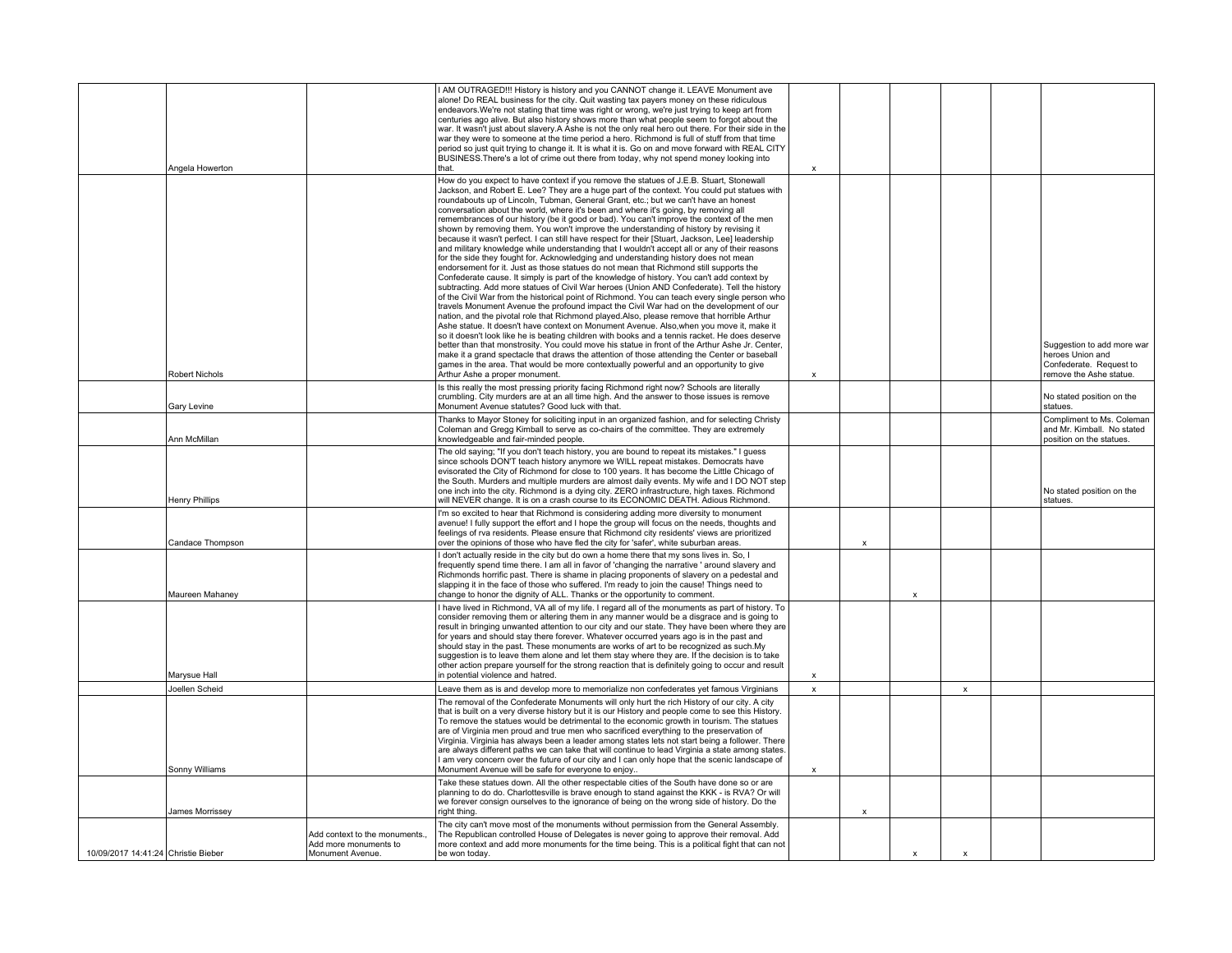|                                     | Angela Howerton       |                                                                            | I AM OUTRAGED!!! History is history and you CANNOT change it. LEAVE Monument ave<br>alone! Do REAL business for the city. Quit wasting tax payers money on these ridiculous<br>endeavors. We're not stating that time was right or wrong, we're just trying to keep art from<br>centuries ago alive. But also history shows more than what people seem to forgot about the<br>war. It wasn't just about slavery.A Ashe is not the only real hero out there. For their side in the<br>war they were to someone at the time period a hero. Richmond is full of stuff from that time<br>period so just quit trying to change it. It is what it is. Go on and move forward with REAL CITY<br>BUSINESS. There's a lot of crime out there from today, why not spend money looking into<br>that.                                                                                                                                                                                                                                                                                                                                                                                                                                                                                                                                                                                                                                                                                                                                                                                                                                                                                                                                                                                                                                                                                                                                                                           | $\boldsymbol{\mathsf{x}}$ |                           |                           |                           |                                                                                                      |
|-------------------------------------|-----------------------|----------------------------------------------------------------------------|---------------------------------------------------------------------------------------------------------------------------------------------------------------------------------------------------------------------------------------------------------------------------------------------------------------------------------------------------------------------------------------------------------------------------------------------------------------------------------------------------------------------------------------------------------------------------------------------------------------------------------------------------------------------------------------------------------------------------------------------------------------------------------------------------------------------------------------------------------------------------------------------------------------------------------------------------------------------------------------------------------------------------------------------------------------------------------------------------------------------------------------------------------------------------------------------------------------------------------------------------------------------------------------------------------------------------------------------------------------------------------------------------------------------------------------------------------------------------------------------------------------------------------------------------------------------------------------------------------------------------------------------------------------------------------------------------------------------------------------------------------------------------------------------------------------------------------------------------------------------------------------------------------------------------------------------------------------------|---------------------------|---------------------------|---------------------------|---------------------------|------------------------------------------------------------------------------------------------------|
|                                     | <b>Robert Nichols</b> |                                                                            | How do you expect to have context if you remove the statues of J.E.B. Stuart, Stonewall<br>Jackson, and Robert E. Lee? They are a huge part of the context. You could put statues with<br>roundabouts up of Lincoln, Tubman, General Grant, etc.; but we can't have an honest<br>conversation about the world, where it's been and where it's going, by removing all<br>remembrances of our history (be it good or bad). You can't improve the context of the men<br>shown by removing them. You won't improve the understanding of history by revising it<br>because it wasn't perfect. I can still have respect for their [Stuart, Jackson, Lee] leadership<br>and military knowledge while understanding that I wouldn't accept all or any of their reasons<br>for the side they fought for. Acknowledging and understanding history does not mean<br>endorsement for it. Just as those statues do not mean that Richmond still supports the<br>Confederate cause. It simply is part of the knowledge of history. You can't add context by<br>subtracting. Add more statues of Civil War heroes (Union AND Confederate). Tell the history<br>of the Civil War from the historical point of Richmond. You can teach every single person who<br>travels Monument Avenue the profound impact the Civil War had on the development of our<br>nation, and the pivotal role that Richmond played.Also, please remove that horrible Arthur<br>Ashe statue. It doesn't have context on Monument Avenue. Also, when you move it, make it<br>so it doesn't look like he is beating children with books and a tennis racket. He does deserve<br>better than that monstrosity. You could move his statue in front of the Arthur Ashe Jr. Center,<br>make it a grand spectacle that draws the attention of those attending the Center or baseball<br>games in the area. That would be more contextually powerful and an opportunity to give<br>Arthur Ashe a proper monument. | $\boldsymbol{\mathsf{x}}$ |                           |                           |                           | Suggestion to add more war<br>heroes Union and<br>Confederate. Request to<br>remove the Ashe statue. |
|                                     | Gary Levine           |                                                                            | Is this really the most pressing priority facing Richmond right now? Schools are literally<br>crumbling. City murders are at an all time high. And the answer to those issues is remove<br>Monument Avenue statutes? Good luck with that.                                                                                                                                                                                                                                                                                                                                                                                                                                                                                                                                                                                                                                                                                                                                                                                                                                                                                                                                                                                                                                                                                                                                                                                                                                                                                                                                                                                                                                                                                                                                                                                                                                                                                                                           |                           |                           |                           |                           | No stated position on the<br>statues.                                                                |
|                                     | Ann McMillan          |                                                                            | Thanks to Mayor Stoney for soliciting input in an organized fashion, and for selecting Christy<br>Coleman and Gregg Kimball to serve as co-chairs of the committee. They are extremely<br>knowledgeable and fair-minded people                                                                                                                                                                                                                                                                                                                                                                                                                                                                                                                                                                                                                                                                                                                                                                                                                                                                                                                                                                                                                                                                                                                                                                                                                                                                                                                                                                                                                                                                                                                                                                                                                                                                                                                                      |                           |                           |                           |                           | Compliment to Ms. Coleman<br>and Mr. Kimball. No stated<br>position on the statues.                  |
|                                     | <b>Henry Phillips</b> |                                                                            | The old saying; "If you don't teach history, you are bound to repeat its mistakes." I quess<br>since schools DON'T teach history anymore we WILL repeat mistakes. Democrats have<br>evisorated the City of Richmond for close to 100 years. It has become the Little Chicago of<br>the South. Murders and multiple murders are almost daily events. My wife and I DO NOT step<br>one inch into the city. Richmond is a dying city. ZERO infrastructure, high taxes. Richmond<br>will NEVER change. It is on a crash course to its ECONOMIC DEATH. Adious Richmond.                                                                                                                                                                                                                                                                                                                                                                                                                                                                                                                                                                                                                                                                                                                                                                                                                                                                                                                                                                                                                                                                                                                                                                                                                                                                                                                                                                                                  |                           |                           |                           |                           | No stated position on the<br>statues.                                                                |
|                                     | Candace Thompson      |                                                                            | I'm so excited to hear that Richmond is considering adding more diversity to monument<br>avenue! I fully support the effort and I hope the group will focus on the needs, thoughts and<br>feelings of rva residents. Please ensure that Richmond city residents' views are prioritized<br>over the opinions of those who have fled the city for 'safer', white suburban areas.                                                                                                                                                                                                                                                                                                                                                                                                                                                                                                                                                                                                                                                                                                                                                                                                                                                                                                                                                                                                                                                                                                                                                                                                                                                                                                                                                                                                                                                                                                                                                                                      |                           | X                         |                           |                           |                                                                                                      |
|                                     | Maureen Mahaney       |                                                                            | I don't actually reside in the city but do own a home there that my sons lives in. So, I<br>frequently spend time there. I am all in favor of 'changing the narrative ' around slavery and<br>Richmonds horrific past. There is shame in placing proponents of slavery on a pedestal and<br>slapping it in the face of those who suffered. I'm ready to join the cause! Things need to<br>change to honor the dignity of ALL. Thanks or the opportunity to comment.                                                                                                                                                                                                                                                                                                                                                                                                                                                                                                                                                                                                                                                                                                                                                                                                                                                                                                                                                                                                                                                                                                                                                                                                                                                                                                                                                                                                                                                                                                 |                           |                           | X                         |                           |                                                                                                      |
|                                     | Marysue Hall          |                                                                            | I have lived in Richmond, VA all of my life. I regard all of the monuments as part of history. To<br>consider removing them or altering them in any manner would be a disgrace and is going to<br>result in bringing unwanted attention to our city and our state. They have been where they are<br>for years and should stay there forever. Whatever occurred years ago is in the past and<br>should stay in the past. These monuments are works of art to be recognized as such.My<br>suggestion is to leave them alone and let them stay where they are. If the decision is to take<br>other action prepare yourself for the strong reaction that is definitely going to occur and result<br>in potential violence and hatred.                                                                                                                                                                                                                                                                                                                                                                                                                                                                                                                                                                                                                                                                                                                                                                                                                                                                                                                                                                                                                                                                                                                                                                                                                                   | x                         |                           |                           |                           |                                                                                                      |
|                                     | Joellen Scheid        |                                                                            | Leave them as is and develop more to memorialize non confederates yet famous Virginians                                                                                                                                                                                                                                                                                                                                                                                                                                                                                                                                                                                                                                                                                                                                                                                                                                                                                                                                                                                                                                                                                                                                                                                                                                                                                                                                                                                                                                                                                                                                                                                                                                                                                                                                                                                                                                                                             | $\boldsymbol{\mathsf{x}}$ |                           |                           | $\boldsymbol{\mathsf{x}}$ |                                                                                                      |
|                                     | Sonny Williams        |                                                                            | The removal of the Confederate Monuments will only hurt the rich History of our city. A city<br>that is built on a very diverse history but it is our History and people come to see this History.<br>To remove the statues would be detrimental to the economic growth in tourism. The statues<br>are of Virginia men proud and true men who sacrificed everything to the preservation of<br>Virginia. Virginia has always been a leader among states lets not start being a follower. There<br>are always different paths we can take that will continue to lead Virginia a state among states.<br>I am very concern over the future of our city and I can only hope that the scenic landscape of<br>Monument Avenue will be safe for everyone to enjoy                                                                                                                                                                                                                                                                                                                                                                                                                                                                                                                                                                                                                                                                                                                                                                                                                                                                                                                                                                                                                                                                                                                                                                                                           | $\boldsymbol{\mathsf{x}}$ |                           |                           |                           |                                                                                                      |
|                                     | James Morrissey       |                                                                            | Take these statues down. All the other respectable cities of the South have done so or are<br>planning to do do. Charlottesville is brave enough to stand against the KKK - is RVA? Or will<br>we forever consign ourselves to the ignorance of being on the wrong side of history. Do the<br>right thing.                                                                                                                                                                                                                                                                                                                                                                                                                                                                                                                                                                                                                                                                                                                                                                                                                                                                                                                                                                                                                                                                                                                                                                                                                                                                                                                                                                                                                                                                                                                                                                                                                                                          |                           | $\boldsymbol{\mathsf{x}}$ |                           |                           |                                                                                                      |
| 10/09/2017 14:41:24 Christie Bieber |                       | Add context to the monuments.<br>Add more monuments to<br>Monument Avenue. | The city can't move most of the monuments without permission from the General Assembly.<br>The Republican controlled House of Delegates is never going to approve their removal. Add<br>more context and add more monuments for the time being. This is a political fight that can not<br>be won today.                                                                                                                                                                                                                                                                                                                                                                                                                                                                                                                                                                                                                                                                                                                                                                                                                                                                                                                                                                                                                                                                                                                                                                                                                                                                                                                                                                                                                                                                                                                                                                                                                                                             |                           |                           | $\boldsymbol{\mathsf{x}}$ | $\boldsymbol{\mathsf{x}}$ |                                                                                                      |
|                                     |                       |                                                                            |                                                                                                                                                                                                                                                                                                                                                                                                                                                                                                                                                                                                                                                                                                                                                                                                                                                                                                                                                                                                                                                                                                                                                                                                                                                                                                                                                                                                                                                                                                                                                                                                                                                                                                                                                                                                                                                                                                                                                                     |                           |                           |                           |                           |                                                                                                      |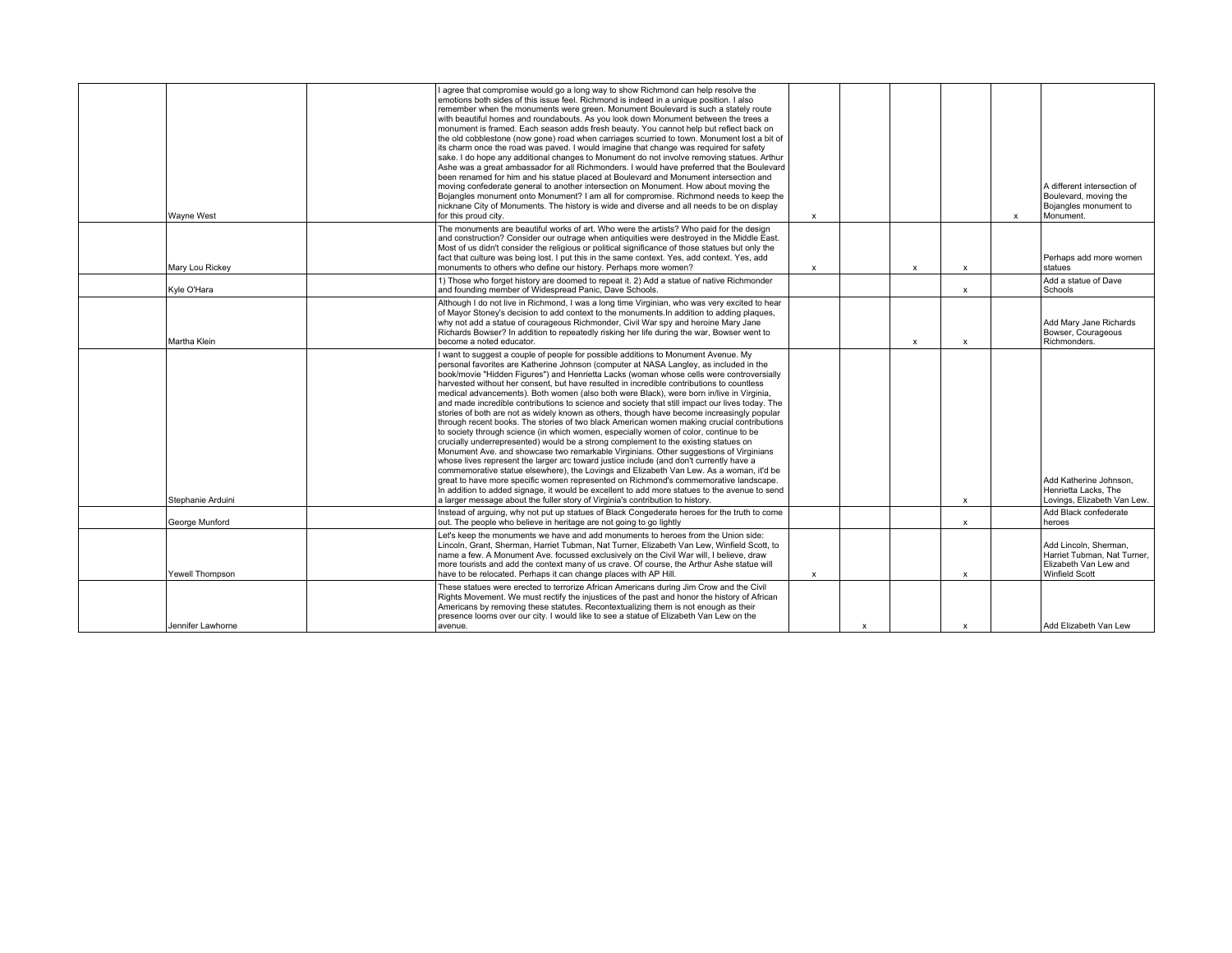| Wayne West        | I agree that compromise would go a long way to show Richmond can help resolve the<br>emotions both sides of this issue feel. Richmond is indeed in a unique position. I also<br>remember when the monuments were green. Monument Boulevard is such a stately route<br>with beautiful homes and roundabouts. As you look down Monument between the trees a<br>monument is framed. Each season adds fresh beauty. You cannot help but reflect back on<br>the old cobblestone (now gone) road when carriages scurried to town. Monument lost a bit of<br>its charm once the road was paved. I would imagine that change was required for safety<br>sake. I do hope any additional changes to Monument do not involve removing statues. Arthur<br>Ashe was a great ambassador for all Richmonders. I would have preferred that the Boulevard<br>been renamed for him and his statue placed at Boulevard and Monument intersection and<br>moving confederate general to another intersection on Monument. How about moving the<br>Bojangles monument onto Monument? I am all for compromise. Richmond needs to keep the<br>nicknane City of Monuments. The history is wide and diverse and all needs to be on display<br>for this proud city.                                                                                                                                                                                                                                                                   | $\pmb{\times}$ |                           |                           |                           | $\mathsf{x}$ | A different intersection of<br>Boulevard, moving the<br>Bojangles monument to<br>Monument.             |
|-------------------|------------------------------------------------------------------------------------------------------------------------------------------------------------------------------------------------------------------------------------------------------------------------------------------------------------------------------------------------------------------------------------------------------------------------------------------------------------------------------------------------------------------------------------------------------------------------------------------------------------------------------------------------------------------------------------------------------------------------------------------------------------------------------------------------------------------------------------------------------------------------------------------------------------------------------------------------------------------------------------------------------------------------------------------------------------------------------------------------------------------------------------------------------------------------------------------------------------------------------------------------------------------------------------------------------------------------------------------------------------------------------------------------------------------------------------------------------------------------------------------------------------|----------------|---------------------------|---------------------------|---------------------------|--------------|--------------------------------------------------------------------------------------------------------|
| Mary Lou Rickey   | The monuments are beautiful works of art. Who were the artists? Who paid for the design<br>and construction? Consider our outrage when antiquities were destroyed in the Middle East.<br>Most of us didn't consider the religious or political significance of those statues but only the<br>fact that culture was being lost. I put this in the same context. Yes, add context. Yes, add<br>monuments to others who define our history. Perhaps more women?                                                                                                                                                                                                                                                                                                                                                                                                                                                                                                                                                                                                                                                                                                                                                                                                                                                                                                                                                                                                                                               | $\pmb{\times}$ |                           | $\boldsymbol{\mathsf{x}}$ | $\pmb{\times}$            |              | Perhaps add more women<br>statues                                                                      |
| Kyle O'Hara       | 1) Those who forget history are doomed to repeat it. 2) Add a statue of native Richmonder<br>and founding member of Widespread Panic, Dave Schools.                                                                                                                                                                                                                                                                                                                                                                                                                                                                                                                                                                                                                                                                                                                                                                                                                                                                                                                                                                                                                                                                                                                                                                                                                                                                                                                                                        |                |                           |                           | $\pmb{\times}$            |              | Add a statue of Dave<br>Schools                                                                        |
| Martha Klein      | Although I do not live in Richmond, I was a long time Virginian, who was very excited to hear<br>of Mayor Stoney's decision to add context to the monuments. In addition to adding plaques,<br>why not add a statue of courageous Richmonder, Civil War spy and heroine Mary Jane<br>Richards Bowser? In addition to repeatedly risking her life during the war. Bowser went to<br>become a noted educator.                                                                                                                                                                                                                                                                                                                                                                                                                                                                                                                                                                                                                                                                                                                                                                                                                                                                                                                                                                                                                                                                                                |                |                           | $\boldsymbol{\mathsf{x}}$ | $\boldsymbol{\mathsf{x}}$ |              | Add Mary Jane Richards<br>Bowser, Courageous<br>Richmonders.                                           |
| Stephanie Arduini | I want to suggest a couple of people for possible additions to Monument Avenue. My<br>personal favorites are Katherine Johnson (computer at NASA Langley, as included in the<br>book/movie "Hidden Figures") and Henrietta Lacks (woman whose cells were controversially<br>harvested without her consent, but have resulted in incredible contributions to countless<br>medical advancements). Both women (also both were Black), were born in/live in Virginia,<br>and made incredible contributions to science and society that still impact our lives today. The<br>stories of both are not as widely known as others, though have become increasingly popular<br>through recent books. The stories of two black American women making crucial contributions<br>to society through science (in which women, especially women of color, continue to be<br>crucially underrepresented) would be a strong complement to the existing statues on<br>Monument Ave. and showcase two remarkable Virginians. Other suggestions of Virginians<br>whose lives represent the larger arc toward justice include (and don't currently have a<br>commemorative statue elsewhere), the Lovings and Elizabeth Van Lew. As a woman, it'd be<br>great to have more specific women represented on Richmond's commemorative landscape.<br>In addition to added signage, it would be excellent to add more statues to the avenue to send<br>a larger message about the fuller story of Virginia's contribution to history. |                |                           |                           | $\boldsymbol{\mathsf{x}}$ |              | Add Katherine Johnson.<br>Henrietta Lacks, The<br>Lovings, Elizabeth Van Lew.                          |
| George Munford    | Instead of arguing, why not put up statues of Black Congederate heroes for the truth to come<br>out. The people who believe in heritage are not going to go lightly                                                                                                                                                                                                                                                                                                                                                                                                                                                                                                                                                                                                                                                                                                                                                                                                                                                                                                                                                                                                                                                                                                                                                                                                                                                                                                                                        |                |                           |                           | $\boldsymbol{\mathsf{x}}$ |              | Add Black confederate<br>heroes                                                                        |
| Yewell Thompson   | Let's keep the monuments we have and add monuments to heroes from the Union side:<br>Lincoln, Grant, Sherman, Harriet Tubman, Nat Turner, Elizabeth Van Lew, Winfield Scott, to<br>name a few. A Monument Ave. focussed exclusively on the Civil War will, I believe, draw<br>more tourists and add the context many of us crave. Of course, the Arthur Ashe statue will<br>have to be relocated. Perhaps it can change places with AP Hill.                                                                                                                                                                                                                                                                                                                                                                                                                                                                                                                                                                                                                                                                                                                                                                                                                                                                                                                                                                                                                                                               | $\mathsf{x}$   |                           |                           | $\boldsymbol{\mathsf{x}}$ |              | Add Lincoln, Sherman,<br>Harriet Tubman, Nat Turner,<br>Elizabeth Van Lew and<br><b>Winfield Scott</b> |
| Jennifer Lawhorne | These statues were erected to terrorize African Americans during Jim Crow and the Civil<br>Rights Movement. We must rectify the injustices of the past and honor the history of African<br>Americans by removing these statutes. Recontextualizing them is not enough as their<br>presence looms over our city. I would like to see a statue of Elizabeth Van Lew on the<br>avenue.                                                                                                                                                                                                                                                                                                                                                                                                                                                                                                                                                                                                                                                                                                                                                                                                                                                                                                                                                                                                                                                                                                                        |                | $\boldsymbol{\mathsf{x}}$ |                           | $\boldsymbol{\mathsf{x}}$ |              | Add Elizabeth Van Lew                                                                                  |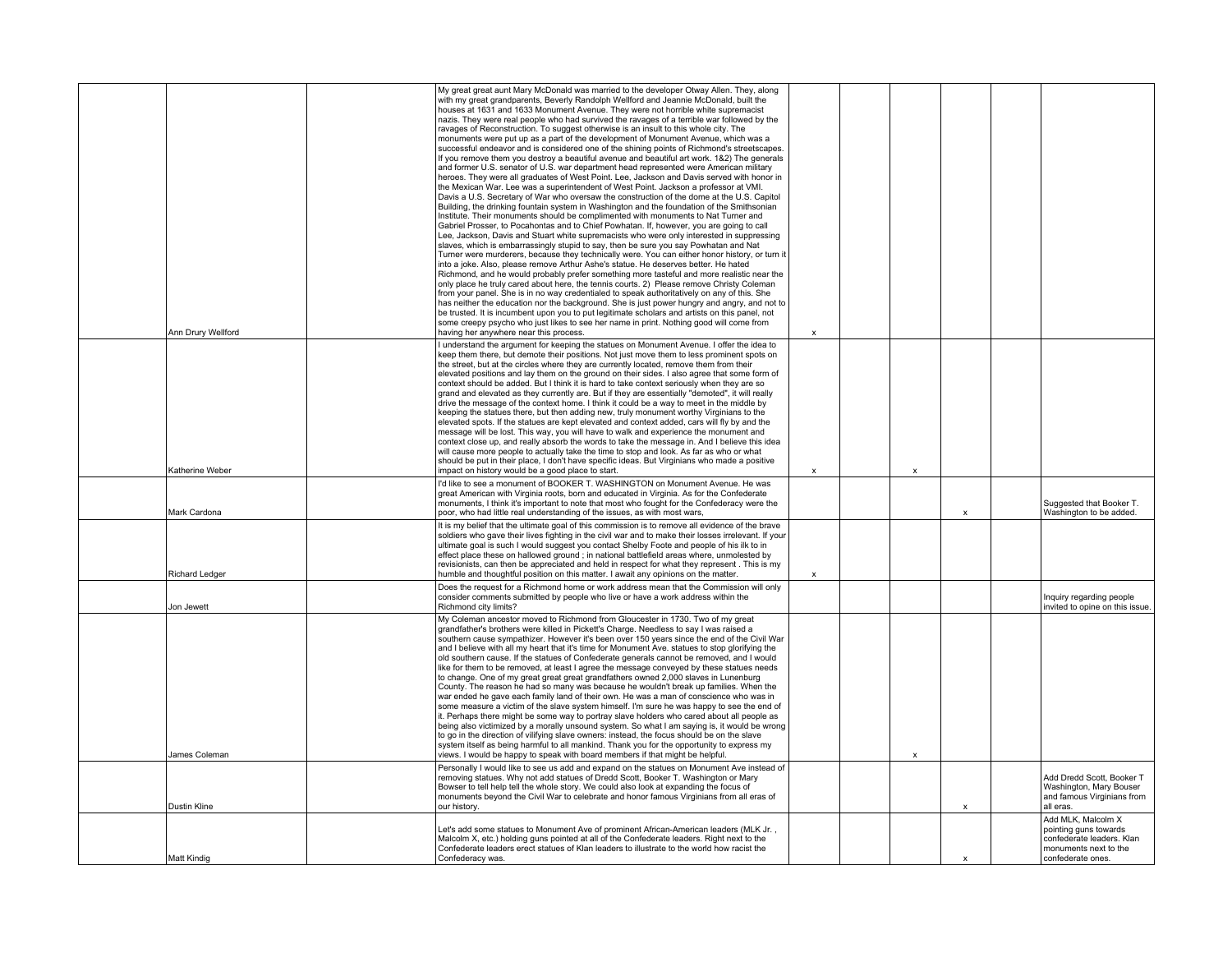|                       | Ann Drury Wellford | My great great aunt Mary McDonald was married to the developer Otway Allen. They, along<br>with my great grandparents, Beverly Randolph Wellford and Jeannie McDonald, built the<br>houses at 1631 and 1633 Monument Avenue. They were not horrible white supremacist<br>nazis. They were real people who had survived the ravages of a terrible war followed by the<br>ravages of Reconstruction. To suggest otherwise is an insult to this whole city. The<br>monuments were put up as a part of the development of Monument Avenue, which was a<br>successful endeavor and is considered one of the shining points of Richmond's streetscapes.<br>If you remove them you destroy a beautiful avenue and beautiful art work. 1&2) The generals<br>and former U.S. senator of U.S. war department head represented were American military<br>heroes. They were all graduates of West Point. Lee, Jackson and Davis served with honor in<br>the Mexican War. Lee was a superintendent of West Point. Jackson a professor at VMI.<br>Davis a U.S. Secretary of War who oversaw the construction of the dome at the U.S. Capitol<br>Building, the drinking fountain system in Washington and the foundation of the Smithsonian<br>Institute. Their monuments should be complimented with monuments to Nat Turner and<br>Gabriel Prosser, to Pocahontas and to Chief Powhatan. If, however, you are going to call<br>Lee, Jackson, Davis and Stuart white supremacists who were only interested in suppressing<br>slaves, which is embarrassingly stupid to say, then be sure you say Powhatan and Nat<br>Turner were murderers, because they technically were. You can either honor history, or turn it<br>into a joke. Also, please remove Arthur Ashe's statue. He deserves better. He hated<br>Richmond, and he would probably prefer something more tasteful and more realistic near the<br>only place he truly cared about here, the tennis courts. 2) Please remove Christy Coleman<br>from your panel. She is in no way credentialed to speak authoritatively on any of this. She<br>has neither the education nor the background. She is just power hungry and angry, and not to<br>be trusted. It is incumbent upon you to put legitimate scholars and artists on this panel, not<br>some creepy psycho who just likes to see her name in print. Nothing good will come from<br>having her anywhere near this process. | x           |   |   |                                                                                                   |
|-----------------------|--------------------|-------------------------------------------------------------------------------------------------------------------------------------------------------------------------------------------------------------------------------------------------------------------------------------------------------------------------------------------------------------------------------------------------------------------------------------------------------------------------------------------------------------------------------------------------------------------------------------------------------------------------------------------------------------------------------------------------------------------------------------------------------------------------------------------------------------------------------------------------------------------------------------------------------------------------------------------------------------------------------------------------------------------------------------------------------------------------------------------------------------------------------------------------------------------------------------------------------------------------------------------------------------------------------------------------------------------------------------------------------------------------------------------------------------------------------------------------------------------------------------------------------------------------------------------------------------------------------------------------------------------------------------------------------------------------------------------------------------------------------------------------------------------------------------------------------------------------------------------------------------------------------------------------------------------------------------------------------------------------------------------------------------------------------------------------------------------------------------------------------------------------------------------------------------------------------------------------------------------------------------------------------------------------------------------------------------------------------------------------------------------------------------------------------------------------------|-------------|---|---|---------------------------------------------------------------------------------------------------|
|                       |                    |                                                                                                                                                                                                                                                                                                                                                                                                                                                                                                                                                                                                                                                                                                                                                                                                                                                                                                                                                                                                                                                                                                                                                                                                                                                                                                                                                                                                                                                                                                                                                                                                                                                                                                                                                                                                                                                                                                                                                                                                                                                                                                                                                                                                                                                                                                                                                                                                                               |             |   |   |                                                                                                   |
|                       | Katherine Weber    | I understand the argument for keeping the statues on Monument Avenue. I offer the idea to<br>keep them there, but demote their positions. Not just move them to less prominent spots on<br>the street, but at the circles where they are currently located, remove them from their<br>elevated positions and lay them on the ground on their sides. I also agree that some form of<br>context should be added. But I think it is hard to take context seriously when they are so<br>grand and elevated as they currently are. But if they are essentially "demoted", it will really<br>drive the message of the context home. I think it could be a way to meet in the middle by<br>keeping the statues there, but then adding new, truly monument worthy Virginians to the<br>elevated spots. If the statues are kept elevated and context added, cars will fly by and the<br>message will be lost. This way, you will have to walk and experience the monument and<br>context close up, and really absorb the words to take the message in. And I believe this idea<br>will cause more people to actually take the time to stop and look. As far as who or what<br>should be put in their place, I don't have specific ideas. But Virginians who made a positive<br>impact on history would be a good place to start.                                                                                                                                                                                                                                                                                                                                                                                                                                                                                                                                                                                                                                                                                                                                                                                                                                                                                                                                                                                                                                                                                                       | X           | x |   |                                                                                                   |
|                       |                    | I'd like to see a monument of BOOKER T. WASHINGTON on Monument Avenue. He was<br>great American with Virginia roots, born and educated in Virginia. As for the Confederate<br>monuments, I think it's important to note that most who fought for the Confederacy were the                                                                                                                                                                                                                                                                                                                                                                                                                                                                                                                                                                                                                                                                                                                                                                                                                                                                                                                                                                                                                                                                                                                                                                                                                                                                                                                                                                                                                                                                                                                                                                                                                                                                                                                                                                                                                                                                                                                                                                                                                                                                                                                                                     |             |   |   | Suggested that Booker T.                                                                          |
| Mark Cardona          |                    | poor, who had little real understanding of the issues, as with most wars,                                                                                                                                                                                                                                                                                                                                                                                                                                                                                                                                                                                                                                                                                                                                                                                                                                                                                                                                                                                                                                                                                                                                                                                                                                                                                                                                                                                                                                                                                                                                                                                                                                                                                                                                                                                                                                                                                                                                                                                                                                                                                                                                                                                                                                                                                                                                                     |             |   | X | Washington to be added.                                                                           |
| <b>Richard Ledger</b> |                    | It is my belief that the ultimate goal of this commission is to remove all evidence of the brave<br>soldiers who gave their lives fighting in the civil war and to make their losses irrelevant. If your<br>ultimate goal is such I would suggest you contact Shelby Foote and people of his ilk to in<br>effect place these on hallowed ground; in national battlefield areas where, unmolested by<br>revisionists, can then be appreciated and held in respect for what they represent. This is my<br>humble and thoughtful position on this matter. I await any opinions on the matter.                                                                                                                                                                                                                                                                                                                                                                                                                                                                                                                                                                                                                                                                                                                                                                                                                                                                                                                                                                                                                                                                                                                                                                                                                                                                                                                                                                                                                                                                                                                                                                                                                                                                                                                                                                                                                                    | $\mathbf x$ |   |   |                                                                                                   |
| Jon Jewett            |                    | Does the request for a Richmond home or work address mean that the Commission will only<br>consider comments submitted by people who live or have a work address within the<br>Richmond city limits?                                                                                                                                                                                                                                                                                                                                                                                                                                                                                                                                                                                                                                                                                                                                                                                                                                                                                                                                                                                                                                                                                                                                                                                                                                                                                                                                                                                                                                                                                                                                                                                                                                                                                                                                                                                                                                                                                                                                                                                                                                                                                                                                                                                                                          |             |   |   | Inquiry regarding people<br>invited to opine on this issue.                                       |
| James Coleman         |                    | My Coleman ancestor moved to Richmond from Gloucester in 1730. Two of my great<br>grandfather's brothers were killed in Pickett's Charge. Needless to say I was raised a<br>southern cause sympathizer. However it's been over 150 years since the end of the Civil War<br>and I believe with all my heart that it's time for Monument Ave. statues to stop glorifying the<br>old southern cause. If the statues of Confederate generals cannot be removed, and I would<br>like for them to be removed, at least I agree the message conveyed by these statues needs<br>to change. One of my great great great grandfathers owned 2,000 slaves in Lunenburg<br>County. The reason he had so many was because he wouldn't break up families. When the<br>war ended he gave each family land of their own. He was a man of conscience who was in<br>some measure a victim of the slave system himself. I'm sure he was happy to see the end of<br>it. Perhaps there might be some way to portray slave holders who cared about all people as<br>being also victimized by a morally unsound system. So what I am saying is, it would be wrong<br>to go in the direction of vilifying slave owners: instead, the focus should be on the slave<br>system itself as being harmful to all mankind. Thank you for the opportunity to express my<br>views. I would be happy to speak with board members if that might be helpful.                                                                                                                                                                                                                                                                                                                                                                                                                                                                                                                                                                                                                                                                                                                                                                                                                                                                                                                                                                                                      |             | x |   |                                                                                                   |
|                       |                    | Personally I would like to see us add and expand on the statues on Monument Ave instead of                                                                                                                                                                                                                                                                                                                                                                                                                                                                                                                                                                                                                                                                                                                                                                                                                                                                                                                                                                                                                                                                                                                                                                                                                                                                                                                                                                                                                                                                                                                                                                                                                                                                                                                                                                                                                                                                                                                                                                                                                                                                                                                                                                                                                                                                                                                                    |             |   |   |                                                                                                   |
| Dustin Kline          |                    | removing statues. Why not add statues of Dredd Scott, Booker T. Washington or Mary<br>Bowser to tell help tell the whole story. We could also look at expanding the focus of<br>monuments beyond the Civil War to celebrate and honor famous Virginians from all eras of<br>our history.                                                                                                                                                                                                                                                                                                                                                                                                                                                                                                                                                                                                                                                                                                                                                                                                                                                                                                                                                                                                                                                                                                                                                                                                                                                                                                                                                                                                                                                                                                                                                                                                                                                                                                                                                                                                                                                                                                                                                                                                                                                                                                                                      |             |   | x | Add Dredd Scott, Booker T<br>Washington, Mary Bouser<br>and famous Virginians from<br>all eras.   |
|                       |                    | Let's add some statues to Monument Ave of prominent African-American leaders (MLK Jr.,<br>Malcolm X, etc.) holding guns pointed at all of the Confederate leaders. Right next to the<br>Confederate leaders erect statues of Klan leaders to illustrate to the world how racist the                                                                                                                                                                                                                                                                                                                                                                                                                                                                                                                                                                                                                                                                                                                                                                                                                                                                                                                                                                                                                                                                                                                                                                                                                                                                                                                                                                                                                                                                                                                                                                                                                                                                                                                                                                                                                                                                                                                                                                                                                                                                                                                                           |             |   |   | Add MLK, Malcolm X<br>pointing guns towards<br>confederate leaders. Klan<br>monuments next to the |
| Matt Kindig           |                    | Confederacy was.                                                                                                                                                                                                                                                                                                                                                                                                                                                                                                                                                                                                                                                                                                                                                                                                                                                                                                                                                                                                                                                                                                                                                                                                                                                                                                                                                                                                                                                                                                                                                                                                                                                                                                                                                                                                                                                                                                                                                                                                                                                                                                                                                                                                                                                                                                                                                                                                              |             |   | X | confederate ones.                                                                                 |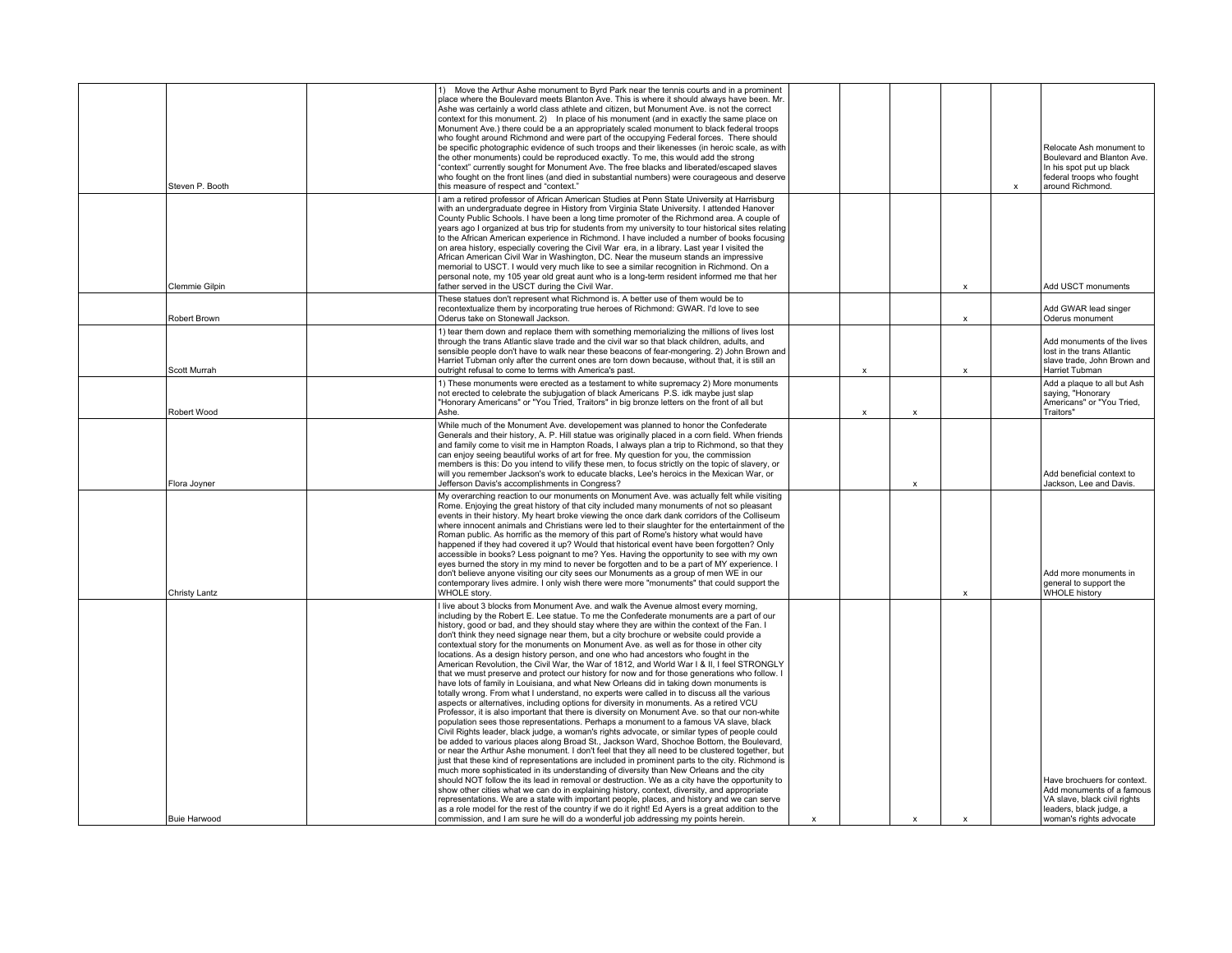| Steven P. Booth     | Move the Arthur Ashe monument to Byrd Park near the tennis courts and in a prominent<br>place where the Boulevard meets Blanton Ave. This is where it should always have been. Mr.<br>Ashe was certainly a world class athlete and citizen, but Monument Ave. is not the correct<br>context for this monument. 2) In place of his monument (and in exactly the same place on<br>Monument Ave.) there could be a an appropriately scaled monument to black federal troops<br>who fought around Richmond and were part of the occupying Federal forces. There should<br>be specific photographic evidence of such troops and their likenesses (in heroic scale, as with<br>the other monuments) could be reproduced exactly. To me, this would add the strong<br>"context" currently sought for Monument Ave. The free blacks and liberated/escaped slaves<br>who fought on the front lines (and died in substantial numbers) were courageous and deserve<br>this measure of respect and "context."                                                                                                                                                                                                                                                                                                                                                                                                                                                                                                                                                                                                                                                                                                                                                                                                                                                                                                                                     |              |                           |                           |              | $\mathsf{x}$ | Relocate Ash monument to<br>Boulevard and Blanton Ave.<br>In his spot put up black<br>federal troops who fought<br>around Richmond. |
|---------------------|---------------------------------------------------------------------------------------------------------------------------------------------------------------------------------------------------------------------------------------------------------------------------------------------------------------------------------------------------------------------------------------------------------------------------------------------------------------------------------------------------------------------------------------------------------------------------------------------------------------------------------------------------------------------------------------------------------------------------------------------------------------------------------------------------------------------------------------------------------------------------------------------------------------------------------------------------------------------------------------------------------------------------------------------------------------------------------------------------------------------------------------------------------------------------------------------------------------------------------------------------------------------------------------------------------------------------------------------------------------------------------------------------------------------------------------------------------------------------------------------------------------------------------------------------------------------------------------------------------------------------------------------------------------------------------------------------------------------------------------------------------------------------------------------------------------------------------------------------------------------------------------------------------------------------------------|--------------|---------------------------|---------------------------|--------------|--------------|-------------------------------------------------------------------------------------------------------------------------------------|
| Clemmie Gilpin      | I am a retired professor of African American Studies at Penn State University at Harrisburg<br>with an undergraduate degree in History from Virginia State University. I attended Hanover<br>County Public Schools. I have been a long time promoter of the Richmond area. A couple of<br>years ago I organized at bus trip for students from my university to tour historical sites relating<br>to the African American experience in Richmond. I have included a number of books focusing<br>on area history, especially covering the Civil War era, in a library. Last year I visited the<br>African American Civil War in Washington, DC. Near the museum stands an impressive<br>memorial to USCT. I would very much like to see a similar recognition in Richmond. On a<br>personal note, my 105 year old great aunt who is a long-term resident informed me that her<br>father served in the USCT during the Civil War.                                                                                                                                                                                                                                                                                                                                                                                                                                                                                                                                                                                                                                                                                                                                                                                                                                                                                                                                                                                                        |              |                           |                           | X            |              | Add USCT monuments                                                                                                                  |
| Robert Brown        | These statues don't represent what Richmond is. A better use of them would be to<br>recontextualize them by incorporating true heroes of Richmond: GWAR. I'd love to see<br>Oderus take on Stonewall Jackson.                                                                                                                                                                                                                                                                                                                                                                                                                                                                                                                                                                                                                                                                                                                                                                                                                                                                                                                                                                                                                                                                                                                                                                                                                                                                                                                                                                                                                                                                                                                                                                                                                                                                                                                         |              |                           |                           | $\mathsf{x}$ |              | Add GWAR lead singer<br>Oderus monument                                                                                             |
| Scott Murrah        | 1) tear them down and replace them with something memorializing the millions of lives lost<br>through the trans Atlantic slave trade and the civil war so that black children, adults, and<br>sensible people don't have to walk near these beacons of fear-mongering. 2) John Brown and<br>Harriet Tubman only after the current ones are torn down because, without that, it is still an<br>outright refusal to come to terms with America's past.                                                                                                                                                                                                                                                                                                                                                                                                                                                                                                                                                                                                                                                                                                                                                                                                                                                                                                                                                                                                                                                                                                                                                                                                                                                                                                                                                                                                                                                                                  |              | X                         |                           | X            |              | Add monuments of the lives<br>lost in the trans Atlantic<br>slave trade, John Brown and<br>Harriet Tubman                           |
| Robert Wood         | 1) These monuments were erected as a testament to white supremacy 2) More monuments<br>not erected to celebrate the subjugation of black Americans P.S. idk maybe just slap<br>"Honorary Americans" or "You Tried, Traitors" in big bronze letters on the front of all but<br>Ashe.                                                                                                                                                                                                                                                                                                                                                                                                                                                                                                                                                                                                                                                                                                                                                                                                                                                                                                                                                                                                                                                                                                                                                                                                                                                                                                                                                                                                                                                                                                                                                                                                                                                   |              | $\boldsymbol{\mathsf{x}}$ | $\boldsymbol{\mathsf{x}}$ |              |              | Add a plaque to all but Ash<br>saying, "Honorary<br>Americans" or "You Tried,<br>Traitors"                                          |
| Flora Joyner        | While much of the Monument Ave. developement was planned to honor the Confederate<br>Generals and their history, A. P. Hill statue was originally placed in a corn field. When friends<br>and family come to visit me in Hampton Roads, I always plan a trip to Richmond, so that they<br>can enjoy seeing beautiful works of art for free. My question for you, the commission<br>members is this: Do you intend to vilify these men, to focus strictly on the topic of slavery, or<br>will you remember Jackson's work to educate blacks, Lee's heroics in the Mexican War, or<br>Jefferson Davis's accomplishments in Congress?                                                                                                                                                                                                                                                                                                                                                                                                                                                                                                                                                                                                                                                                                                                                                                                                                                                                                                                                                                                                                                                                                                                                                                                                                                                                                                    |              |                           | $\mathbf x$               |              |              | Add beneficial context to<br>Jackson, Lee and Davis.                                                                                |
| Christy Lantz       | My overarching reaction to our monuments on Monument Ave. was actually felt while visiting<br>Rome. Enjoying the great history of that city included many monuments of not so pleasant<br>events in their history. My heart broke viewing the once dark dank corridors of the Colliseum<br>where innocent animals and Christians were led to their slaughter for the entertainment of the<br>Roman public. As horrific as the memory of this part of Rome's history what would have<br>happened if they had covered it up? Would that historical event have been forgotten? Only<br>accessible in books? Less poignant to me? Yes. Having the opportunity to see with my own<br>eyes burned the story in my mind to never be forgotten and to be a part of MY experience. I<br>don't believe anyone visiting our city sees our Monuments as a group of men WE in our<br>contemporary lives admire. I only wish there were more "monuments" that could support the<br>WHOLE story.                                                                                                                                                                                                                                                                                                                                                                                                                                                                                                                                                                                                                                                                                                                                                                                                                                                                                                                                                     |              |                           |                           | $\mathbf{x}$ |              | Add more monuments in<br>general to support the<br><b>WHOLE history</b>                                                             |
|                     | I live about 3 blocks from Monument Ave. and walk the Avenue almost every morning,<br>including by the Robert E. Lee statue. To me the Confederate monuments are a part of our<br>history, good or bad, and they should stay where they are within the context of the Fan. I<br>don't think they need signage near them, but a city brochure or website could provide a<br>contextual story for the monuments on Monument Ave. as well as for those in other city<br>locations. As a design history person, and one who had ancestors who fought in the<br>American Revolution, the Civil War, the War of 1812, and World War I & II, I feel STRONGLY<br>that we must preserve and protect our history for now and for those generations who follow. I<br>have lots of family in Louisiana, and what New Orleans did in taking down monuments is<br>totally wrong. From what I understand, no experts were called in to discuss all the various<br>aspects or alternatives, including options for diversity in monuments. As a retired VCU<br>Professor, it is also important that there is diversity on Monument Ave. so that our non-white<br>population sees those representations. Perhaps a monument to a famous VA slave, black<br>Civil Rights leader, black judge, a woman's rights advocate, or similar types of people could<br>be added to various places along Broad St., Jackson Ward, Shochoe Bottom, the Boulevard,<br>or near the Arthur Ashe monument. I don't feel that they all need to be clustered together, but<br>just that these kind of representations are included in prominent parts to the city. Richmond is<br>much more sophisticated in its understanding of diversity than New Orleans and the city<br>should NOT follow the its lead in removal or destruction. We as a city have the opportunity to<br>show other cities what we can do in explaining history, context, diversity, and appropriate |              |                           |                           |              |              | Have brochuers for context.<br>Add monuments of a famous                                                                            |
| <b>Buie Harwood</b> | representations. We are a state with important people, places, and history and we can serve<br>as a role model for the rest of the country if we do it right! Ed Ayers is a great addition to the<br>commission, and I am sure he will do a wonderful job addressing my points herein.                                                                                                                                                                                                                                                                                                                                                                                                                                                                                                                                                                                                                                                                                                                                                                                                                                                                                                                                                                                                                                                                                                                                                                                                                                                                                                                                                                                                                                                                                                                                                                                                                                                | $\mathbf{x}$ |                           | $\boldsymbol{\mathsf{x}}$ | $\mathbf{x}$ |              | VA slave, black civil rights<br>leaders, black judge, a<br>woman's rights advocate                                                  |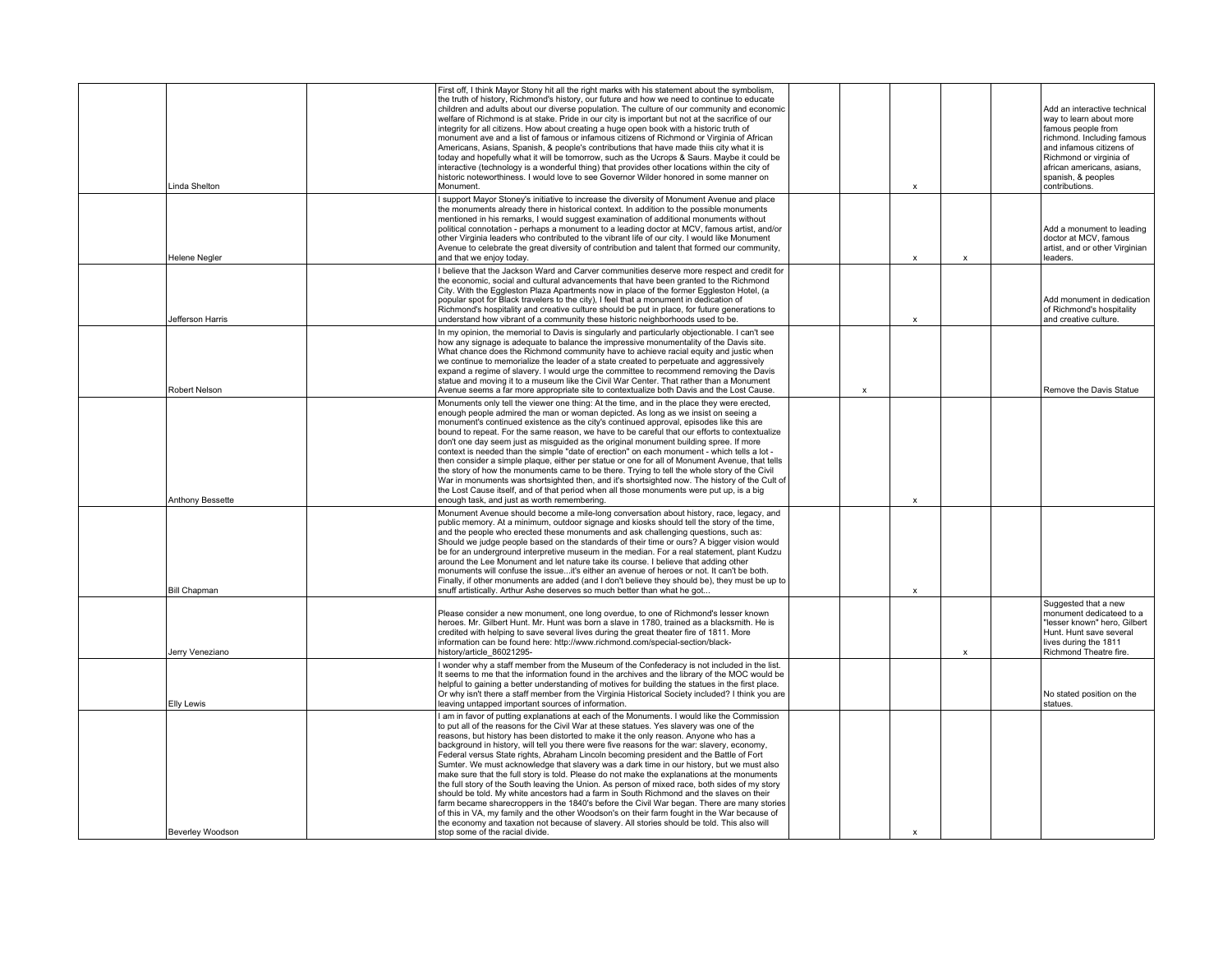| Linda Shelton           | First off, I think Mayor Stony hit all the right marks with his statement about the symbolism,<br>the truth of history, Richmond's history, our future and how we need to continue to educate<br>children and adults about our diverse population. The culture of our community and economic<br>welfare of Richmond is at stake. Pride in our city is important but not at the sacrifice of our<br>integrity for all citizens. How about creating a huge open book with a historic truth of<br>monument ave and a list of famous or infamous citizens of Richmond or Virginia of African<br>Americans, Asians, Spanish, & people's contributions that have made thiis city what it is<br>today and hopefully what it will be tomorrow, such as the Ucrops & Saurs. Maybe it could be<br>interactive (technology is a wonderful thing) that provides other locations within the city of<br>historic noteworthiness. I would love to see Governor Wilder honored in some manner on<br>Monument.                                                                                                                                                                                                    |   |                           |                           | Add an interactive technical<br>way to learn about more<br>famous people from<br>richmond. Including famous<br>and infamous citizens of<br>Richmond or virginia of<br>african americans, asians,<br>spanish, & peoples<br>contributions. |
|-------------------------|--------------------------------------------------------------------------------------------------------------------------------------------------------------------------------------------------------------------------------------------------------------------------------------------------------------------------------------------------------------------------------------------------------------------------------------------------------------------------------------------------------------------------------------------------------------------------------------------------------------------------------------------------------------------------------------------------------------------------------------------------------------------------------------------------------------------------------------------------------------------------------------------------------------------------------------------------------------------------------------------------------------------------------------------------------------------------------------------------------------------------------------------------------------------------------------------------|---|---------------------------|---------------------------|------------------------------------------------------------------------------------------------------------------------------------------------------------------------------------------------------------------------------------------|
| Helene Negler           | I support Mayor Stoney's initiative to increase the diversity of Monument Avenue and place<br>the monuments already there in historical context. In addition to the possible monuments<br>mentioned in his remarks, I would suggest examination of additional monuments without<br>political connotation - perhaps a monument to a leading doctor at MCV, famous artist, and/or<br>other Virginia leaders who contributed to the vibrant life of our city. I would like Monument<br>Avenue to celebrate the great diversity of contribution and talent that formed our community,<br>and that we enjoy today.                                                                                                                                                                                                                                                                                                                                                                                                                                                                                                                                                                                    |   | $\boldsymbol{\mathsf{x}}$ | $\boldsymbol{\mathsf{x}}$ | Add a monument to leading<br>doctor at MCV, famous<br>artist, and or other Virginian<br>leaders.                                                                                                                                         |
| Jefferson Harris        | I believe that the Jackson Ward and Carver communities deserve more respect and credit for<br>the economic, social and cultural advancements that have been granted to the Richmond<br>City. With the Eggleston Plaza Apartments now in place of the former Eggleston Hotel, (a<br>popular spot for Black travelers to the city), I feel that a monument in dedication of<br>Richmond's hospitality and creative culture should be put in place, for future generations to<br>understand how vibrant of a community these historic neighborhoods used to be.                                                                                                                                                                                                                                                                                                                                                                                                                                                                                                                                                                                                                                     |   | $\boldsymbol{\mathsf{x}}$ |                           | Add monument in dedication<br>of Richmond's hospitality<br>and creative culture.                                                                                                                                                         |
| Robert Nelson           | In my opinion, the memorial to Davis is singularly and particularly objectionable. I can't see<br>how any signage is adequate to balance the impressive monumentality of the Davis site.<br>What chance does the Richmond community have to achieve racial equity and justic when<br>we continue to memorialize the leader of a state created to perpetuate and aggressively<br>expand a regime of slavery. I would urge the committee to recommend removing the Davis<br>statue and moving it to a museum like the Civil War Center. That rather than a Monument<br>Avenue seems a far more appropriate site to contextualize both Davis and the Lost Cause.                                                                                                                                                                                                                                                                                                                                                                                                                                                                                                                                    | x |                           |                           | Remove the Davis Statue                                                                                                                                                                                                                  |
| <b>Anthony Bessette</b> | Monuments only tell the viewer one thing: At the time, and in the place they were erected,<br>enough people admired the man or woman depicted. As long as we insist on seeing a<br>monument's continued existence as the city's continued approval, episodes like this are<br>bound to repeat. For the same reason, we have to be careful that our efforts to contextualize<br>don't one day seem just as misquided as the original monument building spree. If more<br>context is needed than the simple "date of erection" on each monument - which tells a lot -<br>then consider a simple plaque, either per statue or one for all of Monument Avenue, that tells<br>the story of how the monuments came to be there. Trying to tell the whole story of the Civil<br>War in monuments was shortsighted then, and it's shortsighted now. The history of the Cult of<br>the Lost Cause itself, and of that period when all those monuments were put up, is a big<br>enough task, and just as worth remembering.                                                                                                                                                                                |   | $\boldsymbol{\mathsf{x}}$ |                           |                                                                                                                                                                                                                                          |
| <b>Bill Chapman</b>     | Monument Avenue should become a mile-long conversation about history, race, legacy, and<br>public memory. At a minimum, outdoor signage and kiosks should tell the story of the time,<br>and the people who erected these monuments and ask challenging questions, such as:<br>Should we judge people based on the standards of their time or ours? A bigger vision would<br>be for an underground interpretive museum in the median. For a real statement, plant Kudzu<br>around the Lee Monument and let nature take its course. I believe that adding other<br>monuments will confuse the issueit's either an avenue of heroes or not. It can't be both.<br>Finally, if other monuments are added (and I don't believe they should be), they must be up to<br>snuff artistically. Arthur Ashe deserves so much better than what he got                                                                                                                                                                                                                                                                                                                                                        |   |                           |                           |                                                                                                                                                                                                                                          |
| Jerry Veneziano         | Please consider a new monument, one long overdue, to one of Richmond's lesser known<br>heroes. Mr. Gilbert Hunt. Mr. Hunt was born a slave in 1780, trained as a blacksmith. He is<br>credited with helping to save several lives during the great theater fire of 1811. More<br>information can be found here: http://www.richmond.com/special-section/black-<br>history/article 86021295-                                                                                                                                                                                                                                                                                                                                                                                                                                                                                                                                                                                                                                                                                                                                                                                                      |   |                           | X                         | Suggested that a new<br>monument dedicateed to a<br>"lesser known" hero, Gilbert<br>Hunt. Hunt save several<br>lives during the 1811<br>Richmond Theatre fire.                                                                           |
| <b>Elly Lewis</b>       | I wonder why a staff member from the Museum of the Confederacy is not included in the list.<br>It seems to me that the information found in the archives and the library of the MOC would be<br>helpful to gaining a better understanding of motives for building the statues in the first place.<br>Or why isn't there a staff member from the Virginia Historical Society included? I think you are<br>leaving untapped important sources of information.                                                                                                                                                                                                                                                                                                                                                                                                                                                                                                                                                                                                                                                                                                                                      |   |                           |                           | No stated position on the<br>statues.                                                                                                                                                                                                    |
| Beverley Woodson        | I am in favor of putting explanations at each of the Monuments. I would like the Commission<br>to put all of the reasons for the Civil War at these statues. Yes slavery was one of the<br>reasons, but history has been distorted to make it the only reason. Anyone who has a<br>background in history, will tell you there were five reasons for the war: slavery, economy,<br>Federal versus State rights, Abraham Lincoln becoming president and the Battle of Fort<br>Sumter. We must acknowledge that slavery was a dark time in our history, but we must also<br>make sure that the full story is told. Please do not make the explanations at the monuments<br>the full story of the South leaving the Union. As person of mixed race, both sides of my story<br>should be told. My white ancestors had a farm in South Richmond and the slaves on their<br>farm became sharecroppers in the 1840's before the Civil War began. There are many stories<br>of this in VA, my family and the other Woodson's on their farm fought in the War because of<br>the economy and taxation not because of slavery. All stories should be told. This also will<br>stop some of the racial divide. |   | $\boldsymbol{\mathsf{x}}$ |                           |                                                                                                                                                                                                                                          |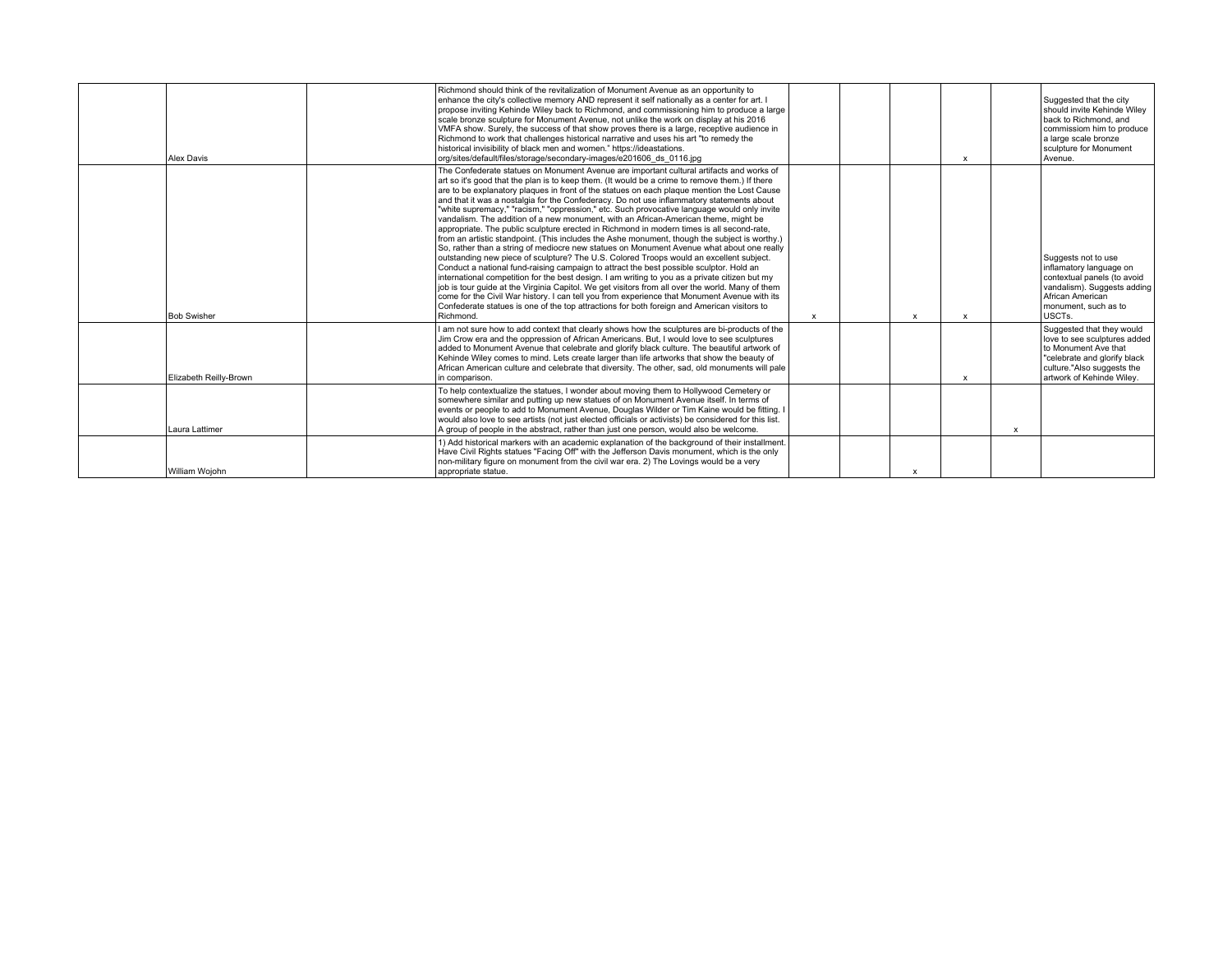| Alex Davis             | Richmond should think of the revitalization of Monument Avenue as an opportunity to<br>enhance the city's collective memory AND represent it self nationally as a center for art. I<br>propose inviting Kehinde Wiley back to Richmond, and commissioning him to produce a large<br>scale bronze sculpture for Monument Avenue, not unlike the work on display at his 2016<br>VMFA show. Surely, the success of that show proves there is a large, receptive audience in<br>Richmond to work that challenges historical narrative and uses his art "to remedy the<br>historical invisibility of black men and women." https://ideastations.<br>org/sites/default/files/storage/secondary-images/e201606 ds 0116.jpg                                                                                                                                                                                                                                                                                                                                                                                                                                                                                                                                                                                                                                                                                                                                                             |              |              | $\boldsymbol{\mathsf{x}}$ |              | Suggested that the city<br>should invite Kehinde Wilev<br>back to Richmond, and<br>commissiom him to produce<br>a large scale bronze<br>sculpture for Monument<br>Avenue.    |
|------------------------|---------------------------------------------------------------------------------------------------------------------------------------------------------------------------------------------------------------------------------------------------------------------------------------------------------------------------------------------------------------------------------------------------------------------------------------------------------------------------------------------------------------------------------------------------------------------------------------------------------------------------------------------------------------------------------------------------------------------------------------------------------------------------------------------------------------------------------------------------------------------------------------------------------------------------------------------------------------------------------------------------------------------------------------------------------------------------------------------------------------------------------------------------------------------------------------------------------------------------------------------------------------------------------------------------------------------------------------------------------------------------------------------------------------------------------------------------------------------------------|--------------|--------------|---------------------------|--------------|------------------------------------------------------------------------------------------------------------------------------------------------------------------------------|
| <b>Bob Swisher</b>     | The Confederate statues on Monument Avenue are important cultural artifacts and works of<br>art so it's good that the plan is to keep them. (It would be a crime to remove them.) If there<br>are to be explanatory plaques in front of the statues on each plaque mention the Lost Cause<br>and that it was a nostalgia for the Confederacy. Do not use inflammatory statements about<br>"white supremacy," "racism," "oppression," etc. Such provocative language would only invite<br>vandalism. The addition of a new monument, with an African-American theme, might be<br>appropriate. The public sculpture erected in Richmond in modern times is all second-rate.<br>from an artistic standpoint. (This includes the Ashe monument, though the subject is worthy.)<br>So, rather than a string of mediocre new statues on Monument Avenue what about one really<br>outstanding new piece of sculpture? The U.S. Colored Troops would an excellent subject.<br>Conduct a national fund-raising campaign to attract the best possible sculptor. Hold an<br>international competition for the best design. I am writing to you as a private citizen but my<br>job is tour quide at the Virginia Capitol. We get visitors from all over the world. Many of them<br>come for the Civil War history. I can tell you from experience that Monument Avenue with its<br>Confederate statues is one of the top attractions for both foreign and American visitors to<br>Richmond. | $\mathsf{x}$ | $\mathsf{x}$ | $\boldsymbol{\mathsf{x}}$ |              | Suggests not to use<br>inflamatory language on<br>contextual panels (to avoid<br>vandalism). Suggests adding<br>African American<br>monument, such as to<br>USCTs.           |
| Elizabeth Reilly-Brown | I am not sure how to add context that clearly shows how the sculptures are bi-products of the<br>Jim Crow era and the oppression of African Americans. But, I would love to see sculptures<br>added to Monument Avenue that celebrate and glorify black culture. The beautiful artwork of<br>Kehinde Wiley comes to mind. Lets create larger than life artworks that show the beauty of<br>African American culture and celebrate that diversity. The other, sad, old monuments will pale<br>in comparison.                                                                                                                                                                                                                                                                                                                                                                                                                                                                                                                                                                                                                                                                                                                                                                                                                                                                                                                                                                     |              |              | $\boldsymbol{\mathsf{x}}$ |              | Suggested that they would<br>love to see sculptures added<br>to Monument Ave that<br>"celebrate and glorify black<br>culture."Also suggests the<br>artwork of Kehinde Wilev. |
| Laura Lattimer         | To help contextualize the statues, I wonder about moving them to Hollywood Cemetery or<br>somewhere similar and putting up new statues of on Monument Avenue itself. In terms of<br>events or people to add to Monument Avenue, Douglas Wilder or Tim Kaine would be fitting. I<br>would also love to see artists (not just elected officials or activists) be considered for this list.<br>$A$ group of people in the abstract, rather than just one person, would also be welcome.                                                                                                                                                                                                                                                                                                                                                                                                                                                                                                                                                                                                                                                                                                                                                                                                                                                                                                                                                                                            |              |              |                           | $\mathsf{x}$ |                                                                                                                                                                              |
| William Woiohn         | 1) Add historical markers with an academic explanation of the background of their installment.<br>Have Civil Rights statues "Facing Off" with the Jefferson Davis monument, which is the only<br>non-military figure on monument from the civil war era. 2) The Lovings would be a very<br>appropriate statue.                                                                                                                                                                                                                                                                                                                                                                                                                                                                                                                                                                                                                                                                                                                                                                                                                                                                                                                                                                                                                                                                                                                                                                  |              | $\mathbf{x}$ |                           |              |                                                                                                                                                                              |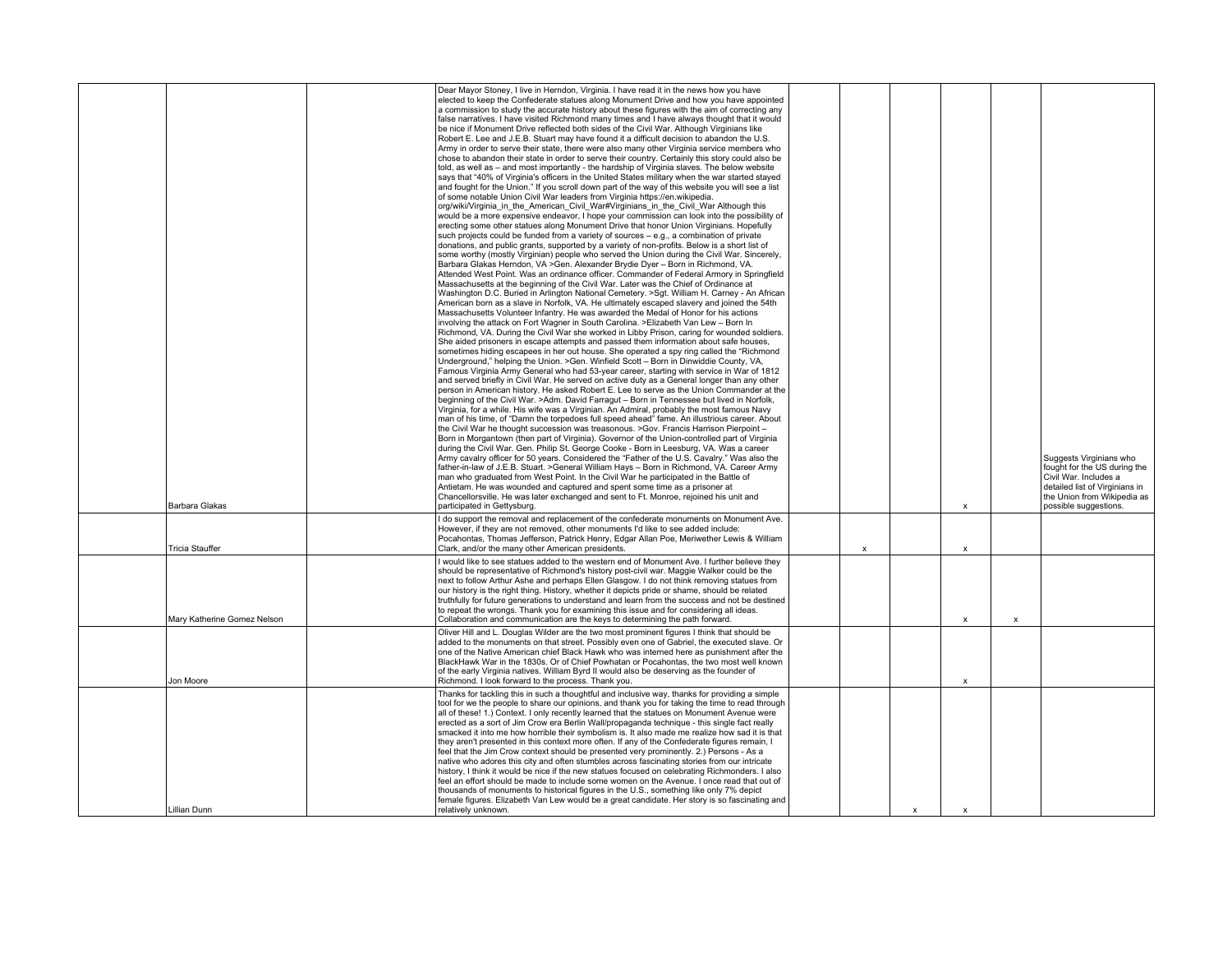| Barbara Glakas              | Dear Mayor Stoney, I live in Herndon, Virginia. I have read it in the news how you have<br>elected to keep the Confederate statues along Monument Drive and how you have appointed<br>a commission to study the accurate history about these figures with the aim of correcting any<br>false narratives. I have visited Richmond many times and I have always thought that it would<br>be nice if Monument Drive reflected both sides of the Civil War. Although Virginians like<br>Robert E. Lee and J.E.B. Stuart may have found it a difficult decision to abandon the U.S.<br>Army in order to serve their state, there were also many other Virginia service members who<br>chose to abandon their state in order to serve their country. Certainly this story could also be<br>told, as well as - and most importantly - the hardship of Virginia slaves. The below website<br>says that "40% of Virginia's officers in the United States military when the war started stayed<br>and fought for the Union." If you scroll down part of the way of this website you will see a list<br>of some notable Union Civil War leaders from Virginia https://en.wikipedia.<br>org/wiki/Virginia in the American Civil War#Virginians in the Civil War Although this<br>would be a more expensive endeavor, I hope your commission can look into the possibility of<br>erecting some other statues along Monument Drive that honor Union Virginians. Hopefully<br>such projects could be funded from a variety of sources - e.g., a combination of private<br>donations, and public grants, supported by a variety of non-profits. Below is a short list of<br>some worthy (mostly Virginian) people who served the Union during the Civil War. Sincerely,<br>Barbara Glakas Herndon, VA > Gen. Alexander Brydie Dyer - Born in Richmond, VA.<br>Attended West Point. Was an ordinance officer. Commander of Federal Armory in Springfield<br>Massachusetts at the beginning of the Civil War. Later was the Chief of Ordinance at<br>Washington D.C. Buried in Arlington National Cemetery. >Sgt. William H. Carney - An African<br>American born as a slave in Norfolk, VA. He ultimately escaped slavery and joined the 54th<br>Massachusetts Volunteer Infantry. He was awarded the Medal of Honor for his actions<br>involving the attack on Fort Wagner in South Carolina. >Elizabeth Van Lew - Born In<br>Richmond, VA. During the Civil War she worked in Libby Prison, caring for wounded soldiers.<br>She aided prisoners in escape attempts and passed them information about safe houses,<br>sometimes hiding escapees in her out house. She operated a spy ring called the "Richmond"<br>Underground," helping the Union. >Gen. Winfield Scott - Born in Dinwiddie County, VA,<br>Famous Virginia Army General who had 53-year career, starting with service in War of 1812<br>and served briefly in Civil War. He served on active duty as a General longer than any other<br>person in American history. He asked Robert E. Lee to serve as the Union Commander at the<br>beginning of the Civil War. >Adm. David Farragut - Born in Tennessee but lived in Norfolk,<br>Virginia, for a while. His wife was a Virginian. An Admiral, probably the most famous Navy<br>man of his time, of "Damn the torpedoes full speed ahead" fame. An illustrious career. About<br>the Civil War he thought succession was treasonous. >Gov. Francis Harrison Pierpoint -<br>Born in Morgantown (then part of Virginia). Governor of the Union-controlled part of Virginia<br>during the Civil War. Gen. Philip St. George Cooke - Born in Leesburg, VA. Was a career<br>Army cavalry officer for 50 years. Considered the "Father of the U.S. Cavalry." Was also the<br>father-in-law of J.E.B. Stuart. >General William Hays - Born in Richmond, VA. Career Army<br>man who graduated from West Point. In the Civil War he participated in the Battle of<br>Antietam. He was wounded and captured and spent some time as a prisoner at<br>Chancellorsville. He was later exchanged and sent to Ft. Monroe, rejoined his unit and<br>participated in Gettysburg. |   |              | $\mathsf{x}$              |                           | Suggests Virginians who<br>fought for the US during the<br>Civil War, Includes a<br>detailed list of Virginians in<br>the Union from Wikipedia as<br>possible suggestions. |
|-----------------------------|------------------------------------------------------------------------------------------------------------------------------------------------------------------------------------------------------------------------------------------------------------------------------------------------------------------------------------------------------------------------------------------------------------------------------------------------------------------------------------------------------------------------------------------------------------------------------------------------------------------------------------------------------------------------------------------------------------------------------------------------------------------------------------------------------------------------------------------------------------------------------------------------------------------------------------------------------------------------------------------------------------------------------------------------------------------------------------------------------------------------------------------------------------------------------------------------------------------------------------------------------------------------------------------------------------------------------------------------------------------------------------------------------------------------------------------------------------------------------------------------------------------------------------------------------------------------------------------------------------------------------------------------------------------------------------------------------------------------------------------------------------------------------------------------------------------------------------------------------------------------------------------------------------------------------------------------------------------------------------------------------------------------------------------------------------------------------------------------------------------------------------------------------------------------------------------------------------------------------------------------------------------------------------------------------------------------------------------------------------------------------------------------------------------------------------------------------------------------------------------------------------------------------------------------------------------------------------------------------------------------------------------------------------------------------------------------------------------------------------------------------------------------------------------------------------------------------------------------------------------------------------------------------------------------------------------------------------------------------------------------------------------------------------------------------------------------------------------------------------------------------------------------------------------------------------------------------------------------------------------------------------------------------------------------------------------------------------------------------------------------------------------------------------------------------------------------------------------------------------------------------------------------------------------------------------------------------------------------------------------------------------------------------------------------------------------------------------------------------------------------------------------------------------------------------------------------------------------------------------------------------------------------------------------------------------------------------------------------------------------------------------------------------------------------------------------------------------------------------------------------------------------------------------------|---|--------------|---------------------------|---------------------------|----------------------------------------------------------------------------------------------------------------------------------------------------------------------------|
| <b>Tricia Stauffer</b>      | I do support the removal and replacement of the confederate monuments on Monument Ave.<br>However, if they are not removed, other monuments I'd like to see added include:<br>Pocahontas, Thomas Jefferson, Patrick Henry, Edgar Allan Poe, Meriwether Lewis & William<br>Clark, and/or the many other American presidents.                                                                                                                                                                                                                                                                                                                                                                                                                                                                                                                                                                                                                                                                                                                                                                                                                                                                                                                                                                                                                                                                                                                                                                                                                                                                                                                                                                                                                                                                                                                                                                                                                                                                                                                                                                                                                                                                                                                                                                                                                                                                                                                                                                                                                                                                                                                                                                                                                                                                                                                                                                                                                                                                                                                                                                                                                                                                                                                                                                                                                                                                                                                                                                                                                                                                                                                                                                                                                                                                                                                                                                                                                                                                                                                                                                                                                                      | x |              | $\boldsymbol{\mathsf{x}}$ |                           |                                                                                                                                                                            |
| Mary Katherine Gomez Nelson | I would like to see statues added to the western end of Monument Ave. I further believe they<br>should be representative of Richmond's history post-civil war. Maggie Walker could be the<br>next to follow Arthur Ashe and perhaps Ellen Glasgow. I do not think removing statues from<br>our history is the right thing. History, whether it depicts pride or shame, should be related<br>truthfully for future generations to understand and learn from the success and not be destined<br>to repeat the wrongs. Thank you for examining this issue and for considering all ideas.<br>Collaboration and communication are the keys to determining the path forward.                                                                                                                                                                                                                                                                                                                                                                                                                                                                                                                                                                                                                                                                                                                                                                                                                                                                                                                                                                                                                                                                                                                                                                                                                                                                                                                                                                                                                                                                                                                                                                                                                                                                                                                                                                                                                                                                                                                                                                                                                                                                                                                                                                                                                                                                                                                                                                                                                                                                                                                                                                                                                                                                                                                                                                                                                                                                                                                                                                                                                                                                                                                                                                                                                                                                                                                                                                                                                                                                                           |   |              | X                         | $\boldsymbol{\mathsf{x}}$ |                                                                                                                                                                            |
| Jon Moore                   | Oliver Hill and L. Douglas Wilder are the two most prominent figures I think that should be<br>added to the monuments on that street. Possibly even one of Gabriel, the executed slave. Or<br>one of the Native American chief Black Hawk who was interned here as punishment after the<br>BlackHawk War in the 1830s. Or of Chief Powhatan or Pocahontas, the two most well known<br>of the early Virginia natives. William Byrd II would also be deserving as the founder of<br>Richmond. I look forward to the process. Thank you.                                                                                                                                                                                                                                                                                                                                                                                                                                                                                                                                                                                                                                                                                                                                                                                                                                                                                                                                                                                                                                                                                                                                                                                                                                                                                                                                                                                                                                                                                                                                                                                                                                                                                                                                                                                                                                                                                                                                                                                                                                                                                                                                                                                                                                                                                                                                                                                                                                                                                                                                                                                                                                                                                                                                                                                                                                                                                                                                                                                                                                                                                                                                                                                                                                                                                                                                                                                                                                                                                                                                                                                                                            |   |              | $\boldsymbol{\mathsf{x}}$ |                           |                                                                                                                                                                            |
| Lillian Dunn                | Thanks for tackling this in such a thoughtful and inclusive way, thanks for providing a simple<br>tool for we the people to share our opinions, and thank you for taking the time to read through<br>all of these! 1.) Context. I only recently learned that the statues on Monument Avenue were<br>erected as a sort of Jim Crow era Berlin Wall/propaganda technique - this single fact really<br>smacked it into me how horrible their symbolism is. It also made me realize how sad it is that<br>they aren't presented in this context more often. If any of the Confederate figures remain, I<br>feel that the Jim Crow context should be presented very prominently. 2.) Persons - As a<br>native who adores this city and often stumbles across fascinating stories from our intricate<br>history, I think it would be nice if the new statues focused on celebrating Richmonders. I also<br>feel an effort should be made to include some women on the Avenue. I once read that out of<br>thousands of monuments to historical figures in the U.S., something like only 7% depict<br>female figures. Elizabeth Van Lew would be a great candidate. Her story is so fascinating and<br>relatively unknown.                                                                                                                                                                                                                                                                                                                                                                                                                                                                                                                                                                                                                                                                                                                                                                                                                                                                                                                                                                                                                                                                                                                                                                                                                                                                                                                                                                                                                                                                                                                                                                                                                                                                                                                                                                                                                                                                                                                                                                                                                                                                                                                                                                                                                                                                                                                                                                                                                                                                                                                                                                                                                                                                                                                                                                                                                                                                                                                                               |   | $\mathbf{x}$ | $\mathbf{x}$              |                           |                                                                                                                                                                            |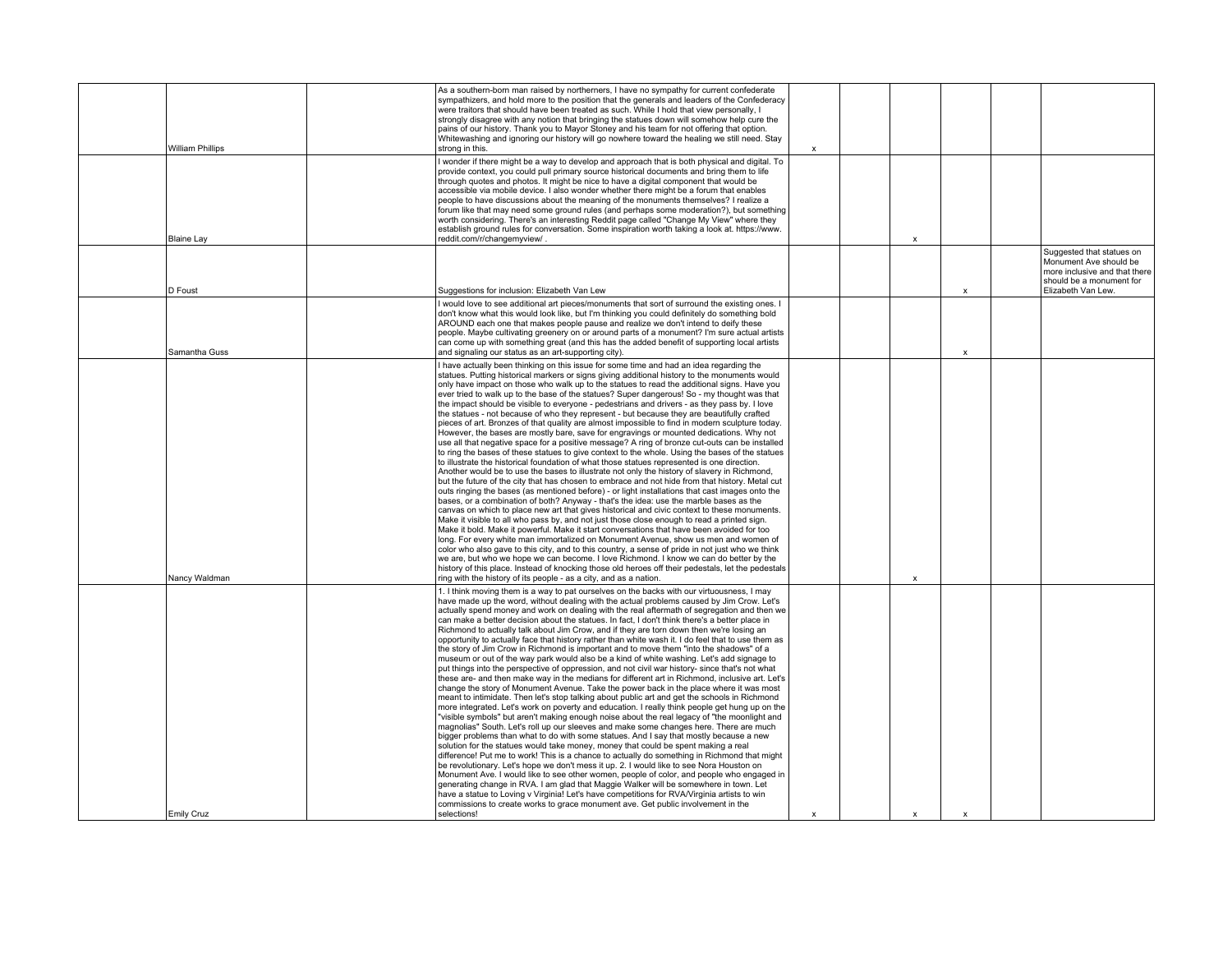|                   |                         | As a southern-born man raised by northerners, I have no sympathy for current confederate<br>sympathizers, and hold more to the position that the generals and leaders of the Confederacy<br>were traitors that should have been treated as such. While I hold that view personally, I<br>strongly disagree with any notion that bringing the statues down will somehow help cure the<br>pains of our history. Thank you to Mayor Stoney and his team for not offering that option.<br>Whitewashing and ignoring our history will go nowhere toward the healing we still need. Stay                                                                                                                                                                                                                                                                                                                                                                                                                                                                                                                                                                                                                                                                                                                                                                                                                                                                                                                                                                                                                                                                                                                                                                                                                                                                                                                                                                                                                                                                                                                                                                |                                                                                                                  |
|-------------------|-------------------------|---------------------------------------------------------------------------------------------------------------------------------------------------------------------------------------------------------------------------------------------------------------------------------------------------------------------------------------------------------------------------------------------------------------------------------------------------------------------------------------------------------------------------------------------------------------------------------------------------------------------------------------------------------------------------------------------------------------------------------------------------------------------------------------------------------------------------------------------------------------------------------------------------------------------------------------------------------------------------------------------------------------------------------------------------------------------------------------------------------------------------------------------------------------------------------------------------------------------------------------------------------------------------------------------------------------------------------------------------------------------------------------------------------------------------------------------------------------------------------------------------------------------------------------------------------------------------------------------------------------------------------------------------------------------------------------------------------------------------------------------------------------------------------------------------------------------------------------------------------------------------------------------------------------------------------------------------------------------------------------------------------------------------------------------------------------------------------------------------------------------------------------------------|------------------------------------------------------------------------------------------------------------------|
|                   | <b>William Phillips</b> | strong in this.<br>x<br>I wonder if there might be a way to develop and approach that is both physical and digital. To<br>provide context, you could pull primary source historical documents and bring them to life<br>through quotes and photos. It might be nice to have a digital component that would be                                                                                                                                                                                                                                                                                                                                                                                                                                                                                                                                                                                                                                                                                                                                                                                                                                                                                                                                                                                                                                                                                                                                                                                                                                                                                                                                                                                                                                                                                                                                                                                                                                                                                                                                                                                                                                     |                                                                                                                  |
|                   |                         | accessible via mobile device. I also wonder whether there might be a forum that enables<br>people to have discussions about the meaning of the monuments themselves? I realize a<br>forum like that may need some ground rules (and perhaps some moderation?), but something<br>worth considering. There's an interesting Reddit page called "Change My View" where they                                                                                                                                                                                                                                                                                                                                                                                                                                                                                                                                                                                                                                                                                                                                                                                                                                                                                                                                                                                                                                                                                                                                                                                                                                                                                                                                                                                                                                                                                                                                                                                                                                                                                                                                                                          |                                                                                                                  |
| <b>Blaine Lay</b> |                         | establish ground rules for conversation. Some inspiration worth taking a look at. https://www.<br>reddit.com/r/changemyview/<br>X                                                                                                                                                                                                                                                                                                                                                                                                                                                                                                                                                                                                                                                                                                                                                                                                                                                                                                                                                                                                                                                                                                                                                                                                                                                                                                                                                                                                                                                                                                                                                                                                                                                                                                                                                                                                                                                                                                                                                                                                                 |                                                                                                                  |
|                   |                         |                                                                                                                                                                                                                                                                                                                                                                                                                                                                                                                                                                                                                                                                                                                                                                                                                                                                                                                                                                                                                                                                                                                                                                                                                                                                                                                                                                                                                                                                                                                                                                                                                                                                                                                                                                                                                                                                                                                                                                                                                                                                                                                                                   | Suggested that statues on<br>Monument Ave should be<br>more inclusive and that there<br>should be a monument for |
| D Foust           |                         | Suggestions for inclusion: Elizabeth Van Lew<br>X                                                                                                                                                                                                                                                                                                                                                                                                                                                                                                                                                                                                                                                                                                                                                                                                                                                                                                                                                                                                                                                                                                                                                                                                                                                                                                                                                                                                                                                                                                                                                                                                                                                                                                                                                                                                                                                                                                                                                                                                                                                                                                 | Elizabeth Van Lew.                                                                                               |
|                   |                         | I would love to see additional art pieces/monuments that sort of surround the existing ones. I<br>don't know what this would look like, but I'm thinking you could definitely do something bold<br>AROUND each one that makes people pause and realize we don't intend to deify these<br>people. Maybe cultivating greenery on or around parts of a monument? I'm sure actual artists<br>can come up with something great (and this has the added benefit of supporting local artists                                                                                                                                                                                                                                                                                                                                                                                                                                                                                                                                                                                                                                                                                                                                                                                                                                                                                                                                                                                                                                                                                                                                                                                                                                                                                                                                                                                                                                                                                                                                                                                                                                                             |                                                                                                                  |
|                   | Samantha Guss           | and signaling our status as an art-supporting city).<br>X                                                                                                                                                                                                                                                                                                                                                                                                                                                                                                                                                                                                                                                                                                                                                                                                                                                                                                                                                                                                                                                                                                                                                                                                                                                                                                                                                                                                                                                                                                                                                                                                                                                                                                                                                                                                                                                                                                                                                                                                                                                                                         |                                                                                                                  |
|                   |                         | I have actually been thinking on this issue for some time and had an idea regarding the<br>statues. Putting historical markers or signs giving additional history to the monuments would<br>only have impact on those who walk up to the statues to read the additional signs. Have you<br>ever tried to walk up to the base of the statues? Super dangerous! So - my thought was that<br>the impact should be visible to everyone - pedestrians and drivers - as they pass by. I love<br>the statues - not because of who they represent - but because they are beautifully crafted<br>pieces of art. Bronzes of that quality are almost impossible to find in modern sculpture today.<br>However, the bases are mostly bare, save for engravings or mounted dedications. Why not<br>use all that negative space for a positive message? A ring of bronze cut-outs can be installed                                                                                                                                                                                                                                                                                                                                                                                                                                                                                                                                                                                                                                                                                                                                                                                                                                                                                                                                                                                                                                                                                                                                                                                                                                                              |                                                                                                                  |
|                   | Nancy Waldman           | to ring the bases of these statues to give context to the whole. Using the bases of the statues<br>to illustrate the historical foundation of what those statues represented is one direction.<br>Another would be to use the bases to illustrate not only the history of slavery in Richmond.<br>but the future of the city that has chosen to embrace and not hide from that history. Metal cut<br>outs ringing the bases (as mentioned before) - or light installations that cast images onto the<br>bases, or a combination of both? Anyway - that's the idea: use the marble bases as the<br>canvas on which to place new art that gives historical and civic context to these monuments.<br>Make it visible to all who pass by, and not just those close enough to read a printed sign.<br>Make it bold. Make it powerful. Make it start conversations that have been avoided for too<br>long. For every white man immortalized on Monument Avenue, show us men and women of<br>color who also gave to this city, and to this country, a sense of pride in not just who we think<br>we are, but who we hope we can become. I love Richmond. I know we can do better by the<br>history of this place. Instead of knocking those old heroes off their pedestals, let the pedestals<br>ring with the history of its people - as a city, and as a nation.<br>x                                                                                                                                                                                                                                                                                                                                                                                                                                                                                                                                                                                                                                                                                                                                                                                  |                                                                                                                  |
|                   |                         | 1. I think moving them is a way to pat ourselves on the backs with our virtuousness, I may<br>have made up the word, without dealing with the actual problems caused by Jim Crow. Let's<br>actually spend money and work on dealing with the real aftermath of segregation and then we<br>can make a better decision about the statues. In fact, I don't think there's a better place in<br>Richmond to actually talk about Jim Crow, and if they are torn down then we're losing an<br>opportunity to actually face that history rather than white wash it. I do feel that to use them as<br>the story of Jim Crow in Richmond is important and to move them "into the shadows" of a<br>museum or out of the way park would also be a kind of white washing. Let's add signage to<br>put things into the perspective of oppression, and not civil war history- since that's not what<br>these are- and then make way in the medians for different art in Richmond, inclusive art. Let's<br>change the story of Monument Avenue. Take the power back in the place where it was most<br>meant to intimidate. Then let's stop talking about public art and get the schools in Richmond<br>more integrated. Let's work on poverty and education. I really think people get hung up on the<br>"visible symbols" but aren't making enough noise about the real legacy of "the moonlight and<br>magnolias" South. Let's roll up our sleeves and make some changes here. There are much<br>bigger problems than what to do with some statues. And I say that mostly because a new<br>solution for the statues would take money, money that could be spent making a real<br>difference! Put me to work! This is a chance to actually do something in Richmond that might<br>be revolutionary. Let's hope we don't mess it up. 2. I would like to see Nora Houston on<br>Monument Ave. I would like to see other women, people of color, and people who engaged in<br>generating change in RVA. I am glad that Maggie Walker will be somewhere in town. Let<br>have a statue to Loving v Virginia! Let's have competitions for RVA/Virginia artists to win |                                                                                                                  |
| Emily Cruz        |                         | commissions to create works to grace monument ave. Get public involvement in the<br>selections!<br>$\mathbf{x}$<br>$\mathbf{x}$<br>x                                                                                                                                                                                                                                                                                                                                                                                                                                                                                                                                                                                                                                                                                                                                                                                                                                                                                                                                                                                                                                                                                                                                                                                                                                                                                                                                                                                                                                                                                                                                                                                                                                                                                                                                                                                                                                                                                                                                                                                                              |                                                                                                                  |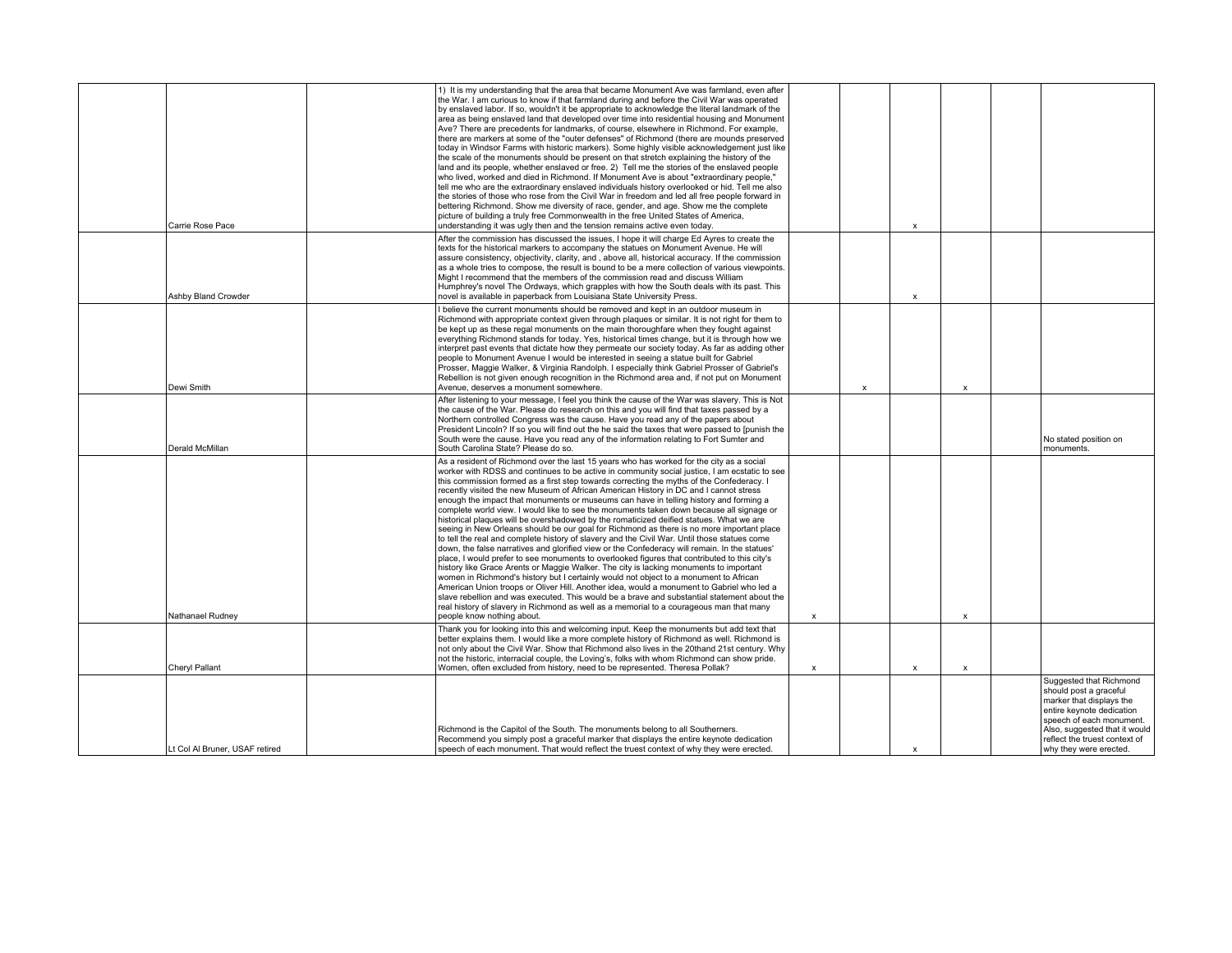| Carrie Rose Pace               | 1) It is my understanding that the area that became Monument Ave was farmland, even after<br>the War. I am curious to know if that farmland during and before the Civil War was operated<br>by enslaved labor. If so, wouldn't it be appropriate to acknowledge the literal landmark of the<br>area as being enslaved land that developed over time into residential housing and Monument<br>Ave? There are precedents for landmarks, of course, elsewhere in Richmond. For example,<br>there are markers at some of the "outer defenses" of Richmond (there are mounds preserved<br>today in Windsor Farms with historic markers). Some highly visible acknowledgement just like<br>the scale of the monuments should be present on that stretch explaining the history of the<br>land and its people, whether enslaved or free. 2) Tell me the stories of the enslaved people<br>who lived, worked and died in Richmond. If Monument Ave is about "extraordinary people,"<br>tell me who are the extraordinary enslaved individuals history overlooked or hid. Tell me also<br>the stories of those who rose from the Civil War in freedom and led all free people forward in<br>bettering Richmond. Show me diversity of race, gender, and age. Show me the complete<br>picture of building a truly free Commonwealth in the free United States of America,<br>understanding it was ugly then and the tension remains active even today.                                                                                                                           |                    |                           | $\boldsymbol{\mathsf{x}}$ |                           |                                                                                                                                                                                                                                    |
|--------------------------------|-----------------------------------------------------------------------------------------------------------------------------------------------------------------------------------------------------------------------------------------------------------------------------------------------------------------------------------------------------------------------------------------------------------------------------------------------------------------------------------------------------------------------------------------------------------------------------------------------------------------------------------------------------------------------------------------------------------------------------------------------------------------------------------------------------------------------------------------------------------------------------------------------------------------------------------------------------------------------------------------------------------------------------------------------------------------------------------------------------------------------------------------------------------------------------------------------------------------------------------------------------------------------------------------------------------------------------------------------------------------------------------------------------------------------------------------------------------------------------------------------------------------------------------------------------------------------|--------------------|---------------------------|---------------------------|---------------------------|------------------------------------------------------------------------------------------------------------------------------------------------------------------------------------------------------------------------------------|
| Ashby Bland Crowder            | After the commission has discussed the issues, I hope it will charge Ed Ayres to create the<br>texts for the historical markers to accompany the statues on Monument Avenue. He will<br>assure consistency, objectivity, clarity, and , above all, historical accuracy. If the commission<br>as a whole tries to compose, the result is bound to be a mere collection of various viewpoints.<br>Might I recommend that the members of the commission read and discuss William<br>Humphrey's novel The Ordways, which grapples with how the South deals with its past. This<br>novel is available in paperback from Louisiana State University Press.                                                                                                                                                                                                                                                                                                                                                                                                                                                                                                                                                                                                                                                                                                                                                                                                                                                                                                                  |                    |                           | x                         |                           |                                                                                                                                                                                                                                    |
| Dewi Smith                     | I believe the current monuments should be removed and kept in an outdoor museum in<br>Richmond with appropriate context given through plagues or similar. It is not right for them to<br>be kept up as these regal monuments on the main thoroughfare when they fought against<br>everything Richmond stands for today. Yes, historical times change, but it is through how we<br>interpret past events that dictate how they permeate our society today. As far as adding other<br>people to Monument Avenue I would be interested in seeing a statue built for Gabriel<br>Prosser, Maggie Walker, & Virginia Randolph. I especially think Gabriel Prosser of Gabriel's<br>Rebellion is not given enough recognition in the Richmond area and, if not put on Monument<br>Avenue, deserves a monument somewhere.                                                                                                                                                                                                                                                                                                                                                                                                                                                                                                                                                                                                                                                                                                                                                      |                    | $\boldsymbol{\mathsf{x}}$ |                           | $\boldsymbol{\mathsf{x}}$ |                                                                                                                                                                                                                                    |
| Derald McMillan                | After listening to your message, I feel you think the cause of the War was slavery. This is Not<br>the cause of the War. Please do research on this and you will find that taxes passed by a<br>Northern controlled Congress was the cause. Have you read any of the papers about<br>President Lincoln? If so you will find out the he said the taxes that were passed to [punish the<br>South were the cause. Have you read any of the information relating to Fort Sumter and<br>South Carolina State? Please do so.                                                                                                                                                                                                                                                                                                                                                                                                                                                                                                                                                                                                                                                                                                                                                                                                                                                                                                                                                                                                                                                |                    |                           |                           |                           | No stated position on<br>monuments.                                                                                                                                                                                                |
| Nathanael Rudney               | As a resident of Richmond over the last 15 years who has worked for the city as a social<br>worker with RDSS and continues to be active in community social justice, I am ecstatic to see<br>this commission formed as a first step towards correcting the myths of the Confederacy. I<br>recently visited the new Museum of African American History in DC and I cannot stress<br>enough the impact that monuments or museums can have in telling history and forming a<br>complete world view. I would like to see the monuments taken down because all signage or<br>historical plaques will be overshadowed by the romaticized deified statues. What we are<br>seeing in New Orleans should be our goal for Richmond as there is no more important place<br>to tell the real and complete history of slavery and the Civil War. Until those statues come<br>down, the false narratives and glorified view or the Confederacy will remain. In the statues'<br>place, I would prefer to see monuments to overlooked figures that contributed to this city's<br>history like Grace Arents or Maggie Walker. The city is lacking monuments to important<br>women in Richmond's history but I certainly would not object to a monument to African<br>American Union troops or Oliver Hill. Another idea, would a monument to Gabriel who led a<br>slave rebellion and was executed. This would be a brave and substantial statement about the<br>real history of slavery in Richmond as well as a memorial to a courageous man that many<br>people know nothing about. | $\pmb{\mathsf{x}}$ |                           |                           | $\boldsymbol{\mathsf{x}}$ |                                                                                                                                                                                                                                    |
| Cheryl Pallant                 | Thank you for looking into this and welcoming input. Keep the monuments but add text that<br>better explains them. I would like a more complete history of Richmond as well. Richmond is<br>not only about the Civil War. Show that Richmond also lives in the 20thand 21st century. Why<br>not the historic, interracial couple, the Loving's, folks with whom Richmond can show pride.<br>Women, often excluded from history, need to be represented. Theresa Pollak?                                                                                                                                                                                                                                                                                                                                                                                                                                                                                                                                                                                                                                                                                                                                                                                                                                                                                                                                                                                                                                                                                               | $\pmb{\mathsf{x}}$ |                           | $\pmb{\mathsf{x}}$        | $\boldsymbol{\mathsf{x}}$ |                                                                                                                                                                                                                                    |
| Lt Col Al Bruner, USAF retired | Richmond is the Capitol of the South. The monuments belong to all Southerners.<br>Recommend you simply post a graceful marker that displays the entire keynote dedication<br>speech of each monument. That would reflect the truest context of why they were erected.                                                                                                                                                                                                                                                                                                                                                                                                                                                                                                                                                                                                                                                                                                                                                                                                                                                                                                                                                                                                                                                                                                                                                                                                                                                                                                 |                    |                           | $\boldsymbol{\mathsf{x}}$ |                           | Suggested that Richmond<br>should post a graceful<br>marker that displays the<br>entire keynote dedication<br>speech of each monument.<br>Also, suggested that it would<br>reflect the truest context of<br>why they were erected. |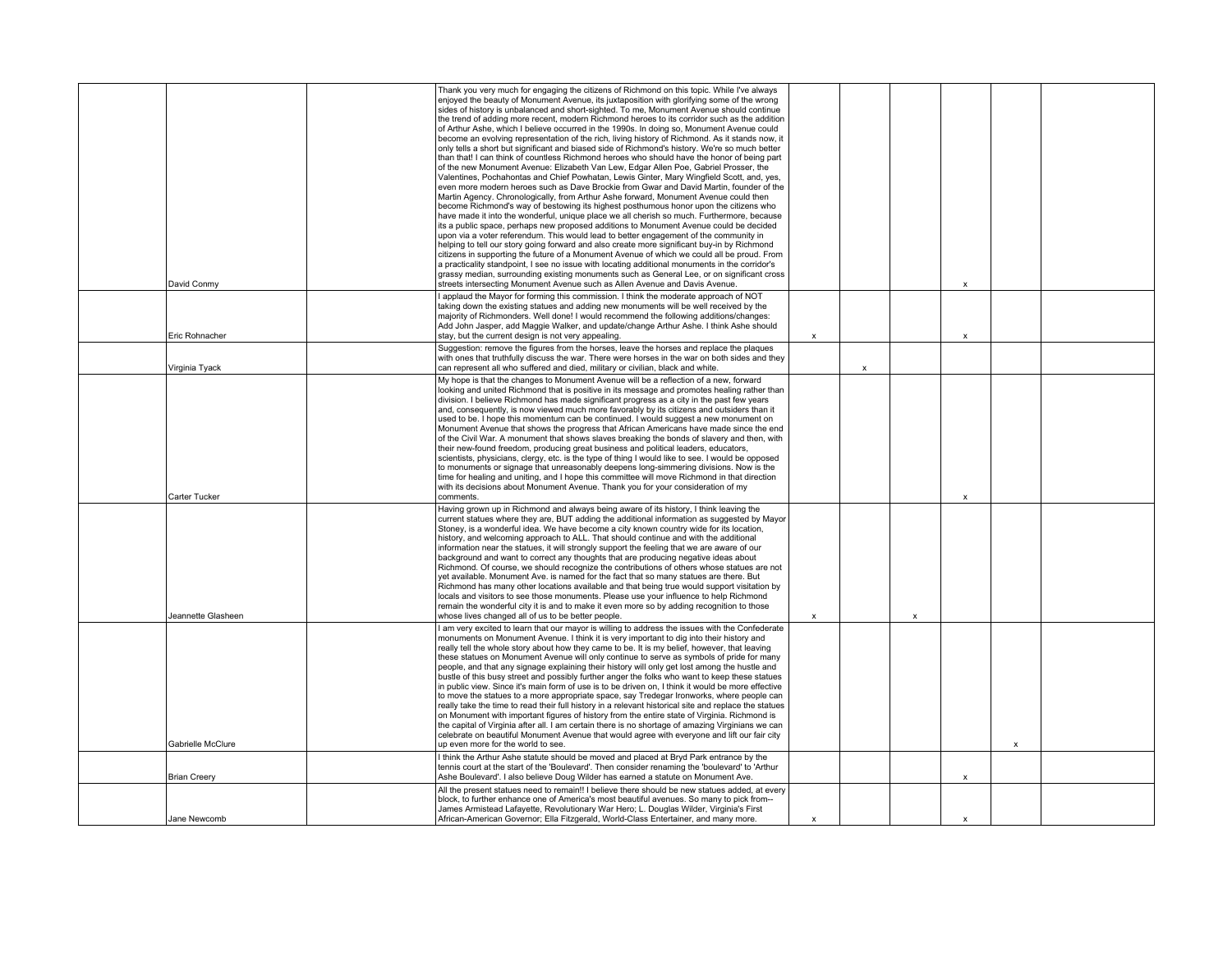| David Conmy                     | Thank you very much for engaging the citizens of Richmond on this topic. While I've always<br>enjoyed the beauty of Monument Avenue, its juxtaposition with glorifying some of the wrong<br>sides of history is unbalanced and short-sighted. To me, Monument Avenue should continue<br>the trend of adding more recent, modern Richmond heroes to its corridor such as the addition<br>of Arthur Ashe, which I believe occurred in the 1990s. In doing so, Monument Avenue could<br>become an evolving representation of the rich, living history of Richmond. As it stands now, it<br>only tells a short but significant and biased side of Richmond's history. We're so much better<br>than that! I can think of countless Richmond heroes who should have the honor of being part<br>of the new Monument Avenue: Elizabeth Van Lew, Edgar Allen Poe, Gabriel Prosser, the<br>Valentines, Pochahontas and Chief Powhatan, Lewis Ginter, Mary Wingfield Scott, and, yes,<br>even more modern heroes such as Dave Brockie from Gwar and David Martin, founder of the<br>Martin Agency. Chronologically, from Arthur Ashe forward, Monument Avenue could then<br>become Richmond's way of bestowing its highest posthumous honor upon the citizens who<br>have made it into the wonderful, unique place we all cherish so much. Furthermore, because<br>its a public space, perhaps new proposed additions to Monument Avenue could be decided<br>upon via a voter referendum. This would lead to better engagement of the community in<br>helping to tell our story going forward and also create more significant buy-in by Richmond<br>citizens in supporting the future of a Monument Avenue of which we could all be proud. From<br>a practicality standpoint, I see no issue with locating additional monuments in the corridor's<br>grassy median, surrounding existing monuments such as General Lee, or on significant cross<br>streets intersecting Monument Avenue such as Allen Avenue and Davis Avenue. |                           |              |                           | $\boldsymbol{\mathsf{x}}$ |   |  |
|---------------------------------|----------------------------------------------------------------------------------------------------------------------------------------------------------------------------------------------------------------------------------------------------------------------------------------------------------------------------------------------------------------------------------------------------------------------------------------------------------------------------------------------------------------------------------------------------------------------------------------------------------------------------------------------------------------------------------------------------------------------------------------------------------------------------------------------------------------------------------------------------------------------------------------------------------------------------------------------------------------------------------------------------------------------------------------------------------------------------------------------------------------------------------------------------------------------------------------------------------------------------------------------------------------------------------------------------------------------------------------------------------------------------------------------------------------------------------------------------------------------------------------------------------------------------------------------------------------------------------------------------------------------------------------------------------------------------------------------------------------------------------------------------------------------------------------------------------------------------------------------------------------------------------------------------------------------------------------------------------------------------------------------------------------------|---------------------------|--------------|---------------------------|---------------------------|---|--|
| Eric Rohnacher                  | I applaud the Mayor for forming this commission. I think the moderate approach of NOT<br>taking down the existing statues and adding new monuments will be well received by the<br>majority of Richmonders. Well done! I would recommend the following additions/changes:<br>Add John Jasper, add Maggie Walker, and update/change Arthur Ashe. I think Ashe should<br>stay, but the current design is not very appealing.                                                                                                                                                                                                                                                                                                                                                                                                                                                                                                                                                                                                                                                                                                                                                                                                                                                                                                                                                                                                                                                                                                                                                                                                                                                                                                                                                                                                                                                                                                                                                                                           | $\pmb{\times}$            |              |                           | $\mathsf{x}$              |   |  |
|                                 | Suggestion: remove the figures from the horses, leave the horses and replace the plagues<br>with ones that truthfully discuss the war. There were horses in the war on both sides and they                                                                                                                                                                                                                                                                                                                                                                                                                                                                                                                                                                                                                                                                                                                                                                                                                                                                                                                                                                                                                                                                                                                                                                                                                                                                                                                                                                                                                                                                                                                                                                                                                                                                                                                                                                                                                           |                           |              |                           |                           |   |  |
| Virginia Tyack<br>Carter Tucker | can represent all who suffered and died, military or civilian, black and white.<br>My hope is that the changes to Monument Avenue will be a reflection of a new, forward<br>looking and united Richmond that is positive in its message and promotes healing rather than<br>division. I believe Richmond has made significant progress as a city in the past few years<br>and, consequently, is now viewed much more favorably by its citizens and outsiders than it<br>used to be. I hope this momentum can be continued. I would suggest a new monument on<br>Monument Avenue that shows the progress that African Americans have made since the end<br>of the Civil War. A monument that shows slaves breaking the bonds of slavery and then, with<br>their new-found freedom, producing great business and political leaders, educators,<br>scientists, physicians, clergy, etc. is the type of thing I would like to see. I would be opposed<br>to monuments or signage that unreasonably deepens long-simmering divisions. Now is the<br>time for healing and uniting, and I hope this committee will move Richmond in that direction<br>with its decisions about Monument Avenue. Thank you for your consideration of my<br>comments.                                                                                                                                                                                                                                                                                                                                                                                                                                                                                                                                                                                                                                                                                                                                                                         |                           | $\mathsf{x}$ |                           | $\boldsymbol{\mathsf{x}}$ |   |  |
| Jeannette Glasheen              | Having grown up in Richmond and always being aware of its history, I think leaving the<br>current statues where they are, BUT adding the additional information as suggested by Mayor<br>Stoney, is a wonderful idea. We have become a city known country wide for its location,<br>history, and welcoming approach to ALL. That should continue and with the additional<br>information near the statues, it will strongly support the feeling that we are aware of our<br>background and want to correct any thoughts that are producing negative ideas about<br>Richmond. Of course, we should recognize the contributions of others whose statues are not<br>yet available. Monument Ave. is named for the fact that so many statues are there. But<br>Richmond has many other locations available and that being true would support visitation by<br>locals and visitors to see those monuments. Please use your influence to help Richmond<br>remain the wonderful city it is and to make it even more so by adding recognition to those<br>whose lives changed all of us to be better people.                                                                                                                                                                                                                                                                                                                                                                                                                                                                                                                                                                                                                                                                                                                                                                                                                                                                                                                  | x                         |              | $\boldsymbol{\mathsf{x}}$ |                           |   |  |
| Gabrielle McClure               | I am very excited to learn that our mayor is willing to address the issues with the Confederate<br>monuments on Monument Avenue. I think it is very important to dig into their history and<br>really tell the whole story about how they came to be. It is my belief, however, that leaving<br>these statues on Monument Avenue will only continue to serve as symbols of pride for many<br>people, and that any signage explaining their history will only get lost among the hustle and<br>bustle of this busy street and possibly further anger the folks who want to keep these statues<br>in public view. Since it's main form of use is to be driven on, I think it would be more effective<br>to move the statues to a more appropriate space, say Tredegar Ironworks, where people can<br>really take the time to read their full history in a relevant historical site and replace the statues<br>on Monument with important figures of history from the entire state of Virginia. Richmond is<br>the capital of Virginia after all. I am certain there is no shortage of amazing Virginians we can<br>celebrate on beautiful Monument Avenue that would agree with everyone and lift our fair city<br>up even more for the world to see.                                                                                                                                                                                                                                                                                                                                                                                                                                                                                                                                                                                                                                                                                                                                                                  |                           |              |                           |                           | x |  |
| <b>Brian Creery</b>             | I think the Arthur Ashe statute should be moved and placed at Bryd Park entrance by the<br>tennis court at the start of the 'Boulevard'. Then consider renaming the 'boulevard' to 'Arthur<br>Ashe Boulevard'. I also believe Doug Wilder has earned a statute on Monument Ave.                                                                                                                                                                                                                                                                                                                                                                                                                                                                                                                                                                                                                                                                                                                                                                                                                                                                                                                                                                                                                                                                                                                                                                                                                                                                                                                                                                                                                                                                                                                                                                                                                                                                                                                                      |                           |              |                           | X                         |   |  |
| Jane Newcomb                    | All the present statues need to remain!! I believe there should be new statues added, at every<br>block, to further enhance one of America's most beautiful avenues. So many to pick from--<br>James Armistead Lafayette, Revolutionary War Hero; L. Douglas Wilder, Virginia's First<br>African-American Governor; Ella Fitzgerald, World-Class Entertainer, and many more.                                                                                                                                                                                                                                                                                                                                                                                                                                                                                                                                                                                                                                                                                                                                                                                                                                                                                                                                                                                                                                                                                                                                                                                                                                                                                                                                                                                                                                                                                                                                                                                                                                         | $\boldsymbol{\mathsf{x}}$ |              |                           |                           |   |  |
|                                 |                                                                                                                                                                                                                                                                                                                                                                                                                                                                                                                                                                                                                                                                                                                                                                                                                                                                                                                                                                                                                                                                                                                                                                                                                                                                                                                                                                                                                                                                                                                                                                                                                                                                                                                                                                                                                                                                                                                                                                                                                      |                           |              |                           |                           |   |  |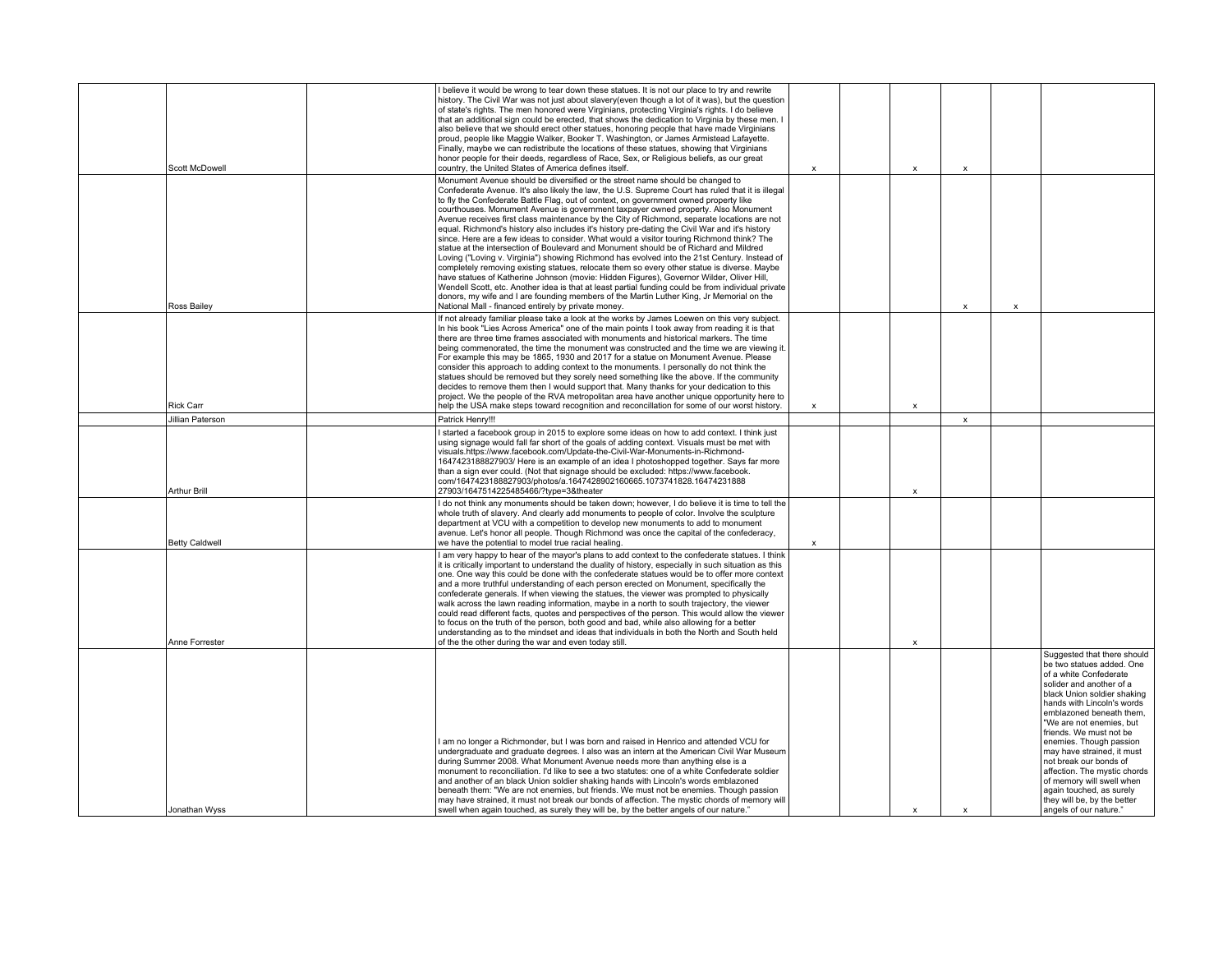| Scott McDowell        | I believe it would be wrong to tear down these statues. It is not our place to try and rewrite<br>history. The Civil War was not just about slavery(even though a lot of it was), but the question<br>of state's rights. The men honored were Virginians, protecting Virginia's rights. I do believe<br>that an additional sign could be erected, that shows the dedication to Virginia by these men. I<br>also believe that we should erect other statues, honoring people that have made Virginians<br>proud, people like Maggie Walker, Booker T. Washington, or James Armistead Lafayette.<br>Finally, maybe we can redistribute the locations of these statues, showing that Virginians<br>honor people for their deeds, regardless of Race, Sex, or Religious beliefs, as our great<br>country, the United States of America defines itself.                                                                                                                                                                                                                                                                                                                                                                                                                                                          | $\boldsymbol{\mathsf{x}}$ | $\mathsf{x}$              | X                         |   |                                                                                                                                                                                                                                                                                                                                                                                                                                                                                                     |
|-----------------------|-------------------------------------------------------------------------------------------------------------------------------------------------------------------------------------------------------------------------------------------------------------------------------------------------------------------------------------------------------------------------------------------------------------------------------------------------------------------------------------------------------------------------------------------------------------------------------------------------------------------------------------------------------------------------------------------------------------------------------------------------------------------------------------------------------------------------------------------------------------------------------------------------------------------------------------------------------------------------------------------------------------------------------------------------------------------------------------------------------------------------------------------------------------------------------------------------------------------------------------------------------------------------------------------------------------|---------------------------|---------------------------|---------------------------|---|-----------------------------------------------------------------------------------------------------------------------------------------------------------------------------------------------------------------------------------------------------------------------------------------------------------------------------------------------------------------------------------------------------------------------------------------------------------------------------------------------------|
| Ross Bailey           | Monument Avenue should be diversified or the street name should be changed to<br>Confederate Avenue. It's also likely the law, the U.S. Supreme Court has ruled that it is illegal<br>to fly the Confederate Battle Flag, out of context, on government owned property like<br>courthouses. Monument Avenue is government taxpayer owned property. Also Monument<br>Avenue receives first class maintenance by the City of Richmond, separate locations are not<br>equal. Richmond's history also includes it's history pre-dating the Civil War and it's history<br>since. Here are a few ideas to consider. What would a visitor touring Richmond think? The<br>statue at the intersection of Boulevard and Monument should be of Richard and Mildred<br>Loving ("Loving v. Virginia") showing Richmond has evolved into the 21st Century. Instead of<br>completely removing existing statues, relocate them so every other statue is diverse. Maybe<br>have statues of Katherine Johnson (movie: Hidden Figures), Governor Wilder, Oliver Hill,<br>Wendell Scott, etc. Another idea is that at least partial funding could be from individual private<br>donors, my wife and I are founding members of the Martin Luther King, Jr Memorial on the<br>National Mall - financed entirely by private money. |                           |                           | x                         | X |                                                                                                                                                                                                                                                                                                                                                                                                                                                                                                     |
| <b>Rick Carr</b>      | If not already familiar please take a look at the works by James Loewen on this very subject.<br>In his book "Lies Across America" one of the main points I took away from reading it is that<br>there are three time frames associated with monuments and historical markers. The time<br>being commenorated, the time the monument was constructed and the time we are viewing it.<br>For example this may be 1865, 1930 and 2017 for a statue on Monument Avenue. Please<br>consider this approach to adding context to the monuments. I personally do not think the<br>statues should be removed but they sorely need something like the above. If the community<br>decides to remove them then I would support that. Many thanks for your dedication to this<br>project. We the people of the RVA metropolitan area have another unique opportunity here to<br>help the USA make steps toward recognition and reconcillation for some of our worst history.                                                                                                                                                                                                                                                                                                                                            | $\boldsymbol{\mathsf{x}}$ | $\boldsymbol{\mathsf{x}}$ |                           |   |                                                                                                                                                                                                                                                                                                                                                                                                                                                                                                     |
| Jillian Paterson      | Patrick Henry!!!                                                                                                                                                                                                                                                                                                                                                                                                                                                                                                                                                                                                                                                                                                                                                                                                                                                                                                                                                                                                                                                                                                                                                                                                                                                                                            |                           |                           | $\boldsymbol{\mathsf{x}}$ |   |                                                                                                                                                                                                                                                                                                                                                                                                                                                                                                     |
| <b>Arthur Brill</b>   | started a facebook group in 2015 to explore some ideas on how to add context. I think just<br>using signage would fall far short of the goals of adding context. Visuals must be met with<br>visuals.https://www.facebook.com/Update-the-Civil-War-Monuments-in-Richmond-<br>1647423188827903/ Here is an example of an idea I photoshopped together. Says far more<br>than a sign ever could. (Not that signage should be excluded: https://www.facebook.<br>com/1647423188827903/photos/a.1647428902160665.1073741828.16474231888<br>27903/1647514225485466/?type=3&theater                                                                                                                                                                                                                                                                                                                                                                                                                                                                                                                                                                                                                                                                                                                               |                           | $\pmb{\chi}$              |                           |   |                                                                                                                                                                                                                                                                                                                                                                                                                                                                                                     |
| <b>Betty Caldwell</b> | I do not think any monuments should be taken down; however, I do believe it is time to tell the<br>whole truth of slavery. And clearly add monuments to people of color. Involve the sculpture<br>department at VCU with a competition to develop new monuments to add to monument<br>avenue. Let's honor all people. Though Richmond was once the capital of the confederacy,<br>we have the potential to model true racial healing.                                                                                                                                                                                                                                                                                                                                                                                                                                                                                                                                                                                                                                                                                                                                                                                                                                                                       | х                         |                           |                           |   |                                                                                                                                                                                                                                                                                                                                                                                                                                                                                                     |
| Anne Forrester        | I am very happy to hear of the mayor's plans to add context to the confederate statues. I think<br>it is critically important to understand the duality of history, especially in such situation as this<br>one. One way this could be done with the confederate statues would be to offer more context<br>and a more truthful understanding of each person erected on Monument, specifically the<br>confederate generals. If when viewing the statues, the viewer was prompted to physically<br>walk across the lawn reading information, maybe in a north to south trajectory, the viewer<br>could read different facts, quotes and perspectives of the person. This would allow the viewer<br>to focus on the truth of the person, both good and bad, while also allowing for a better<br>understanding as to the mindset and ideas that individuals in both the North and South held<br>of the the other during the war and even today still.                                                                                                                                                                                                                                                                                                                                                           |                           | $\boldsymbol{\mathsf{x}}$ |                           |   |                                                                                                                                                                                                                                                                                                                                                                                                                                                                                                     |
| Jonathan Wyss         | I am no longer a Richmonder, but I was born and raised in Henrico and attended VCU for<br>undergraduate and graduate degrees. I also was an intern at the American Civil War Museum<br>during Summer 2008. What Monument Avenue needs more than anything else is a<br>monument to reconciliation. I'd like to see a two statutes: one of a white Confederate soldier<br>and another of an black Union soldier shaking hands with Lincoln's words emblazoned<br>beneath them: "We are not enemies, but friends. We must not be enemies. Though passion<br>may have strained, it must not break our bonds of affection. The mystic chords of memory will<br>swell when again touched, as surely they will be, by the better angels of our nature."                                                                                                                                                                                                                                                                                                                                                                                                                                                                                                                                                            |                           | $\boldsymbol{\mathsf{x}}$ | $\boldsymbol{\mathsf{x}}$ |   | Suggested that there should<br>be two statues added. One<br>of a white Confederate<br>solider and another of a<br>black Union soldier shaking<br>hands with Lincoln's words<br>emblazoned beneath them.<br>"We are not enemies, but<br>friends. We must not be<br>enemies. Though passion<br>may have strained, it must<br>not break our bonds of<br>affection. The mystic chords<br>of memory will swell when<br>again touched, as surely<br>they will be, by the better<br>angels of our nature." |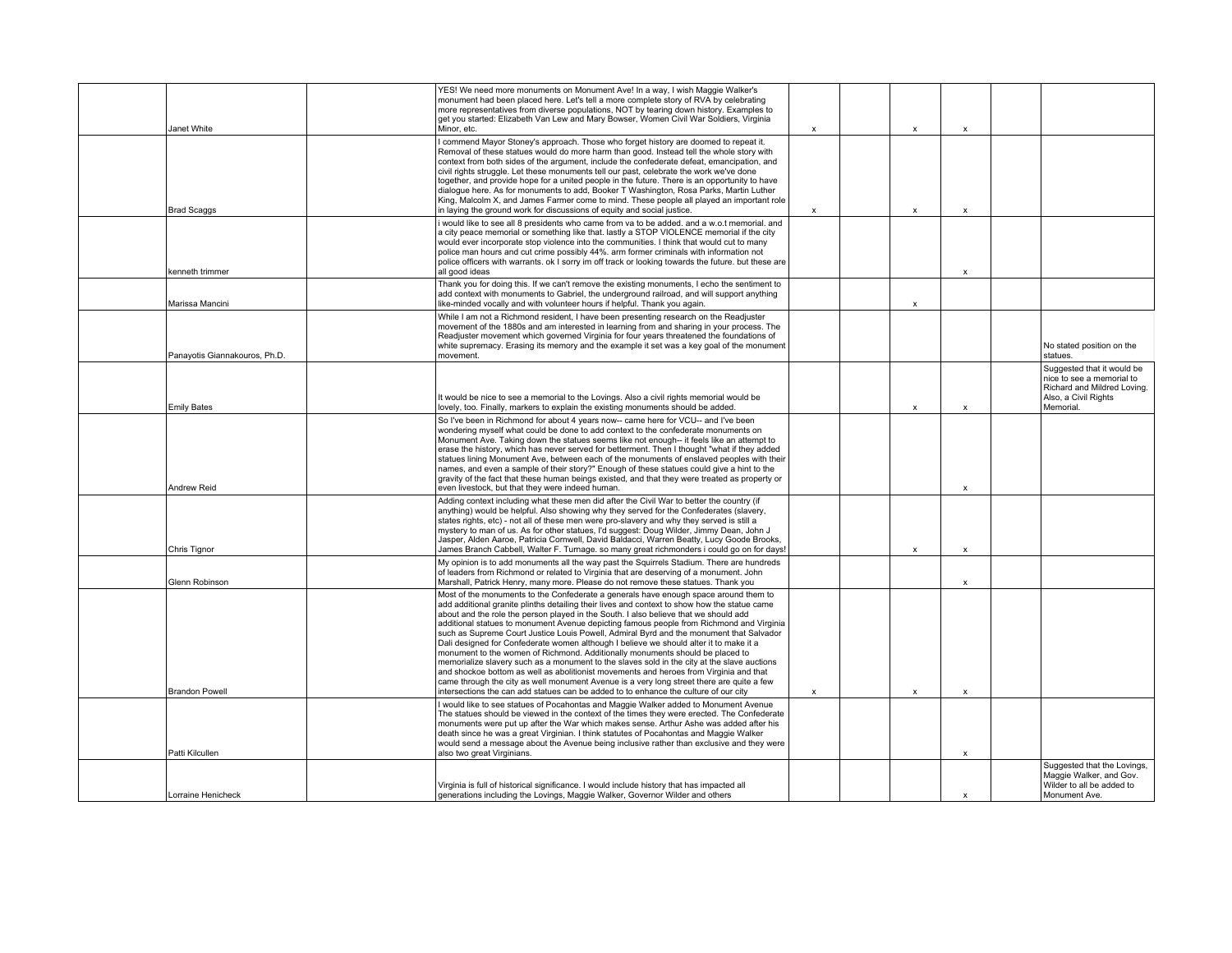| Janet White                   | YES! We need more monuments on Monument Ave! In a way, I wish Maggie Walker's<br>monument had been placed here. Let's tell a more complete story of RVA by celebrating<br>more representatives from diverse populations, NOT by tearing down history. Examples to<br>get you started: Elizabeth Van Lew and Mary Bowser, Women Civil War Soldiers, Virginia<br>Minor, etc.                                                                                                                                                                                                                                                                                                                                                                                                                                                                                                                                                                                                                                                   | $\boldsymbol{\mathsf{x}}$ | $\boldsymbol{\mathsf{x}}$ | $\boldsymbol{\mathsf{x}}$ |                                                                                                                             |
|-------------------------------|------------------------------------------------------------------------------------------------------------------------------------------------------------------------------------------------------------------------------------------------------------------------------------------------------------------------------------------------------------------------------------------------------------------------------------------------------------------------------------------------------------------------------------------------------------------------------------------------------------------------------------------------------------------------------------------------------------------------------------------------------------------------------------------------------------------------------------------------------------------------------------------------------------------------------------------------------------------------------------------------------------------------------|---------------------------|---------------------------|---------------------------|-----------------------------------------------------------------------------------------------------------------------------|
| <b>Brad Scaggs</b>            | I commend Mayor Stoney's approach. Those who forget history are doomed to repeat it.<br>Removal of these statues would do more harm than good. Instead tell the whole story with<br>context from both sides of the argument, include the confederate defeat, emancipation, and<br>civil rights struggle. Let these monuments tell our past, celebrate the work we've done<br>together, and provide hope for a united people in the future. There is an opportunity to have<br>dialoque here. As for monuments to add, Booker T Washington, Rosa Parks, Martin Luther<br>King, Malcolm X, and James Farmer come to mind. These people all played an important role<br>in laying the ground work for discussions of equity and social justice.                                                                                                                                                                                                                                                                                 | $\boldsymbol{\mathsf{x}}$ | $\boldsymbol{\mathsf{x}}$ | $\mathsf{x}$              |                                                                                                                             |
| kenneth trimmer               | would like to see all 8 presidents who came from va to be added. and a w.o.t memorial. and<br>a city peace memorial or something like that. lastly a STOP VIOLENCE memorial if the city<br>would ever incorporate stop violence into the communities. I think that would cut to many<br>police man hours and cut crime possibly 44%. arm former criminals with information not<br>police officers with warrants, ok I sorry im off track or looking towards the future, but these are<br>all good ideas                                                                                                                                                                                                                                                                                                                                                                                                                                                                                                                      |                           |                           | X                         |                                                                                                                             |
| Marissa Mancini               | Thank you for doing this. If we can't remove the existing monuments. I echo the sentiment to<br>add context with monuments to Gabriel, the underground railroad, and will support anything<br>like-minded vocally and with volunteer hours if helpful. Thank you again.                                                                                                                                                                                                                                                                                                                                                                                                                                                                                                                                                                                                                                                                                                                                                      |                           | $\boldsymbol{\mathsf{x}}$ |                           |                                                                                                                             |
| Panayotis Giannakouros, Ph.D. | While I am not a Richmond resident, I have been presenting research on the Readjuster<br>movement of the 1880s and am interested in learning from and sharing in your process. The<br>Readjuster movement which governed Virginia for four years threatened the foundations of<br>white supremacy. Erasing its memory and the example it set was a key goal of the monument<br>movement.                                                                                                                                                                                                                                                                                                                                                                                                                                                                                                                                                                                                                                     |                           |                           |                           | No stated position on the<br>statues.                                                                                       |
| <b>Emily Bates</b>            | It would be nice to see a memorial to the Lovings. Also a civil rights memorial would be<br>lovely, too. Finally, markers to explain the existing monuments should be added.                                                                                                                                                                                                                                                                                                                                                                                                                                                                                                                                                                                                                                                                                                                                                                                                                                                 |                           | $\boldsymbol{\mathsf{x}}$ | $\mathsf{x}$              | Suggested that it would be<br>nice to see a memorial to<br>Richard and Mildred Loving.<br>Also, a Civil Rights<br>Memorial. |
| <b>Andrew Reid</b>            | So I've been in Richmond for about 4 years now-- came here for VCU-- and I've been<br>wondering myself what could be done to add context to the confederate monuments on<br>Monument Ave. Taking down the statues seems like not enough-- it feels like an attempt to<br>erase the history, which has never served for betterment. Then I thought "what if they added<br>statues lining Monument Ave, between each of the monuments of enslaved peoples with their<br>names, and even a sample of their story?" Enough of these statues could give a hint to the<br>gravity of the fact that these human beings existed, and that they were treated as property or<br>even livestock, but that they were indeed human.                                                                                                                                                                                                                                                                                                       |                           |                           | $\boldsymbol{\mathsf{x}}$ |                                                                                                                             |
| Chris Tignor                  | Adding context including what these men did after the Civil War to better the country (if<br>anything) would be helpful. Also showing why they served for the Confederates (slavery,<br>states rights, etc) - not all of these men were pro-slavery and why they served is still a<br>mystery to man of us. As for other statues, I'd suggest: Doug Wilder, Jimmy Dean, John J<br>Jasper, Alden Aaroe, Patricia Cornwell, David Baldacci, Warren Beatty, Lucy Goode Brooks,<br>James Branch Cabbell, Walter F. Turnage. so many great richmonders i could go on for days!                                                                                                                                                                                                                                                                                                                                                                                                                                                    |                           | $\boldsymbol{\mathsf{x}}$ | X                         |                                                                                                                             |
| Glenn Robinson                | My opinion is to add monuments all the way past the Squirrels Stadium. There are hundreds<br>of leaders from Richmond or related to Virginia that are deserving of a monument. John<br>Marshall, Patrick Henry, many more. Please do not remove these statues. Thank you                                                                                                                                                                                                                                                                                                                                                                                                                                                                                                                                                                                                                                                                                                                                                     |                           |                           | X                         |                                                                                                                             |
| <b>Brandon Powell</b>         | Most of the monuments to the Confederate a generals have enough space around them to<br>add additional granite plinths detailing their lives and context to show how the statue came<br>about and the role the person played in the South. I also believe that we should add<br>additional statues to monument Avenue depicting famous people from Richmond and Virginia<br>such as Supreme Court Justice Louis Powell, Admiral Byrd and the monument that Salvador<br>Dali designed for Confederate women although I believe we should alter it to make it a<br>monument to the women of Richmond. Additionally monuments should be placed to<br>memorialize slavery such as a monument to the slaves sold in the city at the slave auctions<br>and shockoe bottom as well as abolitionist movements and heroes from Virginia and that<br>came through the city as well monument Avenue is a very long street there are quite a few<br>intersections the can add statues can be added to to enhance the culture of our city | $\boldsymbol{\mathsf{x}}$ | X                         | X                         |                                                                                                                             |
| Patti Kilcullen               | I would like to see statues of Pocahontas and Maggie Walker added to Monument Avenue<br>The statues should be viewed in the context of the times they were erected. The Confederate<br>monuments were put up after the War which makes sense. Arthur Ashe was added after his<br>death since he was a great Virginian. I think statutes of Pocahontas and Maggie Walker<br>would send a message about the Avenue being inclusive rather than exclusive and they were<br>also two great Virginians.                                                                                                                                                                                                                                                                                                                                                                                                                                                                                                                           |                           |                           | $\boldsymbol{\mathsf{x}}$ |                                                                                                                             |
| Lorraine Henicheck            | Virginia is full of historical significance. I would include history that has impacted all<br>generations including the Lovings, Maggie Walker, Governor Wilder and others                                                                                                                                                                                                                                                                                                                                                                                                                                                                                                                                                                                                                                                                                                                                                                                                                                                   |                           |                           | x                         | Suggested that the Lovings,<br>Maggie Walker, and Gov.<br>Wilder to all be added to<br>Monument Ave.                        |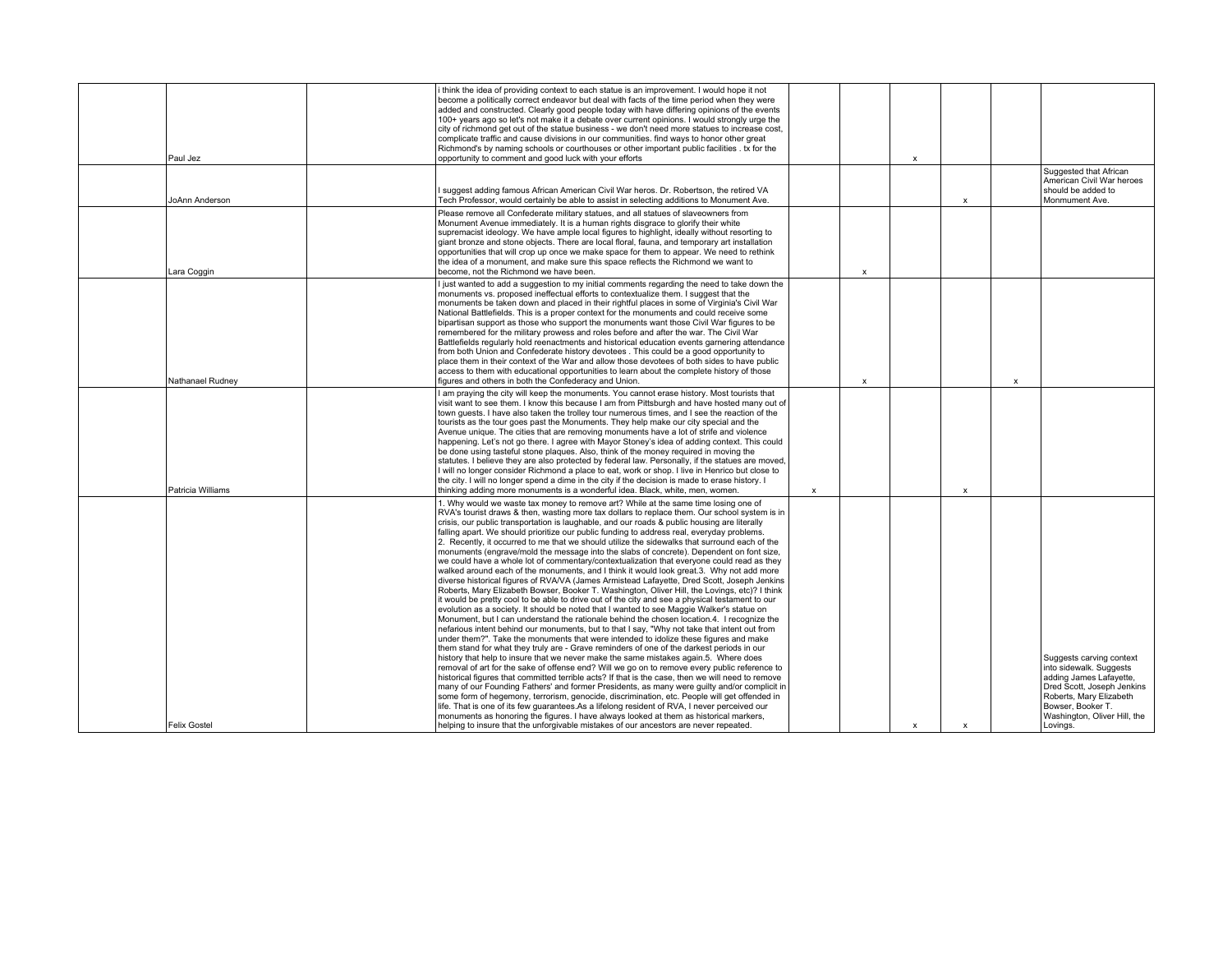| Paul Jez            | i think the idea of providing context to each statue is an improvement. I would hope it not<br>become a politically correct endeavor but deal with facts of the time period when they were<br>added and constructed. Clearly good people today with have differing opinions of the events<br>100+ years ago so let's not make it a debate over current opinions. I would strongly urge the<br>city of richmond get out of the statue business - we don't need more statues to increase cost,<br>complicate traffic and cause divisions in our communities. find ways to honor other great<br>Richmond's by naming schools or courthouses or other important public facilities . tx for the<br>opportunity to comment and good luck with your efforts                                                                                                                                                                                                                                                                                                                                                                                                                                                                                                                                                                                                                                                                                                                                                                                                                                                                                                                                                                                                                                                                                                                                                                                                                                                                                                                                                                                                                                                                                                                                                                                           |                           |                           | $\mathbf{x}$              |                           |                           |                                                                                                                                                                                                          |
|---------------------|------------------------------------------------------------------------------------------------------------------------------------------------------------------------------------------------------------------------------------------------------------------------------------------------------------------------------------------------------------------------------------------------------------------------------------------------------------------------------------------------------------------------------------------------------------------------------------------------------------------------------------------------------------------------------------------------------------------------------------------------------------------------------------------------------------------------------------------------------------------------------------------------------------------------------------------------------------------------------------------------------------------------------------------------------------------------------------------------------------------------------------------------------------------------------------------------------------------------------------------------------------------------------------------------------------------------------------------------------------------------------------------------------------------------------------------------------------------------------------------------------------------------------------------------------------------------------------------------------------------------------------------------------------------------------------------------------------------------------------------------------------------------------------------------------------------------------------------------------------------------------------------------------------------------------------------------------------------------------------------------------------------------------------------------------------------------------------------------------------------------------------------------------------------------------------------------------------------------------------------------------------------------------------------------------------------------------------------------|---------------------------|---------------------------|---------------------------|---------------------------|---------------------------|----------------------------------------------------------------------------------------------------------------------------------------------------------------------------------------------------------|
| JoAnn Anderson      | I suggest adding famous African American Civil War heros. Dr. Robertson, the retired VA<br>Tech Professor, would certainly be able to assist in selecting additions to Monument Ave.                                                                                                                                                                                                                                                                                                                                                                                                                                                                                                                                                                                                                                                                                                                                                                                                                                                                                                                                                                                                                                                                                                                                                                                                                                                                                                                                                                                                                                                                                                                                                                                                                                                                                                                                                                                                                                                                                                                                                                                                                                                                                                                                                           |                           |                           |                           | $\boldsymbol{\mathsf{x}}$ |                           | Suggested that African<br>American Civil War heroes<br>should be added to<br>Monmument Ave.                                                                                                              |
| Lara Coggin         | Please remove all Confederate military statues, and all statues of slaveowners from<br>Monument Avenue immediately. It is a human rights disgrace to glorify their white<br>supremacist ideology. We have ample local figures to highlight, ideally without resorting to<br>giant bronze and stone objects. There are local floral, fauna, and temporary art installation<br>opportunities that will crop up once we make space for them to appear. We need to rethink<br>the idea of a monument, and make sure this space reflects the Richmond we want to<br>become, not the Richmond we have been.                                                                                                                                                                                                                                                                                                                                                                                                                                                                                                                                                                                                                                                                                                                                                                                                                                                                                                                                                                                                                                                                                                                                                                                                                                                                                                                                                                                                                                                                                                                                                                                                                                                                                                                                          |                           | $\boldsymbol{\mathsf{x}}$ |                           |                           |                           |                                                                                                                                                                                                          |
| Nathanael Rudney    | I just wanted to add a suggestion to my initial comments regarding the need to take down the<br>monuments vs. proposed ineffectual efforts to contextualize them. I suggest that the<br>monuments be taken down and placed in their rightful places in some of Virginia's Civil War<br>National Battlefields. This is a proper context for the monuments and could receive some<br>bipartisan support as those who support the monuments want those Civil War figures to be<br>remembered for the military prowess and roles before and after the war. The Civil War<br>Battlefields regularly hold reenactments and historical education events garnering attendance<br>from both Union and Confederate history devotees . This could be a good opportunity to<br>place them in their context of the War and allow those devotees of both sides to have public<br>access to them with educational opportunities to learn about the complete history of those<br>figures and others in both the Confederacy and Union.                                                                                                                                                                                                                                                                                                                                                                                                                                                                                                                                                                                                                                                                                                                                                                                                                                                                                                                                                                                                                                                                                                                                                                                                                                                                                                                         |                           | X                         |                           |                           | $\boldsymbol{\mathsf{x}}$ |                                                                                                                                                                                                          |
| Patricia Williams   | I am praying the city will keep the monuments. You cannot erase history. Most tourists that<br>visit want to see them. I know this because I am from Pittsburgh and have hosted many out of<br>town quests. I have also taken the trolley tour numerous times, and I see the reaction of the<br>tourists as the tour goes past the Monuments. They help make our city special and the<br>Avenue unique. The cities that are removing monuments have a lot of strife and violence<br>happening. Let's not go there. I agree with Mayor Stoney's idea of adding context. This could<br>be done using tasteful stone plagues. Also, think of the money required in moving the<br>statutes. I believe they are also protected by federal law. Personally, if the statues are moved,<br>I will no longer consider Richmond a place to eat, work or shop. I live in Henrico but close to<br>the city. I will no longer spend a dime in the city if the decision is made to erase history. I<br>thinking adding more monuments is a wonderful idea. Black, white, men, women.                                                                                                                                                                                                                                                                                                                                                                                                                                                                                                                                                                                                                                                                                                                                                                                                                                                                                                                                                                                                                                                                                                                                                                                                                                                                         | $\boldsymbol{\mathsf{x}}$ |                           |                           | $\boldsymbol{\mathsf{x}}$ |                           |                                                                                                                                                                                                          |
| <b>Felix Gostel</b> | 1. Why would we waste tax money to remove art? While at the same time losing one of<br>RVA's tourist draws & then, wasting more tax dollars to replace them. Our school system is in<br>crisis, our public transportation is laughable, and our roads & public housing are literally<br>falling apart. We should prioritize our public funding to address real, everyday problems.<br>2. Recently, it occurred to me that we should utilize the sidewalks that surround each of the<br>monuments (engrave/mold the message into the slabs of concrete). Dependent on font size,<br>we could have a whole lot of commentary/contextualization that everyone could read as they<br>walked around each of the monuments, and I think it would look great.3. Why not add more<br>diverse historical figures of RVA/VA (James Armistead Lafayette, Dred Scott, Joseph Jenkins<br>Roberts, Mary Elizabeth Bowser, Booker T, Washington, Oliver Hill, the Lovings, etc)? I think<br>it would be pretty cool to be able to drive out of the city and see a physical testament to our<br>evolution as a society. It should be noted that I wanted to see Maggie Walker's statue on<br>Monument, but I can understand the rationale behind the chosen location.4. I recognize the<br>nefarious intent behind our monuments, but to that I say, "Why not take that intent out from<br>under them?". Take the monuments that were intended to idolize these figures and make<br>them stand for what they truly are - Grave reminders of one of the darkest periods in our<br>history that help to insure that we never make the same mistakes again.5. Where does<br>removal of art for the sake of offense end? Will we go on to remove every public reference to<br>historical figures that committed terrible acts? If that is the case, then we will need to remove<br>many of our Founding Fathers' and former Presidents, as many were quilty and/or complicit in<br>some form of hegemony, terrorism, genocide, discrimination, etc. People will get offended in<br>life. That is one of its few quarantees.As a lifelong resident of RVA, I never perceived our<br>monuments as honoring the figures. I have always looked at them as historical markers,<br>helping to insure that the unforgivable mistakes of our ancestors are never repeated. |                           |                           | $\boldsymbol{\mathsf{x}}$ | $\boldsymbol{\mathsf{x}}$ |                           | Suggests carving context<br>into sidewalk. Suggests<br>adding James Lafayette,<br>Dred Scott, Joseph Jenkins<br>Roberts, Mary Elizabeth<br>Bowser, Booker T.<br>Washington, Oliver Hill, the<br>Lovings. |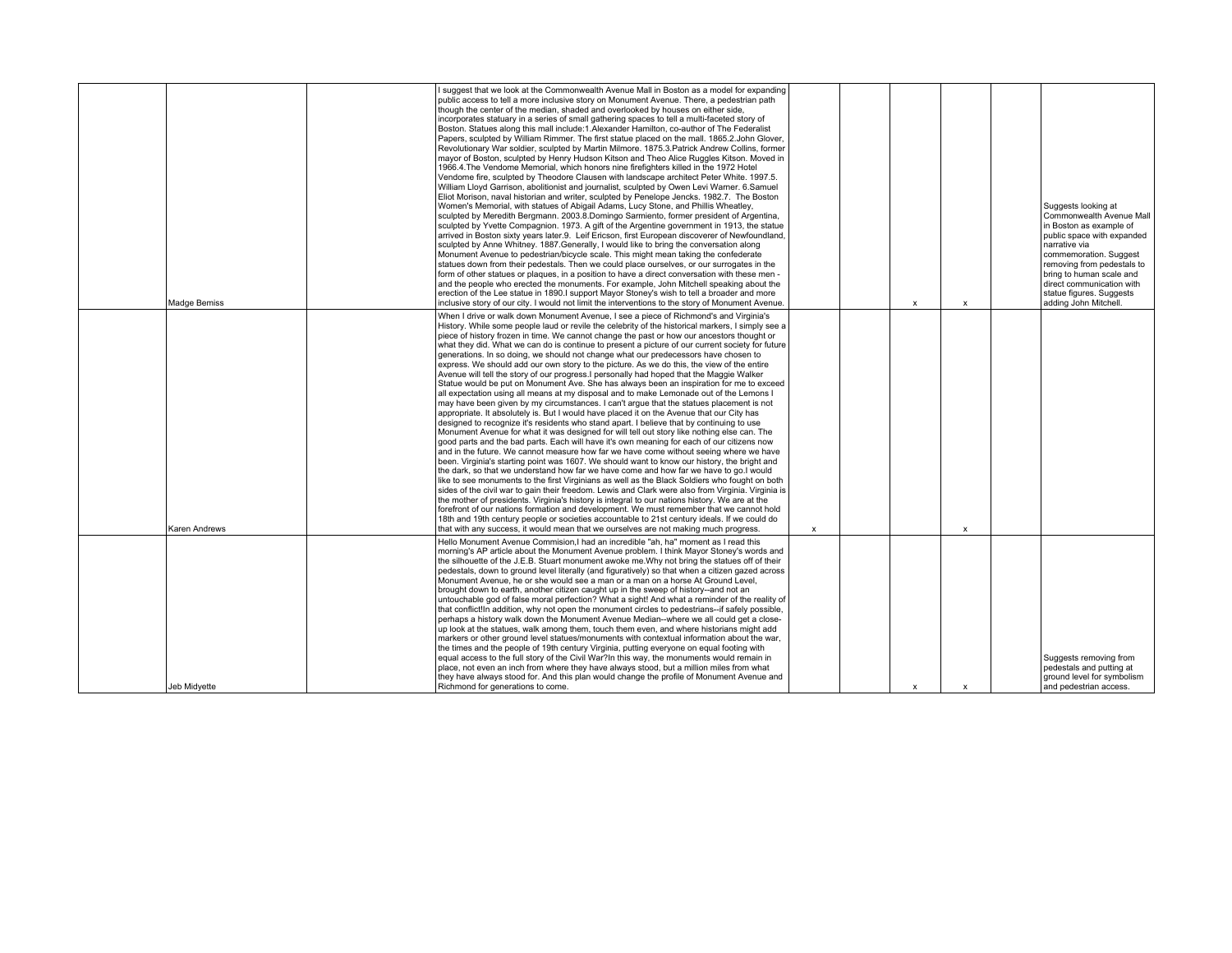|                     | I suggest that we look at the Commonwealth Avenue Mall in Boston as a model for expanding<br>I public access to tell a more inclusive story on Monument Avenue. There, a pedestrian path<br>though the center of the median, shaded and overlooked by houses on either side.<br>incorporates statuary in a series of small gathering spaces to tell a multi-faceted story of<br>Boston. Statues along this mall include:1.Alexander Hamilton, co-author of The Federalist<br>Papers, sculpted by William Rimmer. The first statue placed on the mall, 1865.2. John Glover.<br>Revolutionary War soldier, sculpted by Martin Milmore. 1875.3. Patrick Andrew Collins, former<br>mayor of Boston, sculpted by Henry Hudson Kitson and Theo Alice Ruggles Kitson. Moved in<br>1966.4. The Vendome Memorial, which honors nine firefighters killed in the 1972 Hotel<br>Vendome fire, sculpted by Theodore Clausen with landscape architect Peter White. 1997.5.<br>William Lloyd Garrison, abolitionist and journalist, sculpted by Owen Levi Warner. 6.Samuel<br>Eliot Morison, naval historian and writer, sculpted by Penelope Jencks. 1982.7. The Boston<br>Women's Memorial, with statues of Abigail Adams, Lucy Stone, and Phillis Wheatley,<br>sculpted by Meredith Bergmann. 2003.8.Domingo Sarmiento, former president of Argentina,<br>sculpted by Yvette Compagnion. 1973. A gift of the Argentine government in 1913, the statue<br>arrived in Boston sixty vears later.9. Leif Ericson, first European discoverer of Newfoundland.<br>sculpted by Anne Whitney. 1887. Generally, I would like to bring the conversation along<br>Monument Avenue to pedestrian/bicycle scale. This might mean taking the confederate<br>statues down from their pedestals. Then we could place ourselves, or our surrogates in the<br>form of other statues or plaques, in a position to have a direct conversation with these men -<br>and the people who erected the monuments. For example, John Mitchell speaking about the<br>erection of the Lee statue in 1890. I support Mayor Stoney's wish to tell a broader and more                                                                                                                  |              |                           |                           | Suggests looking at<br>Commonwealth Avenue Mall<br>in Boston as example of<br>public space with expanded<br>narrative via<br>commemoration. Suggest<br>removing from pedestals to<br>bring to human scale and<br>direct communication with<br>statue figures. Suggests |
|---------------------|--------------------------------------------------------------------------------------------------------------------------------------------------------------------------------------------------------------------------------------------------------------------------------------------------------------------------------------------------------------------------------------------------------------------------------------------------------------------------------------------------------------------------------------------------------------------------------------------------------------------------------------------------------------------------------------------------------------------------------------------------------------------------------------------------------------------------------------------------------------------------------------------------------------------------------------------------------------------------------------------------------------------------------------------------------------------------------------------------------------------------------------------------------------------------------------------------------------------------------------------------------------------------------------------------------------------------------------------------------------------------------------------------------------------------------------------------------------------------------------------------------------------------------------------------------------------------------------------------------------------------------------------------------------------------------------------------------------------------------------------------------------------------------------------------------------------------------------------------------------------------------------------------------------------------------------------------------------------------------------------------------------------------------------------------------------------------------------------------------------------------------------------------------------------------------------------------------------------------------------------|--------------|---------------------------|---------------------------|------------------------------------------------------------------------------------------------------------------------------------------------------------------------------------------------------------------------------------------------------------------------|
| Madge Bemiss        | inclusive story of our city. I would not limit the interventions to the story of Monument Avenue.                                                                                                                                                                                                                                                                                                                                                                                                                                                                                                                                                                                                                                                                                                                                                                                                                                                                                                                                                                                                                                                                                                                                                                                                                                                                                                                                                                                                                                                                                                                                                                                                                                                                                                                                                                                                                                                                                                                                                                                                                                                                                                                                          |              | $\mathbf{x}$              | $\boldsymbol{\mathsf{x}}$ | adding John Mitchell                                                                                                                                                                                                                                                   |
| Karen Andrews       | When I drive or walk down Monument Avenue, I see a piece of Richmond's and Virginia's<br>History. While some people laud or revile the celebrity of the historical markers. I simply see a<br>Diece of history frozen in time. We cannot change the past or how our ancestors thought or<br>what they did. What we can do is continue to present a picture of our current society for future<br>generations. In so doing, we should not change what our predecessors have chosen to<br>express. We should add our own story to the picture. As we do this, the view of the entire<br>Avenue will tell the story of our progress. I personally had hoped that the Maggie Walker<br>Statue would be put on Monument Ave. She has always been an inspiration for me to exceed<br>all expectation using all means at my disposal and to make Lemonade out of the Lemons I<br>may have been given by my circumstances. I can't argue that the statues placement is not<br>appropriate. It absolutely is, But I would have placed it on the Avenue that our City has<br>designed to recognize it's residents who stand apart. I believe that by continuing to use<br>Monument Avenue for what it was designed for will tell out story like nothing else can. The<br>oood parts and the bad parts. Each will have it's own meaning for each of our citizens now<br>and in the future. We cannot measure how far we have come without seeing where we have<br>been. Virginia's starting point was 1607. We should want to know our history, the bright and<br>the dark, so that we understand how far we have come and how far we have to go.I would<br>like to see monuments to the first Virginians as well as the Black Soldiers who fought on both<br>sides of the civil war to gain their freedom. Lewis and Clark were also from Virginia. Virginia is<br>the mother of presidents. Virginia's history is integral to our nations history. We are at the<br>forefront of our nations formation and development. We must remember that we cannot hold<br>18th and 19th century people or societies accountable to 21st century ideals. If we could do<br>that with any success, it would mean that we ourselves are not making much progress. | $\mathsf{x}$ |                           | $\boldsymbol{\mathsf{x}}$ |                                                                                                                                                                                                                                                                        |
| <b>Jeb Midvette</b> | Hello Monument Avenue Commision. I had an incredible "ah, ha" moment as I read this<br>morning's AP article about the Monument Avenue problem. I think Mayor Stoney's words and<br>the silhouette of the J.E.B. Stuart monument awoke me. Why not bring the statues off of their<br>pedestals, down to ground level literally (and figuratively) so that when a citizen gazed across<br>Monument Avenue, he or she would see a man or a man on a horse At Ground Level,<br>brought down to earth, another citizen caught up in the sweep of history--and not an<br>untouchable god of false moral perfection? What a sight! And what a reminder of the reality of<br>that conflict!In addition, why not open the monument circles to pedestrians--if safely possible.<br>perhaps a history walk down the Monument Avenue Median--where we all could get a close-<br>up look at the statues, walk among them, touch them even, and where historians might add<br>markers or other ground level statues/monuments with contextual information about the war,<br>the times and the people of 19th century Virginia, putting everyone on equal footing with<br>equal access to the full story of the Civil War?In this way, the monuments would remain in<br>place, not even an inch from where they have always stood, but a million miles from what<br>they have always stood for. And this plan would change the profile of Monument Avenue and<br>Richmond for generations to come.                                                                                                                                                                                                                                                                                                                                                                                                                                                                                                                                                                                                                                                                                                                                                        |              | $\boldsymbol{\mathsf{x}}$ | $\boldsymbol{\mathsf{x}}$ | Suggests removing from<br>pedestals and putting at<br>ground level for symbolism<br>and pedestrian access.                                                                                                                                                             |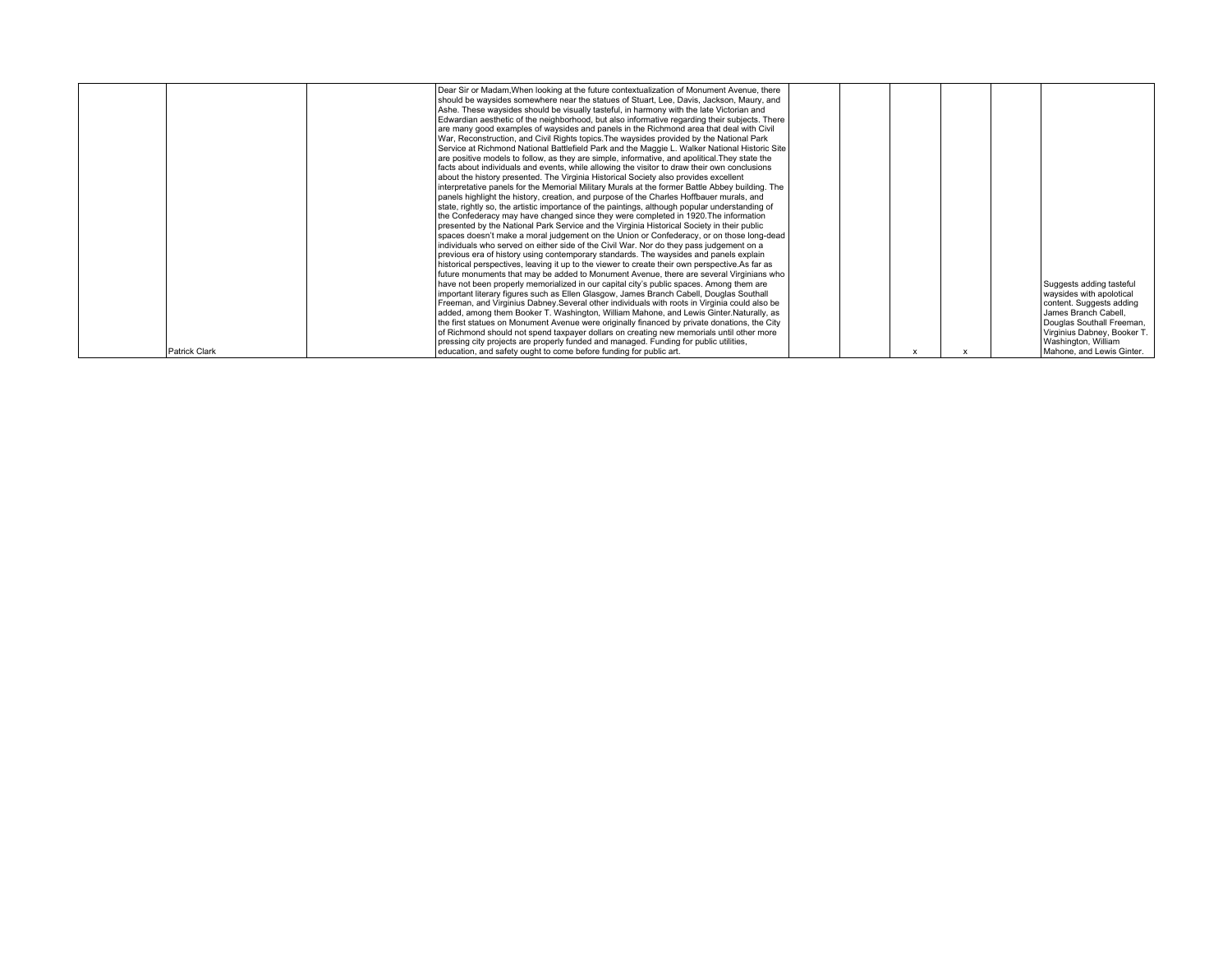|               | Dear Sir or Madam, When looking at the future contextualization of Monument Avenue, there<br>should be waysides somewhere near the statues of Stuart, Lee, Davis, Jackson, Maury, and<br>Ashe. These waysides should be visually tasteful, in harmony with the late Victorian and<br>Edwardian aesthetic of the neighborhood, but also informative regarding their subjects. There<br>are many good examples of waysides and panels in the Richmond area that deal with Civil<br>War, Reconstruction, and Civil Rights topics. The waysides provided by the National Park<br>Service at Richmond National Battlefield Park and the Maggie L. Walker National Historic Site<br>are positive models to follow, as they are simple, informative, and apolitical. They state the<br>facts about individuals and events, while allowing the visitor to draw their own conclusions<br>about the history presented. The Virginia Historical Society also provides excellent<br>interpretative panels for the Memorial Military Murals at the former Battle Abbey building. The<br>panels highlight the history, creation, and purpose of the Charles Hoffbauer murals, and<br>state, rightly so, the artistic importance of the paintings, although popular understanding of<br>the Confederacy may have changed since they were completed in 1920. The information<br>presented by the National Park Service and the Virginia Historical Society in their public<br>spaces doesn't make a moral judgement on the Union or Confederacy, or on those long-dead<br>individuals who served on either side of the Civil War. Nor do they pass judgement on a<br>previous era of history using contemporary standards. The waysides and panels explain<br>historical perspectives, leaving it up to the viewer to create their own perspective.As far as<br>future monuments that may be added to Monument Avenue, there are several Virginians who<br>have not been properly memorialized in our capital city's public spaces. Among them are<br>important literary figures such as Ellen Glasgow, James Branch Cabell, Douglas Southall |  |  | Suggests adding tasteful<br>waysides with apolotical                                                                                |
|---------------|-------------------------------------------------------------------------------------------------------------------------------------------------------------------------------------------------------------------------------------------------------------------------------------------------------------------------------------------------------------------------------------------------------------------------------------------------------------------------------------------------------------------------------------------------------------------------------------------------------------------------------------------------------------------------------------------------------------------------------------------------------------------------------------------------------------------------------------------------------------------------------------------------------------------------------------------------------------------------------------------------------------------------------------------------------------------------------------------------------------------------------------------------------------------------------------------------------------------------------------------------------------------------------------------------------------------------------------------------------------------------------------------------------------------------------------------------------------------------------------------------------------------------------------------------------------------------------------------------------------------------------------------------------------------------------------------------------------------------------------------------------------------------------------------------------------------------------------------------------------------------------------------------------------------------------------------------------------------------------------------------------------------------------------------------------------------------------------------------------------------------------|--|--|-------------------------------------------------------------------------------------------------------------------------------------|
|               | Freeman, and Virginius Dabney. Several other individuals with roots in Virginia could also be<br>added, among them Booker T. Washington, William Mahone, and Lewis Ginter.Naturally, as<br>the first statues on Monument Avenue were originally financed by private donations, the City<br>of Richmond should not spend taxpayer dollars on creating new memorials until other more<br>pressing city projects are properly funded and managed. Funding for public utilities,                                                                                                                                                                                                                                                                                                                                                                                                                                                                                                                                                                                                                                                                                                                                                                                                                                                                                                                                                                                                                                                                                                                                                                                                                                                                                                                                                                                                                                                                                                                                                                                                                                                  |  |  | content. Suggests adding<br>James Branch Cabell.<br>Douglas Southall Freeman,<br>Virginius Dabney, Booker T.<br>Washington, William |
| Patrick Clark | education, and safety ought to come before funding for public art.                                                                                                                                                                                                                                                                                                                                                                                                                                                                                                                                                                                                                                                                                                                                                                                                                                                                                                                                                                                                                                                                                                                                                                                                                                                                                                                                                                                                                                                                                                                                                                                                                                                                                                                                                                                                                                                                                                                                                                                                                                                            |  |  | Mahone, and Lewis Ginter.                                                                                                           |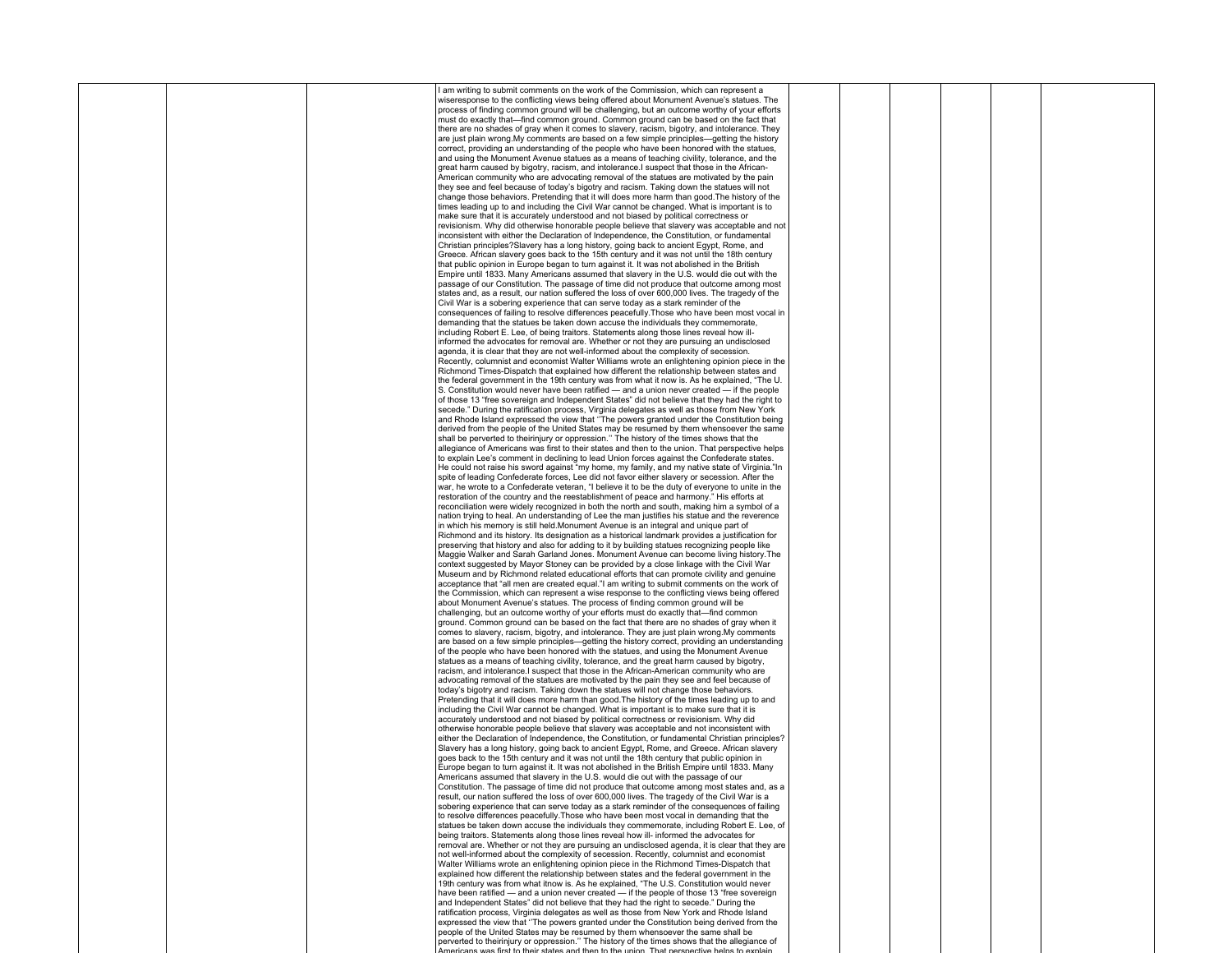|  | I am writing to submit comments on the work of the Commission, which can represent a             |  |  |  |
|--|--------------------------------------------------------------------------------------------------|--|--|--|
|  | wiseresponse to the conflicting views being offered about Monument Avenue's statues. The         |  |  |  |
|  | process of finding common ground will be challenging, but an outcome worthy of your efforts      |  |  |  |
|  | must do exactly that—find common ground. Common ground can be based on the fact that             |  |  |  |
|  | there are no shades of gray when it comes to slavery, racism, bigotry, and intolerance. They     |  |  |  |
|  |                                                                                                  |  |  |  |
|  | are just plain wrong. My comments are based on a few simple principles—getting the history       |  |  |  |
|  | correct, providing an understanding of the people who have been honored with the statues,        |  |  |  |
|  | and using the Monument Avenue statues as a means of teaching civility, tolerance, and the        |  |  |  |
|  | great harm caused by bigotry, racism, and intolerance. I suspect that those in the African-      |  |  |  |
|  | American community who are advocating removal of the statues are motivated by the pain           |  |  |  |
|  | they see and feel because of today's bigotry and racism. Taking down the statues will not        |  |  |  |
|  | change those behaviors. Pretending that it will does more harm than good. The history of the     |  |  |  |
|  |                                                                                                  |  |  |  |
|  | times leading up to and including the Civil War cannot be changed. What is important is to       |  |  |  |
|  | make sure that it is accurately understood and not biased by political correctness or            |  |  |  |
|  | revisionism. Why did otherwise honorable people believe that slavery was acceptable and not      |  |  |  |
|  | inconsistent with either the Declaration of Independence, the Constitution, or fundamental       |  |  |  |
|  | Christian principles? Slavery has a long history, going back to ancient Egypt, Rome, and         |  |  |  |
|  | Greece. African slavery goes back to the 15th century and it was not until the 18th century      |  |  |  |
|  | that public opinion in Europe began to turn against it. It was not abolished in the British      |  |  |  |
|  | Empire until 1833. Many Americans assumed that slavery in the U.S. would die out with the        |  |  |  |
|  |                                                                                                  |  |  |  |
|  | passage of our Constitution. The passage of time did not produce that outcome among most         |  |  |  |
|  | states and, as a result, our nation suffered the loss of over 600,000 lives. The tragedy of the  |  |  |  |
|  | Civil War is a sobering experience that can serve today as a stark reminder of the               |  |  |  |
|  | consequences of failing to resolve differences peacefully. Those who have been most vocal in     |  |  |  |
|  | demanding that the statues be taken down accuse the individuals they commemorate.                |  |  |  |
|  | including Robert E. Lee, of being traitors. Statements along those lines reveal how ill-         |  |  |  |
|  | informed the advocates for removal are. Whether or not they are pursuing an undisclosed          |  |  |  |
|  |                                                                                                  |  |  |  |
|  | agenda, it is clear that they are not well-informed about the complexity of secession.           |  |  |  |
|  | Recently, columnist and economist Walter Williams wrote an enlightening opinion piece in the     |  |  |  |
|  | Richmond Times-Dispatch that explained how different the relationship between states and         |  |  |  |
|  | the federal government in the 19th century was from what it now is. As he explained, "The U.     |  |  |  |
|  | S. Constitution would never have been ratified — and a union never created — if the people       |  |  |  |
|  | of those 13 "free sovereign and Independent States" did not believe that they had the right to   |  |  |  |
|  | secede." During the ratification process, Virginia delegates as well as those from New York      |  |  |  |
|  | and Rhode Island expressed the view that "The powers granted under the Constitution being        |  |  |  |
|  | derived from the people of the United States may be resumed by them whensoever the same          |  |  |  |
|  |                                                                                                  |  |  |  |
|  | shall be perverted to theirinjury or oppression." The history of the times shows that the        |  |  |  |
|  | allegiance of Americans was first to their states and then to the union. That perspective helps  |  |  |  |
|  | to explain Lee's comment in declining to lead Union forces against the Confederate states.       |  |  |  |
|  | He could not raise his sword against "my home, my family, and my native state of Virginia."In    |  |  |  |
|  | spite of leading Confederate forces, Lee did not favor either slavery or secession. After the    |  |  |  |
|  | war, he wrote to a Confederate veteran, "I believe it to be the duty of everyone to unite in the |  |  |  |
|  | restoration of the country and the reestablishment of peace and harmony." His efforts at         |  |  |  |
|  | reconciliation were widely recognized in both the north and south, making him a symbol of a      |  |  |  |
|  |                                                                                                  |  |  |  |
|  | nation trying to heal. An understanding of Lee the man justifies his statue and the reverence    |  |  |  |
|  | in which his memory is still held. Monument Avenue is an integral and unique part of             |  |  |  |
|  | Richmond and its history. Its designation as a historical landmark provides a justification for  |  |  |  |
|  | preserving that history and also for adding to it by building statues recognizing people like    |  |  |  |
|  | Maggie Walker and Sarah Garland Jones. Monument Avenue can become living history. The            |  |  |  |
|  | context suggested by Mayor Stoney can be provided by a close linkage with the Civil War          |  |  |  |
|  | Museum and by Richmond related educational efforts that can promote civility and genuine         |  |  |  |
|  | acceptance that "all men are created equal." am writing to submit comments on the work of        |  |  |  |
|  | the Commission, which can represent a wise response to the conflicting views being offered       |  |  |  |
|  | about Monument Avenue's statues. The process of finding common ground will be                    |  |  |  |
|  |                                                                                                  |  |  |  |
|  | challenging, but an outcome worthy of your efforts must do exactly that-find common              |  |  |  |
|  | ground. Common ground can be based on the fact that there are no shades of gray when it          |  |  |  |
|  | comes to slavery, racism, bigotry, and intolerance. They are just plain wrong. My comments       |  |  |  |
|  | are based on a few simple principles—getting the history correct, providing an understanding     |  |  |  |
|  | of the people who have been honored with the statues, and using the Monument Avenue              |  |  |  |
|  | statues as a means of teaching civility, tolerance, and the great harm caused by bigotry,        |  |  |  |
|  | racism, and intolerance. I suspect that those in the African-American community who are          |  |  |  |
|  | advocating removal of the statues are motivated by the pain they see and feel because of         |  |  |  |
|  | today's bigotry and racism. Taking down the statues will not change those behaviors.             |  |  |  |
|  | Pretending that it will does more harm than good. The history of the times leading up to and     |  |  |  |
|  |                                                                                                  |  |  |  |
|  | including the Civil War cannot be changed. What is important is to make sure that it is          |  |  |  |
|  | accurately understood and not biased by political correctness or revisionism. Why did            |  |  |  |
|  | otherwise honorable people believe that slavery was acceptable and not inconsistent with         |  |  |  |
|  | either the Declaration of Independence, the Constitution, or fundamental Christian principles?   |  |  |  |
|  | Slavery has a long history, going back to ancient Egypt, Rome, and Greece. African slavery       |  |  |  |
|  | goes back to the 15th century and it was not until the 18th century that public opinion in       |  |  |  |
|  | Europe began to turn against it. It was not abolished in the British Empire until 1833. Many     |  |  |  |
|  | Americans assumed that slavery in the U.S. would die out with the passage of our                 |  |  |  |
|  | Constitution. The passage of time did not produce that outcome among most states and, as a       |  |  |  |
|  | result, our nation suffered the loss of over 600,000 lives. The tragedy of the Civil War is a    |  |  |  |
|  | sobering experience that can serve today as a stark reminder of the consequences of failing      |  |  |  |
|  |                                                                                                  |  |  |  |
|  | to resolve differences peacefully. Those who have been most vocal in demanding that the          |  |  |  |
|  | statues be taken down accuse the individuals they commemorate, including Robert E. Lee, of       |  |  |  |
|  | being traitors. Statements along those lines reveal how ill- informed the advocates for          |  |  |  |
|  | removal are. Whether or not they are pursuing an undisclosed agenda, it is clear that they are   |  |  |  |
|  | not well-informed about the complexity of secession. Recently, columnist and economist           |  |  |  |
|  | Walter Williams wrote an enlightening opinion piece in the Richmond Times-Dispatch that          |  |  |  |
|  | explained how different the relationship between states and the federal government in the        |  |  |  |
|  | 19th century was from what itnow is. As he explained, "The U.S. Constitution would never         |  |  |  |
|  | have been ratified — and a union never created — if the people of those 13 "free sovereign       |  |  |  |
|  | and Independent States" did not believe that they had the right to secede." During the           |  |  |  |
|  |                                                                                                  |  |  |  |
|  | ratification process, Virginia delegates as well as those from New York and Rhode Island         |  |  |  |
|  | expressed the view that "The powers granted under the Constitution being derived from the        |  |  |  |
|  | people of the United States may be resumed by them whensoever the same shall be                  |  |  |  |
|  | perverted to theirinjury or oppression." The history of the times shows that the allegiance of   |  |  |  |
|  |                                                                                                  |  |  |  |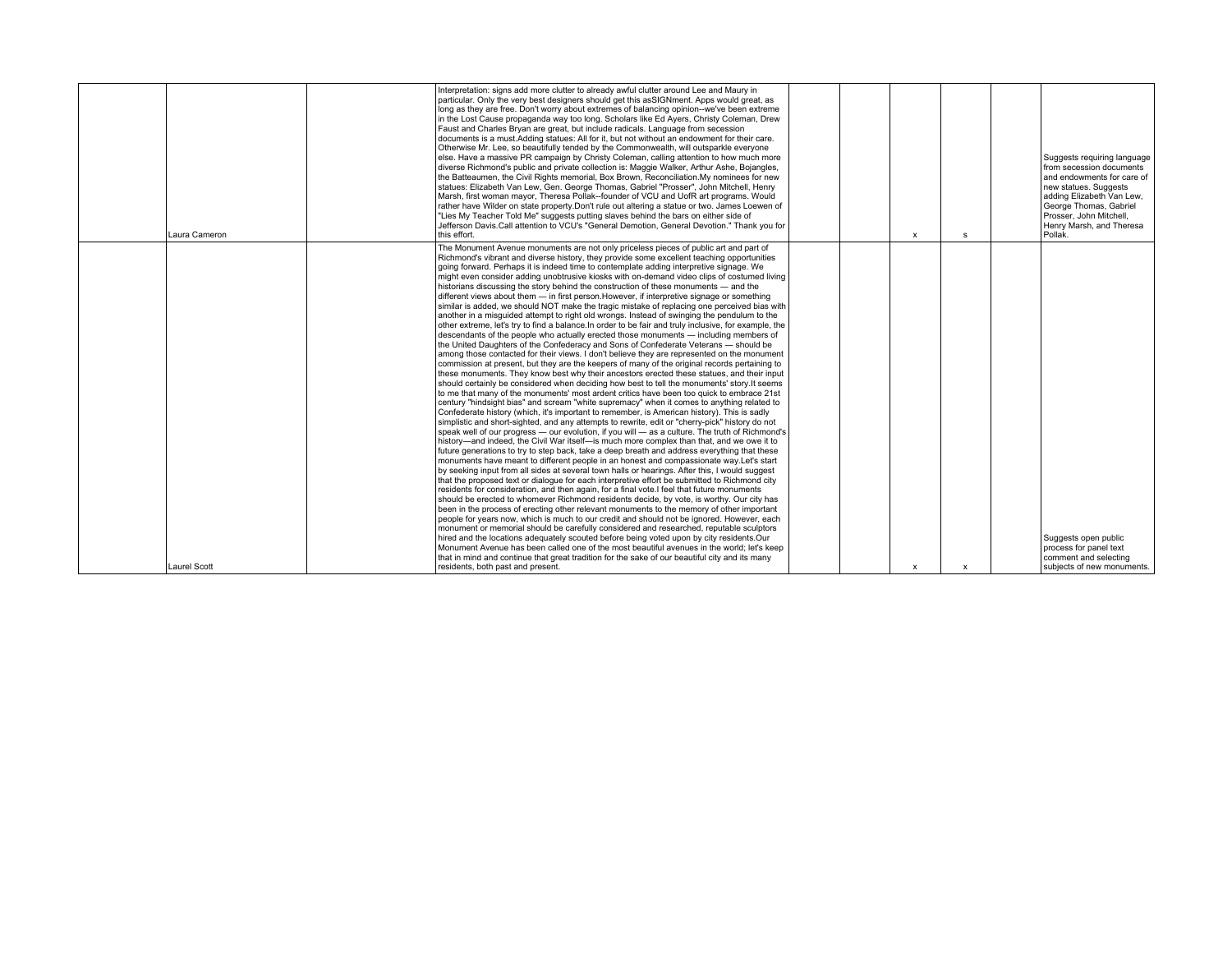| Laura Cameron       | Interpretation: signs add more clutter to already awful clutter around Lee and Maury in<br>particular. Only the very best designers should get this asSIGNment. Apps would great, as<br>long as they are free. Don't worry about extremes of balancing opinion--we've been extreme<br>in the Lost Cause propaganda way too long. Scholars like Ed Ayers, Christy Coleman, Drew<br>Faust and Charles Bryan are great, but include radicals. Language from secession<br>documents is a must. Adding statues: All for it, but not without an endowment for their care.<br>Otherwise Mr. Lee, so beautifully tended by the Commonwealth, will outsparkle everyone<br>else. Have a massive PR campaign by Christy Coleman, calling attention to how much more<br>diverse Richmond's public and private collection is: Maggie Walker, Arthur Ashe, Bojangles,<br>the Batteaumen, the Civil Rights memorial, Box Brown, Reconciliation.My nominees for new<br>statues: Elizabeth Van Lew, Gen. George Thomas, Gabriel "Prosser", John Mitchell, Henry<br>Marsh, first woman mayor, Theresa Pollak--founder of VCU and UofR art programs, Would<br>rather have Wilder on state property. Don't rule out altering a statue or two. James Loewen of<br>"Lies My Teacher Told Me" suggests putting slaves behind the bars on either side of<br>Jefferson Davis.Call attention to VCU's "General Demotion, General Devotion." Thank you for<br>this effort.                                                                                                                                                                                                                                                                                                                                                                                                                                                                                                                                                                                                                                                                                                                                                                                                                                                                                                                                                                                                                                                                                                                                                                                                     |  | x | <b>s</b>     | Suggests requiring language<br>from secession documents<br>and endowments for care of<br>new statues. Suggests<br>adding Elizabeth Van Lew.<br>George Thomas, Gabriel<br>Prosser, John Mitchell.<br>Henry Marsh, and Theresa<br>Pollak. |
|---------------------|-----------------------------------------------------------------------------------------------------------------------------------------------------------------------------------------------------------------------------------------------------------------------------------------------------------------------------------------------------------------------------------------------------------------------------------------------------------------------------------------------------------------------------------------------------------------------------------------------------------------------------------------------------------------------------------------------------------------------------------------------------------------------------------------------------------------------------------------------------------------------------------------------------------------------------------------------------------------------------------------------------------------------------------------------------------------------------------------------------------------------------------------------------------------------------------------------------------------------------------------------------------------------------------------------------------------------------------------------------------------------------------------------------------------------------------------------------------------------------------------------------------------------------------------------------------------------------------------------------------------------------------------------------------------------------------------------------------------------------------------------------------------------------------------------------------------------------------------------------------------------------------------------------------------------------------------------------------------------------------------------------------------------------------------------------------------------------------------------------------------------------------------------------------------------------------------------------------------------------------------------------------------------------------------------------------------------------------------------------------------------------------------------------------------------------------------------------------------------------------------------------------------------------------------------------------------------------------------------------------------------------------------------------|--|---|--------------|-----------------------------------------------------------------------------------------------------------------------------------------------------------------------------------------------------------------------------------------|
|                     | The Monument Avenue monuments are not only priceless pieces of public art and part of<br>Richmond's vibrant and diverse history, they provide some excellent teaching opportunities<br>going forward. Perhaps it is indeed time to contemplate adding interpretive signage. We<br>might even consider adding unobtrusive kiosks with on-demand video clips of costumed living<br>historians discussing the story behind the construction of these monuments — and the<br>different views about them - in first person. However, if interpretive signage or something<br>similar is added, we should NOT make the tragic mistake of replacing one perceived bias with<br>another in a misquided attempt to right old wrongs. Instead of swinging the pendulum to the<br>other extreme, let's try to find a balance. In order to be fair and truly inclusive, for example, the<br>descendants of the people who actually erected those monuments — including members of<br>the United Daughters of the Confederacy and Sons of Confederate Veterans - should be<br>among those contacted for their views. I don't believe they are represented on the monument<br>commission at present, but they are the keepers of many of the original records pertaining to<br>these monuments. They know best why their ancestors erected these statues, and their input<br>should certainly be considered when deciding how best to tell the monuments' story. It seems<br>to me that many of the monuments' most ardent critics have been too quick to embrace 21st<br>century "hindsight bias" and scream "white supremacy" when it comes to anything related to<br>Confederate history (which, it's important to remember, is American history). This is sadly<br>simplistic and short-sighted, and any attempts to rewrite, edit or "cherry-pick" history do not<br>speak well of our progress — our evolution, if you will — as a culture. The truth of Richmond's<br>history—and indeed, the Civil War itself—is much more complex than that, and we owe it to<br>future generations to try to step back, take a deep breath and address everything that these<br>monuments have meant to different people in an honest and compassionate way. Let's start<br>by seeking input from all sides at several town halls or hearings. After this, I would suggest<br>that the proposed text or dialogue for each interpretive effort be submitted to Richmond city<br>residents for consideration, and then again, for a final vote. I feel that future monuments<br>should be erected to whomever Richmond residents decide, by vote, is worthy. Our city has |  |   |              |                                                                                                                                                                                                                                         |
| <b>Laurel Scott</b> | been in the process of erecting other relevant monuments to the memory of other important<br>people for years now, which is much to our credit and should not be ignored. However, each<br>monument or memorial should be carefully considered and researched, reputable sculptors<br>hired and the locations adequately scouted before being voted upon by city residents.Our<br>Monument Avenue has been called one of the most beautiful avenues in the world: let's keep<br>that in mind and continue that great tradition for the sake of our beautiful city and its many<br>residents, both past and present.                                                                                                                                                                                                                                                                                                                                                                                                                                                                                                                                                                                                                                                                                                                                                                                                                                                                                                                                                                                                                                                                                                                                                                                                                                                                                                                                                                                                                                                                                                                                                                                                                                                                                                                                                                                                                                                                                                                                                                                                                                 |  | X | $\mathbf{x}$ | Suggests open public<br>process for panel text<br>comment and selecting<br>subjects of new monuments.                                                                                                                                   |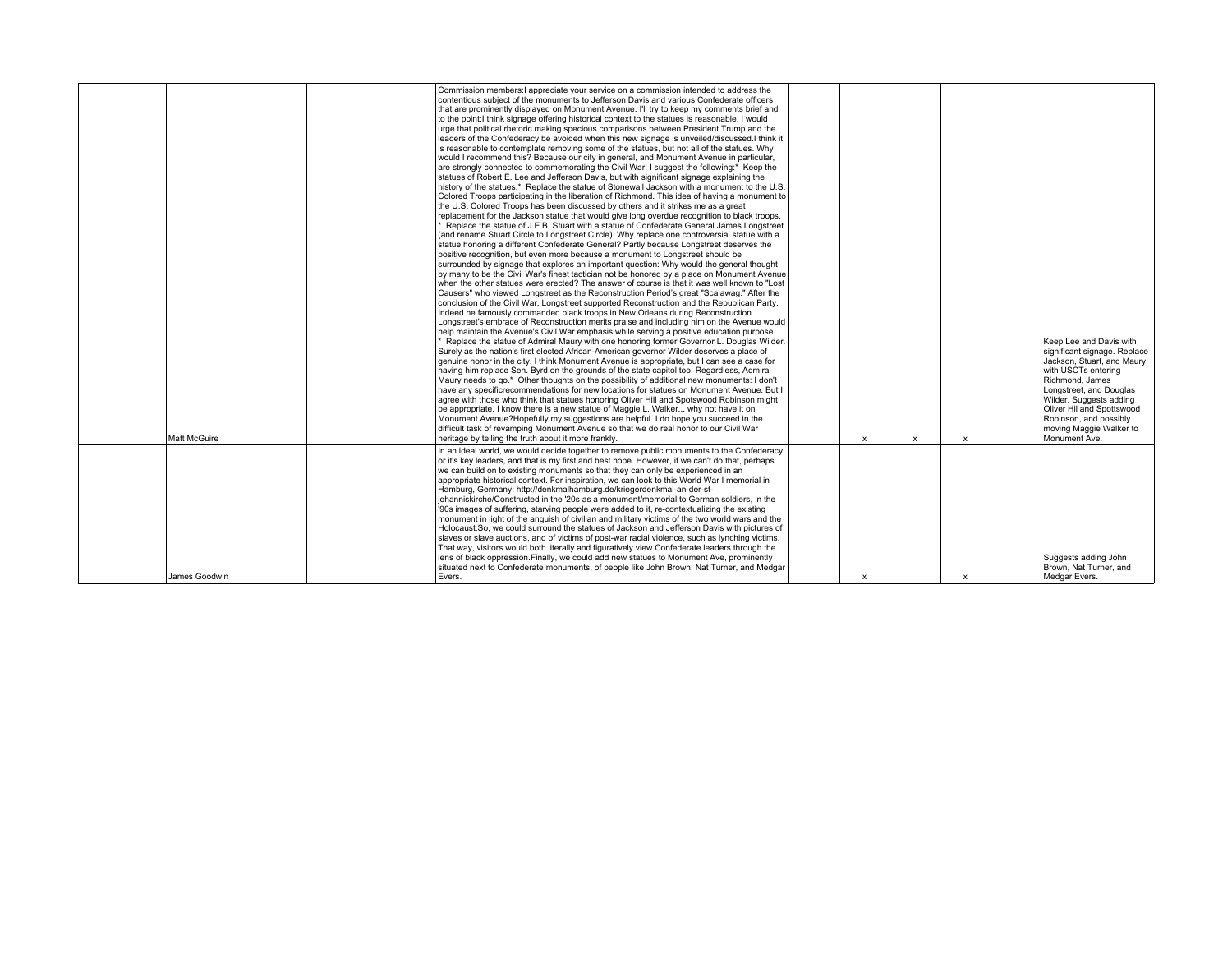| Commission members: appreciate your service on a commission intended to address the<br>contentious subject of the monuments to Jefferson Davis and various Confederate officers<br>that are prominently displayed on Monument Ayenue. I'll try to keep my comments brief and<br>to the point: I think signage offering historical context to the statues is reasonable. I would<br>urge that political rhetoric making specious comparisons between President Trump and the<br>leaders of the Confederacy be avoided when this new signage is unveiled/discussed. I think it<br>is reasonable to contemplate removing some of the statues, but not all of the statues. Why<br>would I recommend this? Because our city in general, and Monument Avenue in particular,<br>are strongly connected to commemorating the Civil War. I suggest the following:* Keep the<br>statues of Robert E. Lee and Jefferson Davis, but with significant signage explaining the<br>history of the statues.* Replace the statue of Stonewall Jackson with a monument to the U.S.<br>Colored Troops participating in the liberation of Richmond. This idea of having a monument to<br>the U.S. Colored Troops has been discussed by others and it strikes me as a great<br>replacement for the Jackson statue that would give long overdue recognition to black troops.<br>Replace the statue of J.E.B. Stuart with a statue of Confederate General James Longstreet<br>and rename Stuart Circle to Longstreet Circle). Why replace one controversial statue with a<br>statue honoring a different Confederate General? Partly because Longstreet deserves the<br>positive recognition, but even more because a monument to Longstreet should be<br>surrounded by signage that explores an important question: Why would the general thought<br>by many to be the Civil War's finest tactician not be honored by a place on Monument Avenue<br>when the other statues were erected? The answer of course is that it was well known to "Lost<br>Causers" who viewed Longstreet as the Reconstruction Period's great "Scalawag." After the<br>conclusion of the Civil War, Longstreet supported Reconstruction and the Republican Party.<br>Indeed he famously commanded black troops in New Orleans during Reconstruction.<br>Longstreet's embrace of Reconstruction merits praise and including him on the Avenue would<br>help maintain the Avenue's Civil War emphasis while serving a positive education purpose.<br>* Replace the statue of Admiral Maury with one honoring former Governor L. Douglas Wilder.<br>Surely as the nation's first elected African-American governor Wilder deserves a place of<br>genuine honor in the city. I think Monument Avenue is appropriate, but I can see a case for<br>having him replace Sen. Byrd on the grounds of the state capitol too. Regardless, Admiral<br>Maury needs to go.* Other thoughts on the possibility of additional new monuments: I don't<br>have any specificrecommendations for new locations for statues on Monument Avenue. But I<br>agree with those who think that statues honoring Oliver Hill and Spotswood Robinson might<br>be appropriate. I know there is a new statue of Maggie L. Walker why not have it on<br>Monument Avenue?Hopefully my suggestions are helpful. I do hope you succeed in the<br>difficult task of revamping Monument Avenue so that we do real honor to our Civil War<br>Matt McGuire<br>heritage by telling the truth about it more frankly.<br>$\mathsf{x}$<br>$\mathsf{x}$<br>$\boldsymbol{\mathsf{x}}$<br>In an ideal world, we would decide together to remove public monuments to the Confederacy<br>or it's key leaders, and that is my first and best hope. However, if we can't do that, perhaps<br>we can build on to existing monuments so that they can only be experienced in an<br>appropriate historical context. For inspiration, we can look to this World War I memorial in<br>Hamburg, Germany: http://denkmalhamburg.de/kriegerdenkmal-an-der-st-<br>ohanniskirche/Constructed in the '20s as a monument/memorial to German soldiers, in the<br>'90s images of suffering, starving people were added to it, re-contextualizing the existing<br>monument in light of the anguish of civilian and military victims of the two world wars and the<br>Holocaust. So, we could surround the statues of Jackson and Jefferson Davis with pictures of<br>slaves or slave auctions, and of victims of post-war racial violence, such as lynching victims.<br>That way, visitors would both literally and figuratively view Confederate leaders through the |  |                                                                                          |  |  |                                                                                                                                                                                                                                                                                          |
|---------------------------------------------------------------------------------------------------------------------------------------------------------------------------------------------------------------------------------------------------------------------------------------------------------------------------------------------------------------------------------------------------------------------------------------------------------------------------------------------------------------------------------------------------------------------------------------------------------------------------------------------------------------------------------------------------------------------------------------------------------------------------------------------------------------------------------------------------------------------------------------------------------------------------------------------------------------------------------------------------------------------------------------------------------------------------------------------------------------------------------------------------------------------------------------------------------------------------------------------------------------------------------------------------------------------------------------------------------------------------------------------------------------------------------------------------------------------------------------------------------------------------------------------------------------------------------------------------------------------------------------------------------------------------------------------------------------------------------------------------------------------------------------------------------------------------------------------------------------------------------------------------------------------------------------------------------------------------------------------------------------------------------------------------------------------------------------------------------------------------------------------------------------------------------------------------------------------------------------------------------------------------------------------------------------------------------------------------------------------------------------------------------------------------------------------------------------------------------------------------------------------------------------------------------------------------------------------------------------------------------------------------------------------------------------------------------------------------------------------------------------------------------------------------------------------------------------------------------------------------------------------------------------------------------------------------------------------------------------------------------------------------------------------------------------------------------------------------------------------------------------------------------------------------------------------------------------------------------------------------------------------------------------------------------------------------------------------------------------------------------------------------------------------------------------------------------------------------------------------------------------------------------------------------------------------------------------------------------------------------------------------------------------------------------------------------------------------------------------------------------------------------------------------------------------------------------------------------------------------------------------------------------------------------------------------------------------------------------------------------------------------------------------------------------------------------------------------------------------------------------------------------------------------------------------------------------------------------------------------------------------------------------------------------------------------------------------------------------------------------------------------------------------------------------------------------------------------------------------------------------------------------------------------------------------------------------------------------------------------------------------------------------|--|------------------------------------------------------------------------------------------|--|--|------------------------------------------------------------------------------------------------------------------------------------------------------------------------------------------------------------------------------------------------------------------------------------------|
|                                                                                                                                                                                                                                                                                                                                                                                                                                                                                                                                                                                                                                                                                                                                                                                                                                                                                                                                                                                                                                                                                                                                                                                                                                                                                                                                                                                                                                                                                                                                                                                                                                                                                                                                                                                                                                                                                                                                                                                                                                                                                                                                                                                                                                                                                                                                                                                                                                                                                                                                                                                                                                                                                                                                                                                                                                                                                                                                                                                                                                                                                                                                                                                                                                                                                                                                                                                                                                                                                                                                                                                                                                                                                                                                                                                                                                                                                                                                                                                                                                                                                                                                                                                                                                                                                                                                                                                                                                                                                                                                                                                                                                                         |  |                                                                                          |  |  | Keep Lee and Davis with<br>significant signage. Replace<br>Jackson, Stuart, and Maury<br>with USCTs enterina<br>Richmond, James<br>Longstreet, and Douglas<br>Wilder. Suggests adding<br>Oliver Hil and Spottswood<br>Robinson, and possibly<br>moving Maggie Walker to<br>Monument Ave. |
| situated next to Confederate monuments, of people like John Brown, Nat Turner, and Medgar<br>James Goodwin<br>Evers.<br>$\boldsymbol{\mathsf{x}}$<br>$\boldsymbol{\mathsf{x}}$                                                                                                                                                                                                                                                                                                                                                                                                                                                                                                                                                                                                                                                                                                                                                                                                                                                                                                                                                                                                                                                                                                                                                                                                                                                                                                                                                                                                                                                                                                                                                                                                                                                                                                                                                                                                                                                                                                                                                                                                                                                                                                                                                                                                                                                                                                                                                                                                                                                                                                                                                                                                                                                                                                                                                                                                                                                                                                                                                                                                                                                                                                                                                                                                                                                                                                                                                                                                                                                                                                                                                                                                                                                                                                                                                                                                                                                                                                                                                                                                                                                                                                                                                                                                                                                                                                                                                                                                                                                                          |  | lens of black oppression. Finally, we could add new statues to Monument Ave, prominently |  |  | Suggests adding John<br>Brown, Nat Turner, and<br>Medgar Evers.                                                                                                                                                                                                                          |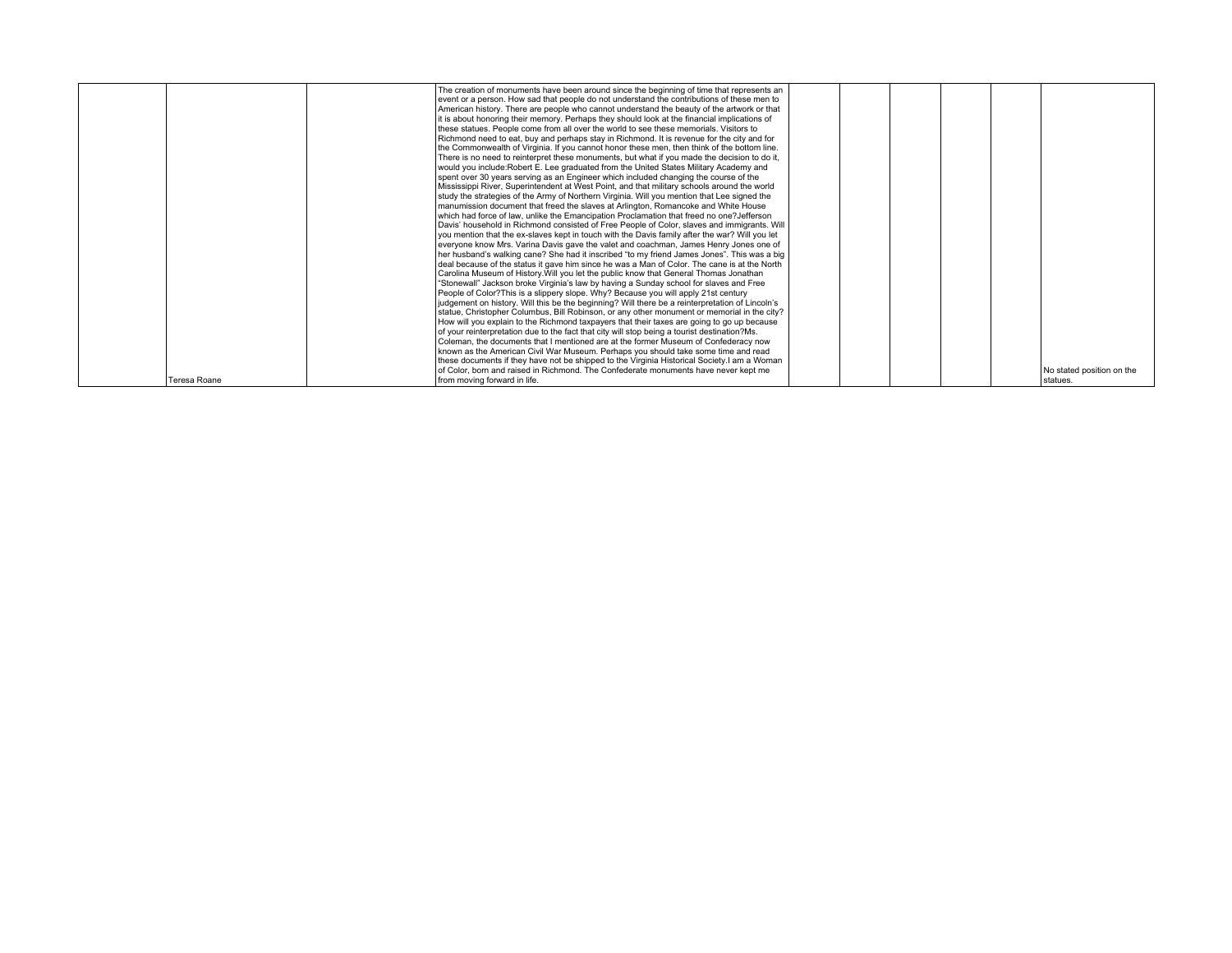|              | The creation of monuments have been around since the beginning of time that represents an                        |  |
|--------------|------------------------------------------------------------------------------------------------------------------|--|
|              | event or a person. How sad that people do not understand the contributions of these men to                       |  |
|              | American history. There are people who cannot understand the beauty of the artwork or that                       |  |
|              | it is about honoring their memory. Perhaps they should look at the financial implications of                     |  |
|              | these statues. People come from all over the world to see these memorials. Visitors to                           |  |
|              | Richmond need to eat, buy and perhaps stay in Richmond. It is revenue for the city and for                       |  |
|              | the Commonwealth of Virginia. If you cannot honor these men, then think of the bottom line.                      |  |
|              | There is no need to reinterpret these monuments, but what if you made the decision to do it,                     |  |
|              | would you include: Robert E. Lee graduated from the United States Military Academy and                           |  |
|              | spent over 30 years serving as an Engineer which included changing the course of the                             |  |
|              | Mississippi River, Superintendent at West Point, and that military schools around the world                      |  |
|              | study the strategies of the Army of Northern Virginia. Will you mention that Lee signed the                      |  |
|              | manumission document that freed the slaves at Arlington, Romancoke and White House                               |  |
|              | which had force of law, unlike the Emancipation Proclamation that freed no one?Jefferson                         |  |
|              | Davis' household in Richmond consisted of Free People of Color, slaves and immigrants. Will                      |  |
|              | you mention that the ex-slaves kept in touch with the Davis family after the war? Will you let                   |  |
|              | everyone know Mrs. Varina Davis gave the valet and coachman, James Henry Jones one of                            |  |
|              | her husband's walking cane? She had it inscribed "to my friend James Jones". This was a big                      |  |
|              | deal because of the status it gave him since he was a Man of Color. The cane is at the North                     |  |
|              | Carolina Museum of History. Will you let the public know that General Thomas Jonathan                            |  |
|              | "Stonewall" Jackson broke Virginia's law by having a Sunday school for slaves and Free                           |  |
|              | People of Color? This is a slippery slope. Why? Because you will apply 21st century                              |  |
|              | judgement on history. Will this be the beginning? Will there be a reinterpretation of Lincoln's                  |  |
|              | statue, Christopher Columbus, Bill Robinson, or any other monument or memorial in the city?                      |  |
|              | How will you explain to the Richmond taxpayers that their taxes are going to go up because                       |  |
|              | of your reinterpretation due to the fact that city will stop being a tourist destination?Ms.                     |  |
|              | Coleman, the documents that I mentioned are at the former Museum of Confederacy now                              |  |
|              | known as the American Civil War Museum. Perhaps you should take some time and read                               |  |
|              | these documents if they have not be shipped to the Virginia Historical Society. I am a Woman                     |  |
|              | of Color, born and raised in Richmond. The Confederate monuments have never kept me<br>No stated position on the |  |
| Teresa Roane | from moving forward in life.<br>statues.                                                                         |  |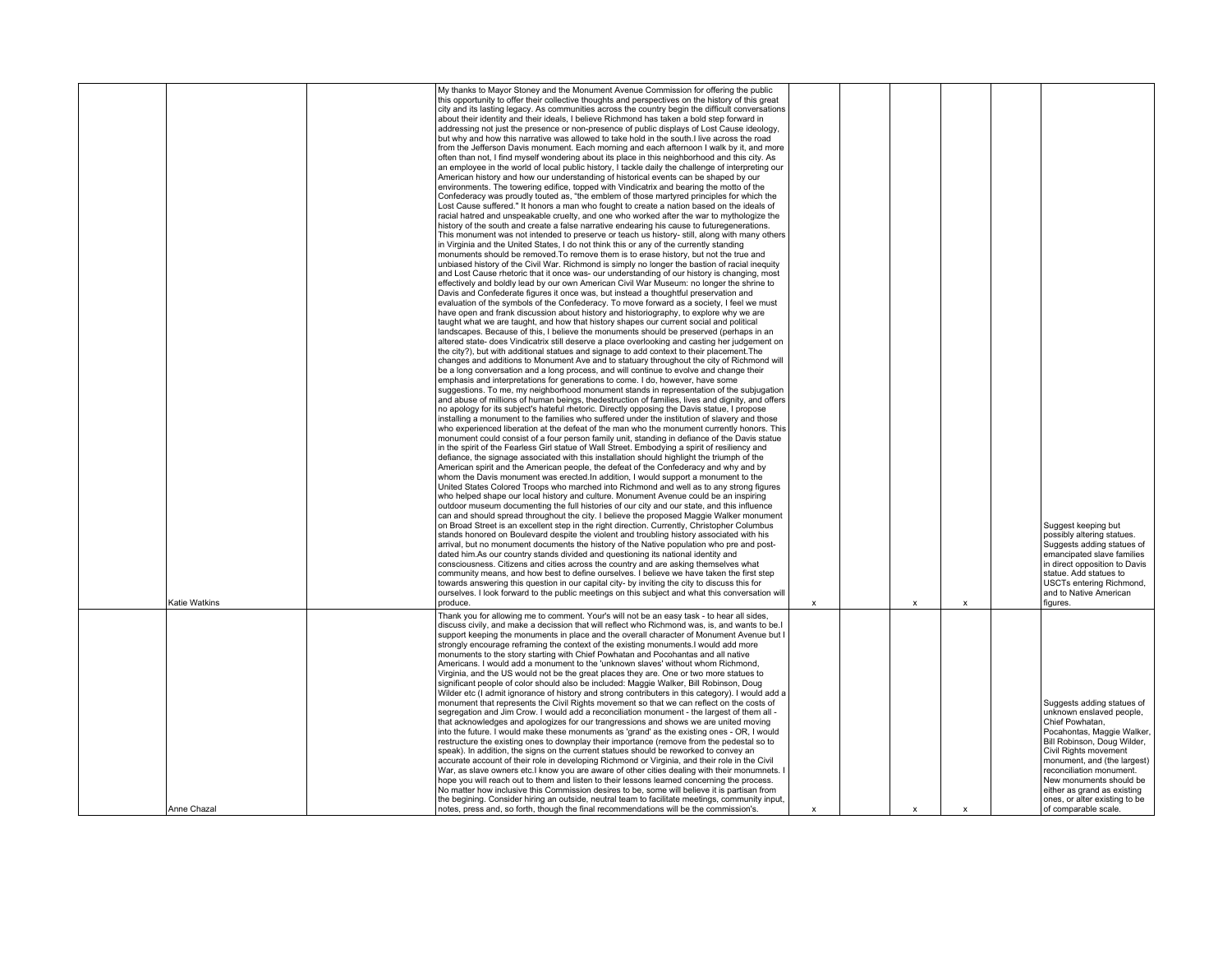|               | My thanks to Mayor Stoney and the Monument Avenue Commission for offering the public<br>this opportunity to offer their collective thoughts and perspectives on the history of this great<br>city and its lasting legacy. As communities across the country begin the difficult conversations<br>about their identity and their ideals, I believe Richmond has taken a bold step forward in<br>addressing not just the presence or non-presence of public displays of Lost Cause ideology,<br>but why and how this narrative was allowed to take hold in the south. I live across the road<br>from the Jefferson Davis monument. Each morning and each afternoon I walk by it, and more<br>often than not, I find myself wondering about its place in this neighborhood and this city. As<br>an employee in the world of local public history, I tackle daily the challenge of interpreting our<br>American history and how our understanding of historical events can be shaped by our<br>environments. The towering edifice, topped with Vindicatrix and bearing the motto of the<br>Confederacy was proudly touted as, "the emblem of those martyred principles for which the<br>Lost Cause suffered." It honors a man who fought to create a nation based on the ideals of<br>racial hatred and unspeakable cruelty, and one who worked after the war to mythologize the<br>history of the south and create a false narrative endearing his cause to futuregenerations.<br>This monument was not intended to preserve or teach us history- still, along with many others<br>in Virginia and the United States, I do not think this or any of the currently standing<br>monuments should be removed. To remove them is to erase history, but not the true and<br>unbiased history of the Civil War. Richmond is simply no longer the bastion of racial inequity<br>and Lost Cause rhetoric that it once was- our understanding of our history is changing, most<br>effectively and boldly lead by our own American Civil War Museum: no longer the shrine to<br>Davis and Confederate figures it once was, but instead a thoughtful preservation and<br>evaluation of the symbols of the Confederacy. To move forward as a society, I feel we must<br>have open and frank discussion about history and historiography, to explore why we are<br>taught what we are taught, and how that history shapes our current social and political<br>landscapes. Because of this, I believe the monuments should be preserved (perhaps in an<br>altered state- does Vindicatrix still deserve a place overlooking and casting her judgement on<br>the city?), but with additional statues and signage to add context to their placement. The<br>changes and additions to Monument Ave and to statuary throughout the city of Richmond will<br>be a long conversation and a long process, and will continue to evolve and change their<br>emphasis and interpretations for generations to come. I do, however, have some<br>suggestions. To me, my neighborhood monument stands in representation of the subjugation<br>and abuse of millions of human beings, thedestruction of families, lives and dignity, and offers<br>no apology for its subject's hateful rhetoric. Directly opposing the Davis statue, I propose<br>installing a monument to the families who suffered under the institution of slavery and those<br>who experienced liberation at the defeat of the man who the monument currently honors. This<br>monument could consist of a four person family unit, standing in defiance of the Davis statue<br>in the spirit of the Fearless Girl statue of Wall Street. Embodying a spirit of resiliency and<br>defiance, the signage associated with this installation should highlight the triumph of the<br>American spirit and the American people, the defeat of the Confederacy and why and by<br>whom the Davis monument was erected. In addition, I would support a monument to the<br>United States Colored Troops who marched into Richmond and well as to any strong figures<br>who helped shape our local history and culture. Monument Avenue could be an inspiring<br>outdoor museum documenting the full histories of our city and our state, and this influence<br>can and should spread throughout the city. I believe the proposed Maggie Walker monument<br>on Broad Street is an excellent step in the right direction. Currently, Christopher Columbus<br>stands honored on Boulevard despite the violent and troubling history associated with his<br>arrival, but no monument documents the history of the Native population who pre and post-<br>dated him. As our country stands divided and questioning its national identity and<br>consciousness. Citizens and cities across the country and are asking themselves what<br>community means, and how best to define ourselves. I believe we have taken the first step<br>towards answering this question in our capital city- by inviting the city to discuss this for |             |   |              | Suggest keeping but<br>possibly altering statues.<br>Suggests adding statues of<br>emancipated slave families<br>in direct opposition to Davis<br>statue. Add statues to<br>USCTs entering Richmond,                                                                                                                                          |
|---------------|----------------------------------------------------------------------------------------------------------------------------------------------------------------------------------------------------------------------------------------------------------------------------------------------------------------------------------------------------------------------------------------------------------------------------------------------------------------------------------------------------------------------------------------------------------------------------------------------------------------------------------------------------------------------------------------------------------------------------------------------------------------------------------------------------------------------------------------------------------------------------------------------------------------------------------------------------------------------------------------------------------------------------------------------------------------------------------------------------------------------------------------------------------------------------------------------------------------------------------------------------------------------------------------------------------------------------------------------------------------------------------------------------------------------------------------------------------------------------------------------------------------------------------------------------------------------------------------------------------------------------------------------------------------------------------------------------------------------------------------------------------------------------------------------------------------------------------------------------------------------------------------------------------------------------------------------------------------------------------------------------------------------------------------------------------------------------------------------------------------------------------------------------------------------------------------------------------------------------------------------------------------------------------------------------------------------------------------------------------------------------------------------------------------------------------------------------------------------------------------------------------------------------------------------------------------------------------------------------------------------------------------------------------------------------------------------------------------------------------------------------------------------------------------------------------------------------------------------------------------------------------------------------------------------------------------------------------------------------------------------------------------------------------------------------------------------------------------------------------------------------------------------------------------------------------------------------------------------------------------------------------------------------------------------------------------------------------------------------------------------------------------------------------------------------------------------------------------------------------------------------------------------------------------------------------------------------------------------------------------------------------------------------------------------------------------------------------------------------------------------------------------------------------------------------------------------------------------------------------------------------------------------------------------------------------------------------------------------------------------------------------------------------------------------------------------------------------------------------------------------------------------------------------------------------------------------------------------------------------------------------------------------------------------------------------------------------------------------------------------------------------------------------------------------------------------------------------------------------------------------------------------------------------------------------------------------------------------------------------------------------------------------------------------------------------------------------------------------------------------------------------------------------------------------------------------------------------------------------------------------------------------------------------------------------------------------------------------------------------------------------------------------------------------------------------|-------------|---|--------------|-----------------------------------------------------------------------------------------------------------------------------------------------------------------------------------------------------------------------------------------------------------------------------------------------------------------------------------------------|
| Katie Watkins | ourselves. I look forward to the public meetings on this subject and what this conversation will<br>produce.                                                                                                                                                                                                                                                                                                                                                                                                                                                                                                                                                                                                                                                                                                                                                                                                                                                                                                                                                                                                                                                                                                                                                                                                                                                                                                                                                                                                                                                                                                                                                                                                                                                                                                                                                                                                                                                                                                                                                                                                                                                                                                                                                                                                                                                                                                                                                                                                                                                                                                                                                                                                                                                                                                                                                                                                                                                                                                                                                                                                                                                                                                                                                                                                                                                                                                                                                                                                                                                                                                                                                                                                                                                                                                                                                                                                                                                                                                                                                                                                                                                                                                                                                                                                                                                                                                                                                                                                                                                                                                                                                                                                                                                                                                                                                                                                                                                                                                                                             | x           | X | X            | and to Native American<br>figures.                                                                                                                                                                                                                                                                                                            |
| Anne Chazal   | Thank you for allowing me to comment. Your's will not be an easy task - to hear all sides,<br>discuss civily, and make a decission that will reflect who Richmond was, is, and wants to be.<br>support keeping the monuments in place and the overall character of Monument Avenue but I<br>strongly encourage reframing the context of the existing monuments.I would add more<br>monuments to the story starting with Chief Powhatan and Pocohantas and all native<br>Americans. I would add a monument to the 'unknown slaves' without whom Richmond,<br>Virginia, and the US would not be the great places they are. One or two more statues to<br>significant people of color should also be included: Maggie Walker, Bill Robinson, Doug<br>Wilder etc (I admit ignorance of history and strong contributers in this category). I would add a<br>monument that represents the Civil Rights movement so that we can reflect on the costs of<br>segregation and Jim Crow. I would add a reconciliation monument - the largest of them all -<br>that acknowledges and apologizes for our trangressions and shows we are united moving<br>into the future. I would make these monuments as 'grand' as the existing ones - OR, I would<br>restructure the existing ones to downplay their importance (remove from the pedestal so to<br>speak). In addition, the signs on the current statues should be reworked to convey an<br>accurate account of their role in developing Richmond or Virginia, and their role in the Civil<br>War, as slave owners etc.I know you are aware of other cities dealing with their monumnets. I<br>hope you will reach out to them and listen to their lessons learned concerning the process.<br>No matter how inclusive this Commission desires to be, some will believe it is partisan from<br>the begining. Consider hiring an outside, neutral team to facilitate meetings, community input,<br>notes, press and, so forth, though the final recommendations will be the commission's.                                                                                                                                                                                                                                                                                                                                                                                                                                                                                                                                                                                                                                                                                                                                                                                                                                                                                                                                                                                                                                                                                                                                                                                                                                                                                                                                                                                                                                                                                                                                                                                                                                                                                                                                                                                                                                                                                                                                                                                                                                                                                                                                                                                                                                                                                                                                                                                                                                                                                                                                                                                                                                                                                                                                                                                                                                                                                                                                                                                                                            | $\mathbf x$ | x | $\mathbf{x}$ | Suggests adding statues of<br>unknown enslaved people,<br>Chief Powhatan,<br>Pocahontas, Maggie Walker,<br>Bill Robinson, Doug Wilder,<br>Civil Rights movement<br>monument, and (the largest)<br>reconciliation monument.<br>New monuments should be<br>either as grand as existing<br>ones, or alter existing to be<br>of comparable scale. |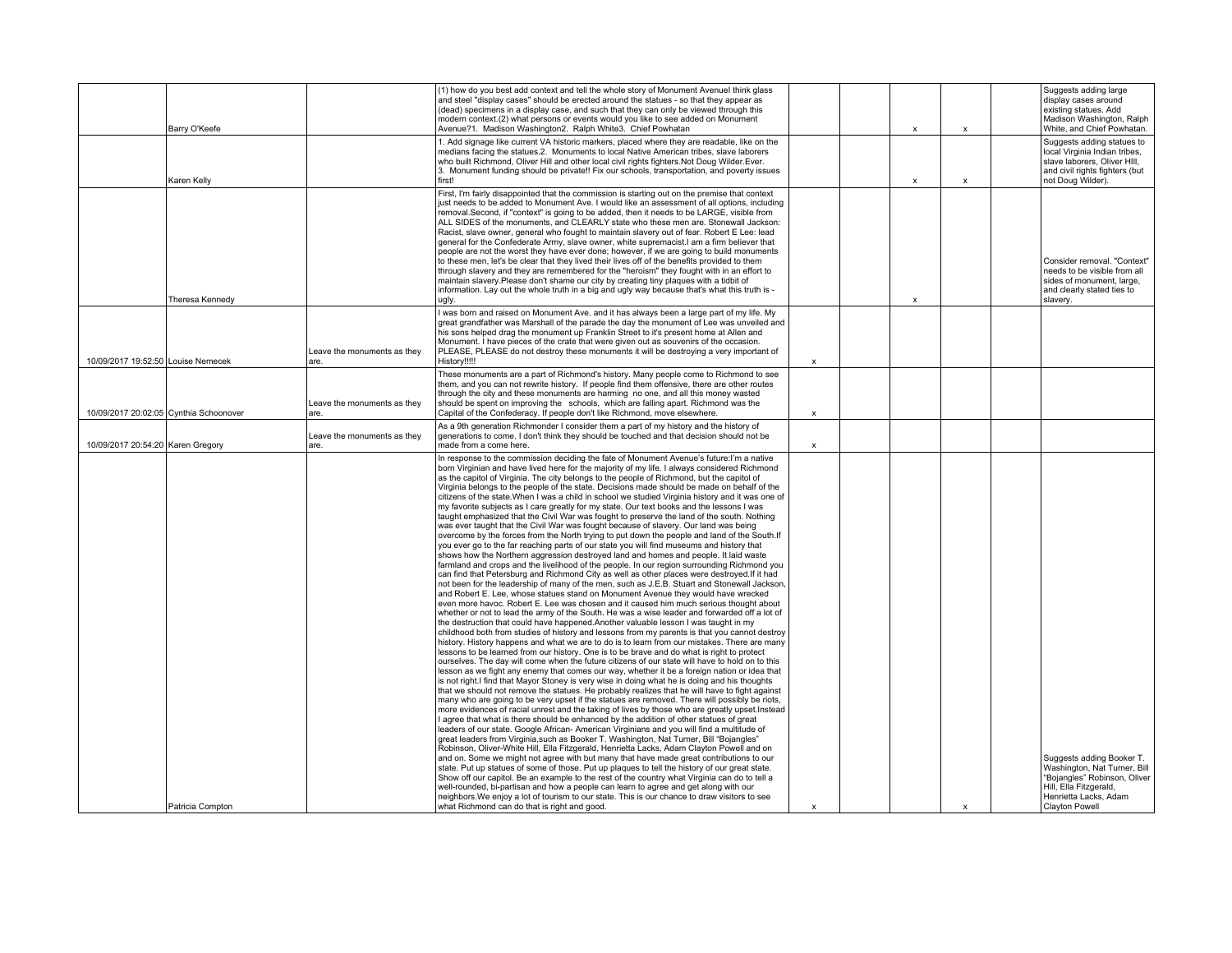|                                    | Barry O'Keefe                          |                                     | (1) how do you best add context and tell the whole story of Monument Avenuel think glass<br>and steel "display cases" should be erected around the statues - so that they appear as<br>(dead) specimens in a display case, and such that they can only be viewed through this<br>modern context.(2) what persons or events would you like to see added on Monument<br>Avenue?1. Madison Washington2. Ralph White3. Chief Powhatan                                                                                                                                                                                                                                                                                                                                                                                                                                                                                                                                                                                                                                                                                                                                                                                                                                                                                                                                                                                                                                                                                                                                                                                                                                                                                                                                                                                                                                                                                                                                                                                                                                                                                                                                                                                                                                                                                                                                                                                                                                                                                                                                                                                                                                                                                                                                                                                                                                                                                                                                                                                                                                                                                                                                                                                                                                                                                                                                                                                          |                           | $\boldsymbol{\mathsf{x}}$ | $\boldsymbol{\mathsf{x}}$ | Suggests adding large<br>display cases around<br>existing statues. Add<br>Madison Washington, Ralph<br>White, and Chief Powhatan.                  |
|------------------------------------|----------------------------------------|-------------------------------------|----------------------------------------------------------------------------------------------------------------------------------------------------------------------------------------------------------------------------------------------------------------------------------------------------------------------------------------------------------------------------------------------------------------------------------------------------------------------------------------------------------------------------------------------------------------------------------------------------------------------------------------------------------------------------------------------------------------------------------------------------------------------------------------------------------------------------------------------------------------------------------------------------------------------------------------------------------------------------------------------------------------------------------------------------------------------------------------------------------------------------------------------------------------------------------------------------------------------------------------------------------------------------------------------------------------------------------------------------------------------------------------------------------------------------------------------------------------------------------------------------------------------------------------------------------------------------------------------------------------------------------------------------------------------------------------------------------------------------------------------------------------------------------------------------------------------------------------------------------------------------------------------------------------------------------------------------------------------------------------------------------------------------------------------------------------------------------------------------------------------------------------------------------------------------------------------------------------------------------------------------------------------------------------------------------------------------------------------------------------------------------------------------------------------------------------------------------------------------------------------------------------------------------------------------------------------------------------------------------------------------------------------------------------------------------------------------------------------------------------------------------------------------------------------------------------------------------------------------------------------------------------------------------------------------------------------------------------------------------------------------------------------------------------------------------------------------------------------------------------------------------------------------------------------------------------------------------------------------------------------------------------------------------------------------------------------------------------------------------------------------------------------------------------------------|---------------------------|---------------------------|---------------------------|----------------------------------------------------------------------------------------------------------------------------------------------------|
|                                    | Karen Kelly                            |                                     | 1. Add signage like current VA historic markers, placed where they are readable, like on the<br>medians facing the statues.2. Monuments to local Native American tribes, slave laborers<br>who built Richmond, Oliver Hill and other local civil rights fighters. Not Doug Wilder. Ever.<br>3. Monument funding should be private!! Fix our schools, transportation, and poverty issues<br>first!                                                                                                                                                                                                                                                                                                                                                                                                                                                                                                                                                                                                                                                                                                                                                                                                                                                                                                                                                                                                                                                                                                                                                                                                                                                                                                                                                                                                                                                                                                                                                                                                                                                                                                                                                                                                                                                                                                                                                                                                                                                                                                                                                                                                                                                                                                                                                                                                                                                                                                                                                                                                                                                                                                                                                                                                                                                                                                                                                                                                                          |                           | $\mathbf{x}$              | $\boldsymbol{\mathsf{x}}$ | Suggests adding statues to<br>local Virginia Indian tribes.<br>slave laborers. Oliver HIII.<br>and civil rights fighters (but<br>not Doug Wilder). |
|                                    | Theresa Kennedy                        |                                     | First, I'm fairly disappointed that the commission is starting out on the premise that context<br>just needs to be added to Monument Ave. I would like an assessment of all options, including<br>removal. Second, if "context" is going to be added, then it needs to be LARGE, visible from<br>ALL SIDES of the monuments, and CLEARLY state who these men are. Stonewall Jackson:<br>Racist, slave owner, general who fought to maintain slavery out of fear. Robert E Lee: lead<br>general for the Confederate Army, slave owner, white supremacist.I am a firm believer that<br>people are not the worst they have ever done; however, if we are going to build monuments<br>to these men, let's be clear that they lived their lives off of the benefits provided to them<br>through slavery and they are remembered for the "heroism" they fought with in an effort to<br>maintain slavery.Please don't shame our city by creating tiny plaques with a tidbit of<br>information. Lay out the whole truth in a big and ugly way because that's what this truth is -<br>ugly.                                                                                                                                                                                                                                                                                                                                                                                                                                                                                                                                                                                                                                                                                                                                                                                                                                                                                                                                                                                                                                                                                                                                                                                                                                                                                                                                                                                                                                                                                                                                                                                                                                                                                                                                                                                                                                                                                                                                                                                                                                                                                                                                                                                                                                                                                                                                         |                           | $\boldsymbol{\mathsf{x}}$ |                           | Consider removal. "Context"<br>needs to be visible from all<br>sides of monument, large,<br>and clearly stated ties to<br>slavery.                 |
| 10/09/2017 19:52:50 Louise Nemecek |                                        | Leave the monuments as they<br>are. | I was born and raised on Monument Ave. and it has always been a large part of my life. My<br>great grandfather was Marshall of the parade the day the monument of Lee was unveiled and<br>his sons helped drag the monument up Franklin Street to it's present home at Allen and<br>Monument. I have pieces of the crate that were given out as souvenirs of the occasion.<br>PLEASE, PLEASE do not destroy these monuments it will be destroying a very important of<br>History!!!!!                                                                                                                                                                                                                                                                                                                                                                                                                                                                                                                                                                                                                                                                                                                                                                                                                                                                                                                                                                                                                                                                                                                                                                                                                                                                                                                                                                                                                                                                                                                                                                                                                                                                                                                                                                                                                                                                                                                                                                                                                                                                                                                                                                                                                                                                                                                                                                                                                                                                                                                                                                                                                                                                                                                                                                                                                                                                                                                                      | $\boldsymbol{\mathsf{x}}$ |                           |                           |                                                                                                                                                    |
|                                    | 10/09/2017 20:02:05 Cynthia Schoonover | Leave the monuments as they<br>are. | These monuments are a part of Richmond's history. Many people come to Richmond to see<br>them, and you can not rewrite history. If people find them offensive, there are other routes<br>through the city and these monuments are harming no one, and all this money wasted<br>should be spent on improving the schools, which are falling apart. Richmond was the<br>Capital of the Confederacy. If people don't like Richmond, move elsewhere.                                                                                                                                                                                                                                                                                                                                                                                                                                                                                                                                                                                                                                                                                                                                                                                                                                                                                                                                                                                                                                                                                                                                                                                                                                                                                                                                                                                                                                                                                                                                                                                                                                                                                                                                                                                                                                                                                                                                                                                                                                                                                                                                                                                                                                                                                                                                                                                                                                                                                                                                                                                                                                                                                                                                                                                                                                                                                                                                                                           | x                         |                           |                           |                                                                                                                                                    |
| 10/09/2017 20:54:20 Karen Gregory  |                                        | Leave the monuments as they<br>are. | As a 9th generation Richmonder I consider them a part of my history and the history of<br>generations to come. I don't think they should be touched and that decision should not be<br>made from a come here.                                                                                                                                                                                                                                                                                                                                                                                                                                                                                                                                                                                                                                                                                                                                                                                                                                                                                                                                                                                                                                                                                                                                                                                                                                                                                                                                                                                                                                                                                                                                                                                                                                                                                                                                                                                                                                                                                                                                                                                                                                                                                                                                                                                                                                                                                                                                                                                                                                                                                                                                                                                                                                                                                                                                                                                                                                                                                                                                                                                                                                                                                                                                                                                                              | $\pmb{\mathsf{x}}$        |                           |                           |                                                                                                                                                    |
|                                    |                                        |                                     | In response to the commission deciding the fate of Monument Avenue's future: I'm a native<br>born Virginian and have lived here for the majority of my life. I always considered Richmond<br>as the capitol of Virginia. The city belongs to the people of Richmond, but the capitol of<br>Virginia belongs to the people of the state. Decisions made should be made on behalf of the<br>citizens of the state. When I was a child in school we studied Virginia history and it was one of<br>my favorite subjects as I care greatly for my state. Our text books and the lessons I was<br>taught emphasized that the Civil War was fought to preserve the land of the south. Nothing<br>was ever taught that the Civil War was fought because of slavery. Our land was being<br>overcome by the forces from the North trying to put down the people and land of the South.If<br>you ever go to the far reaching parts of our state you will find museums and history that<br>shows how the Northern aggression destroyed land and homes and people. It laid waste<br>farmland and crops and the livelihood of the people. In our region surrounding Richmond you<br>can find that Petersburg and Richmond City as well as other places were destroyed. If it had<br>not been for the leadership of many of the men, such as J.E.B. Stuart and Stonewall Jackson,<br>and Robert E. Lee, whose statues stand on Monument Avenue they would have wrecked<br>even more havoc. Robert E. Lee was chosen and it caused him much serious thought about<br>whether or not to lead the army of the South. He was a wise leader and forwarded off a lot of<br>the destruction that could have happened. Another valuable lesson I was taught in my<br>childhood both from studies of history and lessons from my parents is that you cannot destroy<br>history. History happens and what we are to do is to learn from our mistakes. There are many<br>lessons to be learned from our history. One is to be brave and do what is right to protect<br>ourselves. The day will come when the future citizens of our state will have to hold on to this<br>lesson as we fight any enemy that comes our way, whether it be a foreign nation or idea that<br>is not right.I find that Mayor Stoney is very wise in doing what he is doing and his thoughts<br>that we should not remove the statues. He probably realizes that he will have to fight against<br>many who are going to be very upset if the statues are removed. There will possibly be riots,<br>more evidences of racial unrest and the taking of lives by those who are greatly upset. Instead<br>I agree that what is there should be enhanced by the addition of other statues of great<br>leaders of our state. Google African- American Virginians and you will find a multitude of<br>great leaders from Virginia, such as Booker T. Washington, Nat Turner, Bill "Bojangles"<br>Robinson, Oliver-White Hill, Ella Fitzgerald, Henrietta Lacks, Adam Clayton Powell and on<br>and on. Some we might not agree with but many that have made great contributions to our<br>state. Put up statues of some of those. Put up plaques to tell the history of our great state.<br>Show off our capitol. Be an example to the rest of the country what Virginia can do to tell a<br>well-rounded, bi-partisan and how a people can learn to agree and get along with our |                           |                           |                           | Suggests adding Booker T.<br>Washington, Nat Turner, Bill<br>"Bojangles" Robinson, Oliver<br>Hill, Ella Fitzgerald,                                |
|                                    | Patricia Compton                       |                                     | neighbors. We enjoy a lot of tourism to our state. This is our chance to draw visitors to see<br>what Richmond can do that is right and good.                                                                                                                                                                                                                                                                                                                                                                                                                                                                                                                                                                                                                                                                                                                                                                                                                                                                                                                                                                                                                                                                                                                                                                                                                                                                                                                                                                                                                                                                                                                                                                                                                                                                                                                                                                                                                                                                                                                                                                                                                                                                                                                                                                                                                                                                                                                                                                                                                                                                                                                                                                                                                                                                                                                                                                                                                                                                                                                                                                                                                                                                                                                                                                                                                                                                              | $\boldsymbol{\mathsf{x}}$ |                           | $\boldsymbol{\mathsf{x}}$ | Henrietta Lacks, Adam<br>Clayton Powell                                                                                                            |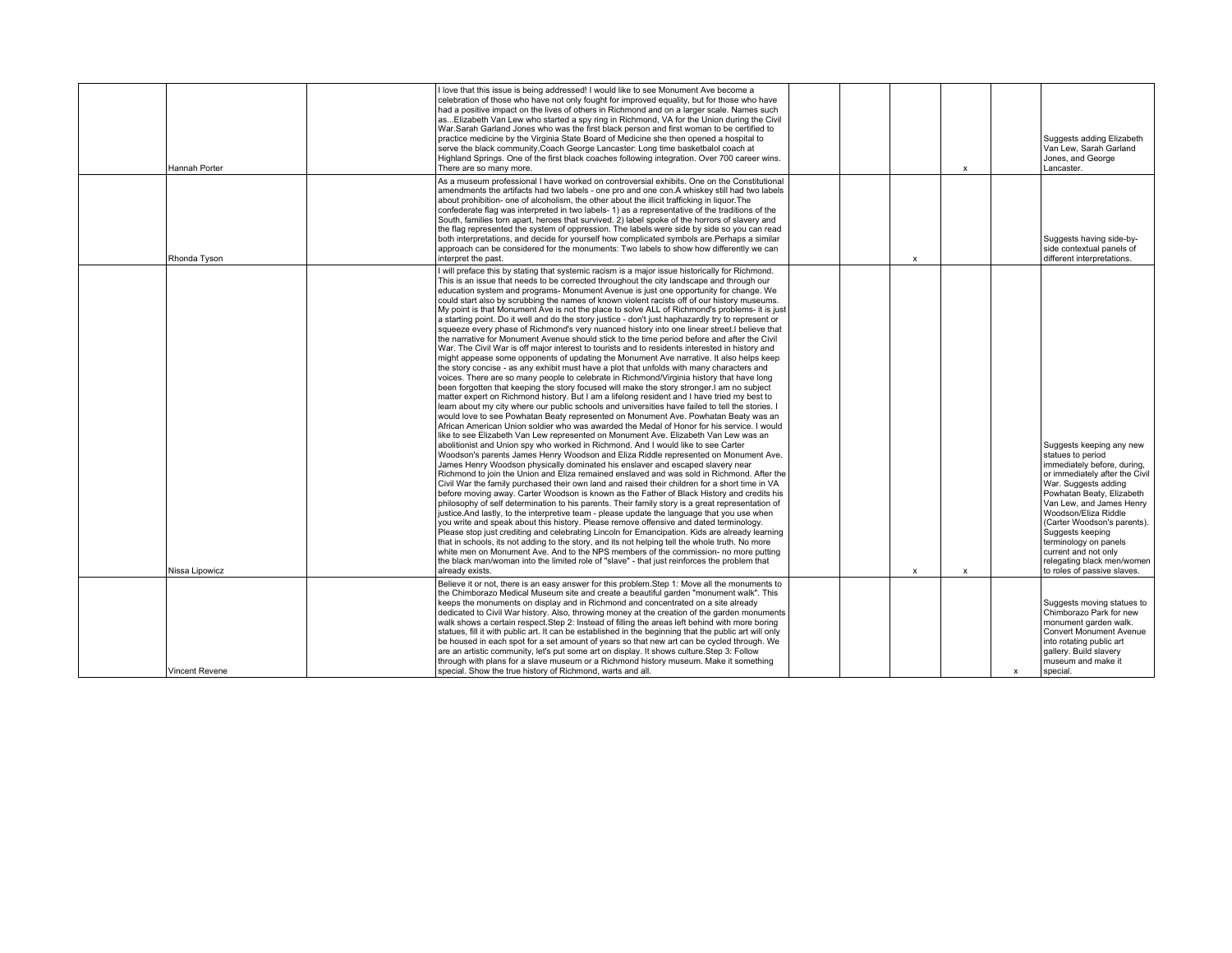| Hannah Porter         | I love that this issue is being addressed! I would like to see Monument Ave become a<br>celebration of those who have not only fought for improved equality, but for those who have<br>had a positive impact on the lives of others in Richmond and on a larger scale. Names such<br>asElizabeth Van Lew who started a spy ring in Richmond, VA for the Union during the Civil<br>War.Sarah Garland Jones who was the first black person and first woman to be certified to<br>practice medicine by the Virginia State Board of Medicine she then opened a hospital to<br>serve the black community, Coach George Lancaster: Long time basketbalol coach at<br>Highland Springs. One of the first black coaches following integration. Over 700 career wins.<br>There are so many more.                                                                                                                                                                                                                                                                                                                                                                                                                                                                                                                                                                                                                                                                                                                                                                                                                                                                                                                                                                                                                                                                                                                                                                                                                                                                                                                                                                                                                                                                                                                                                                                                                                                                                                                                                                                                                                                                                                                                                                                                                                                                                                                                                                                                                                    |  |                           | $\boldsymbol{\mathsf{x}}$ |              | Suggests adding Elizabeth<br>Van Lew, Sarah Garland<br>Jones, and George<br>Lancaster.                                                                                                                                                                                                                                                                    |
|-----------------------|----------------------------------------------------------------------------------------------------------------------------------------------------------------------------------------------------------------------------------------------------------------------------------------------------------------------------------------------------------------------------------------------------------------------------------------------------------------------------------------------------------------------------------------------------------------------------------------------------------------------------------------------------------------------------------------------------------------------------------------------------------------------------------------------------------------------------------------------------------------------------------------------------------------------------------------------------------------------------------------------------------------------------------------------------------------------------------------------------------------------------------------------------------------------------------------------------------------------------------------------------------------------------------------------------------------------------------------------------------------------------------------------------------------------------------------------------------------------------------------------------------------------------------------------------------------------------------------------------------------------------------------------------------------------------------------------------------------------------------------------------------------------------------------------------------------------------------------------------------------------------------------------------------------------------------------------------------------------------------------------------------------------------------------------------------------------------------------------------------------------------------------------------------------------------------------------------------------------------------------------------------------------------------------------------------------------------------------------------------------------------------------------------------------------------------------------------------------------------------------------------------------------------------------------------------------------------------------------------------------------------------------------------------------------------------------------------------------------------------------------------------------------------------------------------------------------------------------------------------------------------------------------------------------------------------------------------------------------------------------------------------------------------|--|---------------------------|---------------------------|--------------|-----------------------------------------------------------------------------------------------------------------------------------------------------------------------------------------------------------------------------------------------------------------------------------------------------------------------------------------------------------|
| Rhonda Tyson          | As a museum professional I have worked on controversial exhibits. One on the Constitutional<br>amendments the artifacts had two labels - one pro and one con.A whiskey still had two labels<br>about prohibition- one of alcoholism, the other about the illicit trafficking in liquor. The<br>confederate flag was interpreted in two labels- 1) as a representative of the traditions of the<br>South, families torn apart, heroes that survived. 2) label spoke of the horrors of slavery and<br>the flag represented the system of oppression. The labels were side by side so you can read<br>both interpretations, and decide for yourself how complicated symbols are. Perhaps a similar<br>approach can be considered for the monuments: Two labels to show how differently we can<br>interpret the past.                                                                                                                                                                                                                                                                                                                                                                                                                                                                                                                                                                                                                                                                                                                                                                                                                                                                                                                                                                                                                                                                                                                                                                                                                                                                                                                                                                                                                                                                                                                                                                                                                                                                                                                                                                                                                                                                                                                                                                                                                                                                                                                                                                                                          |  | $\boldsymbol{\mathsf{x}}$ |                           |              | Suggests having side-by-<br>side contextual panels of<br>different interpretations.                                                                                                                                                                                                                                                                       |
|                       | I will preface this by stating that systemic racism is a major issue historically for Richmond.<br>This is an issue that needs to be corrected throughout the city landscape and through our<br>education system and programs- Monument Avenue is just one opportunity for change. We<br>could start also by scrubbing the names of known violent racists off of our history museums.<br>My point is that Monument Ave is not the place to solve ALL of Richmond's problems- it is just<br>a starting point. Do it well and do the story justice - don't just haphazardly try to represent or<br>squeeze every phase of Richmond's very nuanced history into one linear street. I believe that<br>the narrative for Monument Avenue should stick to the time period before and after the Civil<br>War. The Civil War is off major interest to tourists and to residents interested in history and<br>might appease some opponents of updating the Monument Ave narrative. It also helps keep<br>the story concise - as any exhibit must have a plot that unfolds with many characters and<br>voices. There are so many people to celebrate in Richmond/Virginia history that have long<br>been forgotten that keeping the story focused will make the story stronger.I am no subject<br>matter expert on Richmond history. But I am a lifelong resident and I have tried my best to<br>learn about my city where our public schools and universities have failed to tell the stories. I<br>would love to see Powhatan Beaty represented on Monument Ave. Powhatan Beaty was an<br>African American Union soldier who was awarded the Medal of Honor for his service. I would<br>like to see Elizabeth Van Lew represented on Monument Ave. Elizabeth Van Lew was an<br>abolitionist and Union spy who worked in Richmond. And I would like to see Carter<br>Woodson's parents James Henry Woodson and Eliza Riddle represented on Monument Ave.<br>James Henry Woodson physically dominated his enslaver and escaped slavery near<br>Richmond to join the Union and Eliza remained enslaved and was sold in Richmond. After the<br>Civil War the family purchased their own land and raised their children for a short time in VA<br>before moving away. Carter Woodson is known as the Father of Black History and credits his<br>philosophy of self determination to his parents. Their family story is a great representation of<br>justice. And lastly, to the interpretive team - please update the language that you use when<br>you write and speak about this history. Please remove offensive and dated terminology.<br>Please stop just crediting and celebrating Lincoln for Emancipation. Kids are already learning<br>that in schools, its not adding to the story, and its not helping tell the whole truth. No more<br>white men on Monument Ave. And to the NPS members of the commission- no more putting<br>the black man/woman into the limited role of "slave" - that just reinforces the problem that |  |                           |                           |              | Suggests keeping any new<br>statues to period<br>immediately before, during,<br>or immediately after the Civil<br>War. Suggests adding<br>Powhatan Beaty, Elizabeth<br>Van Lew, and James Henry<br>Woodson/Eliza Riddle<br>(Carter Woodson's parents).<br>Suggests keeping<br>terminology on panels<br>current and not only<br>relegating black men/women |
| Nissa Lipowicz        | already exists.                                                                                                                                                                                                                                                                                                                                                                                                                                                                                                                                                                                                                                                                                                                                                                                                                                                                                                                                                                                                                                                                                                                                                                                                                                                                                                                                                                                                                                                                                                                                                                                                                                                                                                                                                                                                                                                                                                                                                                                                                                                                                                                                                                                                                                                                                                                                                                                                                                                                                                                                                                                                                                                                                                                                                                                                                                                                                                                                                                                                            |  | x                         | $\boldsymbol{\mathsf{x}}$ |              | to roles of passive slaves.                                                                                                                                                                                                                                                                                                                               |
| <b>Vincent Revene</b> | Believe it or not, there is an easy answer for this problem. Step 1: Move all the monuments to<br>the Chimborazo Medical Museum site and create a beautiful garden "monument walk". This<br>keeps the monuments on display and in Richmond and concentrated on a site already<br>dedicated to Civil War history. Also, throwing money at the creation of the garden monuments<br>walk shows a certain respect. Step 2: Instead of filling the areas left behind with more boring<br>statues, fill it with public art. It can be established in the beginning that the public art will only<br>be housed in each spot for a set amount of years so that new art can be cycled through. We<br>are an artistic community, let's put some art on display. It shows culture. Step 3: Follow<br>through with plans for a slave museum or a Richmond history museum. Make it something<br>special. Show the true history of Richmond, warts and all.                                                                                                                                                                                                                                                                                                                                                                                                                                                                                                                                                                                                                                                                                                                                                                                                                                                                                                                                                                                                                                                                                                                                                                                                                                                                                                                                                                                                                                                                                                                                                                                                                                                                                                                                                                                                                                                                                                                                                                                                                                                                              |  |                           |                           | $\mathbf{x}$ | Suggests moving statues to<br>Chimborazo Park for new<br>monument garden walk.<br><b>Convert Monument Avenue</b><br>into rotating public art<br>gallery. Build slavery<br>museum and make it<br>special.                                                                                                                                                  |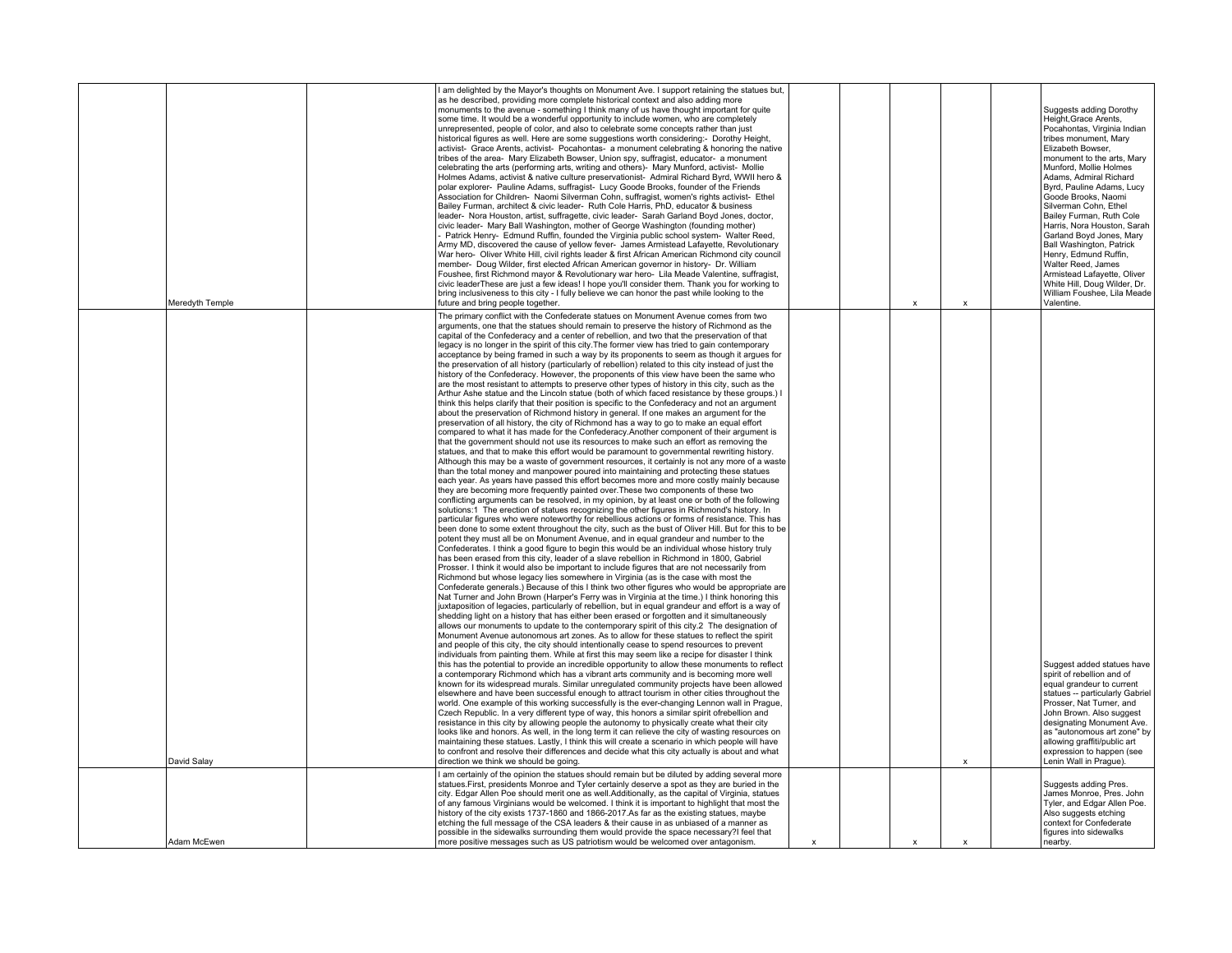| Meredyth Temple | I am delighted by the Mayor's thoughts on Monument Ave. I support retaining the statues but,<br>as he described, providing more complete historical context and also adding more<br>monuments to the avenue - something I think many of us have thought important for quite<br>some time. It would be a wonderful opportunity to include women, who are completely<br>unrepresented, people of color, and also to celebrate some concepts rather than just<br>historical figures as well. Here are some suggestions worth considering:- Dorothy Height,<br>activist- Grace Arents, activist- Pocahontas- a monument celebrating & honoring the native<br>tribes of the area- Mary Elizabeth Bowser, Union spy, suffragist, educator- a monument<br>celebrating the arts (performing arts, writing and others)- Mary Munford, activist- Mollie<br>Holmes Adams, activist & native culture preservationist- Admiral Richard Byrd, WWII hero &<br>polar explorer- Pauline Adams, suffragist- Lucy Goode Brooks, founder of the Friends<br>Association for Children- Naomi Silverman Cohn, suffragist, women's rights activist- Ethel<br>Bailey Furman, architect & civic leader- Ruth Cole Harris, PhD, educator & business<br>leader- Nora Houston, artist, suffragette, civic leader- Sarah Garland Boyd Jones, doctor,<br>civic leader- Mary Ball Washington, mother of George Washington (founding mother)<br>Patrick Henry- Edmund Ruffin, founded the Virginia public school system- Walter Reed,<br>Army MD, discovered the cause of yellow fever- James Armistead Lafayette, Revolutionary<br>War hero- Oliver White Hill, civil rights leader & first African American Richmond city council<br>member- Doug Wilder, first elected African American governor in history- Dr. William<br>Foushee, first Richmond mayor & Revolutionary war hero- Lila Meade Valentine, suffragist,<br>civic leaderThese are just a few ideas! I hope you'll consider them. Thank you for working to<br>bring inclusiveness to this city - I fully believe we can honor the past while looking to the<br>future and bring people together.                                                                                                                                                                                                                                                                                                                                                                                                                                                                                                                                                                                                                                                                                                                                                                                                                                                                                                                                                                                                                                                                                                                                                                                                                                                                                                                                                                                                                                                                                                                                                                                                                                                                                                                                                                                                                                                                                                                                                                                                                                                                                                                                                                                                                                                                                                                                                                                                                                                  |   | X | X | Suggests adding Dorothy<br>Height, Grace Arents,<br>Pocahontas, Virginia Indian<br>tribes monument, Mary<br>Elizabeth Bowser,<br>monument to the arts, Mary<br>Munford, Mollie Holmes<br>Adams, Admiral Richard<br>Byrd, Pauline Adams, Lucy<br>Goode Brooks, Naomi<br>Silverman Cohn, Ethel<br>Bailey Furman, Ruth Cole<br>Harris, Nora Houston, Sarah<br>Garland Boyd Jones, Mary<br>Ball Washington, Patrick<br>Henry, Edmund Ruffin,<br>Walter Reed, James<br>Armistead Lafayette, Oliver<br>White Hill, Doug Wilder, Dr.<br>William Foushee, Lila Meade<br>Valentine. |
|-----------------|---------------------------------------------------------------------------------------------------------------------------------------------------------------------------------------------------------------------------------------------------------------------------------------------------------------------------------------------------------------------------------------------------------------------------------------------------------------------------------------------------------------------------------------------------------------------------------------------------------------------------------------------------------------------------------------------------------------------------------------------------------------------------------------------------------------------------------------------------------------------------------------------------------------------------------------------------------------------------------------------------------------------------------------------------------------------------------------------------------------------------------------------------------------------------------------------------------------------------------------------------------------------------------------------------------------------------------------------------------------------------------------------------------------------------------------------------------------------------------------------------------------------------------------------------------------------------------------------------------------------------------------------------------------------------------------------------------------------------------------------------------------------------------------------------------------------------------------------------------------------------------------------------------------------------------------------------------------------------------------------------------------------------------------------------------------------------------------------------------------------------------------------------------------------------------------------------------------------------------------------------------------------------------------------------------------------------------------------------------------------------------------------------------------------------------------------------------------------------------------------------------------------------------------------------------------------------------------------------------------------------------------------------------------------------------------------------------------------------------------------------------------------------------------------------------------------------------------------------------------------------------------------------------------------------------------------------------------------------------------------------------------------------------------------------------------------------------------------------------------------------------------------------------------------------------------------------------------------------------------------------------------------------------------------------------------------------------------------------------------------------------------------------------------------------------------------------------------------------------------------------------------------------------------------------------------------------------------------------------------------------------------------------------------------------------------------------------------------------------------------------------------------------------------------------------------------------------------------------------------------------------------------------------------------------------------------------------------------------------------------------------------------------------------------------------------------------------------------------------------------------------------------------------------------------------------------------------------------------------------------------------------------------------------------------------------------------------------------------------------------------------------------------------------------------------------------------------------------------------------------------------------------------------------------------------------------------------|---|---|---|----------------------------------------------------------------------------------------------------------------------------------------------------------------------------------------------------------------------------------------------------------------------------------------------------------------------------------------------------------------------------------------------------------------------------------------------------------------------------------------------------------------------------------------------------------------------------|
| David Salay     | The primary conflict with the Confederate statues on Monument Avenue comes from two<br>arguments, one that the statues should remain to preserve the history of Richmond as the<br>capital of the Confederacy and a center of rebellion, and two that the preservation of that<br>legacy is no longer in the spirit of this city. The former view has tried to gain contemporary<br>acceptance by being framed in such a way by its proponents to seem as though it argues for<br>the preservation of all history (particularly of rebellion) related to this city instead of just the<br>history of the Confederacy. However, the proponents of this view have been the same who<br>are the most resistant to attempts to preserve other types of history in this city, such as the<br>Arthur Ashe statue and the Lincoln statue (both of which faced resistance by these groups.) I<br>think this helps clarify that their position is specific to the Confederacy and not an argument<br>about the preservation of Richmond history in general. If one makes an argument for the<br>preservation of all history, the city of Richmond has a way to go to make an equal effort<br>compared to what it has made for the Confederacy.Another component of their argument is<br>that the government should not use its resources to make such an effort as removing the<br>statues, and that to make this effort would be paramount to governmental rewriting history.<br>Although this may be a waste of government resources, it certainly is not any more of a waste<br>than the total money and manpower poured into maintaining and protecting these statues<br>each year. As years have passed this effort becomes more and more costly mainly because<br>they are becoming more frequently painted over. These two components of these two<br>conflicting arguments can be resolved, in my opinion, by at least one or both of the following<br>solutions:1 The erection of statues recognizing the other figures in Richmond's history. In<br>particular figures who were noteworthy for rebellious actions or forms of resistance. This has<br>been done to some extent throughout the city, such as the bust of Oliver Hill. But for this to be<br>potent they must all be on Monument Avenue, and in equal grandeur and number to the<br>Confederates. I think a good figure to begin this would be an individual whose history truly<br>has been erased from this city, leader of a slave rebellion in Richmond in 1800, Gabriel<br>Prosser. I think it would also be important to include figures that are not necessarily from<br>Richmond but whose legacy lies somewhere in Virginia (as is the case with most the<br>Confederate generals.) Because of this I think two other figures who would be appropriate are<br>Nat Turner and John Brown (Harper's Ferry was in Virginia at the time.) I think honoring this<br>juxtaposition of legacies, particularly of rebellion, but in equal grandeur and effort is a way of<br>shedding light on a history that has either been erased or forgotten and it simultaneously<br>allows our monuments to update to the contemporary spirit of this city.2 The designation of<br>Monument Avenue autonomous art zones. As to allow for these statues to reflect the spirit<br>and people of this city, the city should intentionally cease to spend resources to prevent<br>individuals from painting them. While at first this may seem like a recipe for disaster I think<br>this has the potential to provide an incredible opportunity to allow these monuments to reflect<br>a contemporary Richmond which has a vibrant arts community and is becoming more well<br>known for its widespread murals. Similar unrequlated community projects have been allowed<br>elsewhere and have been successful enough to attract tourism in other cities throughout the<br>world. One example of this working successfully is the ever-changing Lennon wall in Prague,<br>Czech Republic. In a very different type of way, this honors a similar spirit ofrebellion and<br>resistance in this city by allowing people the autonomy to physically create what their city<br>looks like and honors. As well, in the long term it can relieve the city of wasting resources on<br>maintaining these statues. Lastly, I think this will create a scenario in which people will have<br>to confront and resolve their differences and decide what this city actually is about and what<br>direction we think we should be going. |   |   | X | Suggest added statues have<br>spirit of rebellion and of<br>equal grandeur to current<br>statues -- particularly Gabriel<br>Prosser, Nat Turner, and<br>John Brown. Also suggest<br>designating Monument Ave.<br>as "autonomous art zone" by<br>allowing graffiti/public art<br>expression to happen (see<br>Lenin Wall in Prague).                                                                                                                                                                                                                                        |
|                 | I am certainly of the opinion the statues should remain but be diluted by adding several more<br>statues. First, presidents Monroe and Tyler certainly deserve a spot as they are buried in the<br>city. Edgar Allen Poe should merit one as well.Additionally, as the capital of Virginia, statues                                                                                                                                                                                                                                                                                                                                                                                                                                                                                                                                                                                                                                                                                                                                                                                                                                                                                                                                                                                                                                                                                                                                                                                                                                                                                                                                                                                                                                                                                                                                                                                                                                                                                                                                                                                                                                                                                                                                                                                                                                                                                                                                                                                                                                                                                                                                                                                                                                                                                                                                                                                                                                                                                                                                                                                                                                                                                                                                                                                                                                                                                                                                                                                                                                                                                                                                                                                                                                                                                                                                                                                                                                                                                                                                                                                                                                                                                                                                                                                                                                                                                                                                                                                                                                                                             |   |   |   | Suggests adding Pres.<br>James Monroe, Pres. John                                                                                                                                                                                                                                                                                                                                                                                                                                                                                                                          |
| Adam McEwen     | of any famous Virginians would be welcomed. I think it is important to highlight that most the<br>history of the city exists 1737-1860 and 1866-2017.As far as the existing statues, maybe<br>etching the full message of the CSA leaders & their cause in as unbiased of a manner as<br>possible in the sidewalks surrounding them would provide the space necessary?I feel that<br>more positive messages such as US patriotism would be welcomed over antagonism.                                                                                                                                                                                                                                                                                                                                                                                                                                                                                                                                                                                                                                                                                                                                                                                                                                                                                                                                                                                                                                                                                                                                                                                                                                                                                                                                                                                                                                                                                                                                                                                                                                                                                                                                                                                                                                                                                                                                                                                                                                                                                                                                                                                                                                                                                                                                                                                                                                                                                                                                                                                                                                                                                                                                                                                                                                                                                                                                                                                                                                                                                                                                                                                                                                                                                                                                                                                                                                                                                                                                                                                                                                                                                                                                                                                                                                                                                                                                                                                                                                                                                                            | x | x | x | Tyler, and Edgar Allen Poe.<br>Also suggests etching<br>context for Confederate<br>figures into sidewalks<br>nearby.                                                                                                                                                                                                                                                                                                                                                                                                                                                       |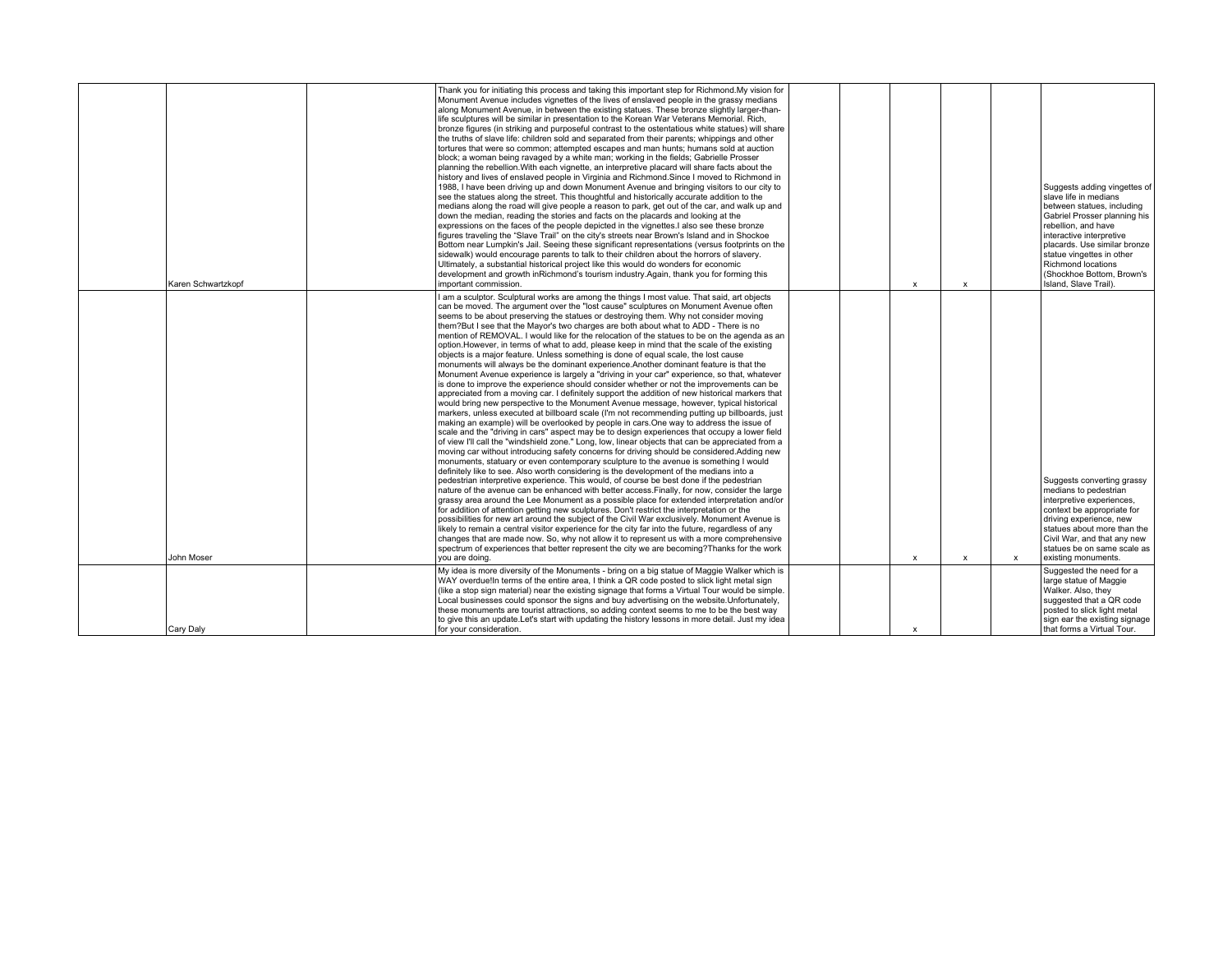| Karen Schwartzkopf | Thank you for initiating this process and taking this important step for Richmond. My vision for<br>Monument Avenue includes vignettes of the lives of enslaved people in the grassy medians<br>along Monument Avenue, in between the existing statues. These bronze slightly larger-than-<br>life sculptures will be similar in presentation to the Korean War Veterans Memorial. Rich,<br>bronze figures (in striking and purposeful contrast to the ostentatious white statues) will share<br>the truths of slave life; children sold and separated from their parents; whippings and other<br>tortures that were so common; attempted escapes and man hunts; humans sold at auction<br>block; a woman being ravaged by a white man; working in the fields; Gabrielle Prosser<br>planning the rebellion. With each vignette, an interpretive placard will share facts about the<br>history and lives of enslaved people in Virginia and Richmond. Since I moved to Richmond in<br>1988. I have been driving up and down Monument Avenue and bringing visitors to our city to<br>see the statues along the street. This thoughtful and historically accurate addition to the<br>medians along the road will give people a reason to park, get out of the car, and walk up and<br>down the median, reading the stories and facts on the placards and looking at the<br>expressions on the faces of the people depicted in the vignettes. I also see these bronze<br>figures traveling the "Slave Trail" on the city's streets near Brown's Island and in Shockoe<br>Bottom near Lumpkin's Jail. Seeing these significant representations (versus footprints on the<br>sidewalk) would encourage parents to talk to their children about the horrors of slavery.<br>Ultimately, a substantial historical project like this would do wonders for economic<br>development and growth inRichmond's tourism industry.Again, thank you for forming this<br>important commission.                                                                                                                                                                                                                                                                                                                                                                                                                                                                                                                                                     |  | $\mathbf{x}$ | $\boldsymbol{\mathsf{x}}$ |   | Suggests adding vingettes of<br>slave life in medians<br>between statues, including<br>Gabriel Prosser planning his<br>rebellion, and have<br>interactive interpretive<br>placards. Use similar bronze<br>statue vingettes in other<br>Richmond locations<br>(Shockhoe Bottom, Brown's<br>Island, Slave Trail). |
|--------------------|---------------------------------------------------------------------------------------------------------------------------------------------------------------------------------------------------------------------------------------------------------------------------------------------------------------------------------------------------------------------------------------------------------------------------------------------------------------------------------------------------------------------------------------------------------------------------------------------------------------------------------------------------------------------------------------------------------------------------------------------------------------------------------------------------------------------------------------------------------------------------------------------------------------------------------------------------------------------------------------------------------------------------------------------------------------------------------------------------------------------------------------------------------------------------------------------------------------------------------------------------------------------------------------------------------------------------------------------------------------------------------------------------------------------------------------------------------------------------------------------------------------------------------------------------------------------------------------------------------------------------------------------------------------------------------------------------------------------------------------------------------------------------------------------------------------------------------------------------------------------------------------------------------------------------------------------------------------------------------------------------------------------------------------------------------------------------------------------------------------------------------------------------------------------------------------------------------------------------------------------------------------------------------------------------------------------------------------------------------------------------------------------------------------------------------------------------------------------------------------------------------------------------------|--|--------------|---------------------------|---|-----------------------------------------------------------------------------------------------------------------------------------------------------------------------------------------------------------------------------------------------------------------------------------------------------------------|
|                    | I am a sculptor. Sculptural works are among the things I most value. That said, art objects                                                                                                                                                                                                                                                                                                                                                                                                                                                                                                                                                                                                                                                                                                                                                                                                                                                                                                                                                                                                                                                                                                                                                                                                                                                                                                                                                                                                                                                                                                                                                                                                                                                                                                                                                                                                                                                                                                                                                                                                                                                                                                                                                                                                                                                                                                                                                                                                                                     |  |              |                           |   |                                                                                                                                                                                                                                                                                                                 |
|                    | can be moved. The argument over the "lost cause" sculptures on Monument Avenue often<br>seems to be about preserving the statues or destroying them. Why not consider moving<br>them?But I see that the Mayor's two charges are both about what to ADD - There is no<br>mention of REMOVAL. I would like for the relocation of the statues to be on the agenda as an<br>option. However, in terms of what to add, please keep in mind that the scale of the existing<br>objects is a major feature. Unless something is done of equal scale, the lost cause<br>monuments will always be the dominant experience. Another dominant feature is that the<br>Monument Avenue experience is largely a "driving in your car" experience, so that, whatever<br>is done to improve the experience should consider whether or not the improvements can be<br>appreciated from a moving car. I definitely support the addition of new historical markers that<br>would bring new perspective to the Monument Avenue message, however, typical historical<br>markers, unless executed at billboard scale (I'm not recommending putting up billboards, just<br>making an example) will be overlooked by people in cars. One way to address the issue of<br>scale and the "driving in cars" aspect may be to design experiences that occupy a lower field<br>of view I'll call the "windshield zone." Long, low, linear objects that can be appreciated from a<br>moving car without introducing safety concerns for driving should be considered. Adding new<br>monuments, statuary or even contemporary sculpture to the avenue is something I would<br>definitely like to see. Also worth considering is the development of the medians into a<br>pedestrian interpretive experience. This would, of course be best done if the pedestrian<br>nature of the avenue can be enhanced with better access. Finally, for now, consider the large<br>grassy area around the Lee Monument as a possible place for extended interpretation and/or<br>for addition of attention getting new sculptures. Don't restrict the interpretation or the<br>possibilities for new art around the subject of the Civil War exclusively. Monument Avenue is<br>likely to remain a central visitor experience for the city far into the future, regardless of any<br>changes that are made now. So, why not allow it to represent us with a more comprehensive<br>spectrum of experiences that better represent the city we are becoming? Thanks for the work |  |              |                           |   | Suggests converting grassy<br>medians to pedestrian<br>interpretive experiences,<br>context be appropriate for<br>driving experience, new<br>statues about more than the<br>Civil War, and that any new<br>statues be on same scale as                                                                          |
| John Moser         | you are doing.                                                                                                                                                                                                                                                                                                                                                                                                                                                                                                                                                                                                                                                                                                                                                                                                                                                                                                                                                                                                                                                                                                                                                                                                                                                                                                                                                                                                                                                                                                                                                                                                                                                                                                                                                                                                                                                                                                                                                                                                                                                                                                                                                                                                                                                                                                                                                                                                                                                                                                                  |  | x            | $\boldsymbol{\mathsf{x}}$ | x | existing monuments.                                                                                                                                                                                                                                                                                             |
| Cary Daly          | My idea is more diversity of the Monuments - bring on a big statue of Maggie Walker which is<br>WAY overdue! In terms of the entire area, I think a QR code posted to slick light metal sign<br>(like a stop sign material) near the existing signage that forms a Virtual Tour would be simple.<br>Local businesses could sponsor the signs and buy advertising on the website. Unfortunately,<br>these monuments are tourist attractions, so adding context seems to me to be the best way<br>to give this an update. Let's start with updating the history lessons in more detail. Just my idea<br>for your consideration.                                                                                                                                                                                                                                                                                                                                                                                                                                                                                                                                                                                                                                                                                                                                                                                                                                                                                                                                                                                                                                                                                                                                                                                                                                                                                                                                                                                                                                                                                                                                                                                                                                                                                                                                                                                                                                                                                                   |  | x            |                           |   | Suggested the need for a<br>large statue of Maggie<br>Walker. Also, they<br>suggested that a QR code<br>posted to slick light metal<br>sign ear the existing signage<br>that forms a Virtual Tour.                                                                                                              |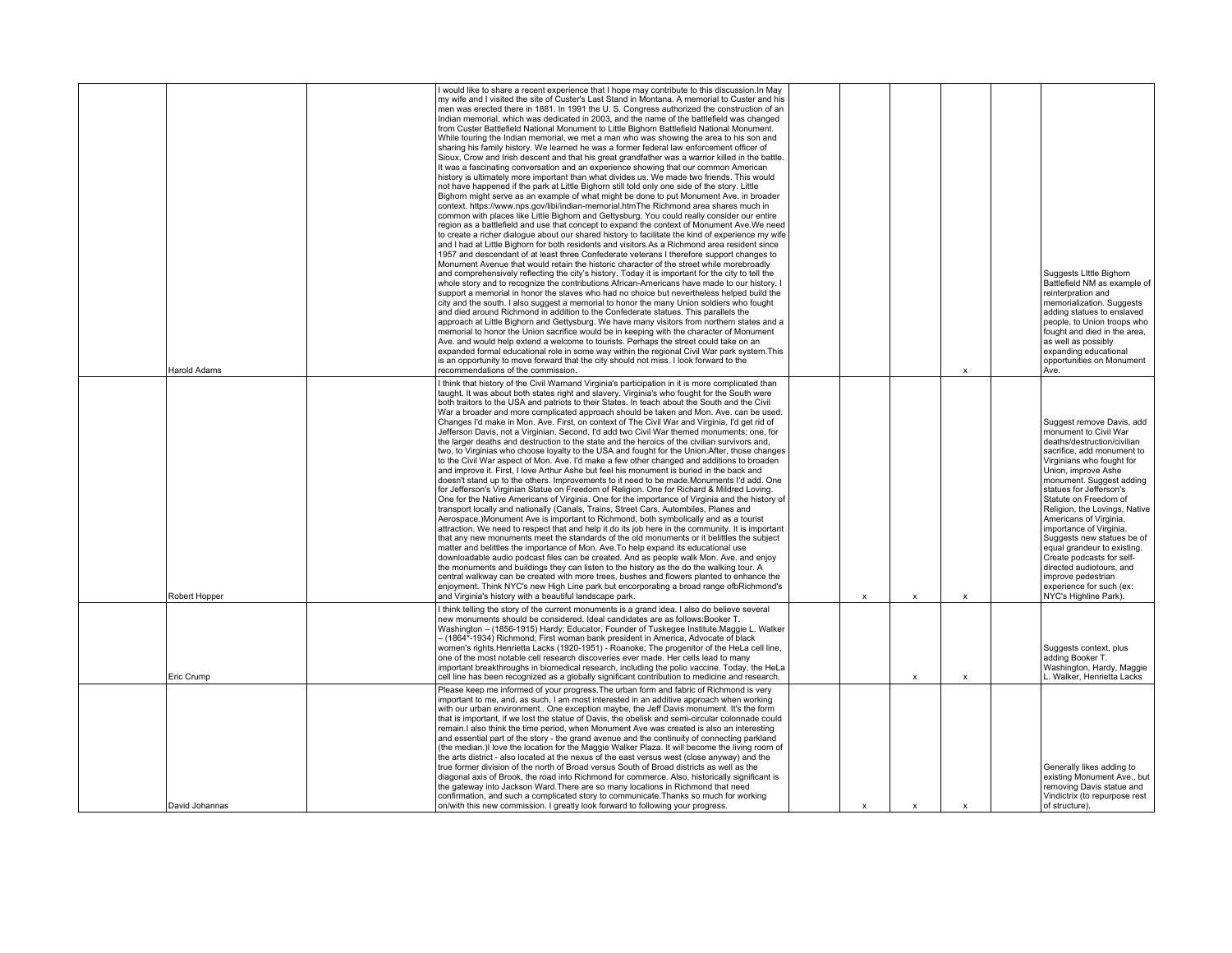| <b>Harold Adams</b> | I would like to share a recent experience that I hope may contribute to this discussion. In May<br>my wife and I visited the site of Custer's Last Stand in Montana. A memorial to Custer and his<br>men was erected there in 1881. In 1991 the U. S. Congress authorized the construction of an<br>Indian memorial, which was dedicated in 2003, and the name of the battlefield was changed<br>from Custer Battlefield National Monument to Little Bighorn Battlefield National Monument.<br>While touring the Indian memorial, we met a man who was showing the area to his son and<br>sharing his family history. We learned he was a former federal law enforcement officer of<br>Sioux, Crow and Irish descent and that his great grandfather was a warrior killed in the battle.<br>It was a fascinating conversation and an experience showing that our common American<br>history is ultimately more important than what divides us. We made two friends. This would<br>not have happened if the park at Little Bighorn still told only one side of the story. Little<br>Bighorn might serve as an example of what might be done to put Monument Ave. in broader<br>context. https://www.nps.gov/libi/indian-memorial.htmThe Richmond area shares much in<br>common with places like Little Bighorn and Gettysburg. You could really consider our entire<br>region as a battlefield and use that concept to expand the context of Monument Ave.We need<br>to create a richer dialogue about our shared history to facilitate the kind of experience my wife<br>and I had at Little Bighorn for both residents and visitors.As a Richmond area resident since<br>1957 and descendant of at least three Confederate veterans I therefore support changes to<br>Monument Avenue that would retain the historic character of the street while morebroadly<br>and comprehensively reflecting the city's history. Today it is important for the city to tell the<br>whole story and to recognize the contributions African-Americans have made to our history. I<br>support a memorial in honor the slaves who had no choice but nevertheless helped build the<br>city and the south. I also suggest a memorial to honor the many Union soldiers who fought<br>and died around Richmond in addition to the Confederate statues. This parallels the<br>approach at Little Bighorn and Gettysburg. We have many visitors from northern states and a<br>memorial to honor the Union sacrifice would be in keeping with the character of Monument<br>Ave. and would help extend a welcome to tourists. Perhaps the street could take on an<br>expanded formal educational role in some way within the regional Civil War park system. This<br>is an opportunity to move forward that the city should not miss. I look forward to the<br>recommendations of the commission. |                           |                           | $\boldsymbol{\mathsf{x}}$ | Suggests Little Bighorn<br>Battlefield NM as example of<br>reinterpration and<br>memorialization. Suggests<br>adding statues to enslaved<br>people, to Union troops who<br>fought and died in the area,<br>as well as possibly<br>expanding educational<br>opportunities on Monument<br>Ave.                                                                                                                                                                                                                                               |
|---------------------|---------------------------------------------------------------------------------------------------------------------------------------------------------------------------------------------------------------------------------------------------------------------------------------------------------------------------------------------------------------------------------------------------------------------------------------------------------------------------------------------------------------------------------------------------------------------------------------------------------------------------------------------------------------------------------------------------------------------------------------------------------------------------------------------------------------------------------------------------------------------------------------------------------------------------------------------------------------------------------------------------------------------------------------------------------------------------------------------------------------------------------------------------------------------------------------------------------------------------------------------------------------------------------------------------------------------------------------------------------------------------------------------------------------------------------------------------------------------------------------------------------------------------------------------------------------------------------------------------------------------------------------------------------------------------------------------------------------------------------------------------------------------------------------------------------------------------------------------------------------------------------------------------------------------------------------------------------------------------------------------------------------------------------------------------------------------------------------------------------------------------------------------------------------------------------------------------------------------------------------------------------------------------------------------------------------------------------------------------------------------------------------------------------------------------------------------------------------------------------------------------------------------------------------------------------------------------------------------------------------------------------------------------------------------------------------------------------------------------------------------------------------------------------------------------------------------------------------------------------------------------|---------------------------|---------------------------|---------------------------|--------------------------------------------------------------------------------------------------------------------------------------------------------------------------------------------------------------------------------------------------------------------------------------------------------------------------------------------------------------------------------------------------------------------------------------------------------------------------------------------------------------------------------------------|
| Robert Hopper       | I think that history of the Civil Warnand Virginia's participation in it is more complicated than<br>taught. It was about both states right and slavery. Virginia's who fought for the South were<br>both traitors to the USA and patriots to their States. In teach about the South and the Civil<br>War a broader and more complicated approach should be taken and Mon. Ave. can be used.<br>Changes I'd make in Mon. Ave. First, on context of The Civil War and Virginia, I'd get rid of<br>Jefferson Davis, not a Virginian. Second, I'd add two Civil War themed monuments; one, for<br>the larger deaths and destruction to the state and the heroics of the civilian survivors and,<br>two, to Virginias who choose loyalty to the USA and fought for the Union.After, those changes<br>to the Civil War aspect of Mon. Ave. I'd make a few other changed and additions to broaden<br>and improve it. First, I love Arthur Ashe but feel his monument is buried in the back and<br>doesn't stand up to the others. Improvements to it need to be made.Monuments I'd add. One<br>for Jefferson's Virginian Statue on Freedom of Religion. One for Richard & Mildred Loving.<br>One for the Native Americans of Virginia. One for the importance of Virginia and the history of<br>transport locally and nationally (Canals, Trains, Street Cars, Autombiles, Planes and<br>Aerospace.)Monument Ave is important to Richmond, both symbolically and as a tourist<br>attraction. We need to respect that and help it do its job here in the community. It is important<br>that any new monuments meet the standards of the old monuments or it belittles the subject<br>matter and belittles the importance of Mon. Ave. To help expand its educational use<br>downloadable audio podcast files can be created. And as people walk Mon. Ave. and enjoy<br>the monuments and buildings they can listen to the history as the do the walking tour. A<br>central walkway can be created with more trees, bushes and flowers planted to enhance the<br>enjoyment. Think NYC's new High Line park but encorporating a broad range ofbRichmond's<br>and Virginia's history with a beautiful landscape park.                                                                                                                                                                                                                                                                                                                                                                                                                                                                                                                                                                                                                                                               | $\boldsymbol{\mathsf{x}}$ | $\boldsymbol{\mathsf{x}}$ | $\boldsymbol{\mathsf{x}}$ | Suggest remove Davis, add<br>monument to Civil War<br>deaths/destruction/civilian<br>sacrifice, add monument to<br>Virginians who fought for<br>Union, improve Ashe<br>monument. Suggest adding<br>statues for Jefferson's<br>Statute on Freedom of<br>Religion, the Lovings, Native<br>Americans of Virginia,<br>importance of Virginia.<br>Suggests new statues be of<br>equal grandeur to existing.<br>Create podcasts for self-<br>directed audiotours, and<br>improve pedestrian<br>experience for such (ex:<br>NYC's Highline Park). |
| Eric Crump          | I think telling the story of the current monuments is a grand idea. I also do believe several<br>new monuments should be considered. Ideal candidates are as follows:Booker T.<br>Washington - (1856-1915) Hardy; Educator, Founder of Tuskegee Institute.Maggie L. Walker<br>- (1864*-1934) Richmond; First woman bank president in America, Advocate of black<br>women's rights.Henrietta Lacks (1920-1951) - Roanoke; The progenitor of the HeLa cell line,<br>one of the most notable cell research discoveries ever made. Her cells lead to many<br>important breakthroughs in biomedical research, including the polio vaccine. Today, the HeLa<br>cell line has been recognized as a globally significant contribution to medicine and research.                                                                                                                                                                                                                                                                                                                                                                                                                                                                                                                                                                                                                                                                                                                                                                                                                                                                                                                                                                                                                                                                                                                                                                                                                                                                                                                                                                                                                                                                                                                                                                                                                                                                                                                                                                                                                                                                                                                                                                                                                                                                                                                   |                           | $\boldsymbol{\mathsf{x}}$ | $\boldsymbol{\mathsf{x}}$ | Suggests context, plus<br>adding Booker T.<br>Washington, Hardy, Maggie<br>L. Walker, Henrietta Lacks                                                                                                                                                                                                                                                                                                                                                                                                                                      |
| David Johannas      | Please keep me informed of your progress. The urban form and fabric of Richmond is very<br>important to me, and, as such. I am most interested in an additive approach when working<br>with our urban environment One exception maybe, the Jeff Davis monument. It's the form<br>that is important, if we lost the statue of Davis, the obelisk and semi-circular colonnade could<br>remain. I also think the time period, when Monument Ave was created is also an interesting<br>and essential part of the story - the grand avenue and the continuity of connecting parkland<br>(the median.)I love the location for the Maggie Walker Plaza. It will become the living room of<br>the arts district - also located at the nexus of the east versus west (close anyway) and the<br>true former division of the north of Broad versus South of Broad districts as well as the<br>diagonal axis of Brook, the road into Richmond for commerce. Also, historically significant is<br>the gateway into Jackson Ward. There are so many locations in Richmond that need<br>confirmation, and such a complicated story to communicate. Thanks so much for working<br>on/with this new commission. I greatly look forward to following your progress.                                                                                                                                                                                                                                                                                                                                                                                                                                                                                                                                                                                                                                                                                                                                                                                                                                                                                                                                                                                                                                                                                                                                                                                                                                                                                                                                                                                                                                                                                                                                                                                                                         | $\boldsymbol{\mathsf{x}}$ | $\boldsymbol{\mathsf{x}}$ | $\boldsymbol{\mathsf{x}}$ | Generally likes adding to<br>existing Monument Ave., but<br>removing Davis statue and<br>Vindictrix (to repurpose rest<br>of structure).                                                                                                                                                                                                                                                                                                                                                                                                   |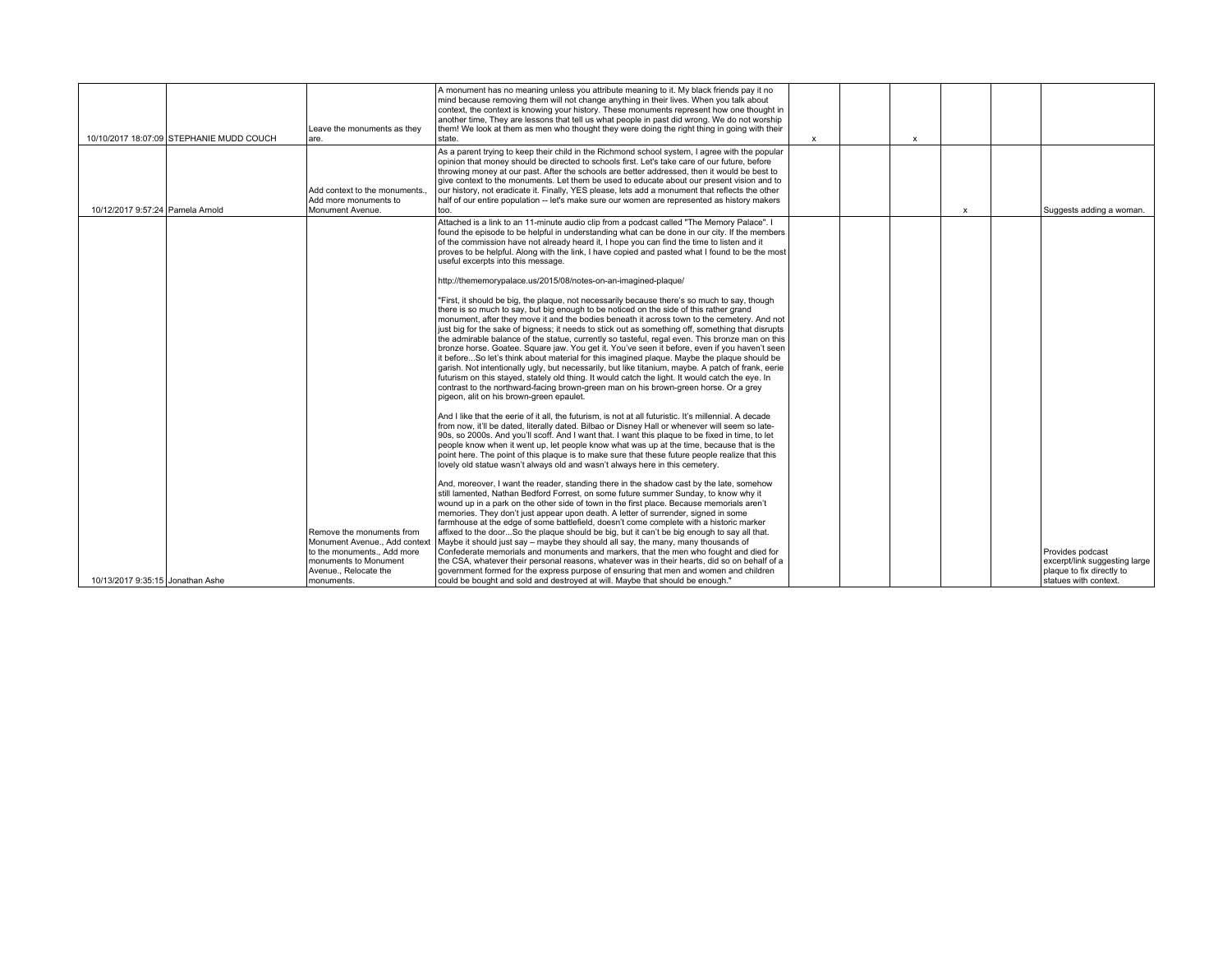|                                  |                                          |                                                          | A monument has no meaning unless you attribute meaning to it. My black friends pay it no                                                                                                               |              |              |                           |                                                            |
|----------------------------------|------------------------------------------|----------------------------------------------------------|--------------------------------------------------------------------------------------------------------------------------------------------------------------------------------------------------------|--------------|--------------|---------------------------|------------------------------------------------------------|
|                                  |                                          |                                                          | mind because removing them will not change anything in their lives. When you talk about<br>context, the context is knowing your history. These monuments represent how one thought in                  |              |              |                           |                                                            |
|                                  |                                          | Leave the monuments as thev                              | another time, They are lessons that tell us what people in past did wrong. We do not worship<br>them! We look at them as men who thought they were doing the right thing in going with their           |              |              |                           |                                                            |
|                                  | 10/10/2017 18:07:09 STEPHANIE MUDD COUCH | lare.                                                    | state.                                                                                                                                                                                                 | $\mathsf{x}$ | $\mathsf{x}$ |                           |                                                            |
|                                  |                                          |                                                          | As a parent trying to keep their child in the Richmond school system, I agree with the popular<br>opinion that money should be directed to schools first. Let's take care of our future, before        |              |              |                           |                                                            |
|                                  |                                          |                                                          | throwing money at our past. After the schools are better addressed, then it would be best to<br>give context to the monuments. Let them be used to educate about our present vision and to             |              |              |                           |                                                            |
|                                  |                                          | Add context to the monuments.                            | our history, not eradicate it. Finally, YES please, lets add a monument that reflects the other                                                                                                        |              |              |                           |                                                            |
| 10/12/2017 9:57:24 Pamela Arnold |                                          | Add more monuments to<br>Monument Avenue.                | half of our entire population -- let's make sure our women are represented as history makers<br>too.                                                                                                   |              |              | $\boldsymbol{\mathsf{x}}$ | Suggests adding a woman.                                   |
|                                  |                                          |                                                          | Attached is a link to an 11-minute audio clip from a podcast called "The Memory Palace". I                                                                                                             |              |              |                           |                                                            |
|                                  |                                          |                                                          | found the episode to be helpful in understanding what can be done in our city. If the members<br>of the commission have not already heard it, I hope you can find the time to listen and it            |              |              |                           |                                                            |
|                                  |                                          |                                                          | proves to be helpful. Along with the link. I have copied and pasted what I found to be the most<br>useful excerpts into this message.                                                                  |              |              |                           |                                                            |
|                                  |                                          |                                                          | http://thememorvpalace.us/2015/08/notes-on-an-imagined-plaque/                                                                                                                                         |              |              |                           |                                                            |
|                                  |                                          |                                                          | "First, it should be big, the plaque, not necessarily because there's so much to say, though<br>there is so much to say, but big enough to be noticed on the side of this rather grand                 |              |              |                           |                                                            |
|                                  |                                          |                                                          | monument, after they move it and the bodies beneath it across town to the cemetery. And not<br>just big for the sake of bigness; it needs to stick out as something off, something that disrupts       |              |              |                           |                                                            |
|                                  |                                          |                                                          | the admirable balance of the statue, currently so tasteful, regal even. This bronze man on this                                                                                                        |              |              |                           |                                                            |
|                                  |                                          |                                                          | bronze horse. Goatee. Square jaw. You get it. You've seen it before, even if you haven't seen<br>it beforeSo let's think about material for this imagined plaque. Maybe the plaque should be           |              |              |                           |                                                            |
|                                  |                                          |                                                          | garish. Not intentionally ugly, but necessarily, but like titanium, maybe. A patch of frank, eerie<br>futurism on this stayed, stately old thing. It would catch the light. It would catch the eye. In |              |              |                           |                                                            |
|                                  |                                          |                                                          | contrast to the northward-facing brown-green man on his brown-green horse. Or a grey<br>pigeon, alit on his brown-green epaulet.                                                                       |              |              |                           |                                                            |
|                                  |                                          |                                                          | And I like that the eerie of it all. the futurism, is not at all futuristic. It's millennial. A decade                                                                                                 |              |              |                           |                                                            |
|                                  |                                          |                                                          | from now, it'll be dated, literally dated. Bilbao or Disney Hall or whenever will seem so late-<br>90s, so 2000s. And you'll scoff. And I want that. I want this plaque to be fixed in time, to let    |              |              |                           |                                                            |
|                                  |                                          |                                                          | people know when it went up, let people know what was up at the time, because that is the                                                                                                              |              |              |                           |                                                            |
|                                  |                                          |                                                          | point here. The point of this plaque is to make sure that these future people realize that this<br>llovely old statue wasn't always old and wasn't always here in this cemetery.                       |              |              |                           |                                                            |
|                                  |                                          |                                                          | And, moreover, I want the reader, standing there in the shadow cast by the late, somehow                                                                                                               |              |              |                           |                                                            |
|                                  |                                          |                                                          | still lamented, Nathan Bedford Forrest, on some future summer Sunday, to know why it<br>wound up in a park on the other side of town in the first place. Because memorials aren't                      |              |              |                           |                                                            |
|                                  |                                          |                                                          | memories. They don't just appear upon death. A letter of surrender, signed in some<br>farmhouse at the edge of some battlefield, doesn't come complete with a historic marker                          |              |              |                           |                                                            |
|                                  |                                          | Remove the monuments from                                | affixed to the doorSo the plaque should be big, but it can't be big enough to say all that.                                                                                                            |              |              |                           |                                                            |
|                                  |                                          | Monument Avenue Add context<br>to the monuments Add more | Maybe it should just say – maybe they should all say, the many, many thousands of<br>Confederate memorials and monuments and markers, that the men who fought and died for                             |              |              |                           | Provides podcast                                           |
|                                  |                                          | monuments to Monument<br>Avenue., Relocate the           | the CSA, whatever their personal reasons, whatever was in their hearts, did so on behalf of a<br>government formed for the express purpose of ensuring that men and women and children                 |              |              |                           | excerpt/link suggesting large<br>plaque to fix directly to |
| 10/13/2017 9:35:15 Jonathan Ashe |                                          | monuments.                                               | could be bought and sold and destroyed at will. Maybe that should be enough."                                                                                                                          |              |              |                           | statues with context.                                      |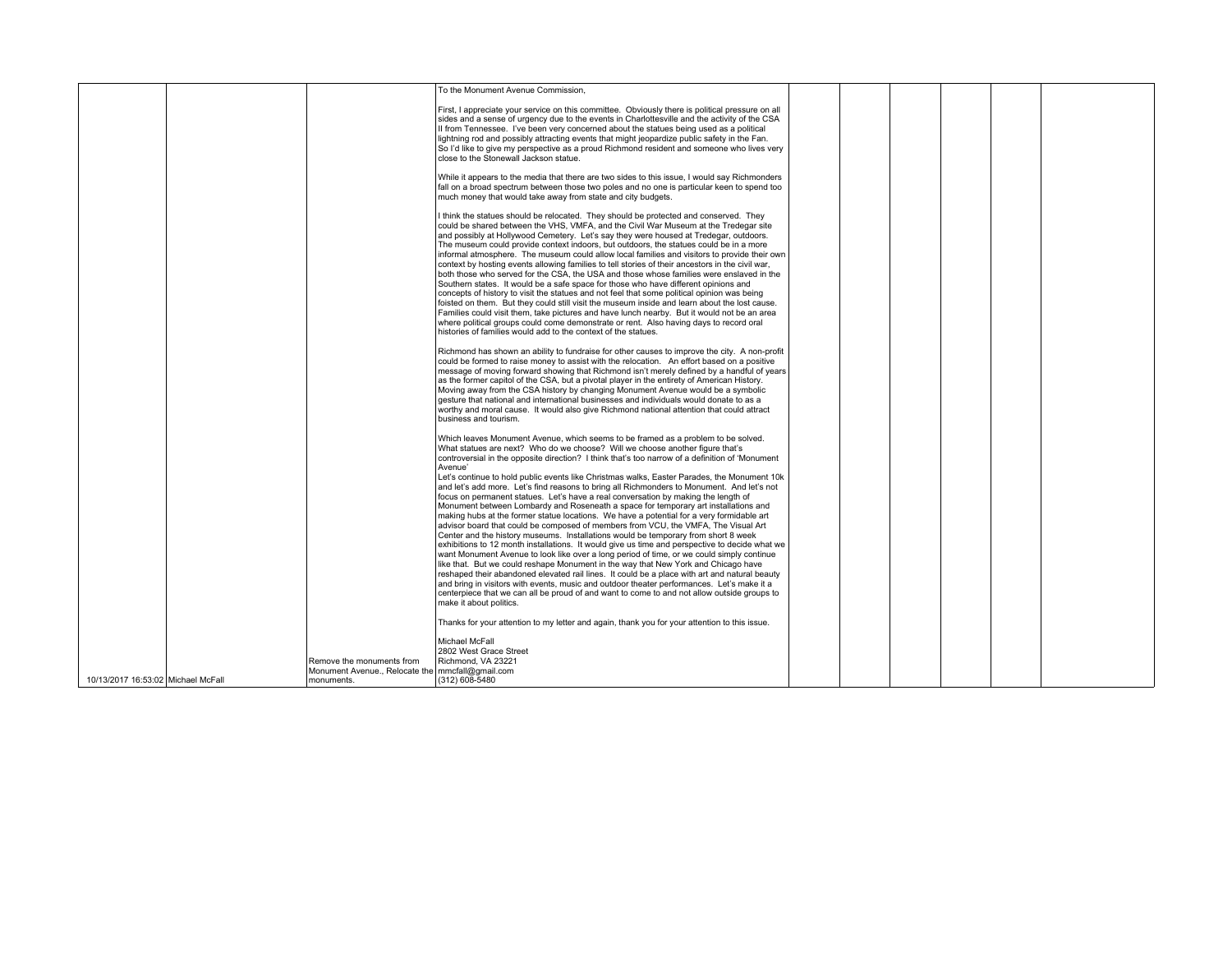|                                    |                                                                  | To the Monument Avenue Commission.                                                                                                                                                                                                                                                                                                                                                                                                                                                                                                                                                                                                                                                                                                                                                                                                                                                                                                                                                                                                                                                                                                                                                                                                                                                                                                                                                                                                                                                                                      |  |  |  |
|------------------------------------|------------------------------------------------------------------|-------------------------------------------------------------------------------------------------------------------------------------------------------------------------------------------------------------------------------------------------------------------------------------------------------------------------------------------------------------------------------------------------------------------------------------------------------------------------------------------------------------------------------------------------------------------------------------------------------------------------------------------------------------------------------------------------------------------------------------------------------------------------------------------------------------------------------------------------------------------------------------------------------------------------------------------------------------------------------------------------------------------------------------------------------------------------------------------------------------------------------------------------------------------------------------------------------------------------------------------------------------------------------------------------------------------------------------------------------------------------------------------------------------------------------------------------------------------------------------------------------------------------|--|--|--|
|                                    |                                                                  | First, I appreciate your service on this committee. Obviously there is political pressure on all<br>sides and a sense of urgency due to the events in Charlottesville and the activity of the CSA<br>Il from Tennessee. I've been very concerned about the statues being used as a political<br>lightning rod and possibly attracting events that might jeopardize public safety in the Fan.<br>So I'd like to give my perspective as a proud Richmond resident and someone who lives very<br>close to the Stonewall Jackson statue.                                                                                                                                                                                                                                                                                                                                                                                                                                                                                                                                                                                                                                                                                                                                                                                                                                                                                                                                                                                    |  |  |  |
|                                    |                                                                  | While it appears to the media that there are two sides to this issue, I would say Richmonders<br>fall on a broad spectrum between those two poles and no one is particular keen to spend too<br>much money that would take away from state and city budgets.                                                                                                                                                                                                                                                                                                                                                                                                                                                                                                                                                                                                                                                                                                                                                                                                                                                                                                                                                                                                                                                                                                                                                                                                                                                            |  |  |  |
|                                    |                                                                  | I think the statues should be relocated. They should be protected and conserved. They<br>could be shared between the VHS, VMFA, and the Civil War Museum at the Tredegar site<br>and possibly at Hollywood Cemetery. Let's say they were housed at Tredegar, outdoors.<br>The museum could provide context indoors, but outdoors, the statues could be in a more<br>informal atmosphere. The museum could allow local families and visitors to provide their own<br>context by hosting events allowing families to tell stories of their ancestors in the civil war,<br>both those who served for the CSA, the USA and those whose families were enslaved in the<br>Southern states. It would be a safe space for those who have different opinions and<br>concepts of history to visit the statues and not feel that some political opinion was being<br>foisted on them. But they could still visit the museum inside and learn about the lost cause.<br>Families could visit them, take pictures and have lunch nearby. But it would not be an area<br>where political groups could come demonstrate or rent. Also having days to record oral                                                                                                                                                                                                                                                                                                                                                                        |  |  |  |
|                                    |                                                                  | histories of families would add to the context of the statues.<br>Richmond has shown an ability to fundraise for other causes to improve the city. A non-profit<br>could be formed to raise money to assist with the relocation. An effort based on a positive<br>message of moving forward showing that Richmond isn't merely defined by a handful of years<br>as the former capitol of the CSA, but a pivotal player in the entirety of American History.<br>Moving away from the CSA history by changing Monument Avenue would be a symbolic<br>gesture that national and international businesses and individuals would donate to as a<br>worthy and moral cause. It would also give Richmond national attention that could attract<br>business and tourism.                                                                                                                                                                                                                                                                                                                                                                                                                                                                                                                                                                                                                                                                                                                                                        |  |  |  |
|                                    |                                                                  | Which leaves Monument Avenue, which seems to be framed as a problem to be solved.<br>What statues are next? Who do we choose? Will we choose another figure that's<br>controversial in the opposite direction? I think that's too narrow of a definition of 'Monument'<br>Avenue'<br>Let's continue to hold public events like Christmas walks, Easter Parades, the Monument 10k<br>and let's add more. Let's find reasons to bring all Richmonders to Monument. And let's not<br>focus on permanent statues. Let's have a real conversation by making the length of<br>Monument between Lombardy and Roseneath a space for temporary art installations and<br>making hubs at the former statue locations. We have a potential for a very formidable art<br>advisor board that could be composed of members from VCU, the VMFA, The Visual Art<br>Center and the history museums. Installations would be temporary from short 8 week<br>exhibitions to 12 month installations. It would give us time and perspective to decide what we<br>want Monument Avenue to look like over a long period of time, or we could simply continue<br>like that. But we could reshape Monument in the way that New York and Chicago have<br>reshaped their abandoned elevated rail lines. It could be a place with art and natural beauty<br>and bring in visitors with events, music and outdoor theater performances. Let's make it a<br>centerpiece that we can all be proud of and want to come to and not allow outside groups to |  |  |  |
|                                    |                                                                  | make it about politics.<br>Thanks for your attention to my letter and again, thank you for your attention to this issue.                                                                                                                                                                                                                                                                                                                                                                                                                                                                                                                                                                                                                                                                                                                                                                                                                                                                                                                                                                                                                                                                                                                                                                                                                                                                                                                                                                                                |  |  |  |
|                                    | Remove the monuments from                                        | Michael McFall<br>2802 West Grace Street<br>Richmond, VA 23221                                                                                                                                                                                                                                                                                                                                                                                                                                                                                                                                                                                                                                                                                                                                                                                                                                                                                                                                                                                                                                                                                                                                                                                                                                                                                                                                                                                                                                                          |  |  |  |
| 10/13/2017 16:53:02 Michael McFall | Monument Avenue., Relocate the   mmcfall@gmail.com<br>monuments. | (312) 608-5480                                                                                                                                                                                                                                                                                                                                                                                                                                                                                                                                                                                                                                                                                                                                                                                                                                                                                                                                                                                                                                                                                                                                                                                                                                                                                                                                                                                                                                                                                                          |  |  |  |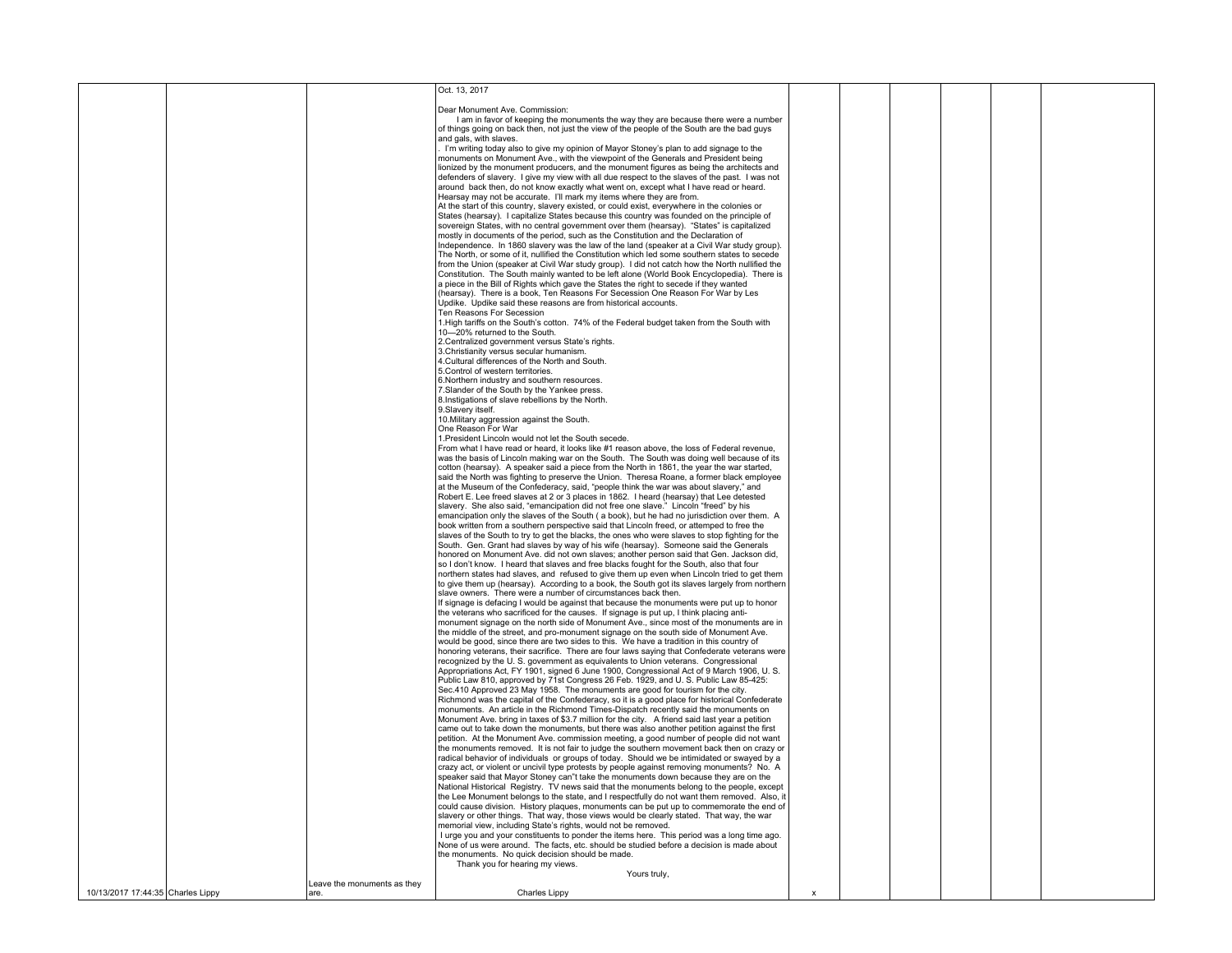|                                   |                             | Oct. 13, 2017                                                                                                                                                                                   |  |  |  |
|-----------------------------------|-----------------------------|-------------------------------------------------------------------------------------------------------------------------------------------------------------------------------------------------|--|--|--|
|                                   |                             |                                                                                                                                                                                                 |  |  |  |
|                                   |                             | Dear Monument Ave. Commission:                                                                                                                                                                  |  |  |  |
|                                   |                             | I am in favor of keeping the monuments the way they are because there were a number<br>of things going on back then, not just the view of the people of the South are the bad guys              |  |  |  |
|                                   |                             | and gals, with slaves.                                                                                                                                                                          |  |  |  |
|                                   |                             | I'm writing today also to give my opinion of Mayor Stoney's plan to add signage to the                                                                                                          |  |  |  |
|                                   |                             | monuments on Monument Ave., with the viewpoint of the Generals and President being                                                                                                              |  |  |  |
|                                   |                             | lionized by the monument producers, and the monument figures as being the architects and                                                                                                        |  |  |  |
|                                   |                             | defenders of slavery. I give my view with all due respect to the slaves of the past. I was not                                                                                                  |  |  |  |
|                                   |                             | around back then, do not know exactly what went on, except what I have read or heard.                                                                                                           |  |  |  |
|                                   |                             | Hearsay may not be accurate. I'll mark my items where they are from.                                                                                                                            |  |  |  |
|                                   |                             | At the start of this country, slavery existed, or could exist, everywhere in the colonies or                                                                                                    |  |  |  |
|                                   |                             | States (hearsay). I capitalize States because this country was founded on the principle of                                                                                                      |  |  |  |
|                                   |                             | sovereign States, with no central government over them (hearsay). "States" is capitalized                                                                                                       |  |  |  |
|                                   |                             | mostly in documents of the period, such as the Constitution and the Declaration of                                                                                                              |  |  |  |
|                                   |                             | Independence. In 1860 slavery was the law of the land (speaker at a Civil War study group).                                                                                                     |  |  |  |
|                                   |                             | The North, or some of it, nullified the Constitution which led some southern states to secede<br>from the Union (speaker at Civil War study group). I did not catch how the North nullified the |  |  |  |
|                                   |                             | Constitution. The South mainly wanted to be left alone (World Book Encyclopedia). There is                                                                                                      |  |  |  |
|                                   |                             | a piece in the Bill of Rights which gave the States the right to secede if they wanted                                                                                                          |  |  |  |
|                                   |                             | (hearsay). There is a book, Ten Reasons For Secession One Reason For War by Les                                                                                                                 |  |  |  |
|                                   |                             | Updike. Updike said these reasons are from historical accounts.                                                                                                                                 |  |  |  |
|                                   |                             | Ten Reasons For Secession                                                                                                                                                                       |  |  |  |
|                                   |                             | 1. High tariffs on the South's cotton. 74% of the Federal budget taken from the South with                                                                                                      |  |  |  |
|                                   |                             | 10-20% returned to the South.                                                                                                                                                                   |  |  |  |
|                                   |                             | 2. Centralized government versus State's rights.                                                                                                                                                |  |  |  |
|                                   |                             | 3. Christianity versus secular humanism.                                                                                                                                                        |  |  |  |
|                                   |                             | 4. Cultural differences of the North and South.                                                                                                                                                 |  |  |  |
|                                   |                             | 5. Control of western territories.                                                                                                                                                              |  |  |  |
|                                   |                             | 6. Northern industry and southern resources.<br>7. Slander of the South by the Yankee press.                                                                                                    |  |  |  |
|                                   |                             | 8.Instigations of slave rebellions by the North.                                                                                                                                                |  |  |  |
|                                   |                             | 9. Slavery itself.                                                                                                                                                                              |  |  |  |
|                                   |                             | 10. Military aggression against the South.                                                                                                                                                      |  |  |  |
|                                   |                             | One Reason For War                                                                                                                                                                              |  |  |  |
|                                   |                             | 1. President Lincoln would not let the South secede.                                                                                                                                            |  |  |  |
|                                   |                             | From what I have read or heard, it looks like #1 reason above, the loss of Federal revenue,                                                                                                     |  |  |  |
|                                   |                             | was the basis of Lincoln making war on the South. The South was doing well because of its                                                                                                       |  |  |  |
|                                   |                             | cotton (hearsay). A speaker said a piece from the North in 1861, the year the war started,                                                                                                      |  |  |  |
|                                   |                             | said the North was fighting to preserve the Union. Theresa Roane, a former black employee                                                                                                       |  |  |  |
|                                   |                             | at the Museum of the Confederacy, said, "people think the war was about slavery," and                                                                                                           |  |  |  |
|                                   |                             | Robert E. Lee freed slaves at 2 or 3 places in 1862. I heard (hearsay) that Lee detested                                                                                                        |  |  |  |
|                                   |                             | slavery. She also said, "emancipation did not free one slave." Lincoln "freed" by his                                                                                                           |  |  |  |
|                                   |                             | emancipation only the slaves of the South (a book), but he had no jurisdiction over them. A                                                                                                     |  |  |  |
|                                   |                             | book written from a southern perspective said that Lincoln freed, or attemped to free the<br>slaves of the South to try to get the blacks, the ones who were slaves to stop fighting for the    |  |  |  |
|                                   |                             | South. Gen. Grant had slaves by way of his wife (hearsay). Someone said the Generals                                                                                                            |  |  |  |
|                                   |                             | honored on Monument Ave. did not own slaves; another person said that Gen. Jackson did,                                                                                                         |  |  |  |
|                                   |                             | so I don't know. I heard that slaves and free blacks fought for the South, also that four                                                                                                       |  |  |  |
|                                   |                             | northern states had slaves, and refused to give them up even when Lincoln tried to get them                                                                                                     |  |  |  |
|                                   |                             | to give them up (hearsay). According to a book, the South got its slaves largely from northern                                                                                                  |  |  |  |
|                                   |                             | slave owners. There were a number of circumstances back then.                                                                                                                                   |  |  |  |
|                                   |                             | If signage is defacing I would be against that because the monuments were put up to honor                                                                                                       |  |  |  |
|                                   |                             | the veterans who sacrificed for the causes. If signage is put up, I think placing anti-                                                                                                         |  |  |  |
|                                   |                             | monument signage on the north side of Monument Ave., since most of the monuments are in                                                                                                         |  |  |  |
|                                   |                             | the middle of the street, and pro-monument signage on the south side of Monument Ave.                                                                                                           |  |  |  |
|                                   |                             | would be good, since there are two sides to this. We have a tradition in this country of                                                                                                        |  |  |  |
|                                   |                             | honoring veterans, their sacrifice. There are four laws saying that Confederate veterans were<br>recognized by the U.S. government as equivalents to Union veterans. Congressional              |  |  |  |
|                                   |                             | Appropriations Act, FY 1901, signed 6 June 1900, Congressional Act of 9 March 1906, U.S.                                                                                                        |  |  |  |
|                                   |                             | Public Law 810, approved by 71st Congress 26 Feb. 1929, and U. S. Public Law 85-425:                                                                                                            |  |  |  |
|                                   |                             | Sec.410 Approved 23 May 1958. The monuments are good for tourism for the city.                                                                                                                  |  |  |  |
|                                   |                             | Richmond was the capital of the Confederacy, so it is a good place for historical Confederate                                                                                                   |  |  |  |
|                                   |                             | monuments. An article in the Richmond Times-Dispatch recently said the monuments on                                                                                                             |  |  |  |
|                                   |                             | Monument Ave. bring in taxes of \$3.7 million for the city. A friend said last year a petition                                                                                                  |  |  |  |
|                                   |                             | came out to take down the monuments, but there was also another petition against the first                                                                                                      |  |  |  |
|                                   |                             | petition. At the Monument Ave. commission meeting, a good number of people did not want                                                                                                         |  |  |  |
|                                   |                             | the monuments removed. It is not fair to judge the southern movement back then on crazy or                                                                                                      |  |  |  |
|                                   |                             | radical behavior of individuals or groups of today. Should we be intimidated or swayed by a<br>crazy act, or violent or uncivil type protests by people against removing monuments? No. A       |  |  |  |
|                                   |                             | speaker said that Mayor Stoney can"t take the monuments down because they are on the                                                                                                            |  |  |  |
|                                   |                             | National Historical Registry. TV news said that the monuments belong to the people, except                                                                                                      |  |  |  |
|                                   |                             | the Lee Monument belongs to the state, and I respectfully do not want them removed. Also, it                                                                                                    |  |  |  |
|                                   |                             | could cause division. History plagues, monuments can be put up to commemorate the end of                                                                                                        |  |  |  |
|                                   |                             | slavery or other things. That way, those views would be clearly stated. That way, the war                                                                                                       |  |  |  |
|                                   |                             | memorial view, including State's rights, would not be removed.                                                                                                                                  |  |  |  |
|                                   |                             | I urge you and your constituents to ponder the items here. This period was a long time ago.                                                                                                     |  |  |  |
|                                   |                             | None of us were around. The facts, etc. should be studied before a decision is made about                                                                                                       |  |  |  |
|                                   |                             | the monuments. No quick decision should be made.                                                                                                                                                |  |  |  |
|                                   |                             | Thank you for hearing my views.                                                                                                                                                                 |  |  |  |
|                                   | Leave the monuments as they | Yours truly,                                                                                                                                                                                    |  |  |  |
| 10/13/2017 17:44:35 Charles Lippy | are.                        | Charles Lippy                                                                                                                                                                                   |  |  |  |
|                                   |                             |                                                                                                                                                                                                 |  |  |  |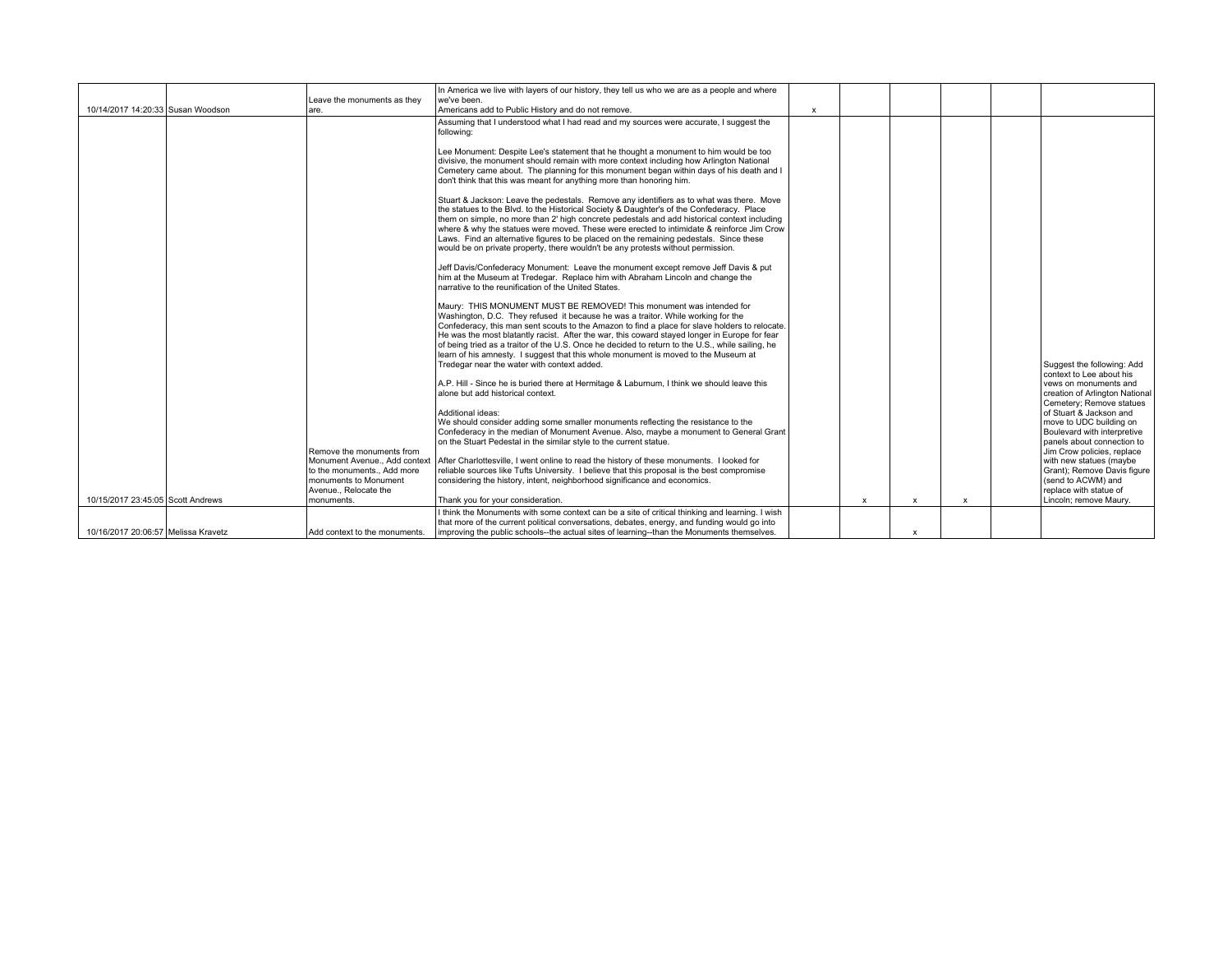|                                     | Leave the monuments as they                                                                                                             | In America we live with layers of our history, they tell us who we are as a people and where<br>we've been.                                                                                                                                                                                                                                                                                                                                                                                                                                                                                          |              |   |   |   |                                                                                                                                      |
|-------------------------------------|-----------------------------------------------------------------------------------------------------------------------------------------|------------------------------------------------------------------------------------------------------------------------------------------------------------------------------------------------------------------------------------------------------------------------------------------------------------------------------------------------------------------------------------------------------------------------------------------------------------------------------------------------------------------------------------------------------------------------------------------------------|--------------|---|---|---|--------------------------------------------------------------------------------------------------------------------------------------|
| 10/14/2017 14:20:33 Susan Woodson   | lare.                                                                                                                                   | Americans add to Public History and do not remove.                                                                                                                                                                                                                                                                                                                                                                                                                                                                                                                                                   | $\mathsf{x}$ |   |   |   |                                                                                                                                      |
|                                     |                                                                                                                                         | Assuming that I understood what I had read and my sources were accurate, I suggest the<br>following:                                                                                                                                                                                                                                                                                                                                                                                                                                                                                                 |              |   |   |   |                                                                                                                                      |
|                                     |                                                                                                                                         | Lee Monument: Despite Lee's statement that he thought a monument to him would be too<br>divisive, the monument should remain with more context including how Arlington National<br>Cemetery came about. The planning for this monument began within days of his death and I<br>don't think that this was meant for anything more than honoring him.                                                                                                                                                                                                                                                  |              |   |   |   |                                                                                                                                      |
|                                     |                                                                                                                                         | Stuart & Jackson: Leave the pedestals. Remove any identifiers as to what was there. Move<br>the statues to the Blvd. to the Historical Society & Daughter's of the Confederacy. Place<br>them on simple, no more than 2' high concrete pedestals and add historical context including<br>where & why the statues were moved. These were erected to intimidate & reinforce Jim Crow<br>Laws. Find an alternative figures to be placed on the remaining pedestals. Since these<br>would be on private property, there wouldn't be any protests without permission.                                     |              |   |   |   |                                                                                                                                      |
|                                     |                                                                                                                                         | Jeff Davis/Confederacy Monument: Leave the monument except remove Jeff Davis & put<br>him at the Museum at Tredegar. Replace him with Abraham Lincoln and change the<br>narrative to the reunification of the United States.                                                                                                                                                                                                                                                                                                                                                                         |              |   |   |   |                                                                                                                                      |
|                                     |                                                                                                                                         | Maury: THIS MONUMENT MUST BE REMOVED! This monument was intended for<br>Washington, D.C. They refused it because he was a traitor. While working for the<br>Confederacy, this man sent scouts to the Amazon to find a place for slave holders to relocate.<br>He was the most blatantly racist. After the war, this coward stayed longer in Europe for fear<br>of being tried as a traitor of the U.S. Once he decided to return to the U.S., while sailing, he<br>learn of his amnesty. I suggest that this whole monument is moved to the Museum at<br>Tredegar near the water with context added. |              |   |   |   | Suggest the following: Add<br>context to Lee about his                                                                               |
|                                     |                                                                                                                                         | A.P. Hill - Since he is buried there at Hermitage & Laburnum, I think we should leave this<br>alone but add historical context.                                                                                                                                                                                                                                                                                                                                                                                                                                                                      |              |   |   |   | vews on monuments and<br>creation of Arlington National<br>Cemetery; Remove statues                                                  |
|                                     |                                                                                                                                         | Additional ideas:<br>We should consider adding some smaller monuments reflecting the resistance to the<br>Confederacy in the median of Monument Avenue. Also, maybe a monument to General Grant<br>on the Stuart Pedestal in the similar style to the current statue.                                                                                                                                                                                                                                                                                                                                |              |   |   |   | of Stuart & Jackson and<br>move to UDC building on<br>Boulevard with interpretive<br>panels about connection to                      |
|                                     | Remove the monuments from<br>Monument Avenue Add context<br>to the monuments Add more<br>monuments to Monument<br>Avenue., Relocate the | After Charlottesville, I went online to read the history of these monuments. I looked for<br>reliable sources like Tufts University. I believe that this proposal is the best compromise<br>considering the history, intent, neighborhood significance and economics.                                                                                                                                                                                                                                                                                                                                |              |   |   |   | Jim Crow policies, replace<br>with new statues (maybe<br>Grant); Remove Davis figure<br>(send to ACWM) and<br>replace with statue of |
| 10/15/2017 23:45:05 Scott Andrews   | monuments.                                                                                                                              | Thank you for your consideration.                                                                                                                                                                                                                                                                                                                                                                                                                                                                                                                                                                    |              | x | x | x | Lincoln; remove Maury.                                                                                                               |
| 10/16/2017 20:06:57 Melissa Kravetz | Add context to the monuments.                                                                                                           | I think the Monuments with some context can be a site of critical thinking and learning. I wish<br>that more of the current political conversations, debates, energy, and funding would go into<br>improving the public schools--the actual sites of learning--than the Monuments themselves.                                                                                                                                                                                                                                                                                                        |              |   | x |   |                                                                                                                                      |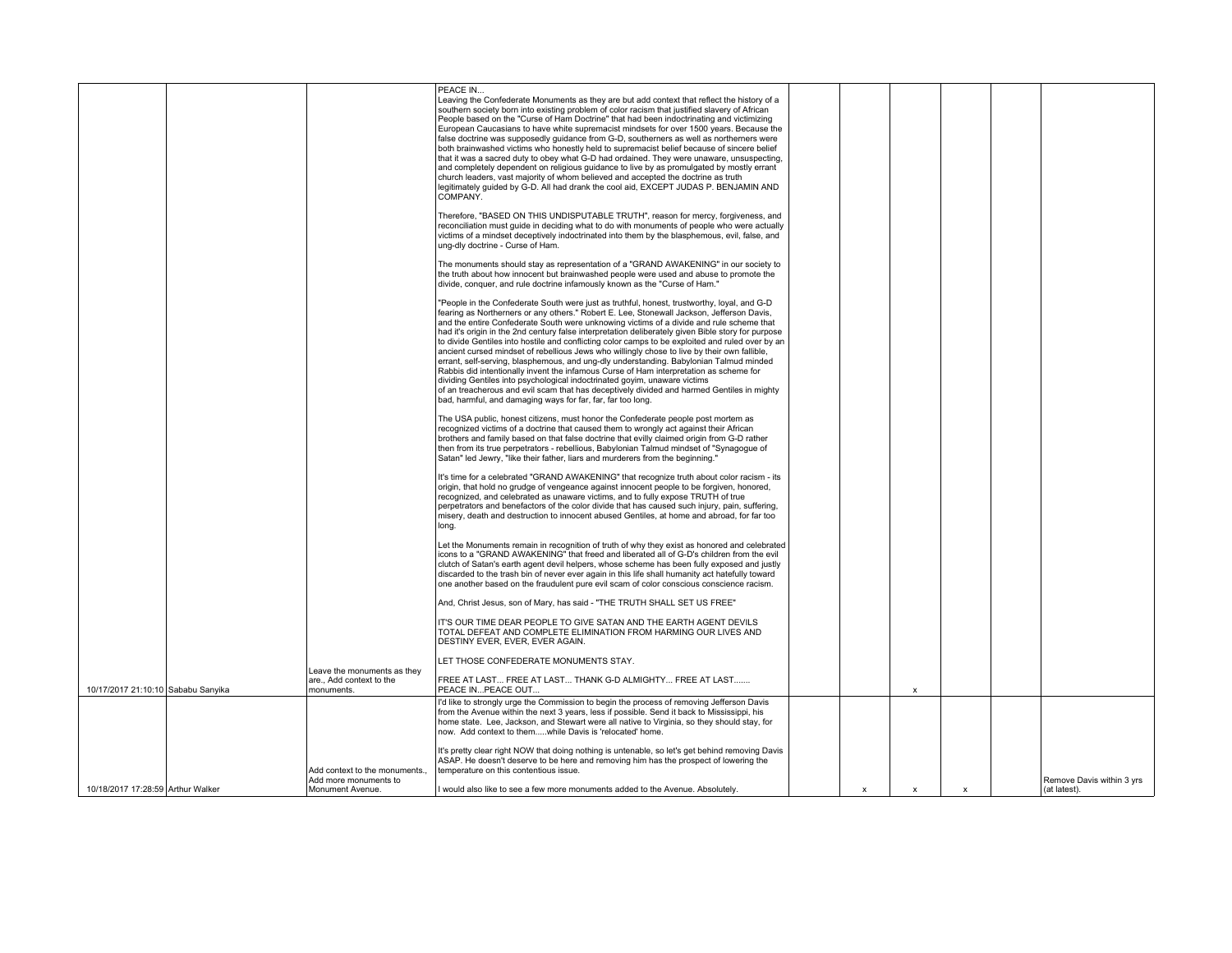|                                    |                                                         | PEACE IN<br>Leaving the Confederate Monuments as they are but add context that reflect the history of a<br>southern society born into existing problem of color racism that justified slavery of African<br>People based on the "Curse of Ham Doctrine" that had been indoctrinating and victimizing<br>European Caucasians to have white supremacist mindsets for over 1500 years. Because the<br>false doctrine was supposedly quidance from G-D, southerners as well as northerners were<br>both brainwashed victims who honestly held to supremacist belief because of sincere belief<br>that it was a sacred duty to obey what G-D had ordained. They were unaware, unsuspecting,<br>and completely dependent on religious quidance to live by as promulgated by mostly errant<br>church leaders, vast majority of whom believed and accepted the doctrine as truth<br>legitimately guided by G-D. All had drank the cool aid, EXCEPT JUDAS P. BENJAMIN AND<br>COMPANY.                                                 |                           |                           |                           |                           |
|------------------------------------|---------------------------------------------------------|------------------------------------------------------------------------------------------------------------------------------------------------------------------------------------------------------------------------------------------------------------------------------------------------------------------------------------------------------------------------------------------------------------------------------------------------------------------------------------------------------------------------------------------------------------------------------------------------------------------------------------------------------------------------------------------------------------------------------------------------------------------------------------------------------------------------------------------------------------------------------------------------------------------------------------------------------------------------------------------------------------------------------|---------------------------|---------------------------|---------------------------|---------------------------|
|                                    |                                                         | Therefore, "BASED ON THIS UNDISPUTABLE TRUTH", reason for mercy, forgiveness, and<br>reconciliation must quide in deciding what to do with monuments of people who were actually<br>victims of a mindset deceptively indoctrinated into them by the blasphemous, evil, false, and<br>ung-dly doctrine - Curse of Ham.                                                                                                                                                                                                                                                                                                                                                                                                                                                                                                                                                                                                                                                                                                        |                           |                           |                           |                           |
|                                    |                                                         | The monuments should stay as representation of a "GRAND AWAKENING" in our society to<br>the truth about how innocent but brainwashed people were used and abuse to promote the<br>divide, conquer, and rule doctrine infamously known as the "Curse of Ham."                                                                                                                                                                                                                                                                                                                                                                                                                                                                                                                                                                                                                                                                                                                                                                 |                           |                           |                           |                           |
|                                    |                                                         | "People in the Confederate South were just as truthful, honest, trustworthy, loyal, and G-D<br>fearing as Northerners or any others." Robert E. Lee, Stonewall Jackson, Jefferson Davis,<br>and the entire Confederate South were unknowing victims of a divide and rule scheme that<br>had it's origin in the 2nd century false interpretation deliberately given Bible story for purpose<br>to divide Gentiles into hostile and conflicting color camps to be exploited and ruled over by an<br>ancient cursed mindset of rebellious Jews who willingly chose to live by their own fallible,<br>errant, self-serving, blasphemous, and ung-dly understanding. Babylonian Talmud minded<br>Rabbis did intentionally invent the infamous Curse of Ham interpretation as scheme for<br>dividing Gentiles into psychological indoctrinated goyim, unaware victims<br>of an treacherous and evil scam that has deceptively divided and harmed Gentiles in mighty<br>bad, harmful, and damaging ways for far, far, far too long. |                           |                           |                           |                           |
|                                    |                                                         | The USA public, honest citizens, must honor the Confederate people post mortem as<br>recognized victims of a doctrine that caused them to wrongly act against their African<br>brothers and family based on that false doctrine that evilly claimed origin from G-D rather<br>then from its true perpetrators - rebellious, Babylonian Talmud mindset of "Synagogue of<br>Satan" led Jewry, "like their father, liars and murderers from the beginning."                                                                                                                                                                                                                                                                                                                                                                                                                                                                                                                                                                     |                           |                           |                           |                           |
|                                    |                                                         | It's time for a celebrated "GRAND AWAKENING" that recognize truth about color racism - its<br>origin, that hold no grudge of vengeance against innocent people to be forgiven, honored,<br>recognized, and celebrated as unaware victims, and to fully expose TRUTH of true<br>perpetrators and benefactors of the color divide that has caused such injury, pain, suffering,<br>misery, death and destruction to innocent abused Gentiles, at home and abroad, for far too<br>long.                                                                                                                                                                                                                                                                                                                                                                                                                                                                                                                                         |                           |                           |                           |                           |
|                                    |                                                         | Let the Monuments remain in recognition of truth of why they exist as honored and celebrated<br>icons to a "GRAND AWAKENING" that freed and liberated all of G-D's children from the evil<br>clutch of Satan's earth agent devil helpers, whose scheme has been fully exposed and justly<br>discarded to the trash bin of never ever again in this life shall humanity act hatefully toward<br>one another based on the fraudulent pure evil scam of color conscious conscience racism.                                                                                                                                                                                                                                                                                                                                                                                                                                                                                                                                      |                           |                           |                           |                           |
|                                    |                                                         | And, Christ Jesus, son of Mary, has said - "THE TRUTH SHALL SET US FREE"<br>IT'S OUR TIME DEAR PEOPLE TO GIVE SATAN AND THE EARTH AGENT DEVILS<br>TOTAL DEFEAT AND COMPLETE ELIMINATION FROM HARMING OUR LIVES AND<br>DESTINY EVER, EVER, EVER AGAIN.                                                                                                                                                                                                                                                                                                                                                                                                                                                                                                                                                                                                                                                                                                                                                                        |                           |                           |                           |                           |
| 10/17/2017 21:10:10 Sababu Sanyika | Leave the monuments as they<br>are Add context to the   | LET THOSE CONFEDERATE MONUMENTS STAY.<br>FREE AT LAST FREE AT LAST THANK G-D ALMIGHTY FREE AT LAST<br>PEACE INPEACE OUT                                                                                                                                                                                                                                                                                                                                                                                                                                                                                                                                                                                                                                                                                                                                                                                                                                                                                                      |                           |                           |                           |                           |
|                                    | monuments.                                              | I'd like to strongly urge the Commission to begin the process of removing Jefferson Davis<br>from the Avenue within the next 3 years, less if possible. Send it back to Mississippi, his<br>home state. Lee, Jackson, and Stewart were all native to Virginia, so they should stay, for<br>now. Add context to themwhile Davis is 'relocated' home.                                                                                                                                                                                                                                                                                                                                                                                                                                                                                                                                                                                                                                                                          |                           | $\boldsymbol{\mathsf{x}}$ |                           |                           |
|                                    | Add context to the monuments.,<br>Add more monuments to | It's pretty clear right NOW that doing nothing is untenable, so let's get behind removing Davis<br>ASAP. He doesn't deserve to be here and removing him has the prospect of lowering the<br>temperature on this contentious issue.                                                                                                                                                                                                                                                                                                                                                                                                                                                                                                                                                                                                                                                                                                                                                                                           |                           |                           |                           | Remove Davis within 3 yrs |
| 10/18/2017 17:28:59 Arthur Walker  | Monument Avenue.                                        | I would also like to see a few more monuments added to the Avenue. Absolutely,                                                                                                                                                                                                                                                                                                                                                                                                                                                                                                                                                                                                                                                                                                                                                                                                                                                                                                                                               | $\boldsymbol{\mathsf{x}}$ | $\pmb{\chi}$              | $\boldsymbol{\mathsf{x}}$ | (at latest).              |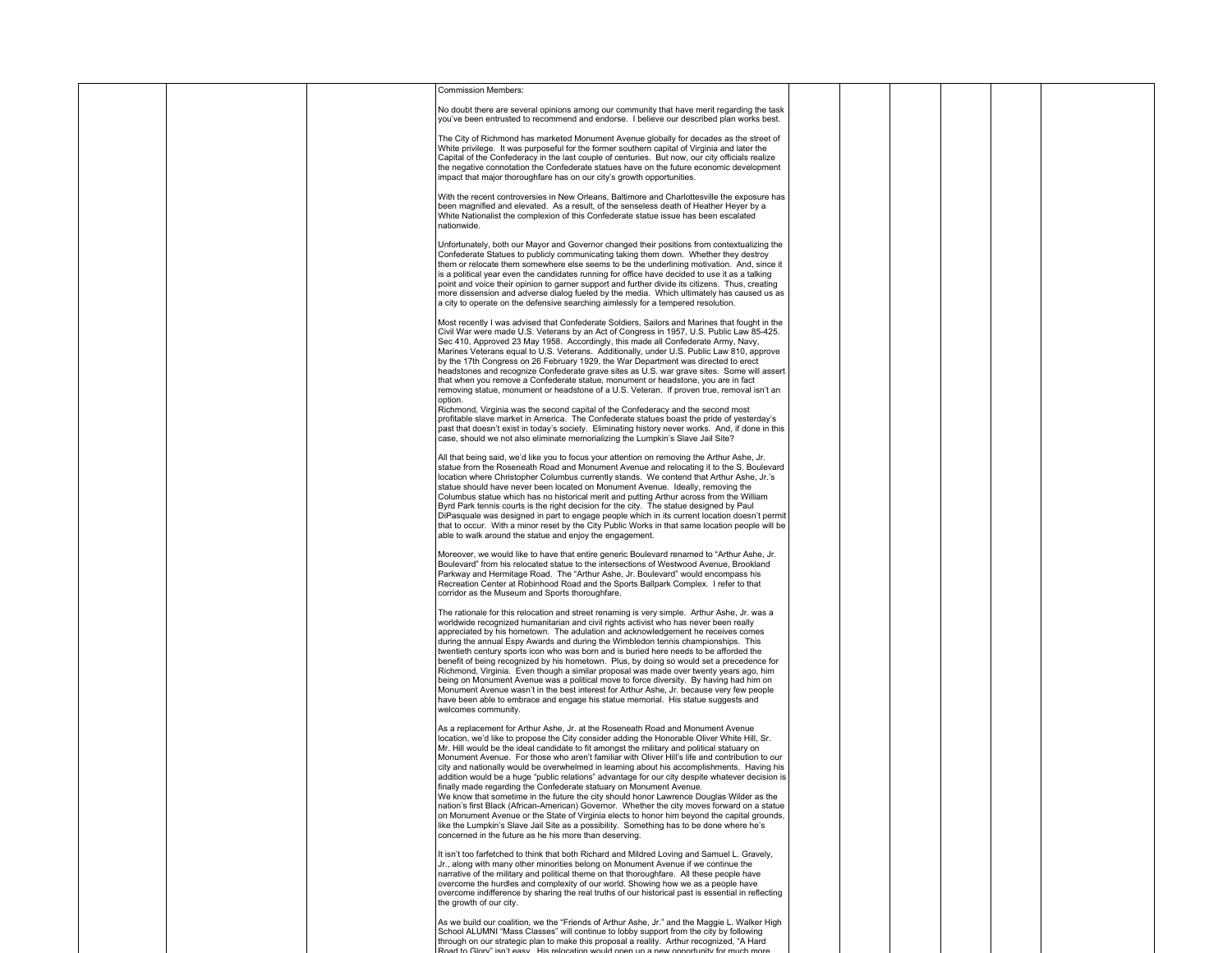|  | <b>Commission Members:</b>                                                                                                                                                                                                                                                                                                                                                                                                                                                                                                                                                                                                                                                                                                                                                                                                                                                                                                                                                                                                                                                                                                              |  |  |
|--|-----------------------------------------------------------------------------------------------------------------------------------------------------------------------------------------------------------------------------------------------------------------------------------------------------------------------------------------------------------------------------------------------------------------------------------------------------------------------------------------------------------------------------------------------------------------------------------------------------------------------------------------------------------------------------------------------------------------------------------------------------------------------------------------------------------------------------------------------------------------------------------------------------------------------------------------------------------------------------------------------------------------------------------------------------------------------------------------------------------------------------------------|--|--|
|  | No doubt there are several opinions among our community that have merit regarding the task<br>you've been entrusted to recommend and endorse. I believe our described plan works best.                                                                                                                                                                                                                                                                                                                                                                                                                                                                                                                                                                                                                                                                                                                                                                                                                                                                                                                                                  |  |  |
|  | The City of Richmond has marketed Monument Avenue globally for decades as the street of<br>White privilege. It was purposeful for the former southern capital of Virginia and later the<br>Capital of the Confederacy in the last couple of centuries. But now, our city officials realize<br>the negative connotation the Confederate statues have on the future economic development<br>impact that major thoroughfare has on our city's growth opportunities.                                                                                                                                                                                                                                                                                                                                                                                                                                                                                                                                                                                                                                                                        |  |  |
|  | With the recent controversies in New Orleans, Baltimore and Charlottesville the exposure has<br>been magnified and elevated. As a result, of the senseless death of Heather Heyer by a<br>White Nationalist the complexion of this Confederate statue issue has been escalated<br>nationwide.                                                                                                                                                                                                                                                                                                                                                                                                                                                                                                                                                                                                                                                                                                                                                                                                                                           |  |  |
|  | Unfortunately, both our Mayor and Governor changed their positions from contextualizing the<br>Confederate Statues to publicly communicating taking them down. Whether they destroy<br>them or relocate them somewhere else seems to be the underlining motivation. And, since it<br>is a political year even the candidates running for office have decided to use it as a talking<br>point and voice their opinion to garner support and further divide its citizens. Thus, creating<br>more dissension and adverse dialog fueled by the media. Which ultimately has caused us as<br>a city to operate on the defensive searching aimlessly for a tempered resolution.                                                                                                                                                                                                                                                                                                                                                                                                                                                                |  |  |
|  | Most recently I was advised that Confederate Soldiers, Sailors and Marines that fought in the<br>Civil War were made U.S. Veterans by an Act of Congress in 1957, U.S. Public Law 85-425.<br>Sec 410, Approved 23 May 1958. Accordingly, this made all Confederate Army, Navy,<br>Marines Veterans equal to U.S. Veterans. Additionally, under U.S. Public Law 810, approve<br>by the 17th Congress on 26 February 1929, the War Department was directed to erect<br>headstones and recognize Confederate grave sites as U.S. war grave sites. Some will assert<br>that when you remove a Confederate statue, monument or headstone, you are in fact<br>removing statue, monument or headstone of a U.S. Veteran. If proven true, removal isn't an<br>option.<br>Richmond, Virginia was the second capital of the Confederacy and the second most<br>profitable slave market in America. The Confederate statues boast the pride of yesterday's<br>past that doesn't exist in today's society. Eliminating history never works. And, if done in this<br>case, should we not also eliminate memorializing the Lumpkin's Slave Jail Site? |  |  |
|  | All that being said, we'd like you to focus your attention on removing the Arthur Ashe, Jr.<br>statue from the Roseneath Road and Monument Avenue and relocating it to the S. Boulevard<br>location where Christopher Columbus currently stands. We contend that Arthur Ashe, Jr.'s<br>statue should have never been located on Monument Avenue. Ideally, removing the<br>Columbus statue which has no historical merit and putting Arthur across from the William<br>Byrd Park tennis courts is the right decision for the city. The statue designed by Paul<br>DiPasquale was designed in part to engage people which in its current location doesn't permit<br>that to occur. With a minor reset by the City Public Works in that same location people will be<br>able to walk around the statue and enjoy the engagement.                                                                                                                                                                                                                                                                                                           |  |  |
|  | Moreover, we would like to have that entire generic Boulevard renamed to "Arthur Ashe, Jr.<br>Boulevard" from his relocated statue to the intersections of Westwood Avenue, Brookland<br>Parkway and Hermitage Road. The "Arthur Ashe, Jr. Boulevard" would encompass his<br>Recreation Center at Robinhood Road and the Sports Ballpark Complex. I refer to that<br>corridor as the Museum and Sports thoroughfare.                                                                                                                                                                                                                                                                                                                                                                                                                                                                                                                                                                                                                                                                                                                    |  |  |
|  | The rationale for this relocation and street renaming is very simple. Arthur Ashe, Jr. was a<br>worldwide recognized humanitarian and civil rights activist who has never been really<br>appreciated by his hometown. The adulation and acknowledgement he receives comes<br>during the annual Espy Awards and during the Wimbledon tennis championships. This<br>twentieth century sports icon who was born and is buried here needs to be afforded the<br>benefit of being recognized by his hometown. Plus, by doing so would set a precedence for<br>Richmond, Virginia. Even though a similar proposal was made over twenty years ago, him<br>being on Monument Avenue was a political move to force diversity. By having had him on<br>Monument Avenue wasn't in the best interest for Arthur Ashe, Jr. because very few people<br>have been able to embrace and engage his statue memorial. His statue suggests and<br>welcomes community.                                                                                                                                                                                       |  |  |
|  | As a replacement for Arthur Ashe, Jr. at the Roseneath Road and Monument Avenue<br>location, we'd like to propose the City consider adding the Honorable Oliver White Hill, Sr.<br>Mr. Hill would be the ideal candidate to fit amongst the military and political statuary on<br>Monument Avenue. For those who aren't familiar with Oliver Hill's life and contribution to our<br>city and nationally would be overwhelmed in learning about his accomplishments. Having his<br>addition would be a huge "public relations" advantage for our city despite whatever decision is<br>finally made regarding the Confederate statuary on Monument Avenue.<br>We know that sometime in the future the city should honor Lawrence Douglas Wilder as the<br>nation's first Black (African-American) Governor. Whether the city moves forward on a statue<br>on Monument Avenue or the State of Virginia elects to honor him beyond the capital grounds,<br>like the Lumpkin's Slave Jail Site as a possibility. Something has to be done where he's<br>concerned in the future as he his more than deserving.                               |  |  |
|  | It isn't too farfetched to think that both Richard and Mildred Loving and Samuel L. Gravely,<br>Jr., along with many other minorities belong on Monument Avenue if we continue the<br>narrative of the military and political theme on that thoroughfare. All these people have<br>overcome the hurdles and complexity of our world. Showing how we as a people have<br>overcome indifference by sharing the real truths of our historical past is essential in reflecting<br>the growth of our city.                                                                                                                                                                                                                                                                                                                                                                                                                                                                                                                                                                                                                                   |  |  |
|  | As we build our coalition, we the "Friends of Arthur Ashe, Jr." and the Maggie L. Walker High<br>School ALUMNI "Mass Classes" will continue to lobby support from the city by following<br>through on our strategic plan to make this proposal a reality. Arthur recognized, "A Hard<br>Road to Glory" isn't easy. His relocation would onen up a new opportunity for much more                                                                                                                                                                                                                                                                                                                                                                                                                                                                                                                                                                                                                                                                                                                                                         |  |  |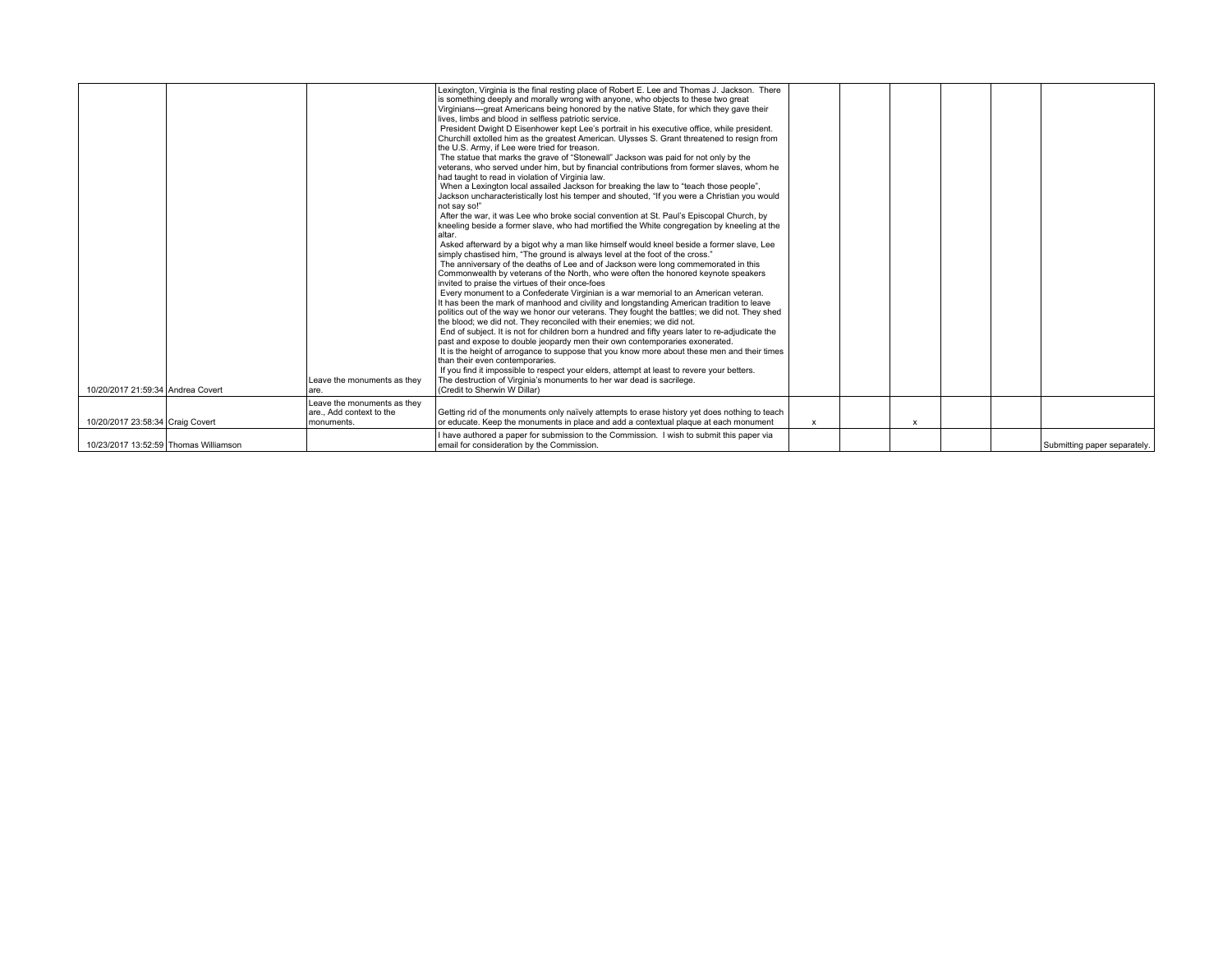| 10/20/2017 21:59:34 Andrea Covert     | Leave the monuments as they<br>are.                                 | Lexington, Virginia is the final resting place of Robert E. Lee and Thomas J. Jackson. There<br>is something deeply and morally wrong with anyone, who objects to these two great<br>Virginians---great Americans being honored by the native State, for which they gave their<br>lives, limbs and blood in selfless patriotic service.<br>President Dwight D Eisenhower kept Lee's portrait in his executive office, while president.<br>Churchill extolled him as the greatest American. Ulysses S. Grant threatened to resign from<br>the U.S. Army, if Lee were tried for treason.<br>The statue that marks the grave of "Stonewall" Jackson was paid for not only by the<br>veterans, who served under him, but by financial contributions from former slaves, whom he<br>had taught to read in violation of Virginia law.<br>When a Lexington local assailed Jackson for breaking the law to "teach those people",<br>Jackson uncharacteristically lost his temper and shouted, "If you were a Christian you would<br>not say so!"<br>After the war, it was Lee who broke social convention at St. Paul's Episcopal Church, by<br>kneeling beside a former slave, who had mortified the White congregation by kneeling at the<br>l altar.<br>Asked afterward by a bigot why a man like himself would kneel beside a former slave, Lee<br>simply chastised him, "The ground is always level at the foot of the cross."<br>The anniversary of the deaths of Lee and of Jackson were long commemorated in this<br>Commonwealth by veterans of the North, who were often the honored keynote speakers<br>invited to praise the virtues of their once-foes<br>Every monument to a Confederate Virginian is a war memorial to an American veteran.<br>It has been the mark of manhood and civility and longstanding American tradition to leave<br>politics out of the way we honor our veterans. They fought the battles; we did not. They shed<br>the blood; we did not. They reconciled with their enemies; we did not.<br>End of subject. It is not for children born a hundred and fifty years later to re-adjudicate the<br>past and expose to double jeopardy men their own contemporaries exonerated.<br>It is the height of arrogance to suppose that you know more about these men and their times<br>than their even contemporaries.<br>If you find it impossible to respect your elders, attempt at least to revere your betters.<br>The destruction of Virginia's monuments to her war dead is sacrilege.<br>(Credit to Sherwin W Dillar) |                           |   |  |                              |
|---------------------------------------|---------------------------------------------------------------------|--------------------------------------------------------------------------------------------------------------------------------------------------------------------------------------------------------------------------------------------------------------------------------------------------------------------------------------------------------------------------------------------------------------------------------------------------------------------------------------------------------------------------------------------------------------------------------------------------------------------------------------------------------------------------------------------------------------------------------------------------------------------------------------------------------------------------------------------------------------------------------------------------------------------------------------------------------------------------------------------------------------------------------------------------------------------------------------------------------------------------------------------------------------------------------------------------------------------------------------------------------------------------------------------------------------------------------------------------------------------------------------------------------------------------------------------------------------------------------------------------------------------------------------------------------------------------------------------------------------------------------------------------------------------------------------------------------------------------------------------------------------------------------------------------------------------------------------------------------------------------------------------------------------------------------------------------------------------------------------------------------------------------------------------------------------------------------------------------------------------------------------------------------------------------------------------------------------------------------------------------------------------------------------------------------------------------------------------------------------------------------------------------------------------------------------------------------------------------------------------------------------------------------------------------------|---------------------------|---|--|------------------------------|
| 10/20/2017 23:58:34 Craig Covert      | Leave the monuments as they<br>are Add context to the<br>monuments. | Getting rid of the monuments only naïvely attempts to erase history yet does nothing to teach<br>or educate. Keep the monuments in place and add a contextual plaque at each monument                                                                                                                                                                                                                                                                                                                                                                                                                                                                                                                                                                                                                                                                                                                                                                                                                                                                                                                                                                                                                                                                                                                                                                                                                                                                                                                                                                                                                                                                                                                                                                                                                                                                                                                                                                                                                                                                                                                                                                                                                                                                                                                                                                                                                                                                                                                                                                  | $\boldsymbol{\mathsf{x}}$ | X |  |                              |
| 10/23/2017 13:52:59 Thomas Williamson |                                                                     | I have authored a paper for submission to the Commission. I wish to submit this paper via<br>email for consideration by the Commission.                                                                                                                                                                                                                                                                                                                                                                                                                                                                                                                                                                                                                                                                                                                                                                                                                                                                                                                                                                                                                                                                                                                                                                                                                                                                                                                                                                                                                                                                                                                                                                                                                                                                                                                                                                                                                                                                                                                                                                                                                                                                                                                                                                                                                                                                                                                                                                                                                |                           |   |  | Submitting paper separately. |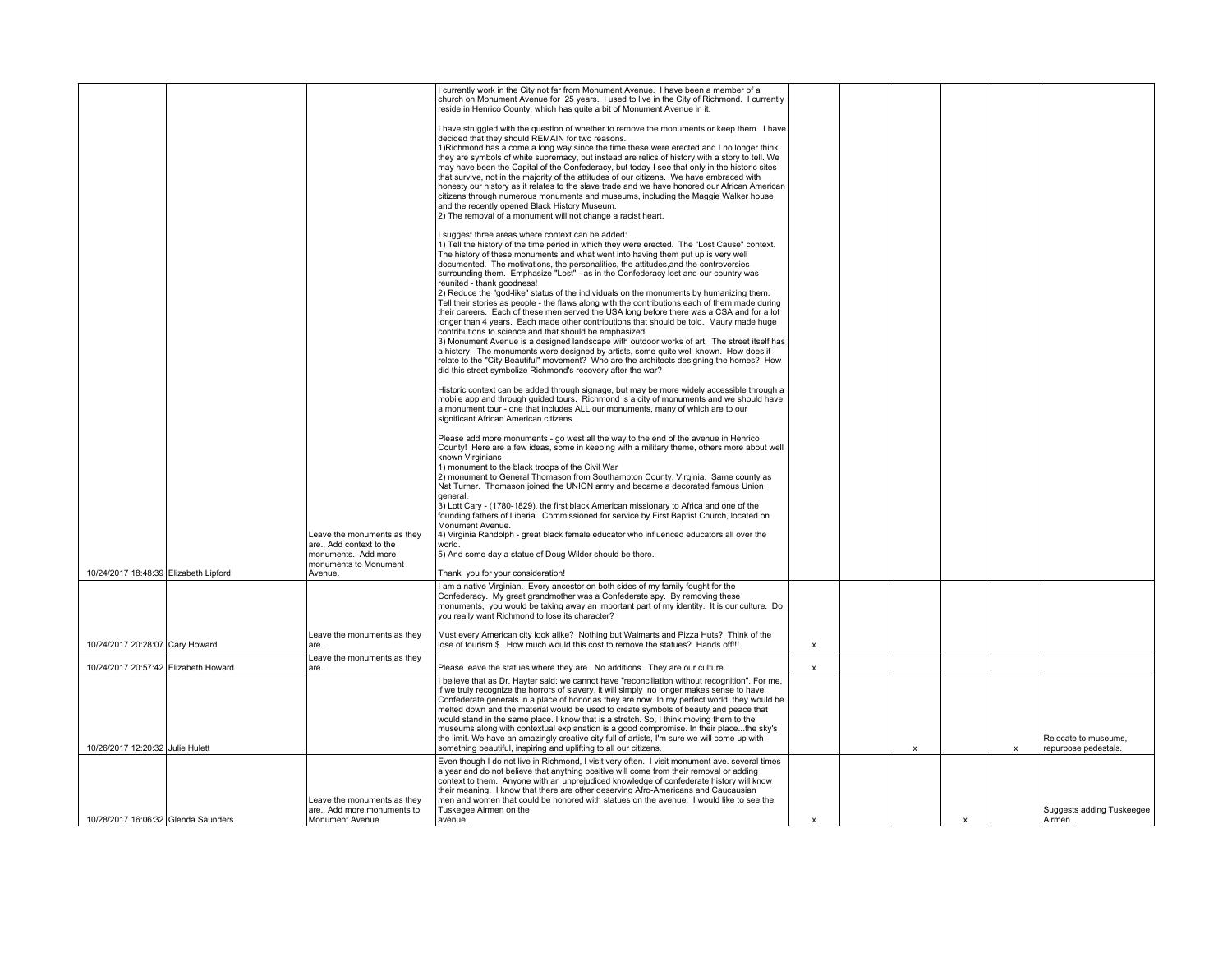|                                       |                                                                           | I currently work in the City not far from Monument Avenue. I have been a member of a<br>church on Monument Avenue for 25 years. I used to live in the City of Richmond. I currently<br>reside in Henrico County, which has quite a bit of Monument Avenue in it. |                           |   |                           |   |                           |
|---------------------------------------|---------------------------------------------------------------------------|------------------------------------------------------------------------------------------------------------------------------------------------------------------------------------------------------------------------------------------------------------------|---------------------------|---|---------------------------|---|---------------------------|
|                                       |                                                                           | I have struggled with the question of whether to remove the monuments or keep them. I have<br>decided that they should REMAIN for two reasons.                                                                                                                   |                           |   |                           |   |                           |
|                                       |                                                                           | 1) Richmond has a come a long way since the time these were erected and I no longer think<br>they are symbols of white supremacy, but instead are relics of history with a story to tell. We                                                                     |                           |   |                           |   |                           |
|                                       |                                                                           | may have been the Capital of the Confederacy, but today I see that only in the historic sites<br>that survive, not in the majority of the attitudes of our citizens. We have embraced with                                                                       |                           |   |                           |   |                           |
|                                       |                                                                           | honesty our history as it relates to the slave trade and we have honored our African American<br>citizens through numerous monuments and museums, including the Maggie Walker house                                                                              |                           |   |                           |   |                           |
|                                       |                                                                           | and the recently opened Black History Museum.<br>2) The removal of a monument will not change a racist heart.                                                                                                                                                    |                           |   |                           |   |                           |
|                                       |                                                                           | I suggest three areas where context can be added:                                                                                                                                                                                                                |                           |   |                           |   |                           |
|                                       |                                                                           | 1) Tell the history of the time period in which they were erected. The "Lost Cause" context.                                                                                                                                                                     |                           |   |                           |   |                           |
|                                       |                                                                           | The history of these monuments and what went into having them put up is very well<br>documented. The motivations, the personalities, the attitudes, and the controversies                                                                                        |                           |   |                           |   |                           |
|                                       |                                                                           | surrounding them. Emphasize "Lost" - as in the Confederacy lost and our country was<br>reunited - thank goodness!                                                                                                                                                |                           |   |                           |   |                           |
|                                       |                                                                           | 2) Reduce the "god-like" status of the individuals on the monuments by humanizing them.<br>Tell their stories as people - the flaws along with the contributions each of them made during                                                                        |                           |   |                           |   |                           |
|                                       |                                                                           | their careers. Each of these men served the USA long before there was a CSA and for a lot<br>longer than 4 years. Each made other contributions that should be told. Maury made huge                                                                             |                           |   |                           |   |                           |
|                                       |                                                                           | contributions to science and that should be emphasized.                                                                                                                                                                                                          |                           |   |                           |   |                           |
|                                       |                                                                           | 3) Monument Avenue is a designed landscape with outdoor works of art. The street itself has<br>a history. The monuments were designed by artists, some quite well known. How does it                                                                             |                           |   |                           |   |                           |
|                                       |                                                                           | relate to the "City Beautiful" movement? Who are the architects designing the homes? How<br>did this street symbolize Richmond's recovery after the war?                                                                                                         |                           |   |                           |   |                           |
|                                       |                                                                           | Historic context can be added through signage, but may be more widely accessible through a                                                                                                                                                                       |                           |   |                           |   |                           |
|                                       |                                                                           | mobile app and through quided tours. Richmond is a city of monuments and we should have<br>a monument tour - one that includes ALL our monuments, many of which are to our<br>significant African American citizens.                                             |                           |   |                           |   |                           |
|                                       |                                                                           | Please add more monuments - go west all the way to the end of the avenue in Henrico                                                                                                                                                                              |                           |   |                           |   |                           |
|                                       |                                                                           | County! Here are a few ideas, some in keeping with a military theme, others more about well<br>known Virginians                                                                                                                                                  |                           |   |                           |   |                           |
|                                       |                                                                           | 1) monument to the black troops of the Civil War<br>2) monument to General Thomason from Southampton County, Virginia. Same county as                                                                                                                            |                           |   |                           |   |                           |
|                                       |                                                                           | Nat Turner. Thomason joined the UNION army and became a decorated famous Union<br>general.                                                                                                                                                                       |                           |   |                           |   |                           |
|                                       |                                                                           | 3) Lott Cary - (1780-1829). the first black American missionary to Africa and one of the<br>founding fathers of Liberia. Commissioned for service by First Baptist Church, located on                                                                            |                           |   |                           |   |                           |
|                                       | Leave the monuments as they                                               | Monument Avenue.<br>4) Virginia Randolph - great black female educator who influenced educators all over the                                                                                                                                                     |                           |   |                           |   |                           |
|                                       | are., Add context to the<br>monuments., Add more<br>monuments to Monument | world.<br>[5] And some day a statue of Doug Wilder should be there.                                                                                                                                                                                              |                           |   |                           |   |                           |
| 10/24/2017 18:48:39 Elizabeth Lipford | Avenue.                                                                   | Thank you for your consideration!                                                                                                                                                                                                                                |                           |   |                           |   |                           |
|                                       |                                                                           | I am a native Virginian. Every ancestor on both sides of my family fought for the<br>Confederacy. My great grandmother was a Confederate spy. By removing these                                                                                                  |                           |   |                           |   |                           |
|                                       |                                                                           | monuments, you would be taking away an important part of my identity. It is our culture. Do<br>you really want Richmond to lose its character?                                                                                                                   |                           |   |                           |   |                           |
|                                       | Leave the monuments as they                                               | Must every American city look alike? Nothing but Walmarts and Pizza Huts? Think of the                                                                                                                                                                           |                           |   |                           |   |                           |
| 10/24/2017 20:28:07 Cary Howard       | are.                                                                      | lose of tourism \$. How much would this cost to remove the statues? Hands off!!!                                                                                                                                                                                 | x                         |   |                           |   |                           |
| 10/24/2017 20:57:42 Elizabeth Howard  | Leave the monuments as they<br>are.                                       | Please leave the statues where they are. No additions. They are our culture.                                                                                                                                                                                     | x                         |   |                           |   |                           |
|                                       |                                                                           | I believe that as Dr. Hayter said: we cannot have "reconciliation without recognition". For me,<br>if we truly recognize the horrors of slavery, it will simply no longer makes sense to have                                                                    |                           |   |                           |   |                           |
|                                       |                                                                           | Confederate generals in a place of honor as they are now. In my perfect world, they would be<br>melted down and the material would be used to create symbols of beauty and peace that                                                                            |                           |   |                           |   |                           |
|                                       |                                                                           | would stand in the same place. I know that is a stretch. So, I think moving them to the                                                                                                                                                                          |                           |   |                           |   |                           |
|                                       |                                                                           | museums along with contextual explanation is a good compromise. In their placethe sky's<br>the limit. We have an amazingly creative city full of artists, I'm sure we will come up with                                                                          |                           |   |                           |   | Relocate to museums,      |
| 10/26/2017 12:20:32 Julie Hulett      |                                                                           | something beautiful, inspiring and uplifting to all our citizens.<br>Even though I do not live in Richmond, I visit very often. I visit monument ave. several times                                                                                              |                           | x |                           | X | repurpose pedestals.      |
|                                       |                                                                           | a year and do not believe that anything positive will come from their removal or adding<br>context to them. Anyone with an unprejudiced knowledge of confederate history will know                                                                               |                           |   |                           |   |                           |
|                                       |                                                                           | their meaning. I know that there are other deserving Afro-Americans and Caucausian                                                                                                                                                                               |                           |   |                           |   |                           |
|                                       | Leave the monuments as they<br>are., Add more monuments to                | men and women that could be honored with statues on the avenue. I would like to see the<br>Tuskegee Airmen on the                                                                                                                                                |                           |   |                           |   | Suggests adding Tuskeegee |
| 10/28/2017 16:06:32 Glenda Saunders   | Monument Avenue.                                                          | avenue.                                                                                                                                                                                                                                                          | $\boldsymbol{\mathsf{x}}$ |   | $\boldsymbol{\mathsf{x}}$ |   | Airmen.                   |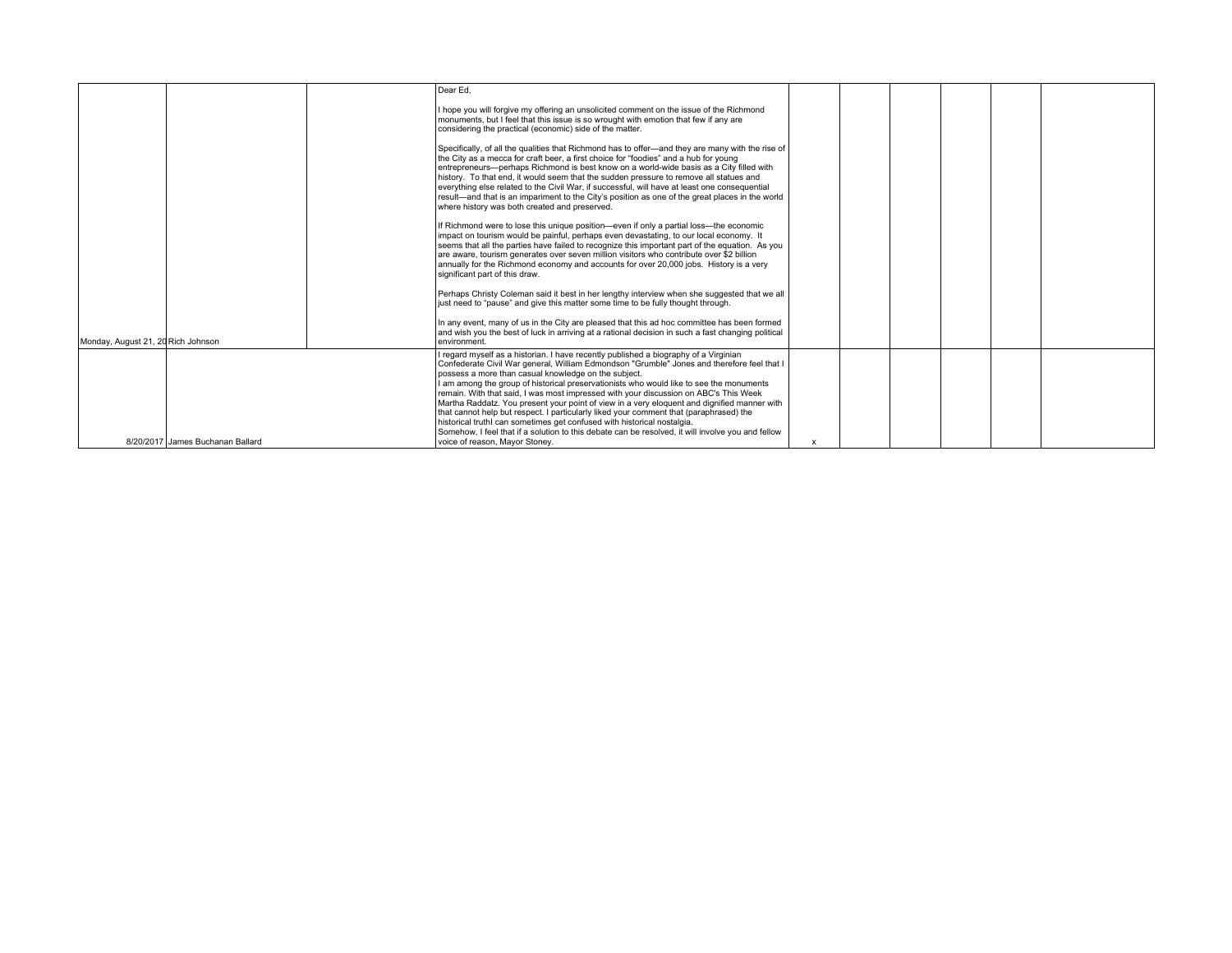|                                    |                                  | Dear Ed.                                                                                                                                                                                                                                                                                                                                                                                                                                                                                                                                                                                                                                                                                                                                                                                               |   |  |  |  |
|------------------------------------|----------------------------------|--------------------------------------------------------------------------------------------------------------------------------------------------------------------------------------------------------------------------------------------------------------------------------------------------------------------------------------------------------------------------------------------------------------------------------------------------------------------------------------------------------------------------------------------------------------------------------------------------------------------------------------------------------------------------------------------------------------------------------------------------------------------------------------------------------|---|--|--|--|
|                                    |                                  | I hope you will forgive my offering an unsolicited comment on the issue of the Richmond<br>monuments, but I feel that this issue is so wrought with emotion that few if any are<br>considering the practical (economic) side of the matter.                                                                                                                                                                                                                                                                                                                                                                                                                                                                                                                                                            |   |  |  |  |
|                                    |                                  | Specifically, of all the qualities that Richmond has to offer-and they are many with the rise of<br>the City as a mecca for craft beer, a first choice for "foodies" and a hub for young<br>entrepreneurs-perhaps Richmond is best know on a world-wide basis as a City filled with<br>history. To that end, it would seem that the sudden pressure to remove all statues and<br>everything else related to the Civil War, if successful, will have at least one consequential<br>result—and that is an impariment to the City's position as one of the great places in the world<br>where history was both created and preserved.                                                                                                                                                                     |   |  |  |  |
|                                    |                                  | If Richmond were to lose this unique position—even if only a partial loss—the economic<br>impact on tourism would be painful, perhaps even devastating, to our local economy. If<br>seems that all the parties have failed to recognize this important part of the equation. As you<br>are aware, tourism generates over seven million visitors who contribute over \$2 billion<br>annually for the Richmond economy and accounts for over 20,000 jobs. History is a very<br>significant part of this draw.                                                                                                                                                                                                                                                                                            |   |  |  |  |
|                                    |                                  | Perhaps Christy Coleman said it best in her lengthy interview when she suggested that we all<br>just need to "pause" and give this matter some time to be fully thought through.                                                                                                                                                                                                                                                                                                                                                                                                                                                                                                                                                                                                                       |   |  |  |  |
| Monday, August 21, 20 Rich Johnson |                                  | In any event, many of us in the City are pleased that this ad hoc committee has been formed<br>and wish you the best of luck in arriving at a rational decision in such a fast changing political<br>environment.                                                                                                                                                                                                                                                                                                                                                                                                                                                                                                                                                                                      |   |  |  |  |
|                                    |                                  | I regard myself as a historian. I have recently published a biography of a Virginian<br>Confederate Civil War general, William Edmondson "Grumble" Jones and therefore feel that I<br>possess a more than casual knowledge on the subject.<br>I am among the group of historical preservationists who would like to see the monuments<br>remain. With that said, I was most impressed with your discussion on ABC's This Week<br>Martha Raddatz. You present your point of view in a very eloquent and dignified manner with<br>that cannot help but respect. I particularly liked your comment that (paraphrased) the<br>historical truthl can sometimes get confused with historical nostalgia.<br>Somehow, I feel that if a solution to this debate can be resolved, it will involve you and fellow |   |  |  |  |
|                                    | 8/20/2017 James Buchanan Ballard | voice of reason, Mayor Stoney.                                                                                                                                                                                                                                                                                                                                                                                                                                                                                                                                                                                                                                                                                                                                                                         | X |  |  |  |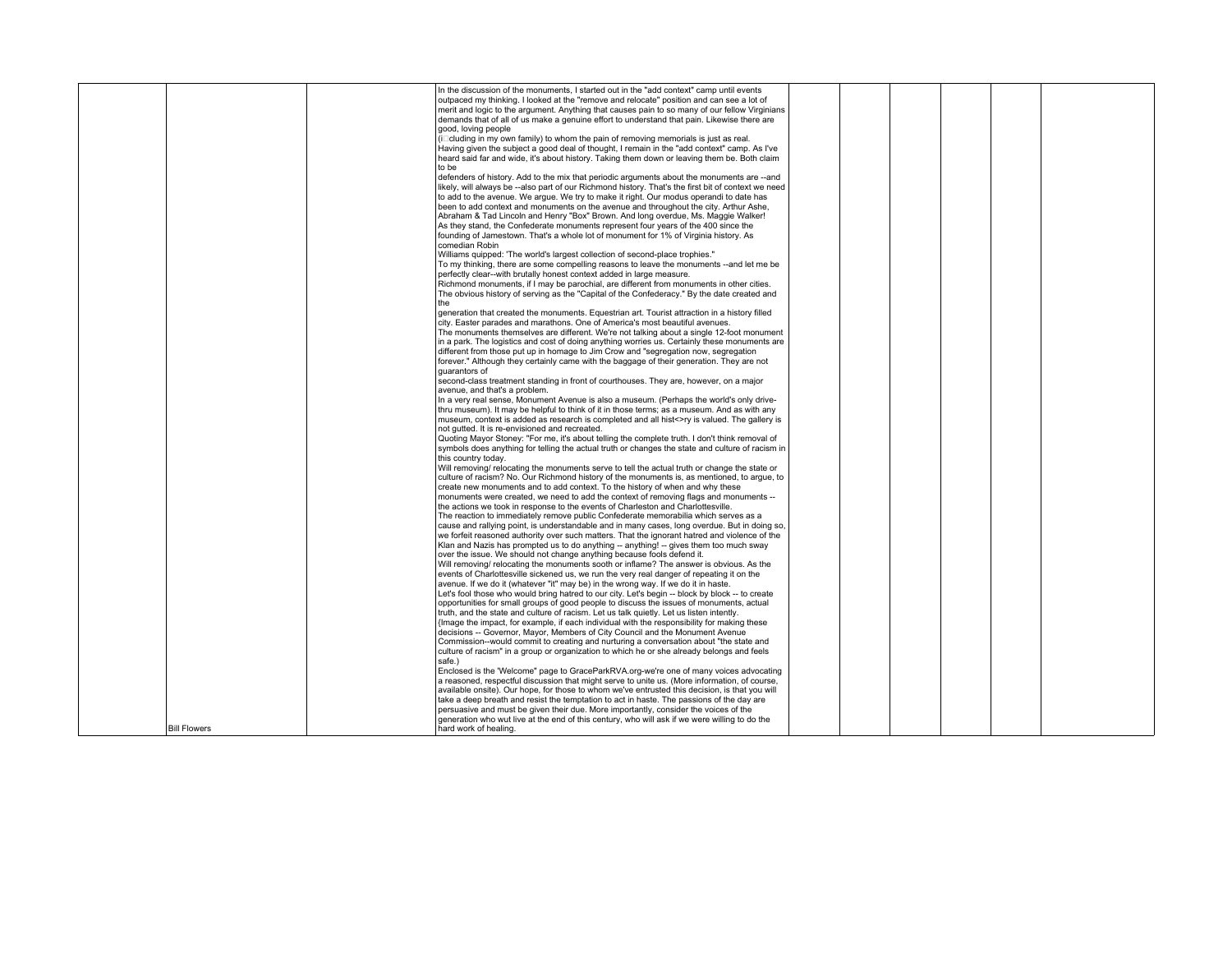|                     | In the discussion of the monuments, I started out in the "add context" camp until events            |  |  |  |
|---------------------|-----------------------------------------------------------------------------------------------------|--|--|--|
|                     | outpaced my thinking. I looked at the "remove and relocate" position and can see a lot of           |  |  |  |
|                     | merit and logic to the argument. Anything that causes pain to so many of our fellow Virginians      |  |  |  |
|                     | demands that of all of us make a genuine effort to understand that pain. Likewise there are         |  |  |  |
|                     | good, loving people                                                                                 |  |  |  |
|                     |                                                                                                     |  |  |  |
|                     | $(i$ cluding in my own family) to whom the pain of removing memorials is just as real.              |  |  |  |
|                     | Having given the subject a good deal of thought, I remain in the "add context" camp. As I've        |  |  |  |
|                     | heard said far and wide, it's about history. Taking them down or leaving them be. Both claim        |  |  |  |
|                     | to be                                                                                               |  |  |  |
|                     | defenders of history. Add to the mix that periodic arguments about the monuments are --and          |  |  |  |
|                     | likely, will always be --also part of our Richmond history. That's the first bit of context we need |  |  |  |
|                     |                                                                                                     |  |  |  |
|                     | to add to the avenue. We argue. We try to make it right. Our modus operandi to date has             |  |  |  |
|                     | been to add context and monuments on the avenue and throughout the city. Arthur Ashe,               |  |  |  |
|                     | Abraham & Tad Lincoln and Henry "Box" Brown. And long overdue, Ms. Maggie Walker!                   |  |  |  |
|                     | As they stand, the Confederate monuments represent four years of the 400 since the                  |  |  |  |
|                     | founding of Jamestown. That's a whole lot of monument for 1% of Virginia history. As                |  |  |  |
|                     | comedian Robin                                                                                      |  |  |  |
|                     | Williams quipped: 'The world's largest collection of second-place trophies."                        |  |  |  |
|                     |                                                                                                     |  |  |  |
|                     | To my thinking, there are some compelling reasons to leave the monuments --and let me be            |  |  |  |
|                     | perfectly clear--with brutally honest context added in large measure.                               |  |  |  |
|                     | Richmond monuments, if I may be parochial, are different from monuments in other cities.            |  |  |  |
|                     | The obvious history of serving as the "Capital of the Confederacy." By the date created and         |  |  |  |
|                     | the                                                                                                 |  |  |  |
|                     | generation that created the monuments. Equestrian art. Tourist attraction in a history filled       |  |  |  |
|                     |                                                                                                     |  |  |  |
|                     | city. Easter parades and marathons. One of America's most beautiful avenues.                        |  |  |  |
|                     | The monuments themselves are different. We're not talking about a single 12-foot monument           |  |  |  |
|                     | in a park. The logistics and cost of doing anything worries us. Certainly these monuments are       |  |  |  |
|                     | different from those put up in homage to Jim Crow and "segregation now, segregation                 |  |  |  |
|                     | forever." Although they certainly came with the baggage of their generation. They are not           |  |  |  |
|                     | quarantors of                                                                                       |  |  |  |
|                     |                                                                                                     |  |  |  |
|                     | second-class treatment standing in front of courthouses. They are, however, on a major              |  |  |  |
|                     | avenue, and that's a problem.                                                                       |  |  |  |
|                     | In a very real sense, Monument Avenue is also a museum. (Perhaps the world's only drive-            |  |  |  |
|                     | thru museum). It may be helpful to think of it in those terms; as a museum. And as with any         |  |  |  |
|                     | museum, context is added as research is completed and all hist<>ry is valued. The gallery is        |  |  |  |
|                     | not gutted. It is re-envisioned and recreated.                                                      |  |  |  |
|                     |                                                                                                     |  |  |  |
|                     | Quoting Mayor Stoney: "For me, it's about telling the complete truth. I don't think removal of      |  |  |  |
|                     | symbols does anything for telling the actual truth or changes the state and culture of racism in    |  |  |  |
|                     | this country today.                                                                                 |  |  |  |
|                     | Will removing/ relocating the monuments serve to tell the actual truth or change the state or       |  |  |  |
|                     | culture of racism? No. Our Richmond history of the monuments is, as mentioned, to arque, to         |  |  |  |
|                     | create new monuments and to add context. To the history of when and why these                       |  |  |  |
|                     | monuments were created, we need to add the context of removing flags and monuments --               |  |  |  |
|                     |                                                                                                     |  |  |  |
|                     | the actions we took in response to the events of Charleston and Charlottesville.                    |  |  |  |
|                     | The reaction to immediately remove public Confederate memorabilia which serves as a                 |  |  |  |
|                     | cause and rallying point, is understandable and in many cases, long overdue. But in doing so,       |  |  |  |
|                     | we forfeit reasoned authority over such matters. That the ignorant hatred and violence of the       |  |  |  |
|                     | Klan and Nazis has prompted us to do anything -- anything! -- gives them too much sway              |  |  |  |
|                     | over the issue. We should not change anything because fools defend it.                              |  |  |  |
|                     |                                                                                                     |  |  |  |
|                     | Will removing/ relocating the monuments sooth or inflame? The answer is obvious. As the             |  |  |  |
|                     | events of Charlottesville sickened us, we run the very real danger of repeating it on the           |  |  |  |
|                     | avenue. If we do it (whatever "it" may be) in the wrong way. If we do it in haste.                  |  |  |  |
|                     | Let's fool those who would bring hatred to our city. Let's begin -- block by block -- to create     |  |  |  |
|                     | opportunities for small groups of good people to discuss the issues of monuments, actual            |  |  |  |
|                     | truth, and the state and culture of racism. Let us talk quietly. Let us listen intently.            |  |  |  |
|                     | {Image the impact, for example, if each individual with the responsibility for making these         |  |  |  |
|                     |                                                                                                     |  |  |  |
|                     | decisions -- Governor, Mayor, Members of City Council and the Monument Avenue                       |  |  |  |
|                     | Commission--would commit to creating and nurturing a conversation about "the state and              |  |  |  |
|                     | culture of racism" in a group or organization to which he or she already belongs and feels          |  |  |  |
|                     | safe.)                                                                                              |  |  |  |
|                     | Enclosed is the "Welcome" page to GraceParkRVA.org-we're one of many voices advocating              |  |  |  |
|                     | a reasoned, respectful discussion that might serve to unite us. (More information, of course,       |  |  |  |
|                     | available onsite). Our hope, for those to whom we've entrusted this decision, is that you will      |  |  |  |
|                     |                                                                                                     |  |  |  |
|                     | take a deep breath and resist the temptation to act in haste. The passions of the day are           |  |  |  |
|                     | persuasive and must be given their due. More importantly, consider the voices of the                |  |  |  |
|                     | generation who wut live at the end of this century, who will ask if we were willing to do the       |  |  |  |
| <b>Bill Flowers</b> | hard work of healing.                                                                               |  |  |  |